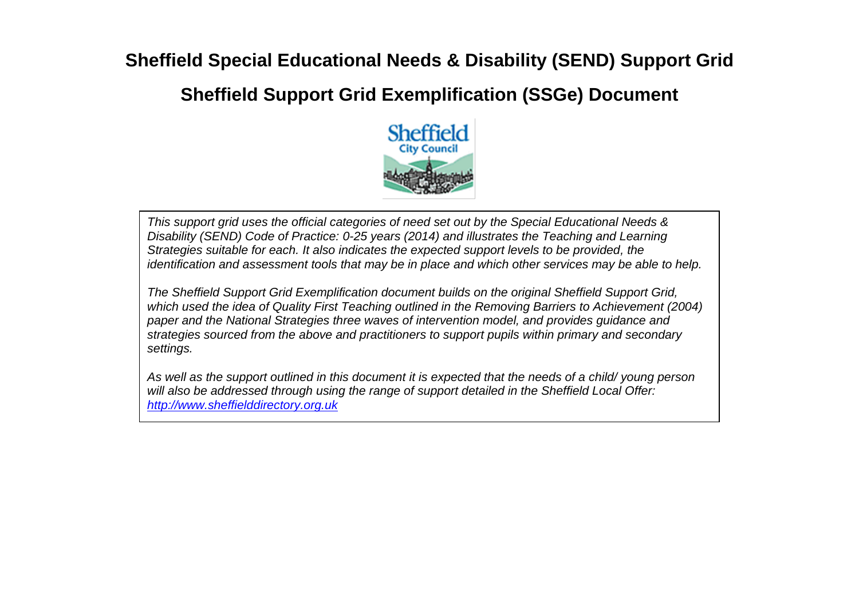## **Sheffield Special Educational Needs & Disability (SEND) Support Grid**

## **Sheffield Support Grid Exemplification (SSGe) Document**



*This support grid uses the official categories of need set out by the Special Educational Needs & Disability (SEND) Code of Practice: 0-25 years (2014) and illustrates the Teaching and Learning Strategies suitable for each. It also indicates the expected support levels to be provided, the identification and assessment tools that may be in place and which other services may be able to help.*

*The Sheffield Support Grid Exemplification document builds on the original Sheffield Support Grid, which used the idea of Quality First Teaching outlined in the Removing Barriers to Achievement (2004) paper and the National Strategies three waves of intervention model, and provides guidance and strategies sourced from the above and practitioners to support pupils within primary and secondary settings.*

*As well as the support outlined in this document it is expected that the needs of a child/ young person will also be addressed through using the range of support detailed in the Sheffield Local Offer: [http://www.sheffielddirectory.org.uk](http://www.sheffielddirectory.org.uk/)*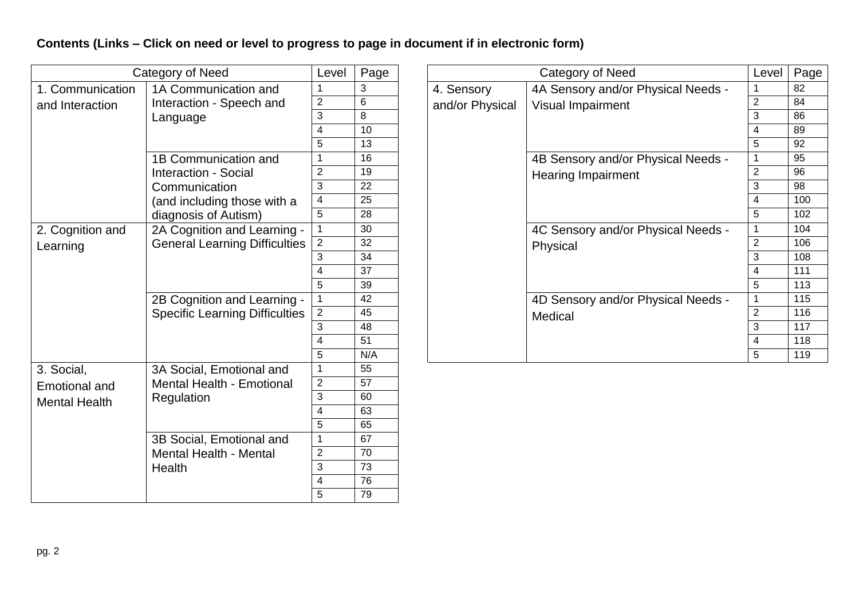## **Contents (Links – Click on need or level to progress to page in document if in electronic form)**

|                      | <b>Category of Need</b>               | Level          | Page           |
|----------------------|---------------------------------------|----------------|----------------|
| 1. Communication     | 1A Communication and                  | 1              | 3              |
| and Interaction      | Interaction - Speech and              | $\overline{2}$ | $\overline{6}$ |
|                      | Language                              | 3              | 8              |
|                      |                                       | 4              | 10             |
|                      |                                       | 5              | 13             |
|                      | 1B Communication and                  | 1              | 16             |
|                      | <b>Interaction - Social</b>           | $\overline{2}$ | 19             |
|                      | Communication                         | $\overline{3}$ | 22             |
|                      | (and including those with a           | 4              | 25             |
|                      | diagnosis of Autism)                  | $\overline{5}$ | 28             |
| 2. Cognition and     | 2A Cognition and Learning -           | $\mathbf{1}$   | 30             |
| Learning             | <b>General Learning Difficulties</b>  | $\overline{2}$ | 32             |
|                      |                                       | 3              | 34             |
|                      |                                       | 4              | 37             |
|                      |                                       | 5              | 39             |
|                      | 2B Cognition and Learning -           | 1              | 42             |
|                      | <b>Specific Learning Difficulties</b> | $\overline{2}$ | 45             |
|                      |                                       | $\overline{3}$ | 48             |
|                      |                                       | 4              | 51             |
|                      |                                       | 5              | N/A            |
| 3. Social,           | 3A Social, Emotional and              | 1              | 55             |
| <b>Emotional and</b> | <b>Mental Health - Emotional</b>      | $\overline{2}$ | 57             |
| <b>Mental Health</b> | Regulation                            | 3              | 60             |
|                      |                                       | 4              | 63             |
|                      |                                       | 5              | 65             |
|                      | 3B Social, Emotional and              | $\overline{1}$ | 67             |
|                      | <b>Mental Health - Mental</b>         | $\overline{2}$ | 70             |
|                      | Health                                | 3              | 73             |
|                      |                                       | $\overline{4}$ | 76             |
|                      |                                       | $\overline{5}$ | 79             |

| Category of Need                      | Level          | Page |                 | Category of Need                   | Level | Page |
|---------------------------------------|----------------|------|-----------------|------------------------------------|-------|------|
| 1A Communication and                  |                | 3    | 4. Sensory      | 4A Sensory and/or Physical Needs - |       | 82   |
| Interaction - Speech and              | $\overline{c}$ | 6    | and/or Physical | Visual Impairment                  | 2     | 84   |
| Language                              | 3              | 8    |                 |                                    | 3     | 86   |
|                                       | 4              | 10   |                 |                                    | 4     | 89   |
|                                       | 5              | 13   |                 |                                    | 5     | 92   |
| 1B Communication and                  |                | 16   |                 | 4B Sensory and/or Physical Needs - |       | 95   |
| <b>Interaction - Social</b>           | $\overline{2}$ | 19   |                 | <b>Hearing Impairment</b>          | 2     | 96   |
| Communication                         | 3              | 22   |                 |                                    | 3     | 98   |
| (and including those with a           | 4              | 25   |                 |                                    | 4     | 100  |
| diagnosis of Autism)                  | 5              | 28   |                 |                                    | 5     | 102  |
| 2A Cognition and Learning -           |                | 30   |                 | 4C Sensory and/or Physical Needs - |       | 104  |
| <b>General Learning Difficulties</b>  | $\overline{c}$ | 32   |                 | Physical                           | 2     | 106  |
|                                       |                | 34   |                 |                                    | 3     | 108  |
|                                       | 4              | 37   |                 |                                    | 4     | 111  |
|                                       | 5              | 39   |                 |                                    | 5     | 113  |
| 2B Cognition and Learning -           |                | 42   |                 | 4D Sensory and/or Physical Needs - |       | 115  |
| <b>Specific Learning Difficulties</b> | $\overline{2}$ | 45   |                 | Medical                            | 2     | 116  |
|                                       | 3              | 48   |                 |                                    | 3     | 117  |
|                                       | 4              | 51   |                 |                                    | 4     | 118  |
|                                       | 5              | N/A  |                 |                                    | 5     | 119  |
|                                       |                |      |                 |                                    |       |      |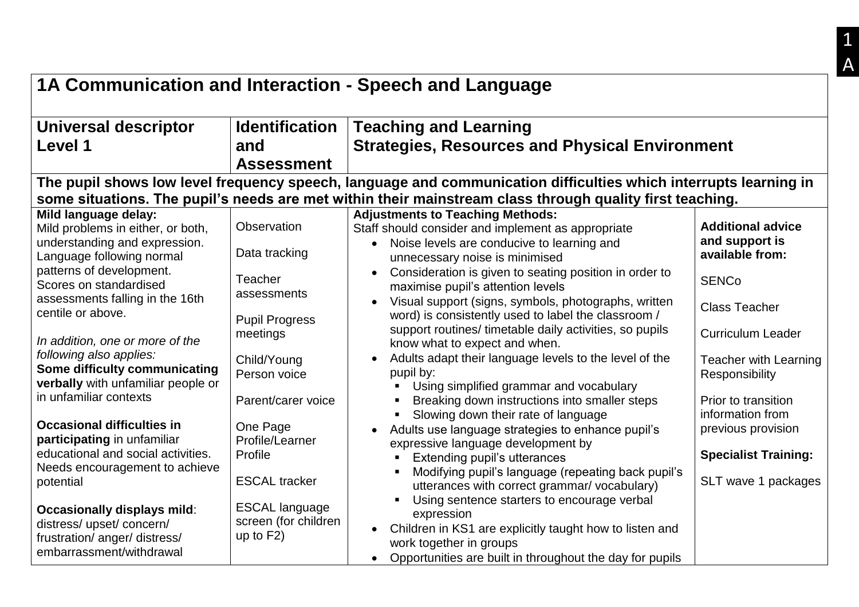<span id="page-2-1"></span><span id="page-2-0"></span>

| 1A Communication and Interaction - Speech and Language                                                                                                                                                                                                                                                                                                                                                                                                                                                                                                        |                                                                                                                                                                                                                    |                                                                                                                                                                                                                                                                                                                                                                                                                                                                                                                                                                                                                                                                                                                                                                                                                                                                                                                                                                                                |                                                                                                                                                                                                                                                                                                            |  |
|---------------------------------------------------------------------------------------------------------------------------------------------------------------------------------------------------------------------------------------------------------------------------------------------------------------------------------------------------------------------------------------------------------------------------------------------------------------------------------------------------------------------------------------------------------------|--------------------------------------------------------------------------------------------------------------------------------------------------------------------------------------------------------------------|------------------------------------------------------------------------------------------------------------------------------------------------------------------------------------------------------------------------------------------------------------------------------------------------------------------------------------------------------------------------------------------------------------------------------------------------------------------------------------------------------------------------------------------------------------------------------------------------------------------------------------------------------------------------------------------------------------------------------------------------------------------------------------------------------------------------------------------------------------------------------------------------------------------------------------------------------------------------------------------------|------------------------------------------------------------------------------------------------------------------------------------------------------------------------------------------------------------------------------------------------------------------------------------------------------------|--|
| <b>Universal descriptor</b><br>Level 1                                                                                                                                                                                                                                                                                                                                                                                                                                                                                                                        | <b>Identification</b><br>and<br><b>Assessment</b>                                                                                                                                                                  | <b>Teaching and Learning</b><br><b>Strategies, Resources and Physical Environment</b><br>The pupil shows low level frequency speech, language and communication difficulties which interrupts learning in                                                                                                                                                                                                                                                                                                                                                                                                                                                                                                                                                                                                                                                                                                                                                                                      |                                                                                                                                                                                                                                                                                                            |  |
| Mild language delay:<br>Mild problems in either, or both,<br>understanding and expression.<br>Language following normal<br>patterns of development.<br>Scores on standardised<br>assessments falling in the 16th<br>centile or above.<br>In addition, one or more of the<br>following also applies:<br>Some difficulty communicating<br>verbally with unfamiliar people or<br>in unfamiliar contexts<br><b>Occasional difficulties in</b><br>participating in unfamiliar<br>educational and social activities.<br>Needs encouragement to achieve<br>potential | Observation<br>Data tracking<br>Teacher<br>assessments<br><b>Pupil Progress</b><br>meetings<br>Child/Young<br>Person voice<br>Parent/carer voice<br>One Page<br>Profile/Learner<br>Profile<br><b>ESCAL</b> tracker | some situations. The pupil's needs are met within their mainstream class through quality first teaching.<br><b>Adjustments to Teaching Methods:</b><br>Staff should consider and implement as appropriate<br>Noise levels are conducive to learning and<br>unnecessary noise is minimised<br>Consideration is given to seating position in order to<br>maximise pupil's attention levels<br>Visual support (signs, symbols, photographs, written<br>word) is consistently used to label the classroom /<br>support routines/ timetable daily activities, so pupils<br>know what to expect and when.<br>Adults adapt their language levels to the level of the<br>pupil by:<br>Using simplified grammar and vocabulary<br>Breaking down instructions into smaller steps<br>Slowing down their rate of language<br>Adults use language strategies to enhance pupil's<br>expressive language development by<br>Extending pupil's utterances<br>Modifying pupil's language (repeating back pupil's | <b>Additional advice</b><br>and support is<br>available from:<br><b>SENCo</b><br><b>Class Teacher</b><br><b>Curriculum Leader</b><br><b>Teacher with Learning</b><br>Responsibility<br>Prior to transition<br>information from<br>previous provision<br><b>Specialist Training:</b><br>SLT wave 1 packages |  |
| Occasionally displays mild:<br>distress/ upset/ concern/<br>frustration/ anger/ distress/<br>embarrassment/withdrawal                                                                                                                                                                                                                                                                                                                                                                                                                                         | <b>ESCAL</b> language<br>screen (for children<br>up to $F2$ )                                                                                                                                                      | utterances with correct grammar/ vocabulary)<br>Using sentence starters to encourage verbal<br>expression<br>Children in KS1 are explicitly taught how to listen and<br>work together in groups<br>Opportunities are built in throughout the day for pupils                                                                                                                                                                                                                                                                                                                                                                                                                                                                                                                                                                                                                                                                                                                                    |                                                                                                                                                                                                                                                                                                            |  |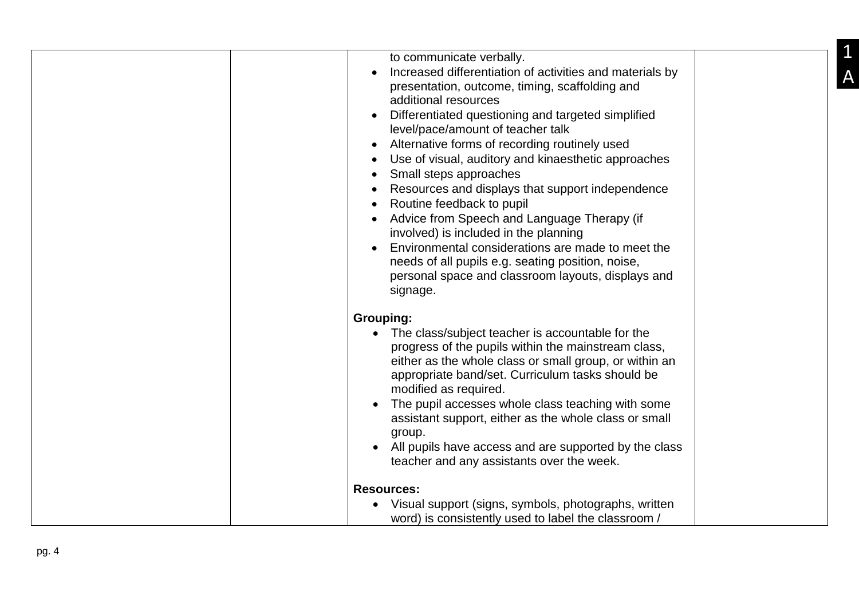|                                                                                                                                                                                                                                                                                                                                                                                                                                                                                                                                                                                                                                                                                                                                                               | $\mathbf{1}$ |
|---------------------------------------------------------------------------------------------------------------------------------------------------------------------------------------------------------------------------------------------------------------------------------------------------------------------------------------------------------------------------------------------------------------------------------------------------------------------------------------------------------------------------------------------------------------------------------------------------------------------------------------------------------------------------------------------------------------------------------------------------------------|--------------|
| to communicate verbally.<br>Increased differentiation of activities and materials by<br>presentation, outcome, timing, scaffolding and<br>additional resources<br>Differentiated questioning and targeted simplified<br>level/pace/amount of teacher talk<br>Alternative forms of recording routinely used<br>Use of visual, auditory and kinaesthetic approaches<br>Small steps approaches<br>$\bullet$<br>Resources and displays that support independence<br>Routine feedback to pupil<br>Advice from Speech and Language Therapy (if<br>involved) is included in the planning<br>Environmental considerations are made to meet the<br>needs of all pupils e.g. seating position, noise,<br>personal space and classroom layouts, displays and<br>signage. | A            |
| <b>Grouping:</b><br>The class/subject teacher is accountable for the<br>progress of the pupils within the mainstream class,<br>either as the whole class or small group, or within an<br>appropriate band/set. Curriculum tasks should be<br>modified as required.<br>The pupil accesses whole class teaching with some<br>assistant support, either as the whole class or small<br>group.<br>All pupils have access and are supported by the class<br>teacher and any assistants over the week.                                                                                                                                                                                                                                                              |              |
| <b>Resources:</b><br>Visual support (signs, symbols, photographs, written<br>word) is consistently used to label the classroom /                                                                                                                                                                                                                                                                                                                                                                                                                                                                                                                                                                                                                              |              |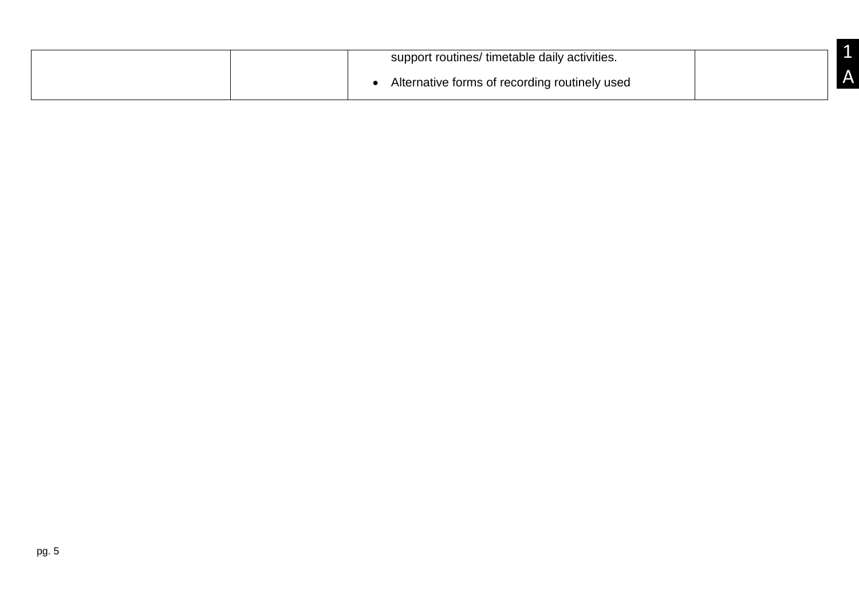| support routines/ timetable daily activities.   | $\mathbf 1$    |
|-------------------------------------------------|----------------|
| • Alternative forms of recording routinely used | $\overline{A}$ |
|                                                 |                |
|                                                 |                |
|                                                 |                |
|                                                 |                |
|                                                 |                |
|                                                 |                |
|                                                 |                |
|                                                 |                |
|                                                 |                |
|                                                 |                |
|                                                 |                |
|                                                 |                |
|                                                 |                |
|                                                 |                |
|                                                 |                |
|                                                 |                |
|                                                 |                |
|                                                 |                |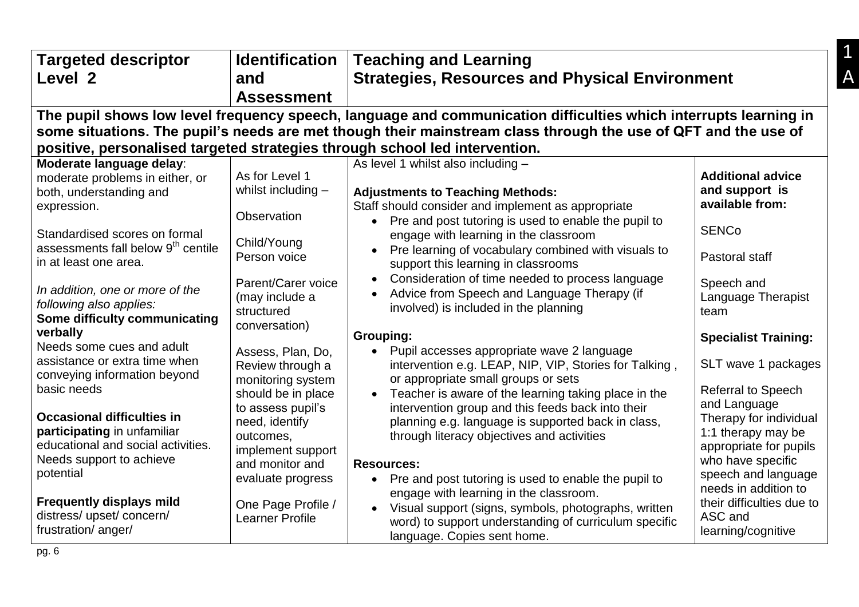<span id="page-5-0"></span>

| <b>Targeted descriptor</b>                                                                                                                      | <b>Identification</b>                                                                                         | <b>Teaching and Learning</b>                                                                                                                                                                                                         |                                                                                                                                            |  |  |  |  |
|-------------------------------------------------------------------------------------------------------------------------------------------------|---------------------------------------------------------------------------------------------------------------|--------------------------------------------------------------------------------------------------------------------------------------------------------------------------------------------------------------------------------------|--------------------------------------------------------------------------------------------------------------------------------------------|--|--|--|--|
| Level 2                                                                                                                                         | and                                                                                                           | <b>Strategies, Resources and Physical Environment</b>                                                                                                                                                                                |                                                                                                                                            |  |  |  |  |
|                                                                                                                                                 | <b>Assessment</b>                                                                                             |                                                                                                                                                                                                                                      |                                                                                                                                            |  |  |  |  |
|                                                                                                                                                 |                                                                                                               | The pupil shows low level frequency speech, language and communication difficulties which interrupts learning in                                                                                                                     |                                                                                                                                            |  |  |  |  |
| some situations. The pupil's needs are met though their mainstream class through the use of QFT and the use of                                  |                                                                                                               |                                                                                                                                                                                                                                      |                                                                                                                                            |  |  |  |  |
| positive, personalised targeted strategies through school led intervention.                                                                     |                                                                                                               |                                                                                                                                                                                                                                      |                                                                                                                                            |  |  |  |  |
| Moderate language delay:<br>moderate problems in either, or<br>both, understanding and<br>expression.                                           | As for Level 1<br>whilst including -<br>Observation                                                           | As level 1 whilst also including -<br><b>Adjustments to Teaching Methods:</b><br>Staff should consider and implement as appropriate<br>Pre and post tutoring is used to enable the pupil to                                          | <b>Additional advice</b><br>and support is<br>available from:                                                                              |  |  |  |  |
| Standardised scores on formal<br>assessments fall below 9 <sup>th</sup> centile<br>in at least one area.                                        | Child/Young<br>Person voice                                                                                   | engage with learning in the classroom<br>Pre learning of vocabulary combined with visuals to<br>support this learning in classrooms                                                                                                  | <b>SENCo</b><br>Pastoral staff                                                                                                             |  |  |  |  |
| In addition, one or more of the<br>following also applies:<br>Some difficulty communicating                                                     | Parent/Carer voice<br>(may include a<br>structured<br>conversation)                                           | Consideration of time needed to process language<br>Advice from Speech and Language Therapy (if<br>involved) is included in the planning                                                                                             | Speech and<br>Language Therapist<br>team                                                                                                   |  |  |  |  |
| verbally                                                                                                                                        |                                                                                                               | <b>Grouping:</b>                                                                                                                                                                                                                     | <b>Specialist Training:</b>                                                                                                                |  |  |  |  |
| Needs some cues and adult<br>assistance or extra time when<br>conveying information beyond<br>basic needs                                       | Assess, Plan, Do,<br>Review through a<br>monitoring system<br>should be in place                              | • Pupil accesses appropriate wave 2 language<br>intervention e.g. LEAP, NIP, VIP, Stories for Talking,<br>or appropriate small groups or sets<br>• Teacher is aware of the learning taking place in the                              | SLT wave 1 packages<br><b>Referral to Speech</b><br>and Language                                                                           |  |  |  |  |
| <b>Occasional difficulties in</b><br>participating in unfamiliar<br>educational and social activities.<br>Needs support to achieve<br>potential | to assess pupil's<br>need, identify<br>outcomes,<br>implement support<br>and monitor and<br>evaluate progress | intervention group and this feeds back into their<br>planning e.g. language is supported back in class,<br>through literacy objectives and activities<br><b>Resources:</b><br>• Pre and post tutoring is used to enable the pupil to | Therapy for individual<br>1:1 therapy may be<br>appropriate for pupils<br>who have specific<br>speech and language<br>needs in addition to |  |  |  |  |
| <b>Frequently displays mild</b><br>distress/ upset/ concern/<br>frustration/anger/                                                              | One Page Profile /<br><b>Learner Profile</b>                                                                  | engage with learning in the classroom.<br>Visual support (signs, symbols, photographs, written<br>word) to support understanding of curriculum specific<br>language. Copies sent home.                                               | their difficulties due to<br>ASC and<br>learning/cognitive                                                                                 |  |  |  |  |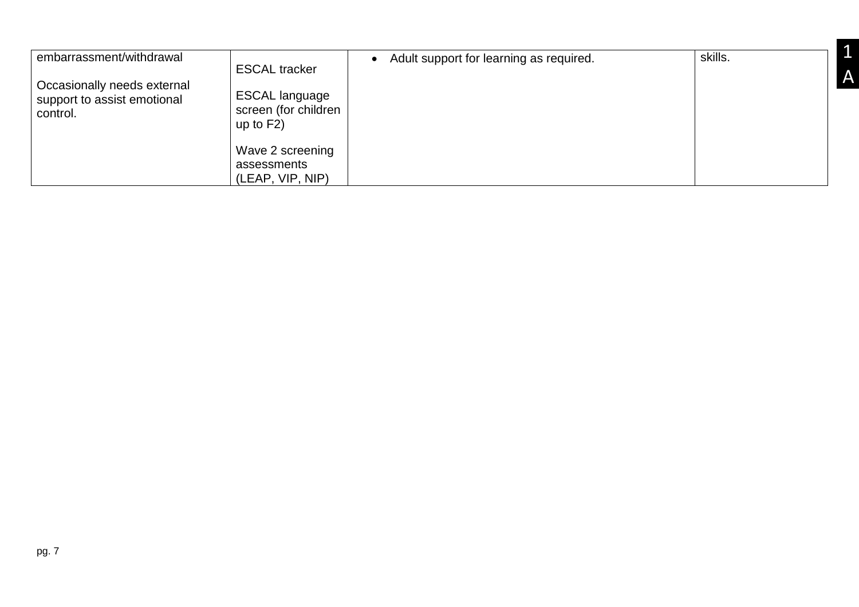| embarrassment/withdrawal                                               | <b>ESCAL tracker</b>                                          | Adult support for learning as required. | skills. |
|------------------------------------------------------------------------|---------------------------------------------------------------|-----------------------------------------|---------|
| Occasionally needs external<br>support to assist emotional<br>control. | <b>ESCAL language</b><br>screen (for children<br>up to $F2$ ) |                                         |         |
|                                                                        | Wave 2 screening<br>assessments<br>(LEAP, VIP, NIP)           |                                         |         |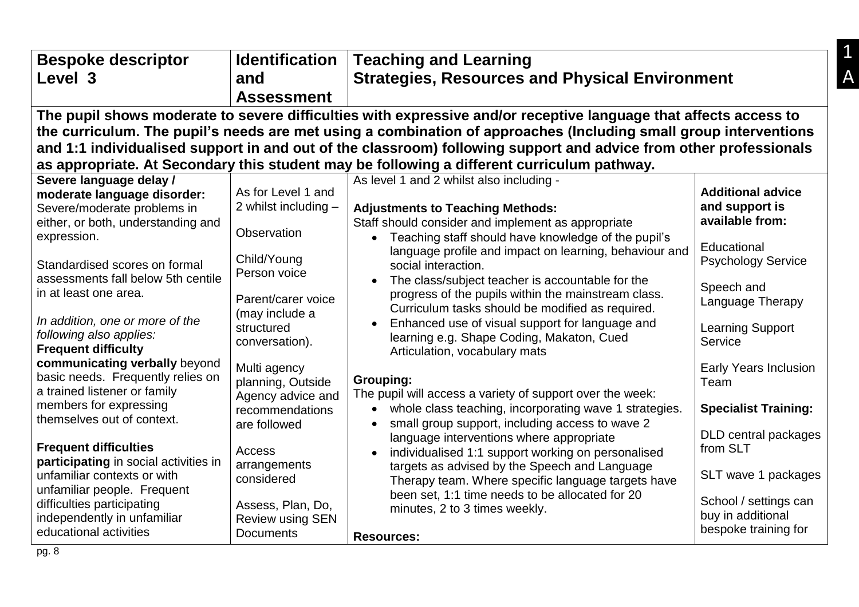<span id="page-7-0"></span>

| <b>Bespoke descriptor</b><br>Level 3                                                                                                                                                                                                  | <b>Identification</b>                                                                      | <b>Teaching and Learning</b>                              |                                   |  |  |  |  |  |
|---------------------------------------------------------------------------------------------------------------------------------------------------------------------------------------------------------------------------------------|--------------------------------------------------------------------------------------------|-----------------------------------------------------------|-----------------------------------|--|--|--|--|--|
|                                                                                                                                                                                                                                       | and                                                                                        | <b>Strategies, Resources and Physical Environment</b>     |                                   |  |  |  |  |  |
|                                                                                                                                                                                                                                       | <b>Assessment</b>                                                                          |                                                           |                                   |  |  |  |  |  |
| The pupil shows moderate to severe difficulties with expressive and/or receptive language that affects access to                                                                                                                      |                                                                                            |                                                           |                                   |  |  |  |  |  |
| the curriculum. The pupil's needs are met using a combination of approaches (Including small group interventions<br>and 1:1 individualised support in and out of the classroom) following support and advice from other professionals |                                                                                            |                                                           |                                   |  |  |  |  |  |
|                                                                                                                                                                                                                                       |                                                                                            |                                                           |                                   |  |  |  |  |  |
|                                                                                                                                                                                                                                       | as appropriate. At Secondary this student may be following a different curriculum pathway. |                                                           |                                   |  |  |  |  |  |
| Severe language delay /                                                                                                                                                                                                               |                                                                                            | As level 1 and 2 whilst also including -                  |                                   |  |  |  |  |  |
| moderate language disorder:                                                                                                                                                                                                           | As for Level 1 and                                                                         |                                                           | <b>Additional advice</b>          |  |  |  |  |  |
| Severe/moderate problems in                                                                                                                                                                                                           | 2 whilst including $-$                                                                     | <b>Adjustments to Teaching Methods:</b>                   | and support is<br>available from: |  |  |  |  |  |
| either, or both, understanding and                                                                                                                                                                                                    | Observation                                                                                | Staff should consider and implement as appropriate        |                                   |  |  |  |  |  |
| expression.                                                                                                                                                                                                                           |                                                                                            | Teaching staff should have knowledge of the pupil's       | Educational                       |  |  |  |  |  |
|                                                                                                                                                                                                                                       | Child/Young                                                                                | language profile and impact on learning, behaviour and    | <b>Psychology Service</b>         |  |  |  |  |  |
| Standardised scores on formal<br>assessments fall below 5th centile                                                                                                                                                                   | Person voice                                                                               | social interaction.                                       |                                   |  |  |  |  |  |
| in at least one area.                                                                                                                                                                                                                 |                                                                                            | The class/subject teacher is accountable for the          | Speech and                        |  |  |  |  |  |
|                                                                                                                                                                                                                                       | Parent/carer voice                                                                         | progress of the pupils within the mainstream class.       | Language Therapy                  |  |  |  |  |  |
| In addition, one or more of the                                                                                                                                                                                                       | (may include a                                                                             | Curriculum tasks should be modified as required.          |                                   |  |  |  |  |  |
| following also applies:                                                                                                                                                                                                               | structured                                                                                 | Enhanced use of visual support for language and           | <b>Learning Support</b>           |  |  |  |  |  |
| <b>Frequent difficulty</b>                                                                                                                                                                                                            | conversation).                                                                             | learning e.g. Shape Coding, Makaton, Cued                 | Service                           |  |  |  |  |  |
| communicating verbally beyond                                                                                                                                                                                                         |                                                                                            | Articulation, vocabulary mats                             |                                   |  |  |  |  |  |
| basic needs. Frequently relies on                                                                                                                                                                                                     | Multi agency                                                                               | Grouping:                                                 | <b>Early Years Inclusion</b>      |  |  |  |  |  |
| a trained listener or family                                                                                                                                                                                                          | planning, Outside                                                                          | The pupil will access a variety of support over the week: | Team                              |  |  |  |  |  |
| members for expressing                                                                                                                                                                                                                | Agency advice and<br>recommendations                                                       | whole class teaching, incorporating wave 1 strategies.    | <b>Specialist Training:</b>       |  |  |  |  |  |
| themselves out of context.                                                                                                                                                                                                            | are followed                                                                               | small group support, including access to wave 2           |                                   |  |  |  |  |  |
|                                                                                                                                                                                                                                       |                                                                                            | language interventions where appropriate                  | DLD central packages              |  |  |  |  |  |
| <b>Frequent difficulties</b>                                                                                                                                                                                                          | Access                                                                                     | individualised 1:1 support working on personalised        | from SLT                          |  |  |  |  |  |
| participating in social activities in                                                                                                                                                                                                 | arrangements                                                                               | targets as advised by the Speech and Language             |                                   |  |  |  |  |  |
| unfamiliar contexts or with                                                                                                                                                                                                           | considered                                                                                 | Therapy team. Where specific language targets have        | SLT wave 1 packages               |  |  |  |  |  |
| unfamiliar people. Frequent                                                                                                                                                                                                           |                                                                                            | been set, 1:1 time needs to be allocated for 20           |                                   |  |  |  |  |  |
| difficulties participating                                                                                                                                                                                                            | Assess, Plan, Do,                                                                          | minutes, 2 to 3 times weekly.                             | School / settings can             |  |  |  |  |  |
| independently in unfamiliar                                                                                                                                                                                                           | <b>Review using SEN</b>                                                                    |                                                           | buy in additional                 |  |  |  |  |  |
| educational activities                                                                                                                                                                                                                | <b>Documents</b>                                                                           | <b>Resources:</b>                                         | bespoke training for              |  |  |  |  |  |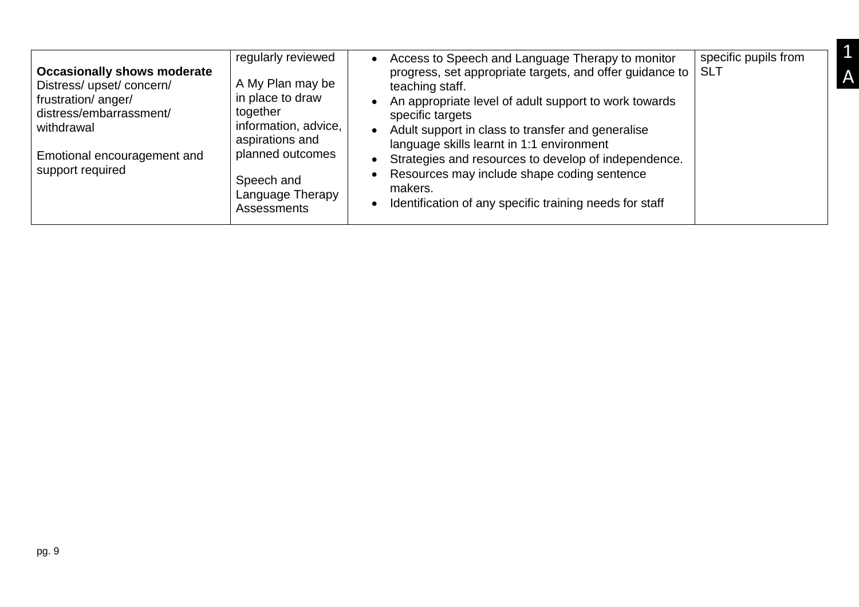| <b>Occasionally shows moderate</b><br>Distress/ upset/ concern/<br>frustration/anger/<br>distress/embarrassment/<br>withdrawal<br>Emotional encouragement and<br>support required | regularly reviewed<br>A My Plan may be<br>in place to draw<br>together<br>information, advice,<br>aspirations and<br>planned outcomes<br>Speech and<br>Language Therapy<br>Assessments | Access to Speech and Language Therapy to monitor<br>progress, set appropriate targets, and offer guidance to  <br>teaching staff.<br>An appropriate level of adult support to work towards<br>specific targets<br>Adult support in class to transfer and generalise<br>language skills learnt in 1:1 environment<br>Strategies and resources to develop of independence.<br>Resources may include shape coding sentence<br>makers.<br>Identification of any specific training needs for staff | specific pupils from<br><b>SLT</b> | $\overline{\mathsf{A}}$ |
|-----------------------------------------------------------------------------------------------------------------------------------------------------------------------------------|----------------------------------------------------------------------------------------------------------------------------------------------------------------------------------------|-----------------------------------------------------------------------------------------------------------------------------------------------------------------------------------------------------------------------------------------------------------------------------------------------------------------------------------------------------------------------------------------------------------------------------------------------------------------------------------------------|------------------------------------|-------------------------|
|-----------------------------------------------------------------------------------------------------------------------------------------------------------------------------------|----------------------------------------------------------------------------------------------------------------------------------------------------------------------------------------|-----------------------------------------------------------------------------------------------------------------------------------------------------------------------------------------------------------------------------------------------------------------------------------------------------------------------------------------------------------------------------------------------------------------------------------------------------------------------------------------------|------------------------------------|-------------------------|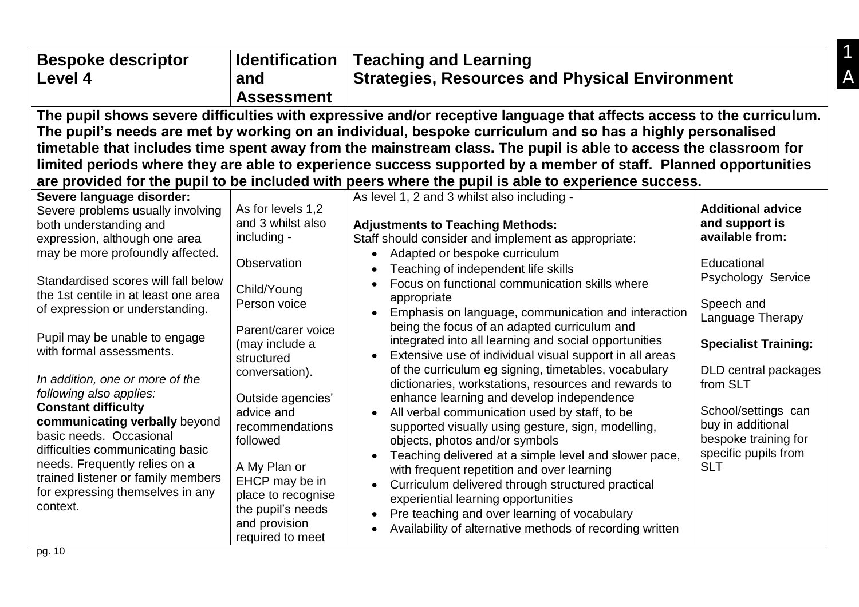<span id="page-9-0"></span>

| <b>Bespoke descriptor</b><br>Level 4                                                                                                                                                                                                                                                                            | <b>Identification</b><br>and                                                                                                                                                                       | <b>Teaching and Learning</b><br><b>Strategies, Resources and Physical Environment</b>                                                                                                                                                                                                                                                                                                                                                                                                                                                                                                                             |                                                                                                                                                   |  |  |  |  |
|-----------------------------------------------------------------------------------------------------------------------------------------------------------------------------------------------------------------------------------------------------------------------------------------------------------------|----------------------------------------------------------------------------------------------------------------------------------------------------------------------------------------------------|-------------------------------------------------------------------------------------------------------------------------------------------------------------------------------------------------------------------------------------------------------------------------------------------------------------------------------------------------------------------------------------------------------------------------------------------------------------------------------------------------------------------------------------------------------------------------------------------------------------------|---------------------------------------------------------------------------------------------------------------------------------------------------|--|--|--|--|
|                                                                                                                                                                                                                                                                                                                 | <b>Assessment</b>                                                                                                                                                                                  |                                                                                                                                                                                                                                                                                                                                                                                                                                                                                                                                                                                                                   |                                                                                                                                                   |  |  |  |  |
| The pupil shows severe difficulties with expressive and/or receptive language that affects access to the curriculum.<br>The pupil's needs are met by working on an individual, bespoke curriculum and so has a highly personalised                                                                              |                                                                                                                                                                                                    |                                                                                                                                                                                                                                                                                                                                                                                                                                                                                                                                                                                                                   |                                                                                                                                                   |  |  |  |  |
|                                                                                                                                                                                                                                                                                                                 |                                                                                                                                                                                                    | timetable that includes time spent away from the mainstream class. The pupil is able to access the classroom for                                                                                                                                                                                                                                                                                                                                                                                                                                                                                                  |                                                                                                                                                   |  |  |  |  |
|                                                                                                                                                                                                                                                                                                                 |                                                                                                                                                                                                    | limited periods where they are able to experience success supported by a member of staff. Planned opportunities                                                                                                                                                                                                                                                                                                                                                                                                                                                                                                   |                                                                                                                                                   |  |  |  |  |
|                                                                                                                                                                                                                                                                                                                 |                                                                                                                                                                                                    | are provided for the pupil to be included with peers where the pupil is able to experience success.                                                                                                                                                                                                                                                                                                                                                                                                                                                                                                               |                                                                                                                                                   |  |  |  |  |
| Severe language disorder:<br>Severe problems usually involving<br>both understanding and<br>expression, although one area                                                                                                                                                                                       | As for levels 1,2<br>and 3 whilst also<br>including -                                                                                                                                              | As level 1, 2 and 3 whilst also including -<br><b>Adjustments to Teaching Methods:</b><br>Staff should consider and implement as appropriate:                                                                                                                                                                                                                                                                                                                                                                                                                                                                     | <b>Additional advice</b><br>and support is<br>available from:                                                                                     |  |  |  |  |
| may be more profoundly affected.<br>Standardised scores will fall below<br>the 1st centile in at least one area<br>of expression or understanding.                                                                                                                                                              | Observation<br>Child/Young<br>Person voice                                                                                                                                                         | Adapted or bespoke curriculum<br>Teaching of independent life skills<br>Focus on functional communication skills where<br>appropriate<br>Emphasis on language, communication and interaction                                                                                                                                                                                                                                                                                                                                                                                                                      | Educational<br>Psychology Service<br>Speech and<br>Language Therapy                                                                               |  |  |  |  |
| Pupil may be unable to engage<br>with formal assessments.                                                                                                                                                                                                                                                       | Parent/carer voice<br>(may include a<br>structured                                                                                                                                                 | being the focus of an adapted curriculum and<br>integrated into all learning and social opportunities<br>Extensive use of individual visual support in all areas                                                                                                                                                                                                                                                                                                                                                                                                                                                  | <b>Specialist Training:</b>                                                                                                                       |  |  |  |  |
| In addition, one or more of the<br>following also applies:<br><b>Constant difficulty</b><br>communicating verbally beyond<br>basic needs. Occasional<br>difficulties communicating basic<br>needs. Frequently relies on a<br>trained listener or family members<br>for expressing themselves in any<br>context. | conversation).<br>Outside agencies'<br>advice and<br>recommendations<br>followed<br>A My Plan or<br>EHCP may be in<br>place to recognise<br>the pupil's needs<br>and provision<br>required to meet | of the curriculum eg signing, timetables, vocabulary<br>dictionaries, workstations, resources and rewards to<br>enhance learning and develop independence<br>All verbal communication used by staff, to be<br>supported visually using gesture, sign, modelling,<br>objects, photos and/or symbols<br>Teaching delivered at a simple level and slower pace,<br>with frequent repetition and over learning<br>Curriculum delivered through structured practical<br>experiential learning opportunities<br>Pre teaching and over learning of vocabulary<br>Availability of alternative methods of recording written | <b>DLD</b> central packages<br>from SLT<br>School/settings can<br>buy in additional<br>bespoke training for<br>specific pupils from<br><b>SLT</b> |  |  |  |  |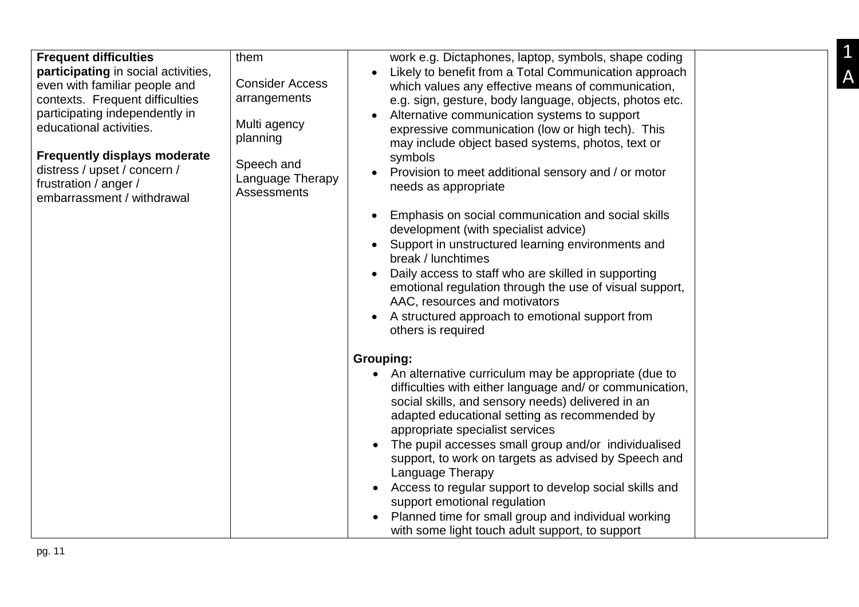| <b>Frequent difficulties</b><br>participating in social activities,<br>even with familiar people and<br>contexts. Frequent difficulties<br>participating independently in<br>educational activities.<br><b>Frequently displays moderate</b><br>distress / upset / concern /<br>frustration / anger /<br>embarrassment / withdrawal | them<br><b>Consider Access</b><br>arrangements<br>Multi agency<br>planning<br>Speech and<br>Language Therapy<br>Assessments | work e.g. Dictaphones, laptop, symbols, shape coding<br>Likely to benefit from a Total Communication approach<br>which values any effective means of communication,<br>e.g. sign, gesture, body language, objects, photos etc.<br>Alternative communication systems to support<br>expressive communication (low or high tech). This<br>may include object based systems, photos, text or<br>symbols<br>Provision to meet additional sensory and / or motor<br>needs as appropriate<br>Emphasis on social communication and social skills<br>development (with specialist advice)<br>Support in unstructured learning environments and<br>break / lunchtimes<br>Daily access to staff who are skilled in supporting<br>emotional regulation through the use of visual support,<br>AAC, resources and motivators<br>A structured approach to emotional support from<br>others is required |  |
|------------------------------------------------------------------------------------------------------------------------------------------------------------------------------------------------------------------------------------------------------------------------------------------------------------------------------------|-----------------------------------------------------------------------------------------------------------------------------|-----------------------------------------------------------------------------------------------------------------------------------------------------------------------------------------------------------------------------------------------------------------------------------------------------------------------------------------------------------------------------------------------------------------------------------------------------------------------------------------------------------------------------------------------------------------------------------------------------------------------------------------------------------------------------------------------------------------------------------------------------------------------------------------------------------------------------------------------------------------------------------------|--|
|                                                                                                                                                                                                                                                                                                                                    |                                                                                                                             | Grouping:<br>An alternative curriculum may be appropriate (due to<br>difficulties with either language and/ or communication,<br>social skills, and sensory needs) delivered in an<br>adapted educational setting as recommended by<br>appropriate specialist services<br>The pupil accesses small group and/or individualised<br>support, to work on targets as advised by Speech and<br>Language Therapy<br>Access to regular support to develop social skills and<br>support emotional regulation<br>Planned time for small group and individual working<br>with some light touch adult support, to support                                                                                                                                                                                                                                                                          |  |

1<br>A

 $\frac{1}{A}$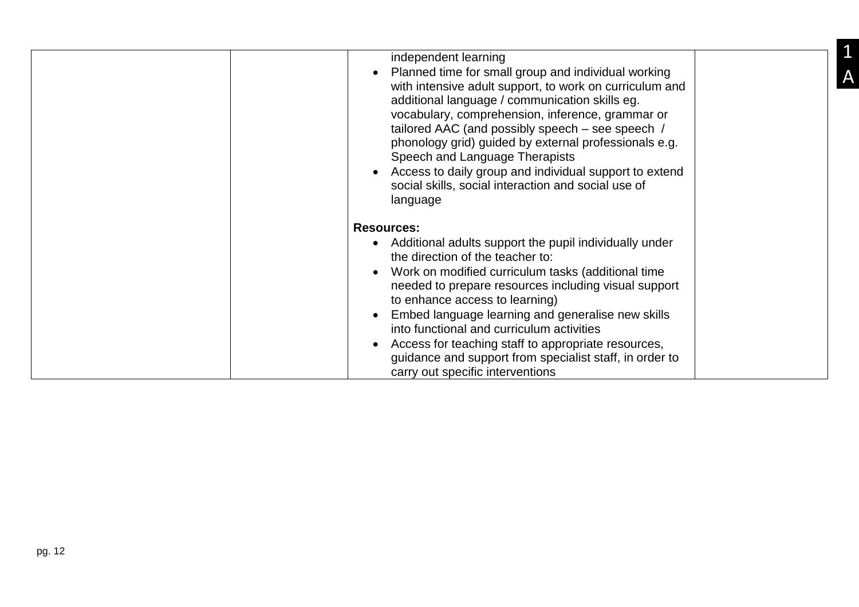| independent learning<br>Planned time for small group and individual working<br>with intensive adult support, to work on curriculum and<br>additional language / communication skills eg.<br>vocabulary, comprehension, inference, grammar or<br>tailored AAC (and possibly speech – see speech /<br>phonology grid) guided by external professionals e.g.<br>Speech and Language Therapists<br>Access to daily group and individual support to extend<br>social skills, social interaction and social use of<br>language |  |
|--------------------------------------------------------------------------------------------------------------------------------------------------------------------------------------------------------------------------------------------------------------------------------------------------------------------------------------------------------------------------------------------------------------------------------------------------------------------------------------------------------------------------|--|
| <b>Resources:</b><br>Additional adults support the pupil individually under<br>the direction of the teacher to:<br>Work on modified curriculum tasks (additional time<br>needed to prepare resources including visual support<br>to enhance access to learning)<br>Embed language learning and generalise new skills<br>into functional and curriculum activities<br>Access for teaching staff to appropriate resources,<br>guidance and support from specialist staff, in order to<br>carry out specific interventions  |  |

1<br>A

 $\frac{1}{A}$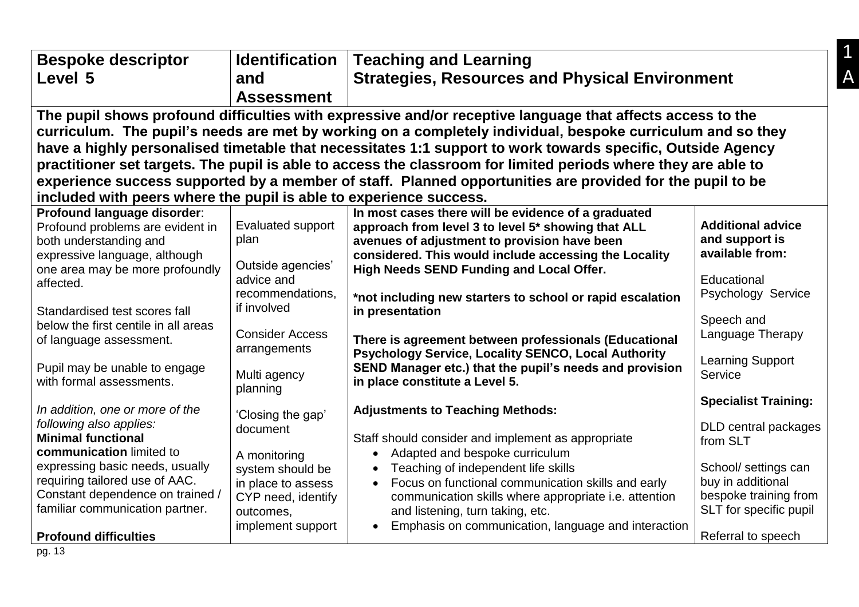<span id="page-12-0"></span>

| <b>Bespoke descriptor</b>                                                                                                                                                | <b>Identification</b>                                                                          | <b>Teaching and Learning</b>                                                                                                                                                                                                                               |                                                                                                                    |
|--------------------------------------------------------------------------------------------------------------------------------------------------------------------------|------------------------------------------------------------------------------------------------|------------------------------------------------------------------------------------------------------------------------------------------------------------------------------------------------------------------------------------------------------------|--------------------------------------------------------------------------------------------------------------------|
| Level 5                                                                                                                                                                  | and                                                                                            | <b>Strategies, Resources and Physical Environment</b>                                                                                                                                                                                                      |                                                                                                                    |
|                                                                                                                                                                          | <b>Assessment</b>                                                                              |                                                                                                                                                                                                                                                            |                                                                                                                    |
|                                                                                                                                                                          |                                                                                                | The pupil shows profound difficulties with expressive and/or receptive language that affects access to the                                                                                                                                                 |                                                                                                                    |
|                                                                                                                                                                          |                                                                                                | curriculum. The pupil's needs are met by working on a completely individual, bespoke curriculum and so they                                                                                                                                                |                                                                                                                    |
|                                                                                                                                                                          |                                                                                                | have a highly personalised timetable that necessitates 1:1 support to work towards specific, Outside Agency                                                                                                                                                |                                                                                                                    |
|                                                                                                                                                                          |                                                                                                | practitioner set targets. The pupil is able to access the classroom for limited periods where they are able to                                                                                                                                             |                                                                                                                    |
|                                                                                                                                                                          |                                                                                                | experience success supported by a member of staff. Planned opportunities are provided for the pupil to be                                                                                                                                                  |                                                                                                                    |
| included with peers where the pupil is able to experience success.                                                                                                       |                                                                                                |                                                                                                                                                                                                                                                            |                                                                                                                    |
| Profound language disorder:<br>Profound problems are evident in<br>both understanding and<br>expressive language, although                                               | Evaluated support<br>plan                                                                      | In most cases there will be evidence of a graduated<br>approach from level 3 to level 5* showing that ALL<br>avenues of adjustment to provision have been<br>considered. This would include accessing the Locality                                         | <b>Additional advice</b><br>and support is<br>available from:                                                      |
| one area may be more profoundly<br>affected.                                                                                                                             | Outside agencies'<br>advice and<br>recommendations,                                            | High Needs SEND Funding and Local Offer.<br>*not including new starters to school or rapid escalation                                                                                                                                                      | Educational<br>Psychology Service                                                                                  |
| Standardised test scores fall<br>below the first centile in all areas<br>of language assessment.                                                                         | if involved<br><b>Consider Access</b><br>arrangements                                          | in presentation<br>There is agreement between professionals (Educational                                                                                                                                                                                   | Speech and<br>Language Therapy                                                                                     |
| Pupil may be unable to engage<br>with formal assessments.                                                                                                                | Multi agency<br>planning                                                                       | <b>Psychology Service, Locality SENCO, Local Authority</b><br>SEND Manager etc.) that the pupil's needs and provision<br>in place constitute a Level 5.                                                                                                    | <b>Learning Support</b><br>Service                                                                                 |
| In addition, one or more of the                                                                                                                                          |                                                                                                | <b>Adjustments to Teaching Methods:</b>                                                                                                                                                                                                                    | <b>Specialist Training:</b>                                                                                        |
| following also applies:<br><b>Minimal functional</b><br>communication limited to                                                                                         | 'Closing the gap'<br>document<br>A monitoring                                                  | Staff should consider and implement as appropriate<br>Adapted and bespoke curriculum<br>$\bullet$                                                                                                                                                          | <b>DLD</b> central packages<br>from SLT                                                                            |
| expressing basic needs, usually<br>requiring tailored use of AAC.<br>Constant dependence on trained /<br>familiar communication partner.<br><b>Profound difficulties</b> | system should be<br>in place to assess<br>CYP need, identify<br>outcomes,<br>implement support | Teaching of independent life skills<br>Focus on functional communication skills and early<br>$\bullet$<br>communication skills where appropriate i.e. attention<br>and listening, turn taking, etc.<br>Emphasis on communication, language and interaction | School/ settings can<br>buy in additional<br>bespoke training from<br>SLT for specific pupil<br>Referral to speech |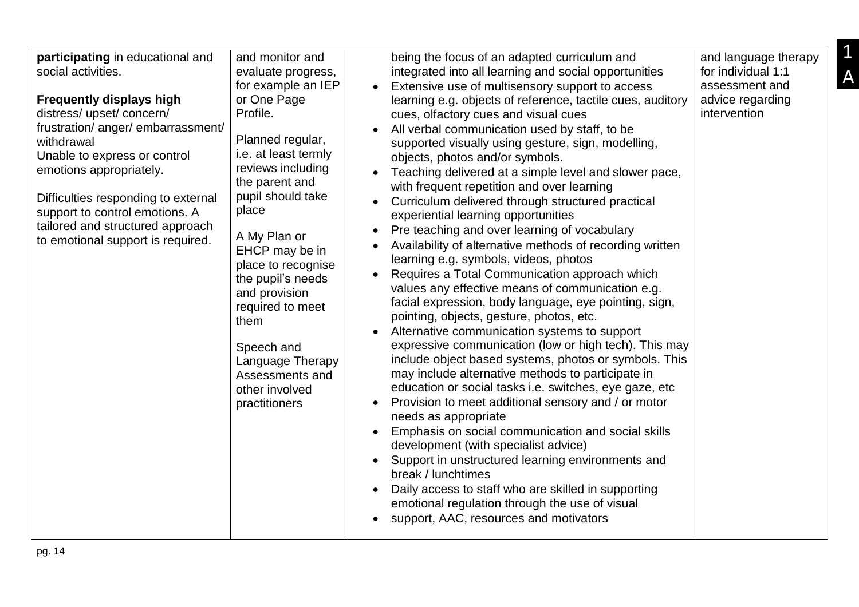| participating in educational and<br>social activities.<br><b>Frequently displays high</b><br>distress/ upset/ concern/<br>frustration/ anger/ embarrassment/<br>withdrawal<br>Unable to express or control<br>emotions appropriately.<br>Difficulties responding to external<br>support to control emotions. A<br>tailored and structured approach<br>to emotional support is required. | evaluate progress,<br>for example an IEP<br>or One Page<br>Profile.<br>Planned regular,<br>i.e. at least termly<br>reviews including<br>the parent and<br>pupil should take<br>place<br>A My Plan or<br>EHCP may be in<br>place to recognise<br>the pupil's needs<br>and provision<br>required to meet<br>them<br>Speech and<br>Language Therapy<br>Assessments and<br>other involved<br>practitioners | being the focus of an adapted curriculum and<br>and language therapy<br>integrated into all learning and social opportunities<br>for individual 1:1<br>Extensive use of multisensory support to access<br>assessment and<br>advice regarding<br>learning e.g. objects of reference, tactile cues, auditory<br>intervention<br>cues, olfactory cues and visual cues<br>All verbal communication used by staff, to be<br>supported visually using gesture, sign, modelling,<br>objects, photos and/or symbols.<br>Teaching delivered at a simple level and slower pace,<br>with frequent repetition and over learning<br>Curriculum delivered through structured practical<br>experiential learning opportunities<br>Pre teaching and over learning of vocabulary<br>Availability of alternative methods of recording written<br>learning e.g. symbols, videos, photos<br>Requires a Total Communication approach which<br>values any effective means of communication e.g.<br>facial expression, body language, eye pointing, sign,<br>pointing, objects, gesture, photos, etc.<br>Alternative communication systems to support<br>expressive communication (low or high tech). This may<br>include object based systems, photos or symbols. This<br>may include alternative methods to participate in<br>education or social tasks i.e. switches, eye gaze, etc<br>Provision to meet additional sensory and / or motor<br>needs as appropriate<br>Emphasis on social communication and social skills<br>development (with specialist advice)<br>Support in unstructured learning environments and<br>break / lunchtimes<br>Daily access to staff who are skilled in supporting<br>emotional regulation through the use of visual<br>support, AAC, resources and motivators |
|-----------------------------------------------------------------------------------------------------------------------------------------------------------------------------------------------------------------------------------------------------------------------------------------------------------------------------------------------------------------------------------------|--------------------------------------------------------------------------------------------------------------------------------------------------------------------------------------------------------------------------------------------------------------------------------------------------------------------------------------------------------------------------------------------------------|----------------------------------------------------------------------------------------------------------------------------------------------------------------------------------------------------------------------------------------------------------------------------------------------------------------------------------------------------------------------------------------------------------------------------------------------------------------------------------------------------------------------------------------------------------------------------------------------------------------------------------------------------------------------------------------------------------------------------------------------------------------------------------------------------------------------------------------------------------------------------------------------------------------------------------------------------------------------------------------------------------------------------------------------------------------------------------------------------------------------------------------------------------------------------------------------------------------------------------------------------------------------------------------------------------------------------------------------------------------------------------------------------------------------------------------------------------------------------------------------------------------------------------------------------------------------------------------------------------------------------------------------------------------------------------------------------------------------------------------------------------------------------|
|-----------------------------------------------------------------------------------------------------------------------------------------------------------------------------------------------------------------------------------------------------------------------------------------------------------------------------------------------------------------------------------------|--------------------------------------------------------------------------------------------------------------------------------------------------------------------------------------------------------------------------------------------------------------------------------------------------------------------------------------------------------------------------------------------------------|----------------------------------------------------------------------------------------------------------------------------------------------------------------------------------------------------------------------------------------------------------------------------------------------------------------------------------------------------------------------------------------------------------------------------------------------------------------------------------------------------------------------------------------------------------------------------------------------------------------------------------------------------------------------------------------------------------------------------------------------------------------------------------------------------------------------------------------------------------------------------------------------------------------------------------------------------------------------------------------------------------------------------------------------------------------------------------------------------------------------------------------------------------------------------------------------------------------------------------------------------------------------------------------------------------------------------------------------------------------------------------------------------------------------------------------------------------------------------------------------------------------------------------------------------------------------------------------------------------------------------------------------------------------------------------------------------------------------------------------------------------------------------|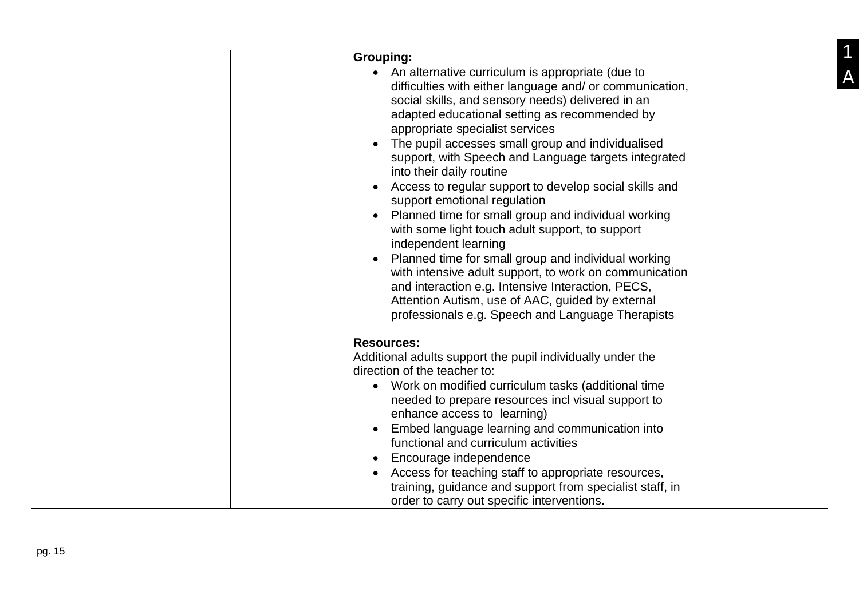| <b>Grouping:</b>                                                                                                                                                                                                                                                                                                                                                                                                                                                                                                                                                                                                                                                                                                                                                                                                                                                                                            |  |
|-------------------------------------------------------------------------------------------------------------------------------------------------------------------------------------------------------------------------------------------------------------------------------------------------------------------------------------------------------------------------------------------------------------------------------------------------------------------------------------------------------------------------------------------------------------------------------------------------------------------------------------------------------------------------------------------------------------------------------------------------------------------------------------------------------------------------------------------------------------------------------------------------------------|--|
| • An alternative curriculum is appropriate (due to<br>difficulties with either language and/ or communication,<br>social skills, and sensory needs) delivered in an<br>adapted educational setting as recommended by<br>appropriate specialist services<br>The pupil accesses small group and individualised<br>support, with Speech and Language targets integrated<br>into their daily routine<br>Access to regular support to develop social skills and<br>support emotional regulation<br>Planned time for small group and individual working<br>with some light touch adult support, to support<br>independent learning<br>Planned time for small group and individual working<br>with intensive adult support, to work on communication<br>and interaction e.g. Intensive Interaction, PECS,<br>Attention Autism, use of AAC, guided by external<br>professionals e.g. Speech and Language Therapists |  |
| <b>Resources:</b><br>Additional adults support the pupil individually under the<br>direction of the teacher to:<br>Work on modified curriculum tasks (additional time<br>$\bullet$<br>needed to prepare resources incl visual support to<br>enhance access to learning)<br>Embed language learning and communication into<br>functional and curriculum activities<br>Encourage independence<br>Access for teaching staff to appropriate resources,<br>training, guidance and support from specialist staff, in<br>order to carry out specific interventions.                                                                                                                                                                                                                                                                                                                                                |  |

1<br>A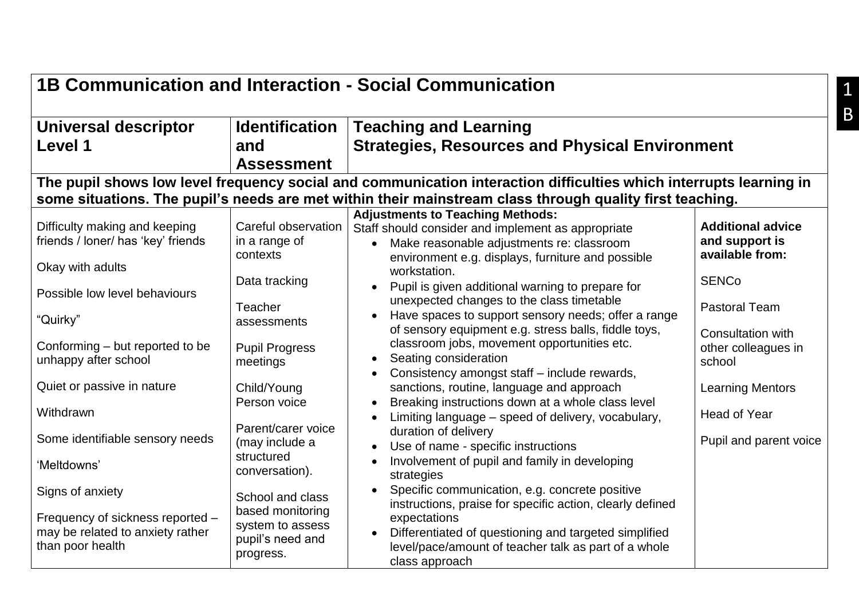<span id="page-15-1"></span><span id="page-15-0"></span>

| <b>1B Communication and Interaction - Social Communication</b>                                                     |                                                                                           |                                                                                                                                                                                                                                                                             |                                                               |  |  |
|--------------------------------------------------------------------------------------------------------------------|-------------------------------------------------------------------------------------------|-----------------------------------------------------------------------------------------------------------------------------------------------------------------------------------------------------------------------------------------------------------------------------|---------------------------------------------------------------|--|--|
| <b>Universal descriptor</b>                                                                                        | <b>Identification</b>                                                                     | <b>Teaching and Learning</b>                                                                                                                                                                                                                                                |                                                               |  |  |
| Level 1                                                                                                            | and                                                                                       | <b>Strategies, Resources and Physical Environment</b>                                                                                                                                                                                                                       |                                                               |  |  |
|                                                                                                                    | <b>Assessment</b>                                                                         |                                                                                                                                                                                                                                                                             |                                                               |  |  |
| The pupil shows low level frequency social and communication interaction difficulties which interrupts learning in |                                                                                           |                                                                                                                                                                                                                                                                             |                                                               |  |  |
|                                                                                                                    |                                                                                           | some situations. The pupil's needs are met within their mainstream class through quality first teaching.                                                                                                                                                                    |                                                               |  |  |
| Difficulty making and keeping<br>friends / loner/ has 'key' friends                                                | Careful observation<br>in a range of<br>contexts                                          | <b>Adjustments to Teaching Methods:</b><br>Staff should consider and implement as appropriate<br>Make reasonable adjustments re: classroom<br>$\bullet$                                                                                                                     | <b>Additional advice</b><br>and support is<br>available from: |  |  |
| Okay with adults<br>Possible low level behaviours                                                                  | Data tracking                                                                             | environment e.g. displays, furniture and possible<br>workstation.<br>Pupil is given additional warning to prepare for                                                                                                                                                       | <b>SENCo</b>                                                  |  |  |
| "Quirky"                                                                                                           | Teacher<br>assessments                                                                    | unexpected changes to the class timetable<br>Have spaces to support sensory needs; offer a range<br>of sensory equipment e.g. stress balls, fiddle toys,                                                                                                                    | Pastoral Team<br><b>Consultation with</b>                     |  |  |
| Conforming – but reported to be<br>unhappy after school                                                            | <b>Pupil Progress</b><br>meetings                                                         | classroom jobs, movement opportunities etc.<br>Seating consideration<br>Consistency amongst staff - include rewards,                                                                                                                                                        | other colleagues in<br>school                                 |  |  |
| Quiet or passive in nature                                                                                         | Child/Young<br>Person voice                                                               | sanctions, routine, language and approach<br>Breaking instructions down at a whole class level                                                                                                                                                                              | <b>Learning Mentors</b>                                       |  |  |
| Withdrawn<br>Some identifiable sensory needs                                                                       | Parent/carer voice<br>(may include a                                                      | Limiting language – speed of delivery, vocabulary,<br>duration of delivery<br>Use of name - specific instructions                                                                                                                                                           | <b>Head of Year</b><br>Pupil and parent voice                 |  |  |
| 'Meltdowns'                                                                                                        | structured<br>conversation).                                                              | Involvement of pupil and family in developing<br>strategies                                                                                                                                                                                                                 |                                                               |  |  |
| Signs of anxiety<br>Frequency of sickness reported -<br>may be related to anxiety rather<br>than poor health       | School and class<br>based monitoring<br>system to assess<br>pupil's need and<br>progress. | Specific communication, e.g. concrete positive<br>instructions, praise for specific action, clearly defined<br>expectations<br>Differentiated of questioning and targeted simplified<br>$\bullet$<br>level/pace/amount of teacher talk as part of a whole<br>class approach |                                                               |  |  |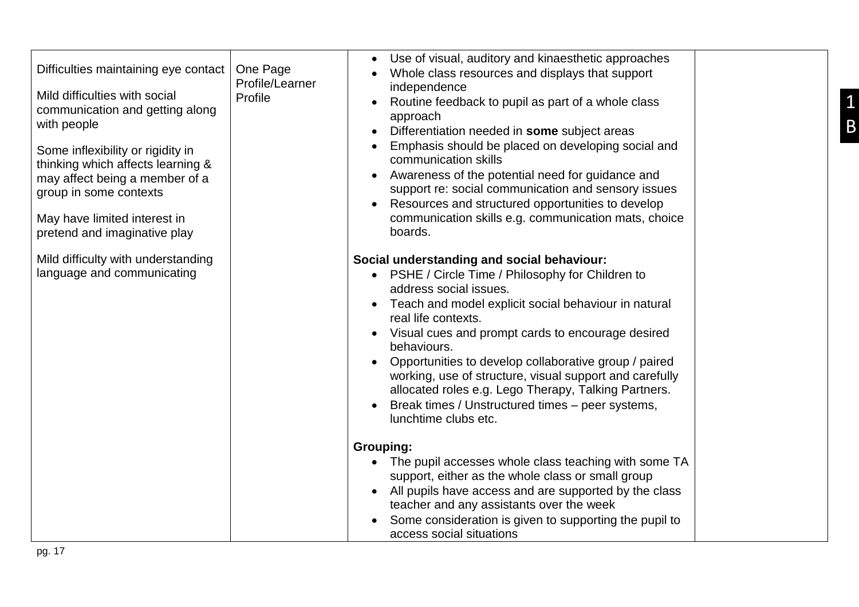| Difficulties maintaining eye contact<br>Mild difficulties with social<br>communication and getting along<br>with people<br>Some inflexibility or rigidity in<br>thinking which affects learning &<br>may affect being a member of a<br>group in some contexts<br>May have limited interest in<br>pretend and imaginative play | One Page<br>Profile/Learner<br>Profile | Use of visual, auditory and kinaesthetic approaches<br>Whole class resources and displays that support<br>independence<br>Routine feedback to pupil as part of a whole class<br>approach<br>Differentiation needed in some subject areas<br>$\bullet$<br>Emphasis should be placed on developing social and<br>communication skills<br>Awareness of the potential need for guidance and<br>$\bullet$<br>support re: social communication and sensory issues<br>Resources and structured opportunities to develop<br>$\bullet$<br>communication skills e.g. communication mats, choice<br>boards. |
|-------------------------------------------------------------------------------------------------------------------------------------------------------------------------------------------------------------------------------------------------------------------------------------------------------------------------------|----------------------------------------|--------------------------------------------------------------------------------------------------------------------------------------------------------------------------------------------------------------------------------------------------------------------------------------------------------------------------------------------------------------------------------------------------------------------------------------------------------------------------------------------------------------------------------------------------------------------------------------------------|
| Mild difficulty with understanding<br>language and communicating                                                                                                                                                                                                                                                              |                                        | Social understanding and social behaviour:<br>• PSHE / Circle Time / Philosophy for Children to<br>address social issues.<br>Teach and model explicit social behaviour in natural<br>real life contexts.<br>Visual cues and prompt cards to encourage desired<br>behaviours.<br>Opportunities to develop collaborative group / paired<br>working, use of structure, visual support and carefully<br>allocated roles e.g. Lego Therapy, Talking Partners.<br>Break times / Unstructured times – peer systems,<br>$\bullet$<br>lunchtime clubs etc.                                                |
|                                                                                                                                                                                                                                                                                                                               |                                        | <b>Grouping:</b><br>• The pupil accesses whole class teaching with some TA<br>support, either as the whole class or small group<br>All pupils have access and are supported by the class<br>teacher and any assistants over the week<br>Some consideration is given to supporting the pupil to<br>access social situations                                                                                                                                                                                                                                                                       |

1A1B2A2B3A3B4A4B4C4D

 $\vert$ 1

 $\overline{B}$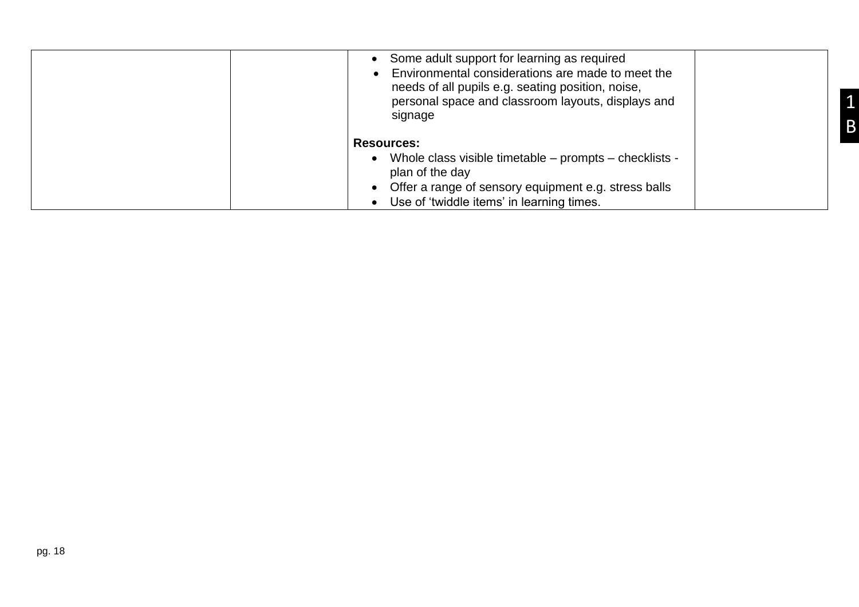| Some adult support for learning as required<br>Environmental considerations are made to meet the<br>needs of all pupils e.g. seating position, noise,<br>personal space and classroom layouts, displays and<br>signage |  |
|------------------------------------------------------------------------------------------------------------------------------------------------------------------------------------------------------------------------|--|
| <b>Resources:</b>                                                                                                                                                                                                      |  |
| Whole class visible timetable – prompts – checklists -<br>plan of the day                                                                                                                                              |  |
| Offer a range of sensory equipment e.g. stress balls<br>Use of 'twiddle items' in learning times.                                                                                                                      |  |

1A1B2A2B3A3B4A4B4C4D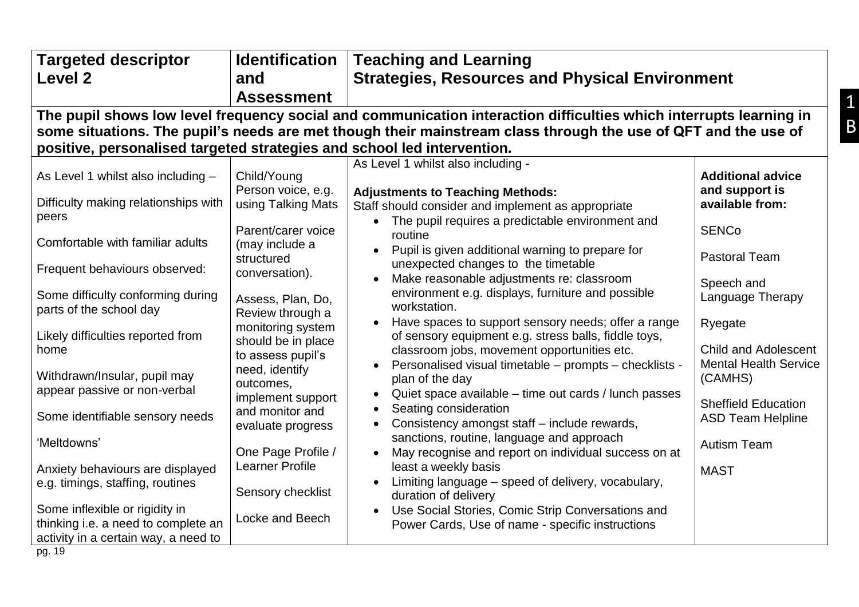<span id="page-18-0"></span>

| <b>Targeted descriptor</b>                                                                                                                                                                                                                                                                          | <b>Identification</b>                                                                                                                                                                                                                                                  | <b>Teaching and Learning</b>                                                                                                                                                                                                                                                                                                                                                                                                                                                                                                                                                                                                                              |                                                                                                                                                                                                                    |  |  |  |
|-----------------------------------------------------------------------------------------------------------------------------------------------------------------------------------------------------------------------------------------------------------------------------------------------------|------------------------------------------------------------------------------------------------------------------------------------------------------------------------------------------------------------------------------------------------------------------------|-----------------------------------------------------------------------------------------------------------------------------------------------------------------------------------------------------------------------------------------------------------------------------------------------------------------------------------------------------------------------------------------------------------------------------------------------------------------------------------------------------------------------------------------------------------------------------------------------------------------------------------------------------------|--------------------------------------------------------------------------------------------------------------------------------------------------------------------------------------------------------------------|--|--|--|
| Level <sub>2</sub>                                                                                                                                                                                                                                                                                  | and                                                                                                                                                                                                                                                                    | <b>Strategies, Resources and Physical Environment</b>                                                                                                                                                                                                                                                                                                                                                                                                                                                                                                                                                                                                     |                                                                                                                                                                                                                    |  |  |  |
|                                                                                                                                                                                                                                                                                                     | <b>Assessment</b>                                                                                                                                                                                                                                                      |                                                                                                                                                                                                                                                                                                                                                                                                                                                                                                                                                                                                                                                           |                                                                                                                                                                                                                    |  |  |  |
|                                                                                                                                                                                                                                                                                                     | The pupil shows low level frequency social and communication interaction difficulties which interrupts learning in                                                                                                                                                     |                                                                                                                                                                                                                                                                                                                                                                                                                                                                                                                                                                                                                                                           |                                                                                                                                                                                                                    |  |  |  |
|                                                                                                                                                                                                                                                                                                     |                                                                                                                                                                                                                                                                        | some situations. The pupil's needs are met though their mainstream class through the use of QFT and the use of                                                                                                                                                                                                                                                                                                                                                                                                                                                                                                                                            |                                                                                                                                                                                                                    |  |  |  |
|                                                                                                                                                                                                                                                                                                     | positive, personalised targeted strategies and school led intervention.                                                                                                                                                                                                |                                                                                                                                                                                                                                                                                                                                                                                                                                                                                                                                                                                                                                                           |                                                                                                                                                                                                                    |  |  |  |
| As Level 1 whilst also including -<br>Difficulty making relationships with<br>peers                                                                                                                                                                                                                 | Child/Young<br>Person voice, e.g.<br>using Talking Mats                                                                                                                                                                                                                | As Level 1 whilst also including -<br><b>Adjustments to Teaching Methods:</b><br>Staff should consider and implement as appropriate<br>The pupil requires a predictable environment and                                                                                                                                                                                                                                                                                                                                                                                                                                                                   | <b>Additional advice</b><br>and support is<br>available from:                                                                                                                                                      |  |  |  |
| Comfortable with familiar adults<br>Frequent behaviours observed:                                                                                                                                                                                                                                   | Parent/carer voice<br>(may include a<br>structured<br>conversation).                                                                                                                                                                                                   | routine<br>Pupil is given additional warning to prepare for<br>unexpected changes to the timetable<br>Make reasonable adjustments re: classroom                                                                                                                                                                                                                                                                                                                                                                                                                                                                                                           | <b>SENCo</b><br><b>Pastoral Team</b>                                                                                                                                                                               |  |  |  |
| Some difficulty conforming during<br>parts of the school day<br>Likely difficulties reported from<br>home<br>Withdrawn/Insular, pupil may<br>appear passive or non-verbal<br>Some identifiable sensory needs<br>'Meltdowns'<br>Anxiety behaviours are displayed<br>e.g. timings, staffing, routines | Assess, Plan, Do,<br>Review through a<br>monitoring system<br>should be in place<br>to assess pupil's<br>need, identify<br>outcomes,<br>implement support<br>and monitor and<br>evaluate progress<br>One Page Profile /<br><b>Learner Profile</b><br>Sensory checklist | environment e.g. displays, furniture and possible<br>workstation.<br>Have spaces to support sensory needs; offer a range<br>of sensory equipment e.g. stress balls, fiddle toys,<br>classroom jobs, movement opportunities etc.<br>Personalised visual timetable - prompts - checklists -<br>plan of the day<br>Quiet space available - time out cards / lunch passes<br>Seating consideration<br>Consistency amongst staff – include rewards,<br>sanctions, routine, language and approach<br>May recognise and report on individual success on at<br>least a weekly basis<br>Limiting language – speed of delivery, vocabulary,<br>duration of delivery | Speech and<br>Language Therapy<br>Ryegate<br><b>Child and Adolescent</b><br><b>Mental Health Service</b><br>(CAMHS)<br><b>Sheffield Education</b><br><b>ASD Team Helpline</b><br><b>Autism Team</b><br><b>MAST</b> |  |  |  |
| Some inflexible or rigidity in<br>thinking i.e. a need to complete an<br>activity in a certain way, a need to                                                                                                                                                                                       | Locke and Beech                                                                                                                                                                                                                                                        | Use Social Stories, Comic Strip Conversations and<br>Power Cards, Use of name - specific instructions                                                                                                                                                                                                                                                                                                                                                                                                                                                                                                                                                     |                                                                                                                                                                                                                    |  |  |  |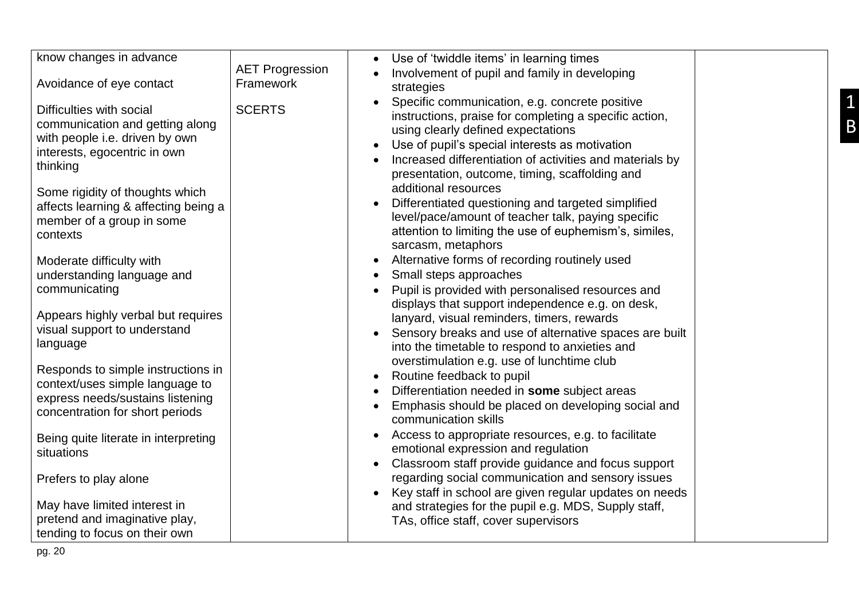| know changes in advance                                                                                                                      |                                     | Use of 'twiddle items' in learning times<br>$\bullet$                                                                                                                                                                                                                                                          |  |
|----------------------------------------------------------------------------------------------------------------------------------------------|-------------------------------------|----------------------------------------------------------------------------------------------------------------------------------------------------------------------------------------------------------------------------------------------------------------------------------------------------------------|--|
| Avoidance of eye contact                                                                                                                     | <b>AET Progression</b><br>Framework | Involvement of pupil and family in developing<br>strategies                                                                                                                                                                                                                                                    |  |
| Difficulties with social<br>communication and getting along<br>with people i.e. driven by own<br>interests, egocentric in own<br>thinking    | <b>SCERTS</b>                       | Specific communication, e.g. concrete positive<br>instructions, praise for completing a specific action,<br>using clearly defined expectations<br>Use of pupil's special interests as motivation<br>Increased differentiation of activities and materials by<br>presentation, outcome, timing, scaffolding and |  |
| Some rigidity of thoughts which<br>affects learning & affecting being a<br>member of a group in some<br>contexts                             |                                     | additional resources<br>Differentiated questioning and targeted simplified<br>level/pace/amount of teacher talk, paying specific<br>attention to limiting the use of euphemism's, similes,<br>sarcasm, metaphors                                                                                               |  |
| Moderate difficulty with<br>understanding language and<br>communicating                                                                      |                                     | Alternative forms of recording routinely used<br>Small steps approaches<br>Pupil is provided with personalised resources and<br>displays that support independence e.g. on desk,                                                                                                                               |  |
| Appears highly verbal but requires<br>visual support to understand<br>language                                                               |                                     | lanyard, visual reminders, timers, rewards<br>Sensory breaks and use of alternative spaces are built<br>into the timetable to respond to anxieties and                                                                                                                                                         |  |
| Responds to simple instructions in<br>context/uses simple language to<br>express needs/sustains listening<br>concentration for short periods |                                     | overstimulation e.g. use of lunchtime club<br>Routine feedback to pupil<br>$\bullet$<br>Differentiation needed in some subject areas<br>Emphasis should be placed on developing social and<br>communication skills                                                                                             |  |
| Being quite literate in interpreting<br>situations                                                                                           |                                     | Access to appropriate resources, e.g. to facilitate<br>emotional expression and regulation<br>Classroom staff provide guidance and focus support                                                                                                                                                               |  |
| Prefers to play alone                                                                                                                        |                                     | regarding social communication and sensory issues<br>Key staff in school are given regular updates on needs                                                                                                                                                                                                    |  |
| May have limited interest in                                                                                                                 |                                     | and strategies for the pupil e.g. MDS, Supply staff,                                                                                                                                                                                                                                                           |  |
| pretend and imaginative play,                                                                                                                |                                     | TAs, office staff, cover supervisors                                                                                                                                                                                                                                                                           |  |
| tending to focus on their own                                                                                                                |                                     |                                                                                                                                                                                                                                                                                                                |  |

1A1B2A2B3A3B4A4B4C4D

 $\begin{array}{c} 1 \\ B \end{array}$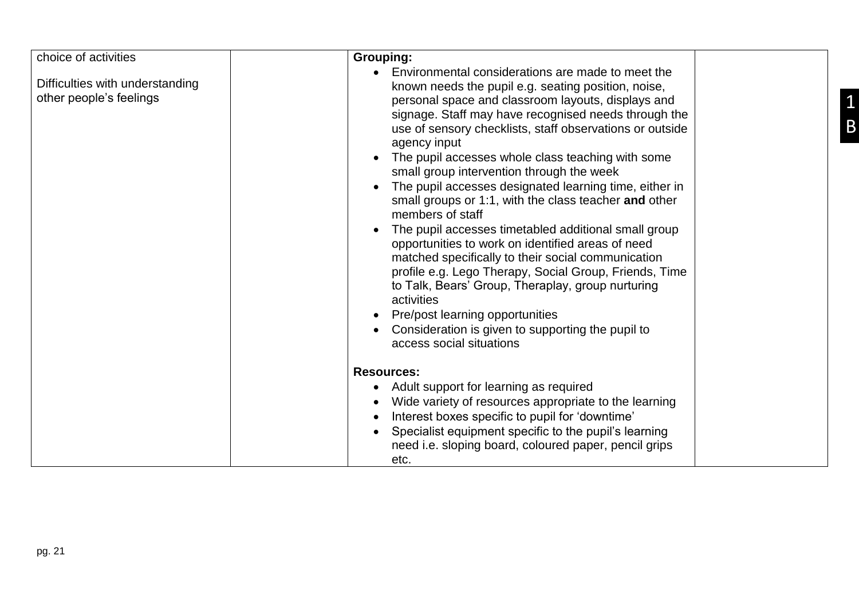| choice of activities                                       | <b>Grouping:</b>                                                                                                                                                                                                                                                                                                                                                                                                                                                                                                                                                                                                                                                                                                                                                                                                                                                                                                                                                |  |
|------------------------------------------------------------|-----------------------------------------------------------------------------------------------------------------------------------------------------------------------------------------------------------------------------------------------------------------------------------------------------------------------------------------------------------------------------------------------------------------------------------------------------------------------------------------------------------------------------------------------------------------------------------------------------------------------------------------------------------------------------------------------------------------------------------------------------------------------------------------------------------------------------------------------------------------------------------------------------------------------------------------------------------------|--|
| Difficulties with understanding<br>other people's feelings | Environmental considerations are made to meet the<br>known needs the pupil e.g. seating position, noise,<br>personal space and classroom layouts, displays and<br>signage. Staff may have recognised needs through the<br>use of sensory checklists, staff observations or outside<br>agency input<br>The pupil accesses whole class teaching with some<br>small group intervention through the week<br>The pupil accesses designated learning time, either in<br>small groups or 1:1, with the class teacher and other<br>members of staff<br>The pupil accesses timetabled additional small group<br>opportunities to work on identified areas of need<br>matched specifically to their social communication<br>profile e.g. Lego Therapy, Social Group, Friends, Time<br>to Talk, Bears' Group, Theraplay, group nurturing<br>activities<br>Pre/post learning opportunities<br>Consideration is given to supporting the pupil to<br>access social situations |  |
|                                                            | <b>Resources:</b><br>Adult support for learning as required<br>Wide variety of resources appropriate to the learning<br>Interest boxes specific to pupil for 'downtime'<br>Specialist equipment specific to the pupil's learning<br>need i.e. sloping board, coloured paper, pencil grips<br>etc.                                                                                                                                                                                                                                                                                                                                                                                                                                                                                                                                                                                                                                                               |  |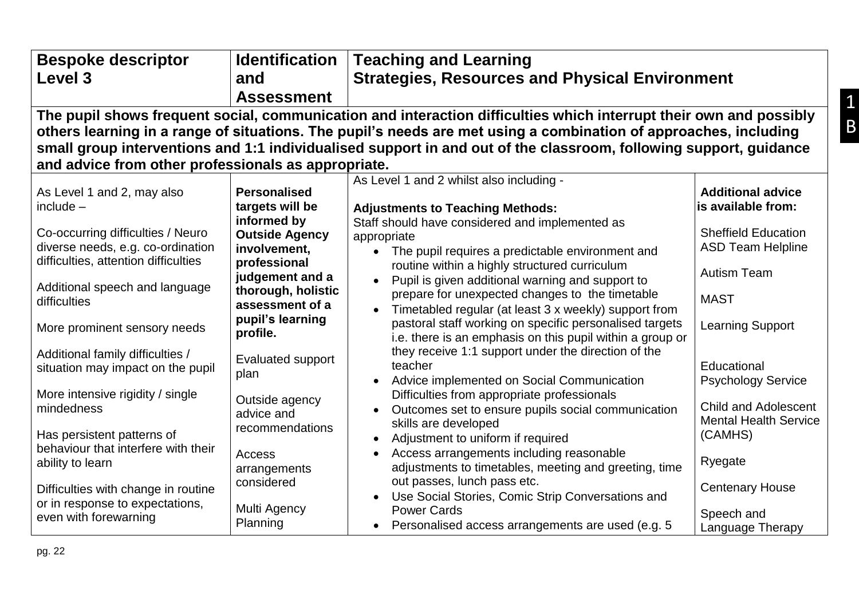<span id="page-21-0"></span>

| <b>Bespoke descriptor</b>                                                                                      | <b>Identification</b>                                                | <b>Teaching and Learning</b>                                                                                                                                                                                  |                                                             |
|----------------------------------------------------------------------------------------------------------------|----------------------------------------------------------------------|---------------------------------------------------------------------------------------------------------------------------------------------------------------------------------------------------------------|-------------------------------------------------------------|
| Level 3                                                                                                        | and                                                                  | <b>Strategies, Resources and Physical Environment</b>                                                                                                                                                         |                                                             |
|                                                                                                                | <b>Assessment</b>                                                    |                                                                                                                                                                                                               |                                                             |
|                                                                                                                |                                                                      | The pupil shows frequent social, communication and interaction difficulties which interrupt their own and possibly                                                                                            |                                                             |
|                                                                                                                |                                                                      | others learning in a range of situations. The pupil's needs are met using a combination of approaches, including                                                                                              |                                                             |
|                                                                                                                |                                                                      | small group interventions and 1:1 individualised support in and out of the classroom, following support, guidance                                                                                             |                                                             |
| and advice from other professionals as appropriate.                                                            |                                                                      |                                                                                                                                                                                                               |                                                             |
|                                                                                                                |                                                                      | As Level 1 and 2 whilst also including -                                                                                                                                                                      |                                                             |
| As Level 1 and 2, may also                                                                                     | <b>Personalised</b>                                                  |                                                                                                                                                                                                               | <b>Additional advice</b>                                    |
| $include -$                                                                                                    | targets will be                                                      | <b>Adjustments to Teaching Methods:</b>                                                                                                                                                                       | is available from:                                          |
| Co-occurring difficulties / Neuro<br>diverse needs, e.g. co-ordination<br>difficulties, attention difficulties | informed by<br><b>Outside Agency</b><br>involvement,<br>professional | Staff should have considered and implemented as<br>appropriate<br>The pupil requires a predictable environment and<br>$\bullet$                                                                               | <b>Sheffield Education</b><br><b>ASD Team Helpline</b>      |
| Additional speech and language<br>difficulties                                                                 | judgement and a<br>thorough, holistic<br>assessment of a             | routine within a highly structured curriculum<br>Pupil is given additional warning and support to<br>prepare for unexpected changes to the timetable<br>Timetabled regular (at least 3 x weekly) support from | <b>Autism Team</b><br><b>MAST</b>                           |
| More prominent sensory needs                                                                                   | pupil's learning<br>profile.                                         | pastoral staff working on specific personalised targets<br>i.e. there is an emphasis on this pupil within a group or                                                                                          | <b>Learning Support</b>                                     |
| Additional family difficulties /<br>situation may impact on the pupil                                          | <b>Evaluated support</b><br>plan                                     | they receive 1:1 support under the direction of the<br>teacher<br>Advice implemented on Social Communication                                                                                                  | Educational<br><b>Psychology Service</b>                    |
| More intensive rigidity / single<br>mindedness                                                                 | Outside agency<br>advice and<br>recommendations                      | Difficulties from appropriate professionals<br>Outcomes set to ensure pupils social communication<br>skills are developed                                                                                     | <b>Child and Adolescent</b><br><b>Mental Health Service</b> |
| Has persistent patterns of<br>behaviour that interfere with their<br>ability to learn                          | Access<br>arrangements                                               | Adjustment to uniform if required<br>Access arrangements including reasonable<br>adjustments to timetables, meeting and greeting, time                                                                        | (CAMHS)<br>Ryegate                                          |
| Difficulties with change in routine<br>or in response to expectations,                                         | considered<br>Multi Agency                                           | out passes, lunch pass etc.<br>Use Social Stories, Comic Strip Conversations and<br><b>Power Cards</b>                                                                                                        | <b>Centenary House</b><br>Speech and                        |
| even with forewarning                                                                                          | Planning                                                             | Personalised access arrangements are used (e.g. 5                                                                                                                                                             | Language Therapy                                            |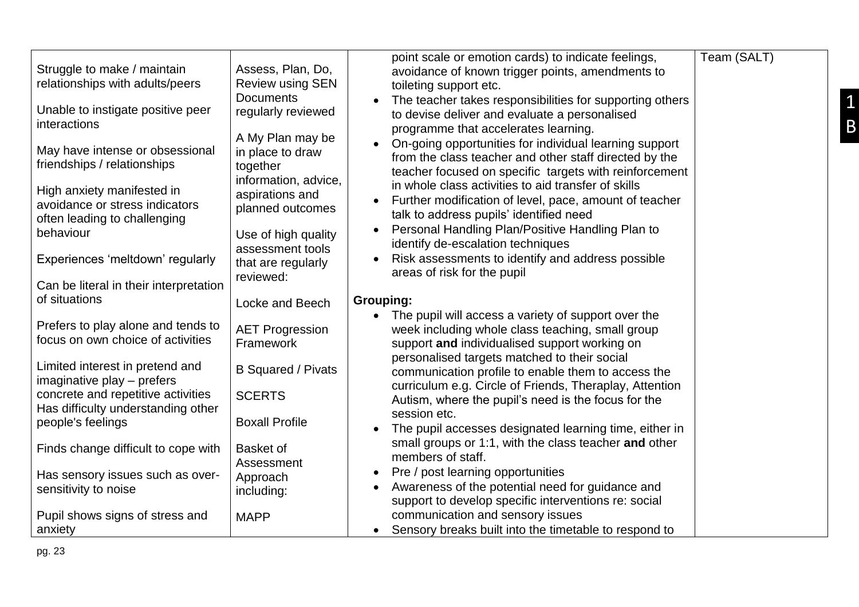|                                        |                           | point scale or emotion cards) to indicate feelings,      | Team (SALT) |
|----------------------------------------|---------------------------|----------------------------------------------------------|-------------|
| Struggle to make / maintain            | Assess, Plan, Do,         |                                                          |             |
| relationships with adults/peers        | <b>Review using SEN</b>   | avoidance of known trigger points, amendments to         |             |
|                                        |                           | toileting support etc.                                   |             |
|                                        | <b>Documents</b>          | The teacher takes responsibilities for supporting others |             |
| Unable to instigate positive peer      | regularly reviewed        | to devise deliver and evaluate a personalised            |             |
| interactions                           |                           | programme that accelerates learning.                     |             |
|                                        | A My Plan may be          | On-going opportunities for individual learning support   |             |
| May have intense or obsessional        | in place to draw          | from the class teacher and other staff directed by the   |             |
| friendships / relationships            | together                  | teacher focused on specific targets with reinforcement   |             |
|                                        | information, advice,      | in whole class activities to aid transfer of skills      |             |
| High anxiety manifested in             | aspirations and           |                                                          |             |
| avoidance or stress indicators         | planned outcomes          | Further modification of level, pace, amount of teacher   |             |
| often leading to challenging           |                           | talk to address pupils' identified need                  |             |
| behaviour                              | Use of high quality       | Personal Handling Plan/Positive Handling Plan to         |             |
|                                        | assessment tools          | identify de-escalation techniques                        |             |
| Experiences 'meltdown' regularly       | that are regularly        | Risk assessments to identify and address possible        |             |
|                                        |                           | areas of risk for the pupil                              |             |
| Can be literal in their interpretation | reviewed:                 |                                                          |             |
| of situations                          |                           | Grouping:                                                |             |
|                                        | Locke and Beech           | The pupil will access a variety of support over the      |             |
| Prefers to play alone and tends to     |                           |                                                          |             |
| focus on own choice of activities      | <b>AET Progression</b>    | week including whole class teaching, small group         |             |
|                                        | Framework                 | support and individualised support working on            |             |
| Limited interest in pretend and        |                           | personalised targets matched to their social             |             |
|                                        | <b>B Squared / Pivats</b> | communication profile to enable them to access the       |             |
| imaginative play - prefers             |                           | curriculum e.g. Circle of Friends, Theraplay, Attention  |             |
| concrete and repetitive activities     | <b>SCERTS</b>             | Autism, where the pupil's need is the focus for the      |             |
| Has difficulty understanding other     |                           | session etc.                                             |             |
| people's feelings                      | <b>Boxall Profile</b>     | The pupil accesses designated learning time, either in   |             |
|                                        |                           | small groups or 1:1, with the class teacher and other    |             |
| Finds change difficult to cope with    | Basket of                 | members of staff.                                        |             |
|                                        | Assessment                |                                                          |             |
| Has sensory issues such as over-       | Approach                  | Pre / post learning opportunities<br>$\bullet$           |             |
| sensitivity to noise                   | including:                | Awareness of the potential need for guidance and         |             |
|                                        |                           | support to develop specific interventions re: social     |             |
| Pupil shows signs of stress and        | <b>MAPP</b>               | communication and sensory issues                         |             |
| anxiety                                |                           | Sensory breaks built into the timetable to respond to    |             |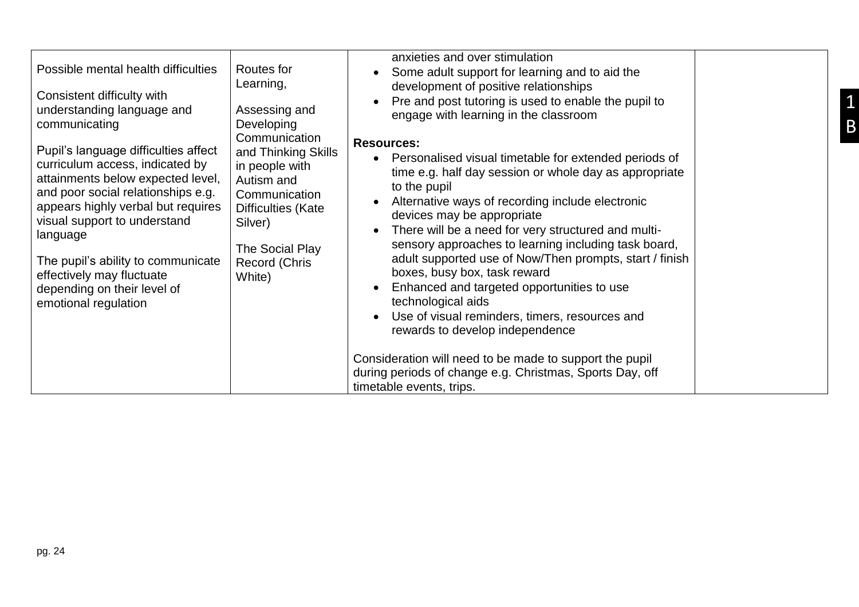| Possible mental health difficulties<br>Consistent difficulty with<br>understanding language and<br>communicating<br>Pupil's language difficulties affect<br>curriculum access, indicated by<br>attainments below expected level,<br>and poor social relationships e.g.<br>appears highly verbal but requires<br>visual support to understand<br>language<br>The pupil's ability to communicate<br>effectively may fluctuate<br>depending on their level of<br>emotional regulation | Routes for<br>Learning,<br>Assessing and<br>Developing<br>Communication<br>and Thinking Skills<br>in people with<br>Autism and<br>Communication<br>Difficulties (Kate<br>Silver)<br>The Social Play<br>Record (Chris<br>White) | anxieties and over stimulation<br>Some adult support for learning and to aid the<br>development of positive relationships<br>Pre and post tutoring is used to enable the pupil to<br>engage with learning in the classroom<br><b>Resources:</b><br>Personalised visual timetable for extended periods of<br>time e.g. half day session or whole day as appropriate<br>to the pupil<br>Alternative ways of recording include electronic<br>devices may be appropriate<br>There will be a need for very structured and multi-<br>sensory approaches to learning including task board,<br>adult supported use of Now/Then prompts, start / finish<br>boxes, busy box, task reward<br>Enhanced and targeted opportunities to use<br>technological aids |  |
|------------------------------------------------------------------------------------------------------------------------------------------------------------------------------------------------------------------------------------------------------------------------------------------------------------------------------------------------------------------------------------------------------------------------------------------------------------------------------------|--------------------------------------------------------------------------------------------------------------------------------------------------------------------------------------------------------------------------------|----------------------------------------------------------------------------------------------------------------------------------------------------------------------------------------------------------------------------------------------------------------------------------------------------------------------------------------------------------------------------------------------------------------------------------------------------------------------------------------------------------------------------------------------------------------------------------------------------------------------------------------------------------------------------------------------------------------------------------------------------|--|
|                                                                                                                                                                                                                                                                                                                                                                                                                                                                                    |                                                                                                                                                                                                                                | Use of visual reminders, timers, resources and<br>rewards to develop independence<br>Consideration will need to be made to support the pupil<br>during periods of change e.g. Christmas, Sports Day, off                                                                                                                                                                                                                                                                                                                                                                                                                                                                                                                                           |  |
|                                                                                                                                                                                                                                                                                                                                                                                                                                                                                    |                                                                                                                                                                                                                                | timetable events, trips.                                                                                                                                                                                                                                                                                                                                                                                                                                                                                                                                                                                                                                                                                                                           |  |

1A1B2A2B3A3B4A4B4C4D

 $\frac{1}{B}$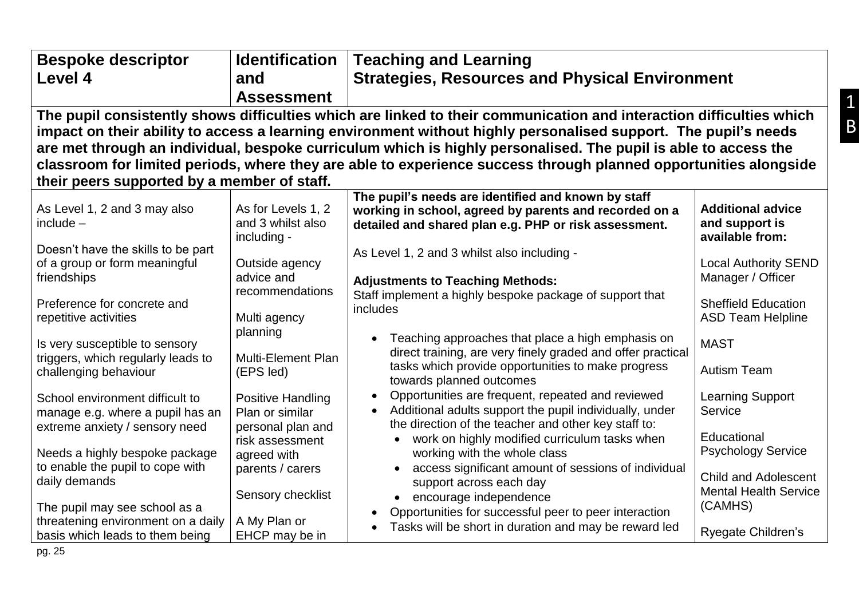<span id="page-24-0"></span>

| <b>Bespoke descriptor</b>                                                                                                                                  | <b>Identification</b>                                                                                           | <b>Teaching and Learning</b>                                                                                                                                                                                                                                              |                                                                                                     |  |  |  |
|------------------------------------------------------------------------------------------------------------------------------------------------------------|-----------------------------------------------------------------------------------------------------------------|---------------------------------------------------------------------------------------------------------------------------------------------------------------------------------------------------------------------------------------------------------------------------|-----------------------------------------------------------------------------------------------------|--|--|--|
| Level 4                                                                                                                                                    | and                                                                                                             | <b>Strategies, Resources and Physical Environment</b>                                                                                                                                                                                                                     |                                                                                                     |  |  |  |
|                                                                                                                                                            | <b>Assessment</b>                                                                                               |                                                                                                                                                                                                                                                                           |                                                                                                     |  |  |  |
|                                                                                                                                                            |                                                                                                                 | The pupil consistently shows difficulties which are linked to their communication and interaction difficulties which                                                                                                                                                      |                                                                                                     |  |  |  |
|                                                                                                                                                            | impact on their ability to access a learning environment without highly personalised support. The pupil's needs |                                                                                                                                                                                                                                                                           |                                                                                                     |  |  |  |
|                                                                                                                                                            | are met through an individual, bespoke curriculum which is highly personalised. The pupil is able to access the |                                                                                                                                                                                                                                                                           |                                                                                                     |  |  |  |
|                                                                                                                                                            |                                                                                                                 | classroom for limited periods, where they are able to experience success through planned opportunities alongside                                                                                                                                                          |                                                                                                     |  |  |  |
| their peers supported by a member of staff.                                                                                                                |                                                                                                                 |                                                                                                                                                                                                                                                                           |                                                                                                     |  |  |  |
| As Level 1, 2 and 3 may also<br>$include -$                                                                                                                | As for Levels 1, 2<br>and 3 whilst also<br>including -                                                          | The pupil's needs are identified and known by staff<br>working in school, agreed by parents and recorded on a<br>detailed and shared plan e.g. PHP or risk assessment.                                                                                                    | <b>Additional advice</b><br>and support is<br>available from:                                       |  |  |  |
| Doesn't have the skills to be part<br>of a group or form meaningful<br>friendships                                                                         | Outside agency<br>advice and<br>recommendations                                                                 | As Level 1, 2 and 3 whilst also including -<br><b>Adjustments to Teaching Methods:</b>                                                                                                                                                                                    | <b>Local Authority SEND</b><br>Manager / Officer                                                    |  |  |  |
| Preference for concrete and<br>repetitive activities                                                                                                       | Multi agency                                                                                                    | Staff implement a highly bespoke package of support that<br>includes                                                                                                                                                                                                      | <b>Sheffield Education</b><br><b>ASD Team Helpline</b>                                              |  |  |  |
| Is very susceptible to sensory<br>triggers, which regularly leads to<br>challenging behaviour                                                              | planning<br><b>Multi-Element Plan</b><br>(EPS led)                                                              | Teaching approaches that place a high emphasis on<br>direct training, are very finely graded and offer practical<br>tasks which provide opportunities to make progress<br>towards planned outcomes                                                                        | <b>MAST</b><br><b>Autism Team</b>                                                                   |  |  |  |
| School environment difficult to<br>manage e.g. where a pupil has an<br>extreme anxiety / sensory need                                                      | <b>Positive Handling</b><br>Plan or similar<br>personal plan and<br>risk assessment                             | Opportunities are frequent, repeated and reviewed<br>Additional adults support the pupil individually, under<br>the direction of the teacher and other key staff to:<br>work on highly modified curriculum tasks when                                                     | <b>Learning Support</b><br>Service<br>Educational                                                   |  |  |  |
| Needs a highly bespoke package<br>to enable the pupil to cope with<br>daily demands<br>The pupil may see school as a<br>threatening environment on a daily | agreed with<br>parents / carers<br>Sensory checklist<br>A My Plan or                                            | working with the whole class<br>access significant amount of sessions of individual<br>$\bullet$<br>support across each day<br>• encourage independence<br>Opportunities for successful peer to peer interaction<br>Tasks will be short in duration and may be reward led | <b>Psychology Service</b><br><b>Child and Adolescent</b><br><b>Mental Health Service</b><br>(CAMHS) |  |  |  |
| basis which leads to them being                                                                                                                            | EHCP may be in                                                                                                  |                                                                                                                                                                                                                                                                           | Ryegate Children's                                                                                  |  |  |  |

B

pg. 25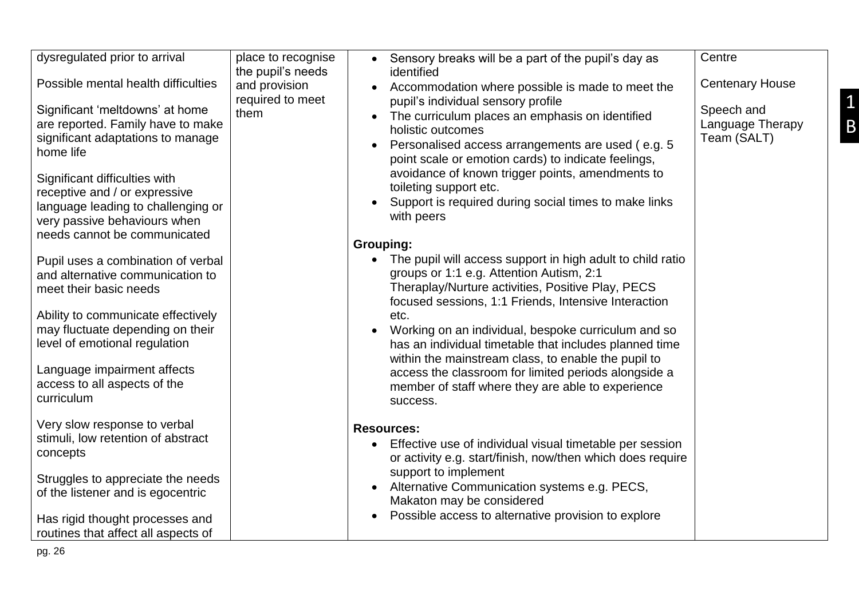| dysregulated prior to arrival<br>Possible mental health difficulties<br>Significant 'meltdowns' at home<br>are reported. Family have to make<br>significant adaptations to manage<br>home life<br>Significant difficulties with<br>receptive and / or expressive<br>language leading to challenging or<br>very passive behaviours when<br>needs cannot be communicated<br>Pupil uses a combination of verbal<br>and alternative communication to<br>meet their basic needs<br>Ability to communicate effectively<br>may fluctuate depending on their<br>level of emotional regulation<br>Language impairment affects<br>access to all aspects of the<br>curriculum | place to recognise<br>the pupil's needs<br>and provision<br>required to meet<br>them | Centre<br>Sensory breaks will be a part of the pupil's day as<br>identified<br><b>Centenary House</b><br>Accommodation where possible is made to meet the<br>$\bullet$<br>pupil's individual sensory profile<br>Speech and<br>The curriculum places an emphasis on identified<br>Language Therapy<br>holistic outcomes<br>Team (SALT)<br>Personalised access arrangements are used (e.g. 5)<br>point scale or emotion cards) to indicate feelings,<br>avoidance of known trigger points, amendments to<br>toileting support etc.<br>Support is required during social times to make links<br>$\bullet$<br>with peers<br><b>Grouping:</b><br>• The pupil will access support in high adult to child ratio<br>groups or 1:1 e.g. Attention Autism, 2:1<br>Theraplay/Nurture activities, Positive Play, PECS<br>focused sessions, 1:1 Friends, Intensive Interaction<br>etc.<br>Working on an individual, bespoke curriculum and so<br>$\bullet$<br>has an individual timetable that includes planned time<br>within the mainstream class, to enable the pupil to<br>access the classroom for limited periods alongside a<br>member of staff where they are able to experience<br>success. |
|--------------------------------------------------------------------------------------------------------------------------------------------------------------------------------------------------------------------------------------------------------------------------------------------------------------------------------------------------------------------------------------------------------------------------------------------------------------------------------------------------------------------------------------------------------------------------------------------------------------------------------------------------------------------|--------------------------------------------------------------------------------------|-----------------------------------------------------------------------------------------------------------------------------------------------------------------------------------------------------------------------------------------------------------------------------------------------------------------------------------------------------------------------------------------------------------------------------------------------------------------------------------------------------------------------------------------------------------------------------------------------------------------------------------------------------------------------------------------------------------------------------------------------------------------------------------------------------------------------------------------------------------------------------------------------------------------------------------------------------------------------------------------------------------------------------------------------------------------------------------------------------------------------------------------------------------------------------------------|
| Very slow response to verbal<br>stimuli, low retention of abstract<br>concepts<br>Struggles to appreciate the needs<br>of the listener and is egocentric<br>Has rigid thought processes and<br>routines that affect all aspects of                                                                                                                                                                                                                                                                                                                                                                                                                                 |                                                                                      | <b>Resources:</b><br>Effective use of individual visual timetable per session<br>$\bullet$<br>or activity e.g. start/finish, now/then which does require<br>support to implement<br>Alternative Communication systems e.g. PECS,<br>$\bullet$<br>Makaton may be considered<br>Possible access to alternative provision to explore                                                                                                                                                                                                                                                                                                                                                                                                                                                                                                                                                                                                                                                                                                                                                                                                                                                       |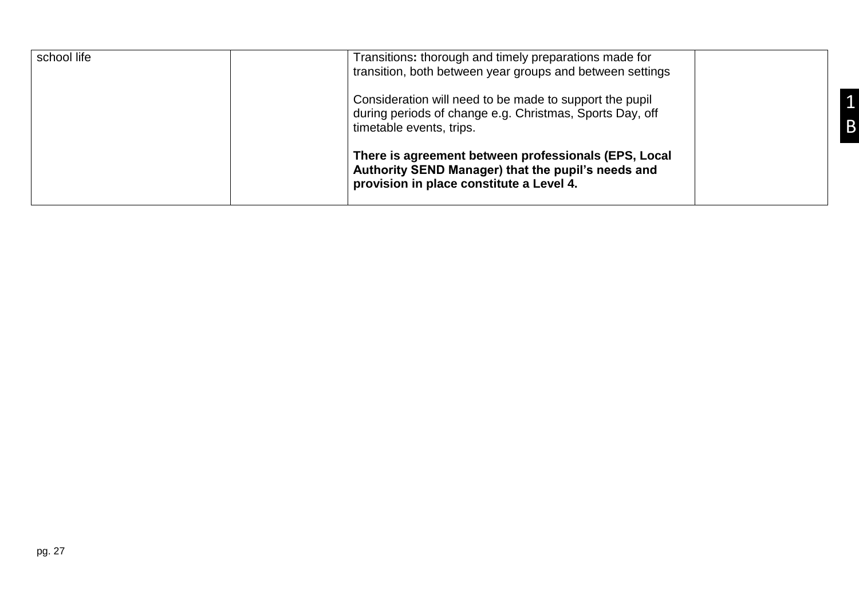| school life | Transitions: thorough and timely preparations made for<br>transition, both between year groups and between settings                                    |               |
|-------------|--------------------------------------------------------------------------------------------------------------------------------------------------------|---------------|
|             | Consideration will need to be made to support the pupil<br>during periods of change e.g. Christmas, Sports Day, off<br>timetable events, trips.        | $\frac{1}{B}$ |
|             | There is agreement between professionals (EPS, Local<br>Authority SEND Manager) that the pupil's needs and<br>provision in place constitute a Level 4. |               |
|             |                                                                                                                                                        |               |
|             |                                                                                                                                                        |               |
|             |                                                                                                                                                        |               |
|             |                                                                                                                                                        |               |
|             |                                                                                                                                                        |               |
|             |                                                                                                                                                        |               |
|             |                                                                                                                                                        |               |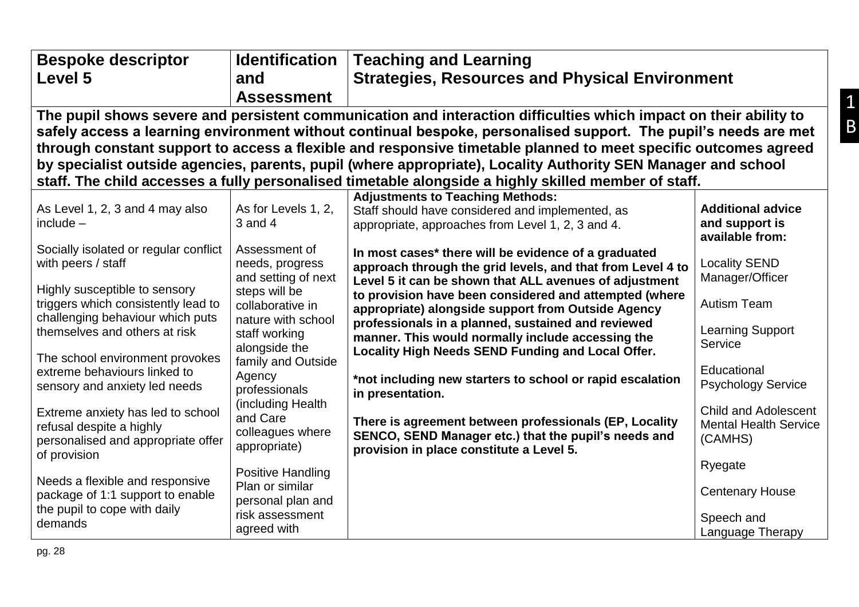<span id="page-27-0"></span>

| <b>Bespoke descriptor</b>                                         | <b>Identification</b>                | <b>Teaching and Learning</b>                                                                                      |                                            |
|-------------------------------------------------------------------|--------------------------------------|-------------------------------------------------------------------------------------------------------------------|--------------------------------------------|
| Level 5                                                           | and                                  | <b>Strategies, Resources and Physical Environment</b>                                                             |                                            |
|                                                                   | <b>Assessment</b>                    |                                                                                                                   |                                            |
|                                                                   |                                      | The pupil shows severe and persistent communication and interaction difficulties which impact on their ability to |                                            |
|                                                                   |                                      | safely access a learning environment without continual bespoke, personalised support. The pupil's needs are met   |                                            |
|                                                                   |                                      | through constant support to access a flexible and responsive timetable planned to meet specific outcomes agreed   |                                            |
|                                                                   |                                      | by specialist outside agencies, parents, pupil (where appropriate), Locality Authority SEN Manager and school     |                                            |
|                                                                   |                                      | staff. The child accesses a fully personalised timetable alongside a highly skilled member of staff.              |                                            |
|                                                                   |                                      | <b>Adjustments to Teaching Methods:</b>                                                                           |                                            |
| As Level 1, 2, 3 and 4 may also<br>$include -$                    | As for Levels 1, 2,<br>3 and 4       | Staff should have considered and implemented, as<br>appropriate, approaches from Level 1, 2, 3 and 4.             | <b>Additional advice</b><br>and support is |
|                                                                   |                                      |                                                                                                                   | available from:                            |
| Socially isolated or regular conflict<br>with peers / staff       | Assessment of<br>needs, progress     | In most cases* there will be evidence of a graduated                                                              | <b>Locality SEND</b>                       |
|                                                                   | and setting of next                  | approach through the grid levels, and that from Level 4 to                                                        | Manager/Officer                            |
| Highly susceptible to sensory                                     | steps will be                        | Level 5 it can be shown that ALL avenues of adjustment<br>to provision have been considered and attempted (where  |                                            |
| triggers which consistently lead to                               | collaborative in                     | appropriate) alongside support from Outside Agency                                                                | <b>Autism Team</b>                         |
| challenging behaviour which puts<br>themselves and others at risk | nature with school                   | professionals in a planned, sustained and reviewed                                                                | <b>Learning Support</b>                    |
|                                                                   | staff working<br>alongside the       | manner. This would normally include accessing the                                                                 | Service                                    |
| The school environment provokes                                   | family and Outside                   | Locality High Needs SEND Funding and Local Offer.                                                                 |                                            |
| extreme behaviours linked to                                      | Agency                               | *not including new starters to school or rapid escalation                                                         | Educational                                |
| sensory and anxiety led needs                                     | professionals                        | in presentation.                                                                                                  | <b>Psychology Service</b>                  |
| Extreme anxiety has led to school                                 | (including Health                    |                                                                                                                   | <b>Child and Adolescent</b>                |
| refusal despite a highly                                          | and Care<br>colleagues where         | There is agreement between professionals (EP, Locality                                                            | <b>Mental Health Service</b>               |
| personalised and appropriate offer                                | appropriate)                         | SENCO, SEND Manager etc.) that the pupil's needs and<br>provision in place constitute a Level 5.                  | (CAMHS)                                    |
| of provision                                                      |                                      |                                                                                                                   | Ryegate                                    |
| Needs a flexible and responsive                                   | <b>Positive Handling</b>             |                                                                                                                   |                                            |
| package of 1:1 support to enable                                  | Plan or similar                      |                                                                                                                   | <b>Centenary House</b>                     |
| the pupil to cope with daily                                      | personal plan and<br>risk assessment |                                                                                                                   |                                            |
| demands                                                           | agreed with                          |                                                                                                                   | Speech and<br>Language Therapy             |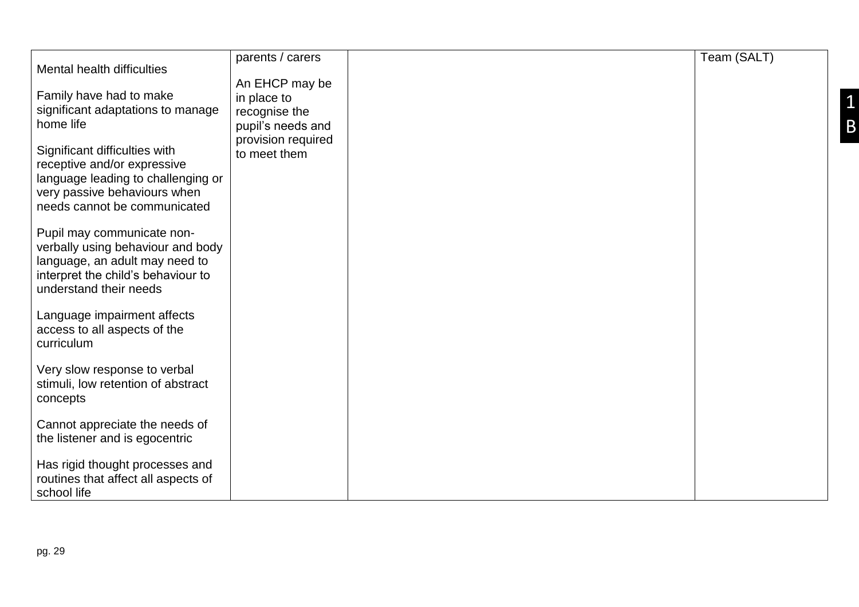| <b>Mental health difficulties</b>                                   | parents / carers                   | Team (SALT) |
|---------------------------------------------------------------------|------------------------------------|-------------|
| Family have had to make                                             | An EHCP may be                     |             |
| significant adaptations to manage                                   | in place to<br>recognise the       |             |
| home life                                                           | pupil's needs and                  |             |
| Significant difficulties with                                       | provision required<br>to meet them |             |
| receptive and/or expressive<br>language leading to challenging or   |                                    |             |
| very passive behaviours when                                        |                                    |             |
| needs cannot be communicated                                        |                                    |             |
| Pupil may communicate non-                                          |                                    |             |
| verbally using behaviour and body<br>language, an adult may need to |                                    |             |
| interpret the child's behaviour to                                  |                                    |             |
| understand their needs                                              |                                    |             |
| Language impairment affects                                         |                                    |             |
| access to all aspects of the<br>curriculum                          |                                    |             |
|                                                                     |                                    |             |
| Very slow response to verbal<br>stimuli, low retention of abstract  |                                    |             |
| concepts                                                            |                                    |             |
| Cannot appreciate the needs of                                      |                                    |             |
| the listener and is egocentric                                      |                                    |             |
| Has rigid thought processes and                                     |                                    |             |
| routines that affect all aspects of<br>school life                  |                                    |             |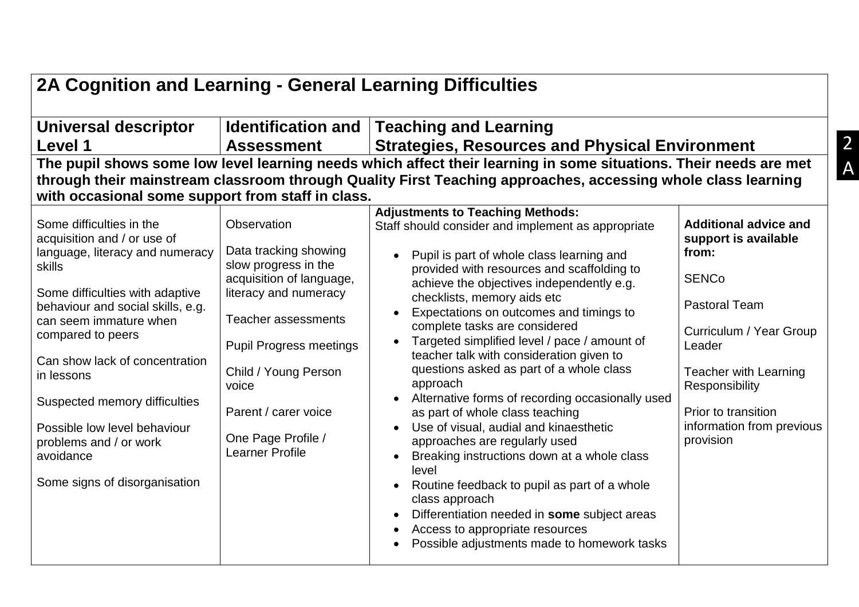<span id="page-29-1"></span><span id="page-29-0"></span>

| 2A Cognition and Learning - General Learning Difficulties                                  |                                                              |                                                                                                                                                                                                  |                                                               |
|--------------------------------------------------------------------------------------------|--------------------------------------------------------------|--------------------------------------------------------------------------------------------------------------------------------------------------------------------------------------------------|---------------------------------------------------------------|
| <b>Universal descriptor</b>                                                                |                                                              | Identification and Teaching and Learning                                                                                                                                                         |                                                               |
| Level 1                                                                                    | <b>Assessment</b>                                            | <b>Strategies, Resources and Physical Environment</b>                                                                                                                                            |                                                               |
|                                                                                            |                                                              | The pupil shows some low level learning needs which affect their learning in some situations. Their needs are met                                                                                |                                                               |
|                                                                                            |                                                              | through their mainstream classroom through Quality First Teaching approaches, accessing whole class learning                                                                                     |                                                               |
| with occasional some support from staff in class.                                          |                                                              |                                                                                                                                                                                                  |                                                               |
| Some difficulties in the<br>acquisition and / or use of<br>language, literacy and numeracy | Observation<br>Data tracking showing<br>slow progress in the | <b>Adjustments to Teaching Methods:</b><br>Staff should consider and implement as appropriate<br>Pupil is part of whole class learning and                                                       | <b>Additional advice and</b><br>support is available<br>from: |
| skills<br>Some difficulties with adaptive                                                  | acquisition of language,<br>literacy and numeracy            | provided with resources and scaffolding to<br>achieve the objectives independently e.g.<br>checklists, memory aids etc                                                                           | <b>SENCo</b>                                                  |
| behaviour and social skills, e.g.<br>can seem immature when<br>compared to peers           | Teacher assessments<br><b>Pupil Progress meetings</b>        | Expectations on outcomes and timings to<br>complete tasks are considered<br>Targeted simplified level / pace / amount of                                                                         | <b>Pastoral Team</b><br>Curriculum / Year Group<br>Leader     |
| Can show lack of concentration<br>in lessons                                               | Child / Young Person<br>voice                                | teacher talk with consideration given to<br>questions asked as part of a whole class<br>approach                                                                                                 | <b>Teacher with Learning</b><br>Responsibility                |
| Suspected memory difficulties                                                              | Parent / carer voice                                         | Alternative forms of recording occasionally used<br>as part of whole class teaching                                                                                                              | Prior to transition                                           |
| Possible low level behaviour<br>problems and / or work<br>avoidance                        | One Page Profile /<br><b>Learner Profile</b>                 | Use of visual, audial and kinaesthetic<br>approaches are regularly used<br>Breaking instructions down at a whole class<br>level                                                                  | information from previous<br>provision                        |
| Some signs of disorganisation                                                              |                                                              | Routine feedback to pupil as part of a whole<br>class approach<br>Differentiation needed in some subject areas<br>Access to appropriate resources<br>Possible adjustments made to homework tasks |                                                               |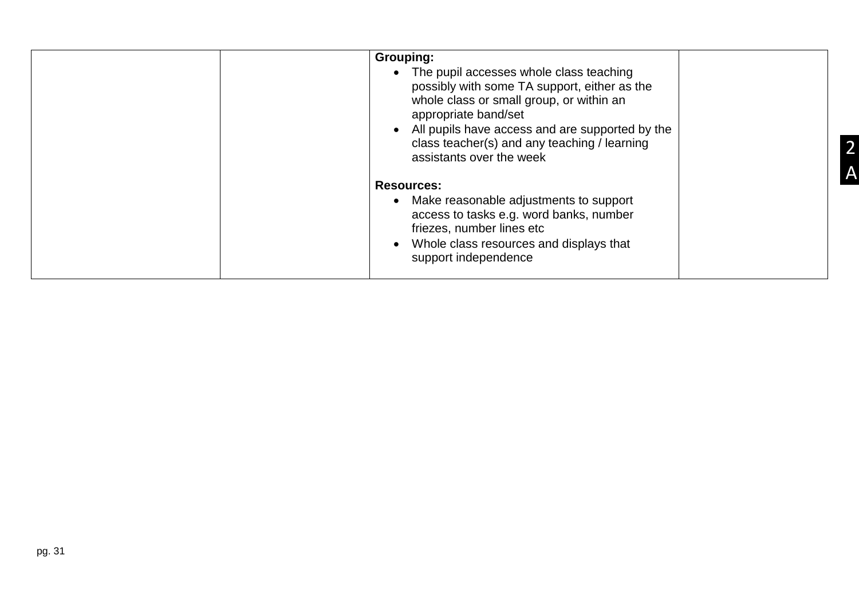| <b>Grouping:</b><br>• The pupil accesses whole class teaching<br>possibly with some TA support, either as the<br>whole class or small group, or within an<br>appropriate band/set<br>• All pupils have access and are supported by the<br>class teacher(s) and any teaching / learning<br>assistants over the week<br><b>Resources:</b><br>• Make reasonable adjustments to support<br>access to tasks e.g. word banks, number<br>friezes, number lines etc<br>• Whole class resources and displays that<br>support independence | $\overline{\mathbf{c}}$<br>$\overline{\mathsf{A}}$ |
|----------------------------------------------------------------------------------------------------------------------------------------------------------------------------------------------------------------------------------------------------------------------------------------------------------------------------------------------------------------------------------------------------------------------------------------------------------------------------------------------------------------------------------|----------------------------------------------------|
|                                                                                                                                                                                                                                                                                                                                                                                                                                                                                                                                  |                                                    |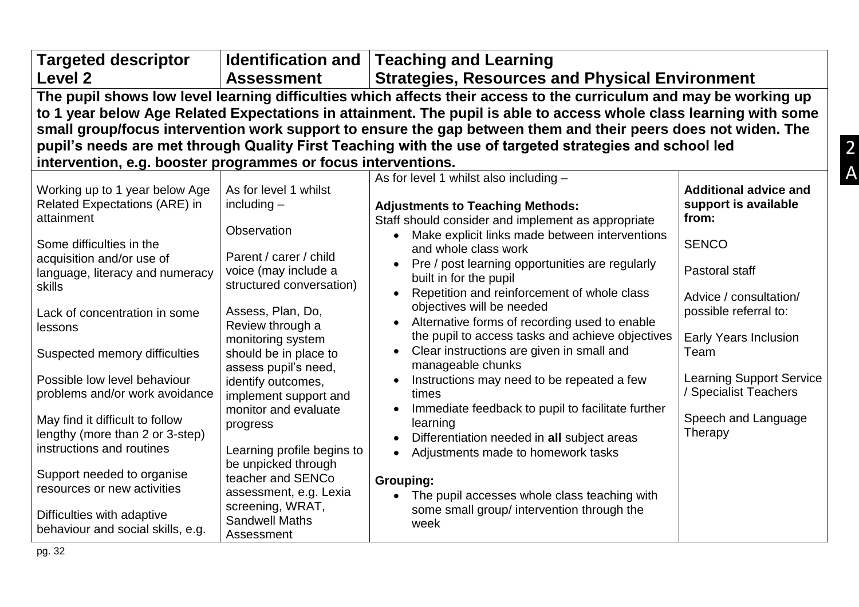<span id="page-31-0"></span>

| <b>Targeted descriptor</b><br>Level 2                                                                                                                                                                                                                                                                                                                                                                                                                                                                                                                                                                                | <b>Identification and</b>                                                                                                                                                                                                                                                                                                                                                                                                                                                                            | Teaching and Learning                                                                                                                                                                                                                                                                                                                                                                                                                                                                                                                                                                                                                                                                                                                                                                                                                                                                                              |                                                                                                                                                                                                                                                                                          |  |
|----------------------------------------------------------------------------------------------------------------------------------------------------------------------------------------------------------------------------------------------------------------------------------------------------------------------------------------------------------------------------------------------------------------------------------------------------------------------------------------------------------------------------------------------------------------------------------------------------------------------|------------------------------------------------------------------------------------------------------------------------------------------------------------------------------------------------------------------------------------------------------------------------------------------------------------------------------------------------------------------------------------------------------------------------------------------------------------------------------------------------------|--------------------------------------------------------------------------------------------------------------------------------------------------------------------------------------------------------------------------------------------------------------------------------------------------------------------------------------------------------------------------------------------------------------------------------------------------------------------------------------------------------------------------------------------------------------------------------------------------------------------------------------------------------------------------------------------------------------------------------------------------------------------------------------------------------------------------------------------------------------------------------------------------------------------|------------------------------------------------------------------------------------------------------------------------------------------------------------------------------------------------------------------------------------------------------------------------------------------|--|
| <b>Strategies, Resources and Physical Environment</b><br><b>Assessment</b><br>The pupil shows low level learning difficulties which affects their access to the curriculum and may be working up<br>to 1 year below Age Related Expectations in attainment. The pupil is able to access whole class learning with some<br>small group/focus intervention work support to ensure the gap between them and their peers does not widen. The<br>pupil's needs are met through Quality First Teaching with the use of targeted strategies and school led<br>intervention, e.g. booster programmes or focus interventions. |                                                                                                                                                                                                                                                                                                                                                                                                                                                                                                      |                                                                                                                                                                                                                                                                                                                                                                                                                                                                                                                                                                                                                                                                                                                                                                                                                                                                                                                    |                                                                                                                                                                                                                                                                                          |  |
| Working up to 1 year below Age<br>Related Expectations (ARE) in<br>attainment<br>Some difficulties in the<br>acquisition and/or use of<br>language, literacy and numeracy<br>skills<br>Lack of concentration in some<br>lessons<br>Suspected memory difficulties<br>Possible low level behaviour<br>problems and/or work avoidance<br>May find it difficult to follow<br>lengthy (more than 2 or 3-step)<br>instructions and routines<br>Support needed to organise<br>resources or new activities<br>Difficulties with adaptive<br>behaviour and social skills, e.g.                                                | As for level 1 whilst<br>including $-$<br>Observation<br>Parent / carer / child<br>voice (may include a<br>structured conversation)<br>Assess, Plan, Do,<br>Review through a<br>monitoring system<br>should be in place to<br>assess pupil's need,<br>identify outcomes,<br>implement support and<br>monitor and evaluate<br>progress<br>Learning profile begins to<br>be unpicked through<br>teacher and SENCo<br>assessment, e.g. Lexia<br>screening, WRAT,<br><b>Sandwell Maths</b><br>Assessment | As for level 1 whilst also including -<br><b>Adjustments to Teaching Methods:</b><br>Staff should consider and implement as appropriate<br>Make explicit links made between interventions<br>and whole class work<br>Pre / post learning opportunities are regularly<br>built in for the pupil<br>Repetition and reinforcement of whole class<br>objectives will be needed<br>Alternative forms of recording used to enable<br>the pupil to access tasks and achieve objectives<br>Clear instructions are given in small and<br>manageable chunks<br>Instructions may need to be repeated a few<br>times<br>Immediate feedback to pupil to facilitate further<br>$\bullet$<br>learning<br>Differentiation needed in all subject areas<br>Adjustments made to homework tasks<br><b>Grouping:</b><br>The pupil accesses whole class teaching with<br>$\bullet$<br>some small group/ intervention through the<br>week | <b>Additional advice and</b><br>support is available<br>from:<br><b>SENCO</b><br>Pastoral staff<br>Advice / consultation/<br>possible referral to:<br><b>Early Years Inclusion</b><br>Team<br><b>Learning Support Service</b><br>/ Specialist Teachers<br>Speech and Language<br>Therapy |  |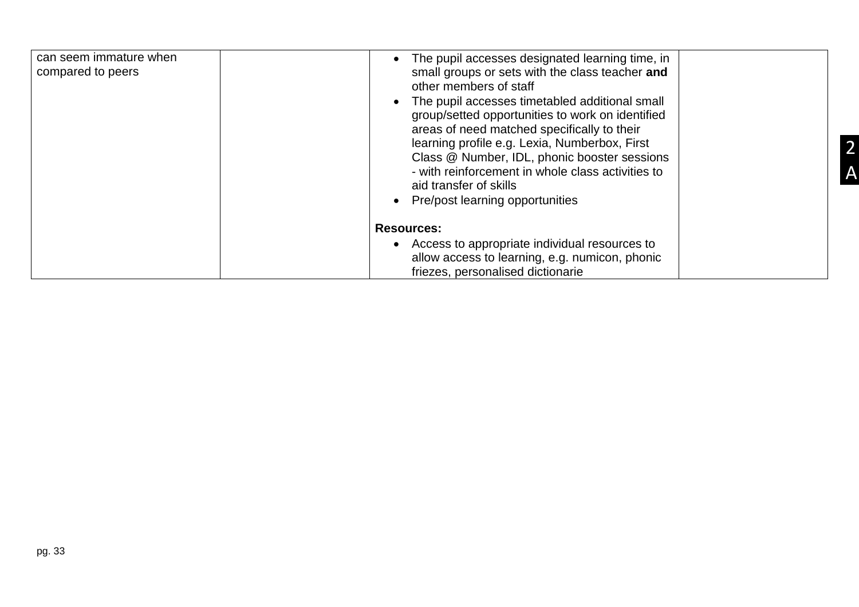| can seem immature when<br>compared to peers | The pupil accesses designated learning time, in<br>small groups or sets with the class teacher and<br>other members of staff<br>The pupil accesses timetabled additional small<br>$\bullet$<br>group/setted opportunities to work on identified<br>areas of need matched specifically to their |                                                    |
|---------------------------------------------|------------------------------------------------------------------------------------------------------------------------------------------------------------------------------------------------------------------------------------------------------------------------------------------------|----------------------------------------------------|
|                                             | learning profile e.g. Lexia, Numberbox, First<br>Class @ Number, IDL, phonic booster sessions<br>- with reinforcement in whole class activities to<br>aid transfer of skills<br>Pre/post learning opportunities<br>$\bullet$                                                                   | $\overline{\mathbf{c}}$<br>$\overline{\mathsf{A}}$ |
|                                             | <b>Resources:</b>                                                                                                                                                                                                                                                                              |                                                    |
|                                             | • Access to appropriate individual resources to<br>allow access to learning, e.g. numicon, phonic<br>friezes, personalised dictionarie                                                                                                                                                         |                                                    |
|                                             |                                                                                                                                                                                                                                                                                                |                                                    |
|                                             |                                                                                                                                                                                                                                                                                                |                                                    |
|                                             |                                                                                                                                                                                                                                                                                                |                                                    |
|                                             |                                                                                                                                                                                                                                                                                                |                                                    |
|                                             |                                                                                                                                                                                                                                                                                                |                                                    |
|                                             |                                                                                                                                                                                                                                                                                                |                                                    |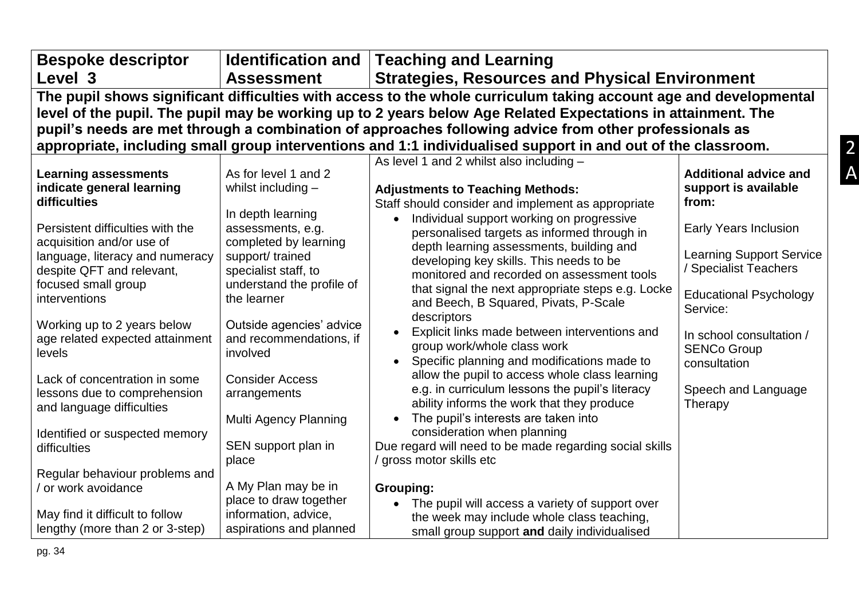<span id="page-33-0"></span>

| <b>Bespoke descriptor</b>                                                                  | <b>Identification and</b>                                                                                    | <b>Teaching and Learning</b>                                                                                                                    |                                                                |  |  |
|--------------------------------------------------------------------------------------------|--------------------------------------------------------------------------------------------------------------|-------------------------------------------------------------------------------------------------------------------------------------------------|----------------------------------------------------------------|--|--|
| Level 3                                                                                    | <b>Assessment</b>                                                                                            | <b>Strategies, Resources and Physical Environment</b>                                                                                           |                                                                |  |  |
|                                                                                            |                                                                                                              | The pupil shows significant difficulties with access to the whole curriculum taking account age and developmental                               |                                                                |  |  |
|                                                                                            | level of the pupil. The pupil may be working up to 2 years below Age Related Expectations in attainment. The |                                                                                                                                                 |                                                                |  |  |
|                                                                                            | pupil's needs are met through a combination of approaches following advice from other professionals as       |                                                                                                                                                 |                                                                |  |  |
|                                                                                            |                                                                                                              | appropriate, including small group interventions and 1:1 individualised support in and out of the classroom.                                    |                                                                |  |  |
| <b>Learning assessments</b><br>indicate general learning<br>difficulties                   | As for level 1 and 2<br>whilst including $-$                                                                 | As level 1 and 2 whilst also including -<br><b>Adjustments to Teaching Methods:</b><br>Staff should consider and implement as appropriate       | <b>Additional advice and</b><br>support is available<br>from:  |  |  |
| Persistent difficulties with the<br>acquisition and/or use of                              | In depth learning<br>assessments, e.g.<br>completed by learning                                              | Individual support working on progressive<br>personalised targets as informed through in                                                        | <b>Early Years Inclusion</b>                                   |  |  |
| language, literacy and numeracy<br>despite QFT and relevant,                               | support/trained<br>specialist staff, to                                                                      | depth learning assessments, building and<br>developing key skills. This needs to be<br>monitored and recorded on assessment tools               | <b>Learning Support Service</b><br>/ Specialist Teachers       |  |  |
| focused small group<br>interventions                                                       | understand the profile of<br>the learner                                                                     | that signal the next appropriate steps e.g. Locke<br>and Beech, B Squared, Pivats, P-Scale<br>descriptors                                       | <b>Educational Psychology</b><br>Service:                      |  |  |
| Working up to 2 years below<br>age related expected attainment<br>levels                   | Outside agencies' advice<br>and recommendations, if<br>involved                                              | Explicit links made between interventions and<br>group work/whole class work<br>Specific planning and modifications made to                     | In school consultation /<br><b>SENCo Group</b><br>consultation |  |  |
| Lack of concentration in some<br>lessons due to comprehension<br>and language difficulties | <b>Consider Access</b><br>arrangements                                                                       | allow the pupil to access whole class learning<br>e.g. in curriculum lessons the pupil's literacy<br>ability informs the work that they produce | Speech and Language<br>Therapy                                 |  |  |
| Identified or suspected memory<br>difficulties                                             | Multi Agency Planning<br>SEN support plan in                                                                 | The pupil's interests are taken into<br>consideration when planning<br>Due regard will need to be made regarding social skills                  |                                                                |  |  |
| Regular behaviour problems and<br>/ or work avoidance                                      | place<br>A My Plan may be in<br>place to draw together                                                       | / gross motor skills etc<br>Grouping:                                                                                                           |                                                                |  |  |
| May find it difficult to follow<br>lengthy (more than 2 or 3-step)                         | information, advice,<br>aspirations and planned                                                              | • The pupil will access a variety of support over<br>the week may include whole class teaching,<br>small group support and daily individualised |                                                                |  |  |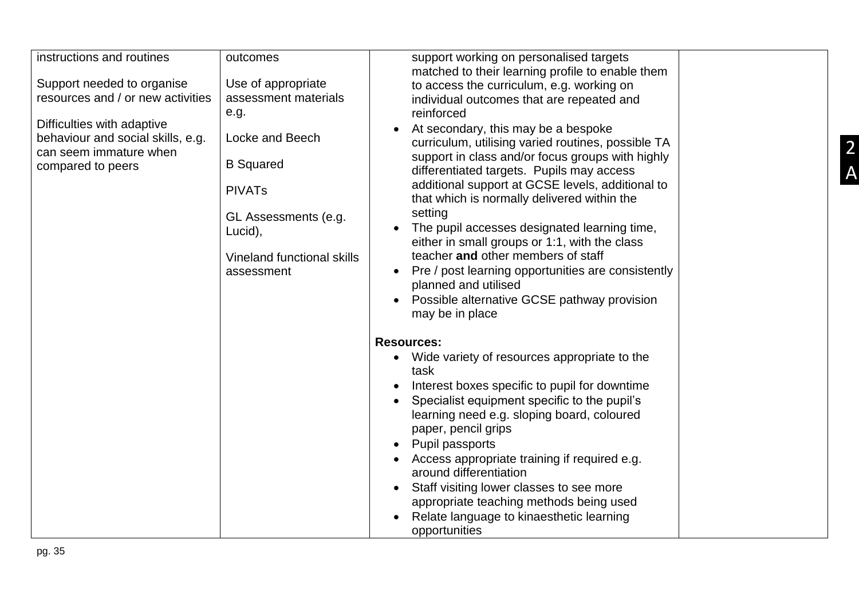| instructions and routines                                       |                            |                                                                                                                                               |  |
|-----------------------------------------------------------------|----------------------------|-----------------------------------------------------------------------------------------------------------------------------------------------|--|
|                                                                 | outcomes                   | support working on personalised targets                                                                                                       |  |
|                                                                 |                            | matched to their learning profile to enable them                                                                                              |  |
| Support needed to organise<br>resources and / or new activities | Use of appropriate         | to access the curriculum, e.g. working on                                                                                                     |  |
|                                                                 | assessment materials       | individual outcomes that are repeated and                                                                                                     |  |
| Difficulties with adaptive                                      | e.g.                       | reinforced                                                                                                                                    |  |
| behaviour and social skills, e.g.<br>can seem immature when     | Locke and Beech            | At secondary, this may be a bespoke<br>curriculum, utilising varied routines, possible TA<br>support in class and/or focus groups with highly |  |
| compared to peers                                               | <b>B</b> Squared           | differentiated targets. Pupils may access                                                                                                     |  |
|                                                                 | <b>PIVAT<sub>s</sub></b>   | additional support at GCSE levels, additional to<br>that which is normally delivered within the                                               |  |
|                                                                 | GL Assessments (e.g.       | setting                                                                                                                                       |  |
|                                                                 | Lucid),                    | The pupil accesses designated learning time,<br>$\bullet$                                                                                     |  |
|                                                                 |                            | either in small groups or 1:1, with the class                                                                                                 |  |
|                                                                 | Vineland functional skills | teacher and other members of staff                                                                                                            |  |
|                                                                 | assessment                 | Pre / post learning opportunities are consistently<br>$\bullet$                                                                               |  |
|                                                                 |                            | planned and utilised                                                                                                                          |  |
|                                                                 |                            | Possible alternative GCSE pathway provision                                                                                                   |  |
|                                                                 |                            | may be in place                                                                                                                               |  |
|                                                                 |                            | <b>Resources:</b>                                                                                                                             |  |
|                                                                 |                            | Wide variety of resources appropriate to the<br>$\bullet$                                                                                     |  |
|                                                                 |                            | task                                                                                                                                          |  |
|                                                                 |                            | Interest boxes specific to pupil for downtime                                                                                                 |  |
|                                                                 |                            | Specialist equipment specific to the pupil's                                                                                                  |  |
|                                                                 |                            | learning need e.g. sloping board, coloured                                                                                                    |  |
|                                                                 |                            | paper, pencil grips                                                                                                                           |  |
|                                                                 |                            | Pupil passports<br>$\bullet$                                                                                                                  |  |
|                                                                 |                            | Access appropriate training if required e.g.                                                                                                  |  |
|                                                                 |                            | around differentiation                                                                                                                        |  |
|                                                                 |                            | Staff visiting lower classes to see more                                                                                                      |  |
|                                                                 |                            | appropriate teaching methods being used                                                                                                       |  |
|                                                                 |                            | Relate language to kinaesthetic learning                                                                                                      |  |
|                                                                 |                            | opportunities                                                                                                                                 |  |

 $\begin{array}{c} 2 \\ A \end{array}$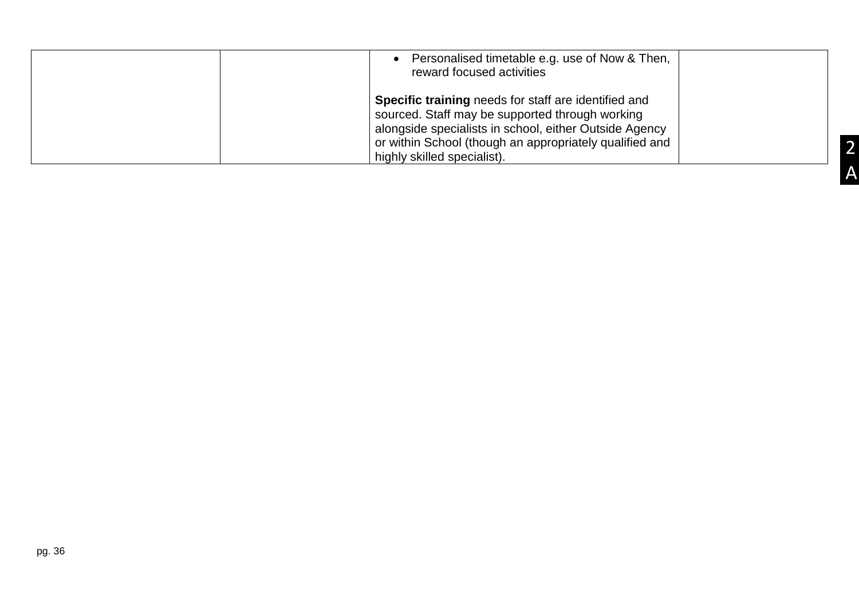| Personalised timetable e.g. use of Now & Then,<br>reward focused activities                                                                                                                                                                                 |  |
|-------------------------------------------------------------------------------------------------------------------------------------------------------------------------------------------------------------------------------------------------------------|--|
| Specific training needs for staff are identified and<br>sourced. Staff may be supported through working<br>alongside specialists in school, either Outside Agency<br>or within School (though an appropriately qualified and<br>highly skilled specialist). |  |

pg. 36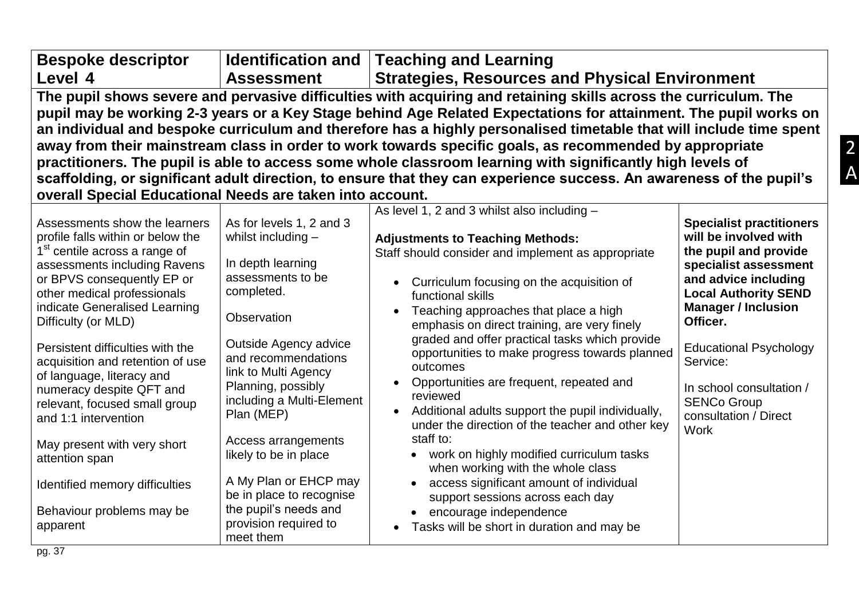|                                                                                                                                                                                                                                                                                                                                                                                                                                                                                                                                                                                                                                                                                                                                                                           | <b>Bespoke descriptor</b>                                                                                                                                                                                                                                                                                                                                                                                                                                                                                                                         |                                                                                                                                                                                                                                                                                                                                                | <b>Identification and Teaching and Learning</b>                                                                                                                                                                                                                                                                                                                                                                                                                                                                                                                                                                                                                                                                                                                                                    |                                                                                                                                                                                                                                                                                                                                                    |  |
|---------------------------------------------------------------------------------------------------------------------------------------------------------------------------------------------------------------------------------------------------------------------------------------------------------------------------------------------------------------------------------------------------------------------------------------------------------------------------------------------------------------------------------------------------------------------------------------------------------------------------------------------------------------------------------------------------------------------------------------------------------------------------|---------------------------------------------------------------------------------------------------------------------------------------------------------------------------------------------------------------------------------------------------------------------------------------------------------------------------------------------------------------------------------------------------------------------------------------------------------------------------------------------------------------------------------------------------|------------------------------------------------------------------------------------------------------------------------------------------------------------------------------------------------------------------------------------------------------------------------------------------------------------------------------------------------|----------------------------------------------------------------------------------------------------------------------------------------------------------------------------------------------------------------------------------------------------------------------------------------------------------------------------------------------------------------------------------------------------------------------------------------------------------------------------------------------------------------------------------------------------------------------------------------------------------------------------------------------------------------------------------------------------------------------------------------------------------------------------------------------------|----------------------------------------------------------------------------------------------------------------------------------------------------------------------------------------------------------------------------------------------------------------------------------------------------------------------------------------------------|--|
|                                                                                                                                                                                                                                                                                                                                                                                                                                                                                                                                                                                                                                                                                                                                                                           | Level 4                                                                                                                                                                                                                                                                                                                                                                                                                                                                                                                                           | <b>Assessment</b>                                                                                                                                                                                                                                                                                                                              | <b>Strategies, Resources and Physical Environment</b>                                                                                                                                                                                                                                                                                                                                                                                                                                                                                                                                                                                                                                                                                                                                              |                                                                                                                                                                                                                                                                                                                                                    |  |
| The pupil shows severe and pervasive difficulties with acquiring and retaining skills across the curriculum. The<br>pupil may be working 2-3 years or a Key Stage behind Age Related Expectations for attainment. The pupil works on<br>an individual and bespoke curriculum and therefore has a highly personalised timetable that will include time spent<br>away from their mainstream class in order to work towards specific goals, as recommended by appropriate<br>practitioners. The pupil is able to access some whole classroom learning with significantly high levels of<br>scaffolding, or significant adult direction, to ensure that they can experience success. An awareness of the pupil's<br>overall Special Educational Needs are taken into account. |                                                                                                                                                                                                                                                                                                                                                                                                                                                                                                                                                   |                                                                                                                                                                                                                                                                                                                                                |                                                                                                                                                                                                                                                                                                                                                                                                                                                                                                                                                                                                                                                                                                                                                                                                    |                                                                                                                                                                                                                                                                                                                                                    |  |
|                                                                                                                                                                                                                                                                                                                                                                                                                                                                                                                                                                                                                                                                                                                                                                           | Assessments show the learners<br>profile falls within or below the<br>1 <sup>st</sup> centile across a range of<br>assessments including Ravens<br>or BPVS consequently EP or<br>other medical professionals<br>indicate Generalised Learning<br>Difficulty (or MLD)<br>Persistent difficulties with the<br>acquisition and retention of use<br>of language, literacy and<br>numeracy despite QFT and<br>relevant, focused small group<br>and 1:1 intervention<br>May present with very short<br>attention span<br>Identified memory difficulties | As for levels 1, 2 and 3<br>whilst including -<br>In depth learning<br>assessments to be<br>completed.<br>Observation<br><b>Outside Agency advice</b><br>and recommendations<br>link to Multi Agency<br>Planning, possibly<br>including a Multi-Element<br>Plan (MEP)<br>Access arrangements<br>likely to be in place<br>A My Plan or EHCP may | As level 1, 2 and 3 whilst also including -<br><b>Adjustments to Teaching Methods:</b><br>Staff should consider and implement as appropriate<br>Curriculum focusing on the acquisition of<br>$\bullet$<br>functional skills<br>Teaching approaches that place a high<br>$\bullet$<br>emphasis on direct training, are very finely<br>graded and offer practical tasks which provide<br>opportunities to make progress towards planned<br>outcomes<br>Opportunities are frequent, repeated and<br>$\bullet$<br>reviewed<br>Additional adults support the pupil individually,<br>$\bullet$<br>under the direction of the teacher and other key<br>staff to:<br>work on highly modified curriculum tasks<br>when working with the whole class<br>access significant amount of individual<br>$\bullet$ | <b>Specialist practitioners</b><br>will be involved with<br>the pupil and provide<br>specialist assessment<br>and advice including<br><b>Local Authority SEND</b><br><b>Manager / Inclusion</b><br>Officer.<br><b>Educational Psychology</b><br>Service:<br>In school consultation /<br><b>SENCo Group</b><br>consultation / Direct<br><b>Work</b> |  |

support sessions across each day

• Tasks will be short in duration and may be

• encourage independence

be in place to recognise the pupil's needs and provision required to

meet them

2

A

Behaviour problems may be apparent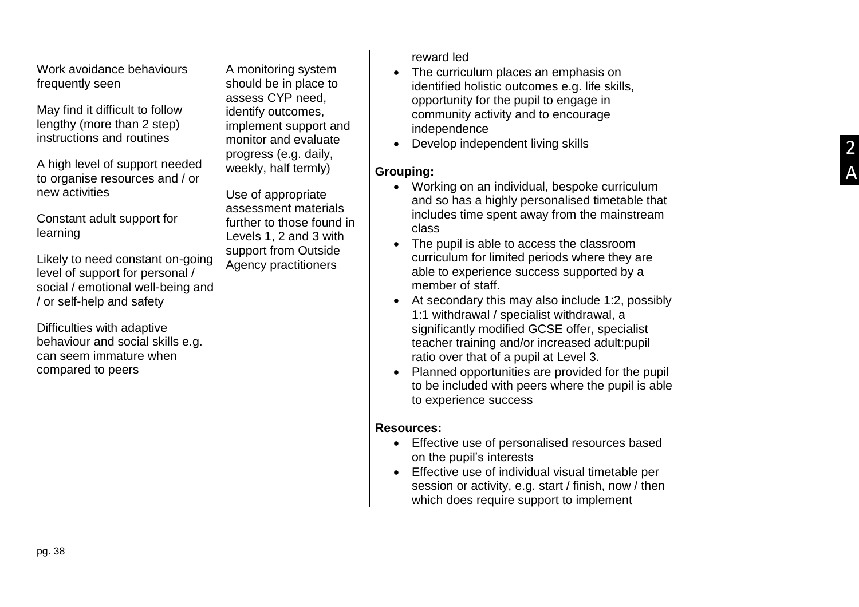| Work avoidance behaviours<br>frequently seen<br>May find it difficult to follow<br>lengthy (more than 2 step)<br>instructions and routines<br>A high level of support needed<br>to organise resources and / or<br>new activities<br>Constant adult support for<br>learning<br>Likely to need constant on-going<br>level of support for personal /<br>social / emotional well-being and<br>or self-help and safety<br>Difficulties with adaptive<br>behaviour and social skills e.g.<br>can seem immature when<br>compared to peers | A monitoring system<br>should be in place to<br>assess CYP need.<br>identify outcomes,<br>implement support and<br>monitor and evaluate<br>progress (e.g. daily,<br>weekly, half termly)<br>Use of appropriate<br>assessment materials<br>further to those found in<br>Levels 1, 2 and 3 with<br>support from Outside<br>Agency practitioners | reward led<br>The curriculum places an emphasis on<br>identified holistic outcomes e.g. life skills,<br>opportunity for the pupil to engage in<br>community activity and to encourage<br>independence<br>Develop independent living skills<br><b>Grouping:</b><br>Working on an individual, bespoke curriculum<br>and so has a highly personalised timetable that<br>includes time spent away from the mainstream<br>class<br>The pupil is able to access the classroom<br>curriculum for limited periods where they are<br>able to experience success supported by a<br>member of staff.<br>At secondary this may also include 1:2, possibly<br>1:1 withdrawal / specialist withdrawal, a<br>significantly modified GCSE offer, specialist<br>teacher training and/or increased adult: pupil<br>ratio over that of a pupil at Level 3.<br>Planned opportunities are provided for the pupil<br>to be included with peers where the pupil is able<br>to experience success |  |
|------------------------------------------------------------------------------------------------------------------------------------------------------------------------------------------------------------------------------------------------------------------------------------------------------------------------------------------------------------------------------------------------------------------------------------------------------------------------------------------------------------------------------------|-----------------------------------------------------------------------------------------------------------------------------------------------------------------------------------------------------------------------------------------------------------------------------------------------------------------------------------------------|---------------------------------------------------------------------------------------------------------------------------------------------------------------------------------------------------------------------------------------------------------------------------------------------------------------------------------------------------------------------------------------------------------------------------------------------------------------------------------------------------------------------------------------------------------------------------------------------------------------------------------------------------------------------------------------------------------------------------------------------------------------------------------------------------------------------------------------------------------------------------------------------------------------------------------------------------------------------------|--|
|                                                                                                                                                                                                                                                                                                                                                                                                                                                                                                                                    |                                                                                                                                                                                                                                                                                                                                               | <b>Resources:</b><br>Effective use of personalised resources based<br>on the pupil's interests<br>Effective use of individual visual timetable per<br>session or activity, e.g. start / finish, now / then<br>which does require support to implement                                                                                                                                                                                                                                                                                                                                                                                                                                                                                                                                                                                                                                                                                                                     |  |

 $2A$ 

 $\begin{array}{c} 2 \\ A \end{array}$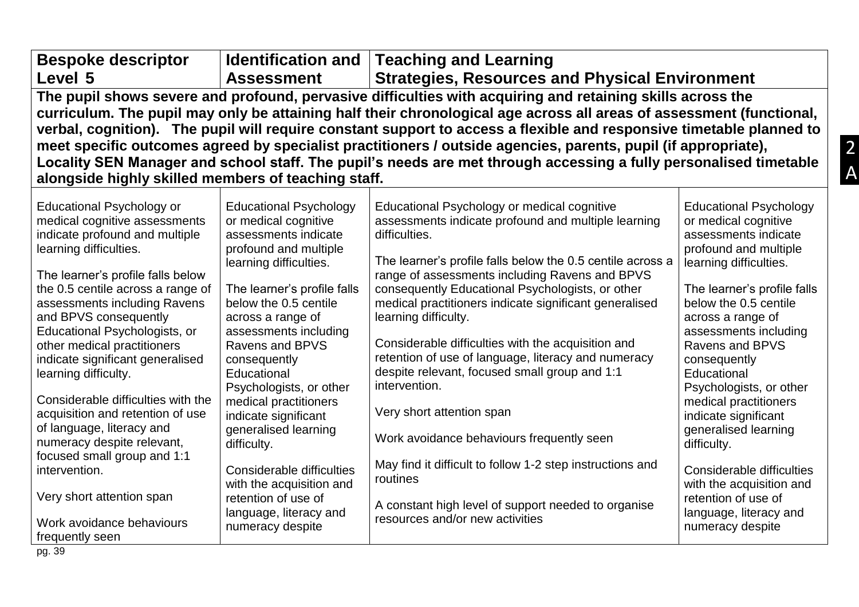| <b>Bespoke descriptor</b>                           |                                               | Identification and Teaching and Learning                                                                             |                                               |
|-----------------------------------------------------|-----------------------------------------------|----------------------------------------------------------------------------------------------------------------------|-----------------------------------------------|
| Level 5                                             | <b>Assessment</b>                             | <b>Strategies, Resources and Physical Environment</b>                                                                |                                               |
|                                                     |                                               | The pupil shows severe and profound, pervasive difficulties with acquiring and retaining skills across the           |                                               |
|                                                     |                                               | curriculum. The pupil may only be attaining half their chronological age across all areas of assessment (functional, |                                               |
|                                                     |                                               | verbal, cognition). The pupil will require constant support to access a flexible and responsive timetable planned to |                                               |
|                                                     |                                               | meet specific outcomes agreed by specialist practitioners / outside agencies, parents, pupil (if appropriate),       |                                               |
|                                                     |                                               | Locality SEN Manager and school staff. The pupil's needs are met through accessing a fully personalised timetable    |                                               |
| alongside highly skilled members of teaching staff. |                                               |                                                                                                                      |                                               |
|                                                     |                                               |                                                                                                                      |                                               |
| <b>Educational Psychology or</b>                    | <b>Educational Psychology</b>                 | Educational Psychology or medical cognitive                                                                          | <b>Educational Psychology</b>                 |
| medical cognitive assessments                       | or medical cognitive                          | assessments indicate profound and multiple learning                                                                  | or medical cognitive                          |
| indicate profound and multiple                      | assessments indicate                          | difficulties.                                                                                                        | assessments indicate                          |
| learning difficulties.                              | profound and multiple                         | The learner's profile falls below the 0.5 centile across a                                                           | profound and multiple                         |
| The learner's profile falls below                   | learning difficulties.                        | range of assessments including Ravens and BPVS                                                                       | learning difficulties.                        |
| the 0.5 centile across a range of                   | The learner's profile falls                   | consequently Educational Psychologists, or other                                                                     | The learner's profile falls                   |
| assessments including Ravens                        | below the 0.5 centile                         | medical practitioners indicate significant generalised                                                               | below the 0.5 centile                         |
| and BPVS consequently                               | across a range of                             | learning difficulty.                                                                                                 | across a range of                             |
| Educational Psychologists, or                       | assessments including                         |                                                                                                                      | assessments including                         |
| other medical practitioners                         | <b>Ravens and BPVS</b>                        | Considerable difficulties with the acquisition and                                                                   | Ravens and BPVS                               |
| indicate significant generalised                    | consequently                                  | retention of use of language, literacy and numeracy                                                                  | consequently                                  |
| learning difficulty.                                | Educational                                   | despite relevant, focused small group and 1:1<br>intervention.                                                       | Educational                                   |
| Considerable difficulties with the                  | Psychologists, or other                       |                                                                                                                      | Psychologists, or other                       |
| acquisition and retention of use                    | medical practitioners<br>indicate significant | Very short attention span                                                                                            | medical practitioners<br>indicate significant |
| of language, literacy and                           | generalised learning                          |                                                                                                                      | generalised learning                          |
| numeracy despite relevant,                          | difficulty.                                   | Work avoidance behaviours frequently seen                                                                            | difficulty.                                   |
| focused small group and 1:1                         |                                               |                                                                                                                      |                                               |
| intervention.                                       | Considerable difficulties                     | May find it difficult to follow 1-2 step instructions and<br>routines                                                | Considerable difficulties                     |
|                                                     | with the acquisition and                      |                                                                                                                      | with the acquisition and                      |
| Very short attention span                           | retention of use of                           | A constant high level of support needed to organise                                                                  | retention of use of                           |
| Work avoidance behaviours                           | language, literacy and                        | resources and/or new activities                                                                                      | language, literacy and                        |
| frequently seen                                     | numeracy despite                              |                                                                                                                      | numeracy despite                              |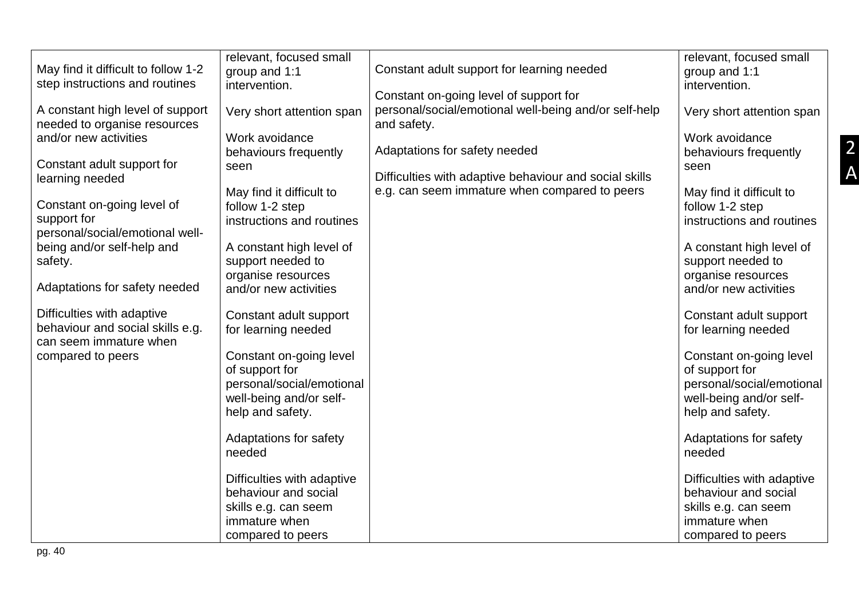|                                     | relevant, focused small                      |                                                        | relevant, focused small                      |
|-------------------------------------|----------------------------------------------|--------------------------------------------------------|----------------------------------------------|
| May find it difficult to follow 1-2 | group and 1:1                                | Constant adult support for learning needed             | group and 1:1                                |
| step instructions and routines      | intervention.                                |                                                        | intervention.                                |
|                                     |                                              | Constant on-going level of support for                 |                                              |
| A constant high level of support    | Very short attention span                    | personal/social/emotional well-being and/or self-help  | Very short attention span                    |
| needed to organise resources        |                                              | and safety.                                            |                                              |
| and/or new activities               | Work avoidance                               |                                                        | Work avoidance                               |
|                                     | behaviours frequently                        | Adaptations for safety needed                          | behaviours frequently                        |
| Constant adult support for          | seen                                         | Difficulties with adaptive behaviour and social skills | seen                                         |
| learning needed                     |                                              | e.g. can seem immature when compared to peers          |                                              |
| Constant on-going level of          | May find it difficult to                     |                                                        | May find it difficult to                     |
| support for                         | follow 1-2 step<br>instructions and routines |                                                        | follow 1-2 step<br>instructions and routines |
| personal/social/emotional well-     |                                              |                                                        |                                              |
| being and/or self-help and          | A constant high level of                     |                                                        | A constant high level of                     |
| safety.                             | support needed to                            |                                                        | support needed to                            |
|                                     | organise resources                           |                                                        | organise resources                           |
| Adaptations for safety needed       | and/or new activities                        |                                                        | and/or new activities                        |
|                                     |                                              |                                                        |                                              |
| Difficulties with adaptive          | Constant adult support                       |                                                        | Constant adult support                       |
| behaviour and social skills e.g.    | for learning needed                          |                                                        | for learning needed                          |
| can seem immature when              |                                              |                                                        |                                              |
| compared to peers                   | Constant on-going level                      |                                                        | Constant on-going level                      |
|                                     | of support for                               |                                                        | of support for                               |
|                                     | personal/social/emotional                    |                                                        | personal/social/emotional                    |
|                                     | well-being and/or self-                      |                                                        | well-being and/or self-                      |
|                                     | help and safety.                             |                                                        | help and safety.                             |
|                                     |                                              |                                                        |                                              |
|                                     | Adaptations for safety                       |                                                        | Adaptations for safety                       |
|                                     | needed                                       |                                                        | needed                                       |
|                                     | Difficulties with adaptive                   |                                                        | Difficulties with adaptive                   |
|                                     | behaviour and social                         |                                                        | behaviour and social                         |
|                                     | skills e.g. can seem                         |                                                        | skills e.g. can seem                         |
|                                     | immature when                                |                                                        | immature when                                |
|                                     | compared to peers                            |                                                        | compared to peers                            |

A

pg. 40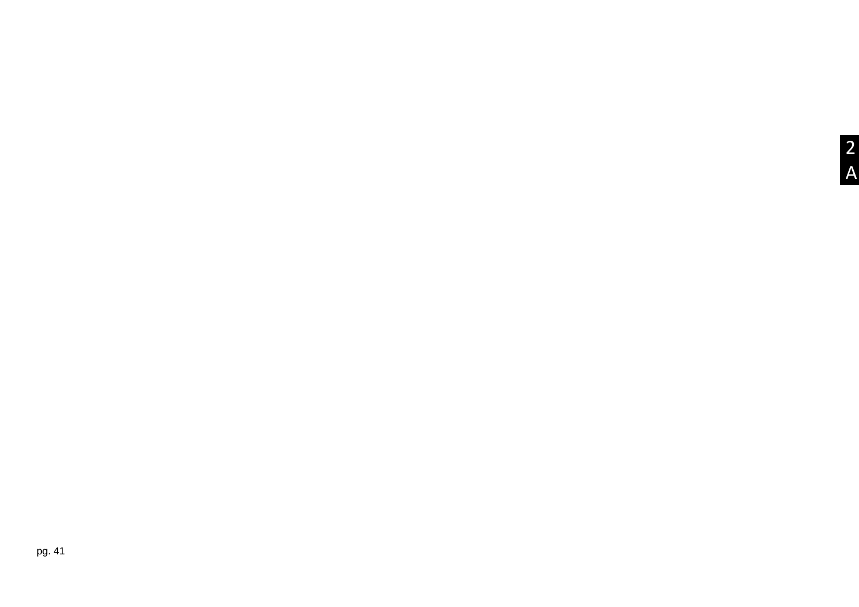$2A$  $\begin{array}{c} 2 \\ A \end{array}$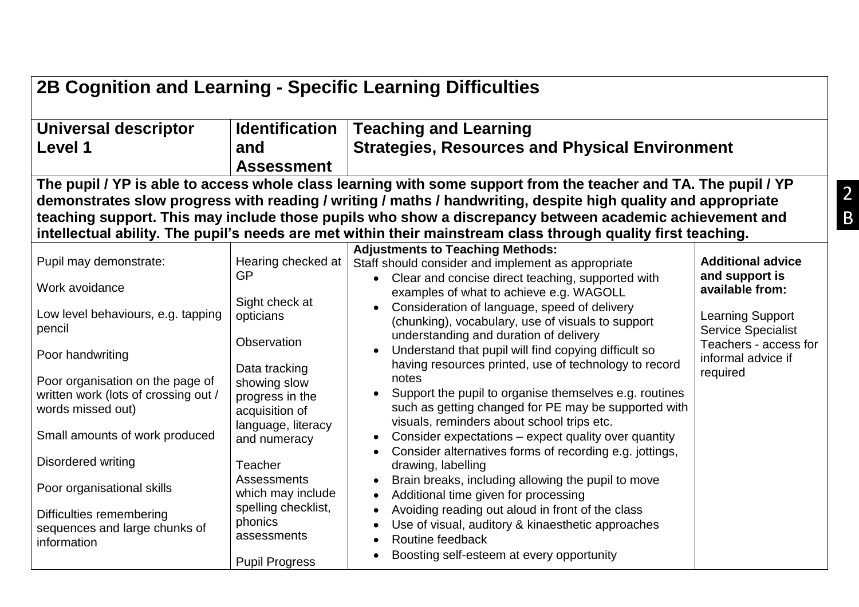| 2B Cognition and Learning - Specific Learning Difficulties                                                                                                                                                                                                                                                                                                                                                                                                   |                                                                                          |                                                                                                                                                                                                     |                                                               |  |
|--------------------------------------------------------------------------------------------------------------------------------------------------------------------------------------------------------------------------------------------------------------------------------------------------------------------------------------------------------------------------------------------------------------------------------------------------------------|------------------------------------------------------------------------------------------|-----------------------------------------------------------------------------------------------------------------------------------------------------------------------------------------------------|---------------------------------------------------------------|--|
| <b>Universal descriptor</b><br>Level 1                                                                                                                                                                                                                                                                                                                                                                                                                       | <b>Identification</b><br>and                                                             | <b>Teaching and Learning</b><br><b>Strategies, Resources and Physical Environment</b>                                                                                                               |                                                               |  |
|                                                                                                                                                                                                                                                                                                                                                                                                                                                              | <b>Assessment</b>                                                                        |                                                                                                                                                                                                     |                                                               |  |
| The pupil / YP is able to access whole class learning with some support from the teacher and TA. The pupil / YP<br>demonstrates slow progress with reading / writing / maths / handwriting, despite high quality and appropriate<br>teaching support. This may include those pupils who show a discrepancy between academic achievement and<br>intellectual ability. The pupil's needs are met within their mainstream class through quality first teaching. |                                                                                          |                                                                                                                                                                                                     |                                                               |  |
|                                                                                                                                                                                                                                                                                                                                                                                                                                                              |                                                                                          | <b>Adjustments to Teaching Methods:</b>                                                                                                                                                             |                                                               |  |
| Pupil may demonstrate:<br>Work avoidance                                                                                                                                                                                                                                                                                                                                                                                                                     | Hearing checked at<br>GP                                                                 | Staff should consider and implement as appropriate<br>Clear and concise direct teaching, supported with<br>examples of what to achieve e.g. WAGOLL                                                  | <b>Additional advice</b><br>and support is<br>available from: |  |
| Low level behaviours, e.g. tapping<br>pencil                                                                                                                                                                                                                                                                                                                                                                                                                 | Sight check at<br>opticians<br>Observation                                               | Consideration of language, speed of delivery<br>(chunking), vocabulary, use of visuals to support<br>understanding and duration of delivery                                                         | <b>Learning Support</b><br><b>Service Specialist</b>          |  |
| Poor handwriting                                                                                                                                                                                                                                                                                                                                                                                                                                             | Data tracking                                                                            | Understand that pupil will find copying difficult so<br>having resources printed, use of technology to record                                                                                       | Teachers - access for<br>informal advice if<br>required       |  |
| Poor organisation on the page of<br>written work (lots of crossing out /<br>words missed out)                                                                                                                                                                                                                                                                                                                                                                | showing slow<br>progress in the<br>acquisition of<br>language, literacy                  | notes<br>Support the pupil to organise themselves e.g. routines<br>such as getting changed for PE may be supported with<br>visuals, reminders about school trips etc.                               |                                                               |  |
| Small amounts of work produced                                                                                                                                                                                                                                                                                                                                                                                                                               | and numeracy                                                                             | Consider expectations – expect quality over quantity<br>Consider alternatives forms of recording e.g. jottings,                                                                                     |                                                               |  |
| Disordered writing                                                                                                                                                                                                                                                                                                                                                                                                                                           | Teacher                                                                                  | drawing, labelling                                                                                                                                                                                  |                                                               |  |
| Poor organisational skills<br>Difficulties remembering<br>sequences and large chunks of                                                                                                                                                                                                                                                                                                                                                                      | <b>Assessments</b><br>which may include<br>spelling checklist,<br>phonics<br>assessments | Brain breaks, including allowing the pupil to move<br>Additional time given for processing<br>Avoiding reading out aloud in front of the class<br>Use of visual, auditory & kinaesthetic approaches |                                                               |  |
| information                                                                                                                                                                                                                                                                                                                                                                                                                                                  | <b>Pupil Progress</b>                                                                    | Routine feedback<br>Boosting self-esteem at every opportunity                                                                                                                                       |                                                               |  |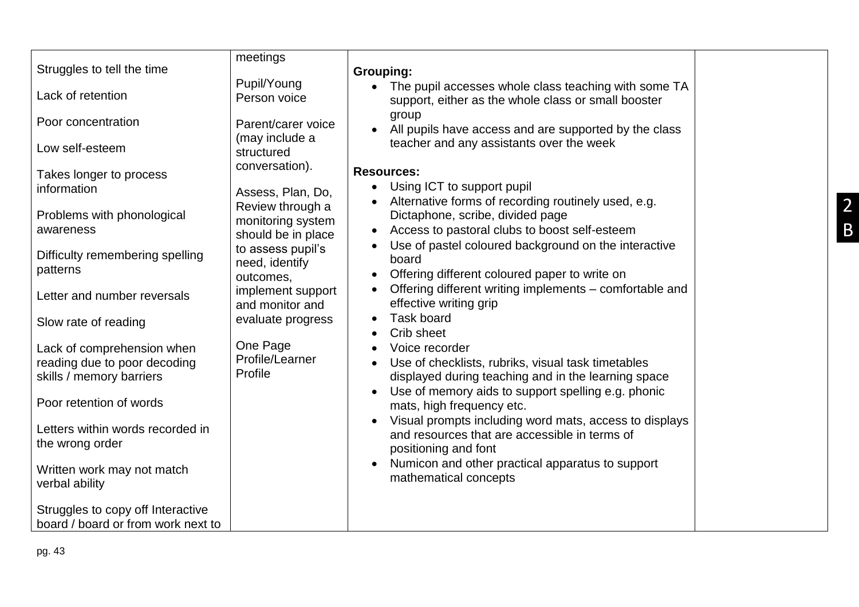|                                    | meetings                             |                                                                      |  |
|------------------------------------|--------------------------------------|----------------------------------------------------------------------|--|
| Struggles to tell the time         |                                      | <b>Grouping:</b>                                                     |  |
|                                    | Pupil/Young                          | • The pupil accesses whole class teaching with some TA               |  |
| Lack of retention                  | Person voice                         | support, either as the whole class or small booster                  |  |
| Poor concentration                 | Parent/carer voice                   | group                                                                |  |
|                                    | (may include a                       | All pupils have access and are supported by the class                |  |
| Low self-esteem                    | structured                           | teacher and any assistants over the week                             |  |
|                                    | conversation).                       |                                                                      |  |
| Takes longer to process            |                                      | <b>Resources:</b>                                                    |  |
| information                        | Assess, Plan, Do,                    | Using ICT to support pupil<br>$\bullet$                              |  |
|                                    | Review through a                     | Alternative forms of recording routinely used, e.g.                  |  |
| Problems with phonological         | monitoring system                    | Dictaphone, scribe, divided page                                     |  |
| awareness                          | should be in place                   | Access to pastoral clubs to boost self-esteem<br>$\bullet$           |  |
| Difficulty remembering spelling    | to assess pupil's                    | Use of pastel coloured background on the interactive<br>board        |  |
| patterns                           | need, identify                       | Offering different coloured paper to write on<br>$\bullet$           |  |
|                                    | outcomes.                            | Offering different writing implements – comfortable and<br>$\bullet$ |  |
| Letter and number reversals        | implement support<br>and monitor and | effective writing grip                                               |  |
|                                    | evaluate progress                    | <b>Task board</b><br>$\bullet$                                       |  |
| Slow rate of reading               |                                      | Crib sheet<br>$\bullet$                                              |  |
| Lack of comprehension when         | One Page                             | Voice recorder                                                       |  |
| reading due to poor decoding       | Profile/Learner                      | Use of checklists, rubriks, visual task timetables                   |  |
| skills / memory barriers           | Profile                              | displayed during teaching and in the learning space                  |  |
|                                    |                                      | Use of memory aids to support spelling e.g. phonic<br>$\bullet$      |  |
| Poor retention of words            |                                      | mats, high frequency etc.                                            |  |
|                                    |                                      | Visual prompts including word mats, access to displays<br>$\bullet$  |  |
| Letters within words recorded in   |                                      | and resources that are accessible in terms of                        |  |
| the wrong order                    |                                      | positioning and font                                                 |  |
| Written work may not match         |                                      | Numicon and other practical apparatus to support<br>$\bullet$        |  |
| verbal ability                     |                                      | mathematical concepts                                                |  |
|                                    |                                      |                                                                      |  |
| Struggles to copy off Interactive  |                                      |                                                                      |  |
| board / board or from work next to |                                      |                                                                      |  |

 $\overline{2}$ 

 $\mathsf B$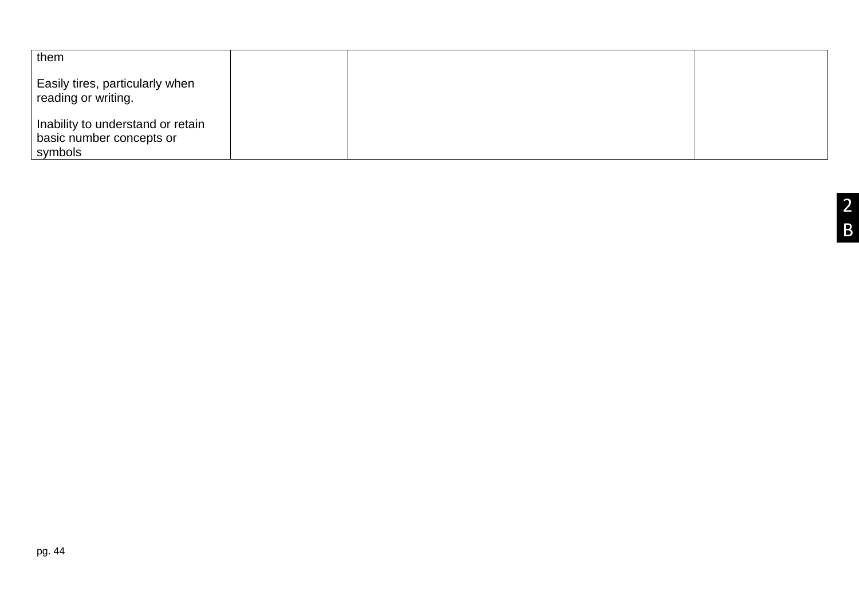| them                                                                     |  |  |
|--------------------------------------------------------------------------|--|--|
| <sup>'</sup> Easily tires, particularly when<br>reading or writing.      |  |  |
| Inability to understand or retain<br>basic number concepts or<br>symbols |  |  |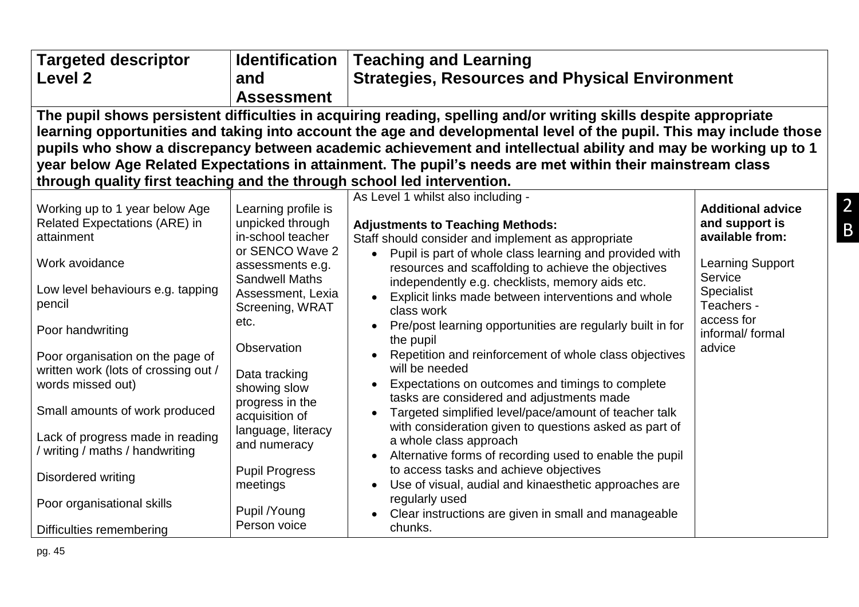| <b>Targeted descriptor</b><br>Level 2                                                         | <b>Identification</b><br>and                                 | <b>Teaching and Learning</b><br><b>Strategies, Resources and Physical Environment</b>                                                                               |                                                                  |
|-----------------------------------------------------------------------------------------------|--------------------------------------------------------------|---------------------------------------------------------------------------------------------------------------------------------------------------------------------|------------------------------------------------------------------|
|                                                                                               | <b>Assessment</b>                                            |                                                                                                                                                                     |                                                                  |
|                                                                                               |                                                              | The pupil shows persistent difficulties in acquiring reading, spelling and/or writing skills despite appropriate                                                    |                                                                  |
|                                                                                               |                                                              | learning opportunities and taking into account the age and developmental level of the pupil. This may include those                                                 |                                                                  |
|                                                                                               |                                                              | pupils who show a discrepancy between academic achievement and intellectual ability and may be working up to 1                                                      |                                                                  |
|                                                                                               |                                                              | year below Age Related Expectations in attainment. The pupil's needs are met within their mainstream class                                                          |                                                                  |
| through quality first teaching and the through school led intervention.                       |                                                              |                                                                                                                                                                     |                                                                  |
| Working up to 1 year below Age<br><b>Related Expectations (ARE) in</b><br>attainment          | Learning profile is<br>unpicked through<br>in-school teacher | As Level 1 whilst also including -<br><b>Adjustments to Teaching Methods:</b><br>Staff should consider and implement as appropriate                                 | <b>Additional advice</b><br>and support is<br>available from:    |
| Work avoidance<br>Low level behaviours e.g. tapping                                           | or SENCO Wave 2<br>assessments e.g.<br><b>Sandwell Maths</b> | • Pupil is part of whole class learning and provided with<br>resources and scaffolding to achieve the objectives<br>independently e.g. checklists, memory aids etc. | Learning Support<br>Service                                      |
| pencil<br>Poor handwriting                                                                    | Assessment, Lexia<br>Screening, WRAT<br>etc.                 | Explicit links made between interventions and whole<br>class work<br>Pre/post learning opportunities are regularly built in for                                     | <b>Specialist</b><br>Teachers -<br>access for<br>informal/formal |
| Poor organisation on the page of<br>written work (lots of crossing out /<br>words missed out) | Observation<br>Data tracking<br>showing slow                 | the pupil<br>Repetition and reinforcement of whole class objectives<br>will be needed<br>Expectations on outcomes and timings to complete                           | advice                                                           |
| Small amounts of work produced                                                                | progress in the<br>acquisition of                            | tasks are considered and adjustments made<br>Targeted simplified level/pace/amount of teacher talk                                                                  |                                                                  |
| Lack of progress made in reading<br>/ writing / maths / handwriting                           | language, literacy<br>and numeracy                           | with consideration given to questions asked as part of<br>a whole class approach<br>Alternative forms of recording used to enable the pupil                         |                                                                  |
| Disordered writing                                                                            | <b>Pupil Progress</b><br>meetings                            | to access tasks and achieve objectives<br>Use of visual, audial and kinaesthetic approaches are                                                                     |                                                                  |
| Poor organisational skills<br>Difficulties remembering                                        | Pupil /Young<br>Person voice                                 | regularly used<br>Clear instructions are given in small and manageable<br>chunks.                                                                                   |                                                                  |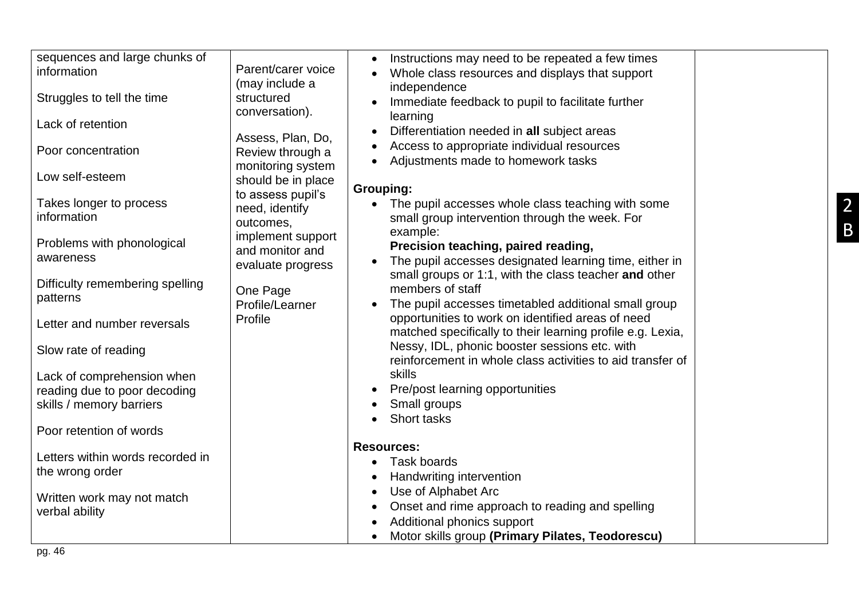| sequences and large chunks of    |                    | Instructions may need to be repeated a few times<br>$\bullet$     |
|----------------------------------|--------------------|-------------------------------------------------------------------|
| information                      | Parent/carer voice | Whole class resources and displays that support                   |
|                                  | (may include a     | independence                                                      |
| Struggles to tell the time       | structured         | Immediate feedback to pupil to facilitate further                 |
|                                  | conversation).     |                                                                   |
| Lack of retention                |                    | learning                                                          |
|                                  | Assess, Plan, Do,  | Differentiation needed in all subject areas<br>$\bullet$          |
| Poor concentration               | Review through a   | Access to appropriate individual resources                        |
|                                  |                    | Adjustments made to homework tasks                                |
| Low self-esteem                  | monitoring system  |                                                                   |
|                                  | should be in place | <b>Grouping:</b>                                                  |
| Takes longer to process          | to assess pupil's  | The pupil accesses whole class teaching with some<br>$\bullet$    |
| information                      | need, identify     |                                                                   |
|                                  | outcomes,          | small group intervention through the week. For                    |
|                                  | implement support  | example:                                                          |
| Problems with phonological       | and monitor and    | Precision teaching, paired reading,                               |
| awareness                        | evaluate progress  | The pupil accesses designated learning time, either in            |
|                                  |                    | small groups or 1:1, with the class teacher and other             |
| Difficulty remembering spelling  | One Page           | members of staff                                                  |
| patterns                         | Profile/Learner    | The pupil accesses timetabled additional small group<br>$\bullet$ |
|                                  | Profile            | opportunities to work on identified areas of need                 |
| Letter and number reversals      |                    | matched specifically to their learning profile e.g. Lexia,        |
|                                  |                    |                                                                   |
| Slow rate of reading             |                    | Nessy, IDL, phonic booster sessions etc. with                     |
|                                  |                    | reinforcement in whole class activities to aid transfer of        |
| Lack of comprehension when       |                    | skills                                                            |
| reading due to poor decoding     |                    | Pre/post learning opportunities                                   |
| skills / memory barriers         |                    | Small groups                                                      |
|                                  |                    | Short tasks                                                       |
| Poor retention of words          |                    |                                                                   |
|                                  |                    | <b>Resources:</b>                                                 |
| Letters within words recorded in |                    |                                                                   |
| the wrong order                  |                    | Task boards                                                       |
|                                  |                    | Handwriting intervention<br>$\bullet$                             |
| Written work may not match       |                    | Use of Alphabet Arc                                               |
|                                  |                    | Onset and rime approach to reading and spelling                   |
| verbal ability                   |                    | Additional phonics support                                        |
|                                  |                    | Motor skills group (Primary Pilates, Teodorescu)<br>$\bullet$     |
|                                  |                    |                                                                   |

 $\overline{2}$ 

 $\overline{\mathsf{B}}$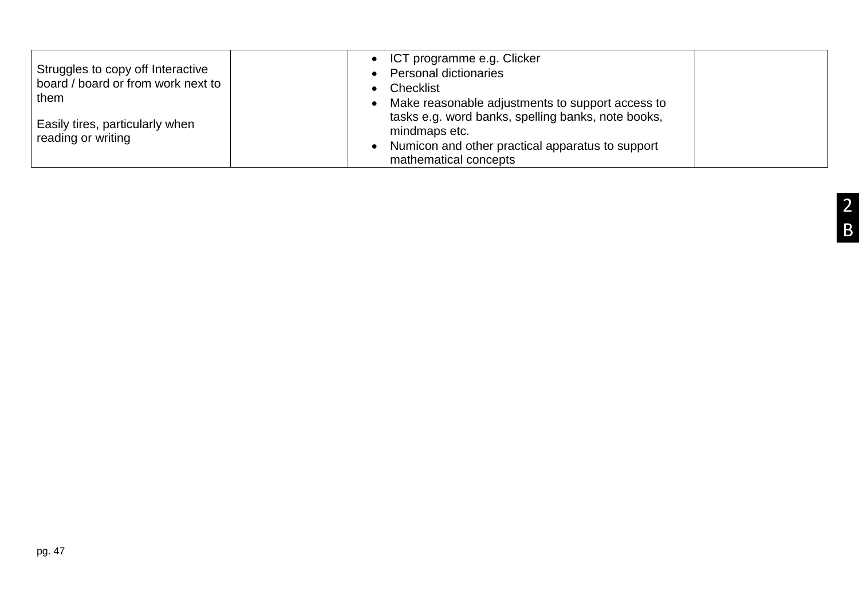| Struggles to copy off Interactive  | • ICT programme e.g. Clicker                       |  |
|------------------------------------|----------------------------------------------------|--|
|                                    | <b>Personal dictionaries</b>                       |  |
| board / board or from work next to | Checklist                                          |  |
| them                               | Make reasonable adjustments to support access to   |  |
| Easily tires, particularly when    | tasks e.g. word banks, spelling banks, note books, |  |
| reading or writing                 | mindmaps etc.                                      |  |
|                                    | Numicon and other practical apparatus to support   |  |
|                                    | mathematical concepts                              |  |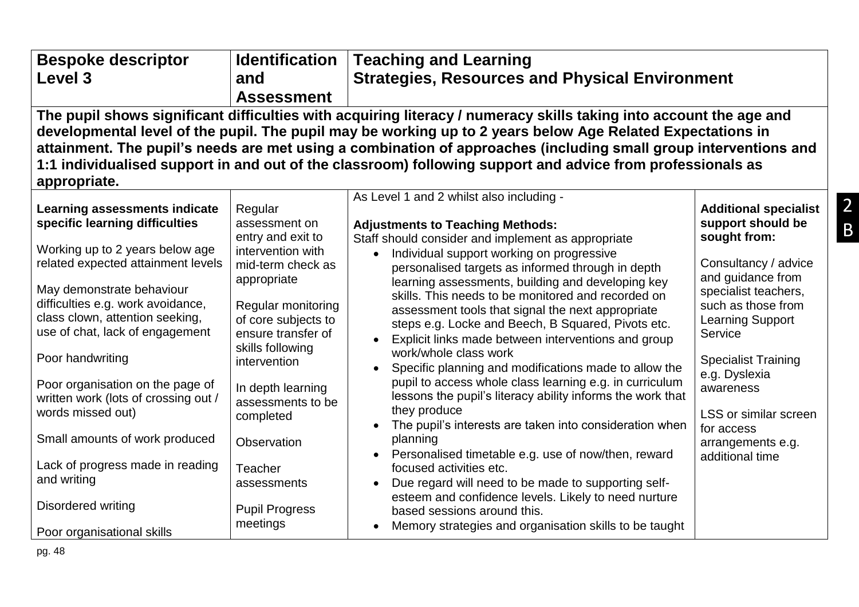| <b>Bespoke descriptor</b><br>Level 3                                                                                                                                                                                                                                                                                                                                                                                                                                                                                    | <b>Identification</b><br>and                                                                                                                                                                                                                                                                                                           | <b>Teaching and Learning</b><br><b>Strategies, Resources and Physical Environment</b>                                                                                                                                                                                                                                                                                                                                                                                                                                                                                                                                                                                                                                                                                                                                                                                                                                                                                                                                                                      |                                                                                                                                                                                                                                                                                                                                                      |  |
|-------------------------------------------------------------------------------------------------------------------------------------------------------------------------------------------------------------------------------------------------------------------------------------------------------------------------------------------------------------------------------------------------------------------------------------------------------------------------------------------------------------------------|----------------------------------------------------------------------------------------------------------------------------------------------------------------------------------------------------------------------------------------------------------------------------------------------------------------------------------------|------------------------------------------------------------------------------------------------------------------------------------------------------------------------------------------------------------------------------------------------------------------------------------------------------------------------------------------------------------------------------------------------------------------------------------------------------------------------------------------------------------------------------------------------------------------------------------------------------------------------------------------------------------------------------------------------------------------------------------------------------------------------------------------------------------------------------------------------------------------------------------------------------------------------------------------------------------------------------------------------------------------------------------------------------------|------------------------------------------------------------------------------------------------------------------------------------------------------------------------------------------------------------------------------------------------------------------------------------------------------------------------------------------------------|--|
| <b>Assessment</b><br>The pupil shows significant difficulties with acquiring literacy / numeracy skills taking into account the age and<br>developmental level of the pupil. The pupil may be working up to 2 years below Age Related Expectations in<br>attainment. The pupil's needs are met using a combination of approaches (including small group interventions and<br>1:1 individualised support in and out of the classroom) following support and advice from professionals as<br>appropriate.                 |                                                                                                                                                                                                                                                                                                                                        |                                                                                                                                                                                                                                                                                                                                                                                                                                                                                                                                                                                                                                                                                                                                                                                                                                                                                                                                                                                                                                                            |                                                                                                                                                                                                                                                                                                                                                      |  |
| <b>Learning assessments indicate</b><br>specific learning difficulties<br>Working up to 2 years below age<br>related expected attainment levels<br>May demonstrate behaviour<br>difficulties e.g. work avoidance,<br>class clown, attention seeking,<br>use of chat, lack of engagement<br>Poor handwriting<br>Poor organisation on the page of<br>written work (lots of crossing out /<br>words missed out)<br>Small amounts of work produced<br>Lack of progress made in reading<br>and writing<br>Disordered writing | Regular<br>assessment on<br>entry and exit to<br>intervention with<br>mid-term check as<br>appropriate<br>Regular monitoring<br>of core subjects to<br>ensure transfer of<br>skills following<br>intervention<br>In depth learning<br>assessments to be<br>completed<br>Observation<br>Teacher<br>assessments<br><b>Pupil Progress</b> | As Level 1 and 2 whilst also including -<br><b>Adjustments to Teaching Methods:</b><br>Staff should consider and implement as appropriate<br>Individual support working on progressive<br>personalised targets as informed through in depth<br>learning assessments, building and developing key<br>skills. This needs to be monitored and recorded on<br>assessment tools that signal the next appropriate<br>steps e.g. Locke and Beech, B Squared, Pivots etc.<br>Explicit links made between interventions and group<br>work/whole class work<br>Specific planning and modifications made to allow the<br>pupil to access whole class learning e.g. in curriculum<br>lessons the pupil's literacy ability informs the work that<br>they produce<br>The pupil's interests are taken into consideration when<br>planning<br>Personalised timetable e.g. use of now/then, reward<br>focused activities etc.<br>Due regard will need to be made to supporting self-<br>esteem and confidence levels. Likely to need nurture<br>based sessions around this. | <b>Additional specialist</b><br>support should be<br>sought from:<br>Consultancy / advice<br>and guidance from<br>specialist teachers,<br>such as those from<br><b>Learning Support</b><br>Service<br><b>Specialist Training</b><br>e.g. Dyslexia<br>awareness<br><b>LSS or similar screen</b><br>for access<br>arrangements e.g.<br>additional time |  |
| Poor organisational skills                                                                                                                                                                                                                                                                                                                                                                                                                                                                                              | meetings                                                                                                                                                                                                                                                                                                                               | Memory strategies and organisation skills to be taught                                                                                                                                                                                                                                                                                                                                                                                                                                                                                                                                                                                                                                                                                                                                                                                                                                                                                                                                                                                                     |                                                                                                                                                                                                                                                                                                                                                      |  |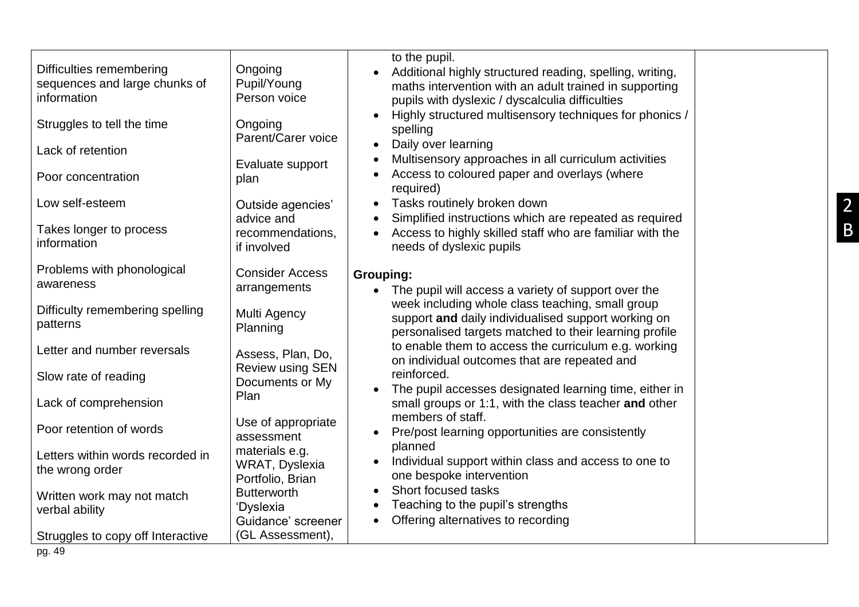| Difficulties remembering<br>sequences and large chunks of<br>information<br>Struggles to tell the time<br>Lack of retention<br>Poor concentration<br>Low self-esteem<br>Takes longer to process<br>information | Ongoing<br>Pupil/Young<br>Person voice<br>Ongoing<br>Parent/Carer voice<br>Evaluate support<br>plan<br>Outside agencies'<br>advice and<br>recommendations,<br>if involved | to the pupil.<br>Additional highly structured reading, spelling, writing,<br>maths intervention with an adult trained in supporting<br>pupils with dyslexic / dyscalculia difficulties<br>Highly structured multisensory techniques for phonics /<br>spelling<br>Daily over learning<br>Multisensory approaches in all curriculum activities<br>Access to coloured paper and overlays (where<br>required)<br>Tasks routinely broken down<br>Simplified instructions which are repeated as required<br>Access to highly skilled staff who are familiar with the<br>needs of dyslexic pupils |  |
|----------------------------------------------------------------------------------------------------------------------------------------------------------------------------------------------------------------|---------------------------------------------------------------------------------------------------------------------------------------------------------------------------|--------------------------------------------------------------------------------------------------------------------------------------------------------------------------------------------------------------------------------------------------------------------------------------------------------------------------------------------------------------------------------------------------------------------------------------------------------------------------------------------------------------------------------------------------------------------------------------------|--|
| Problems with phonological<br>awareness<br>Difficulty remembering spelling<br>patterns<br>Letter and number reversals<br>Slow rate of reading<br>Lack of comprehension                                         | <b>Consider Access</b><br>arrangements<br>Multi Agency<br>Planning<br>Assess, Plan, Do,<br><b>Review using SEN</b><br>Documents or My<br>Plan                             | <b>Grouping:</b><br>The pupil will access a variety of support over the<br>week including whole class teaching, small group<br>support and daily individualised support working on<br>personalised targets matched to their learning profile<br>to enable them to access the curriculum e.g. working<br>on individual outcomes that are repeated and<br>reinforced.<br>The pupil accesses designated learning time, either in<br>$\bullet$<br>small groups or 1:1, with the class teacher and other                                                                                        |  |
| Poor retention of words<br>Letters within words recorded in<br>the wrong order<br>Written work may not match<br>verbal ability<br>Struggles to copy off Interactive                                            | Use of appropriate<br>assessment<br>materials e.g.<br>WRAT, Dyslexia<br>Portfolio, Brian<br><b>Butterworth</b><br>'Dyslexia<br>Guidance' screener<br>(GL Assessment),     | members of staff.<br>Pre/post learning opportunities are consistently<br>planned<br>Individual support within class and access to one to<br>$\bullet$<br>one bespoke intervention<br>Short focused tasks<br>Teaching to the pupil's strengths<br>Offering alternatives to recording                                                                                                                                                                                                                                                                                                        |  |

 $\begin{array}{c}\n2 \\
B\n\end{array}$ 

pg. 49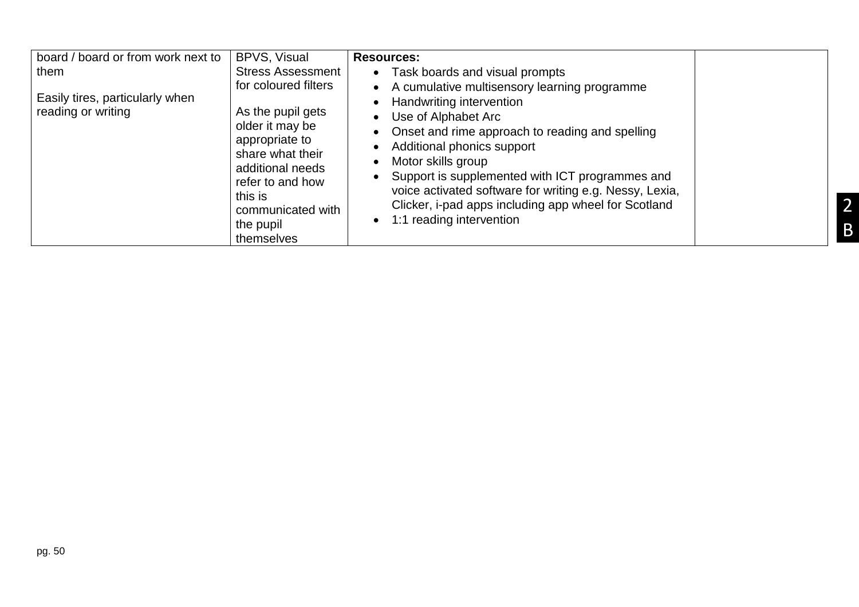| board / board or from work next to<br>them<br>Easily tires, particularly when<br>reading or writing | <b>BPVS, Visual</b><br><b>Stress Assessment</b><br>for coloured filters<br>As the pupil gets<br>older it may be<br>appropriate to<br>share what their<br>additional needs<br>refer to and how<br>this is<br>communicated with<br>the pupil | <b>Resources:</b><br>Task boards and visual prompts<br>• A cumulative multisensory learning programme<br>Handwriting intervention<br>Use of Alphabet Arc<br>Onset and rime approach to reading and spelling<br>Additional phonics support<br>Motor skills group<br>Support is supplemented with ICT programmes and<br>voice activated software for writing e.g. Nessy, Lexia,<br>Clicker, i-pad apps including app wheel for Scotland<br>1:1 reading intervention |
|-----------------------------------------------------------------------------------------------------|--------------------------------------------------------------------------------------------------------------------------------------------------------------------------------------------------------------------------------------------|-------------------------------------------------------------------------------------------------------------------------------------------------------------------------------------------------------------------------------------------------------------------------------------------------------------------------------------------------------------------------------------------------------------------------------------------------------------------|
|                                                                                                     | themselves                                                                                                                                                                                                                                 |                                                                                                                                                                                                                                                                                                                                                                                                                                                                   |

B

pg. 50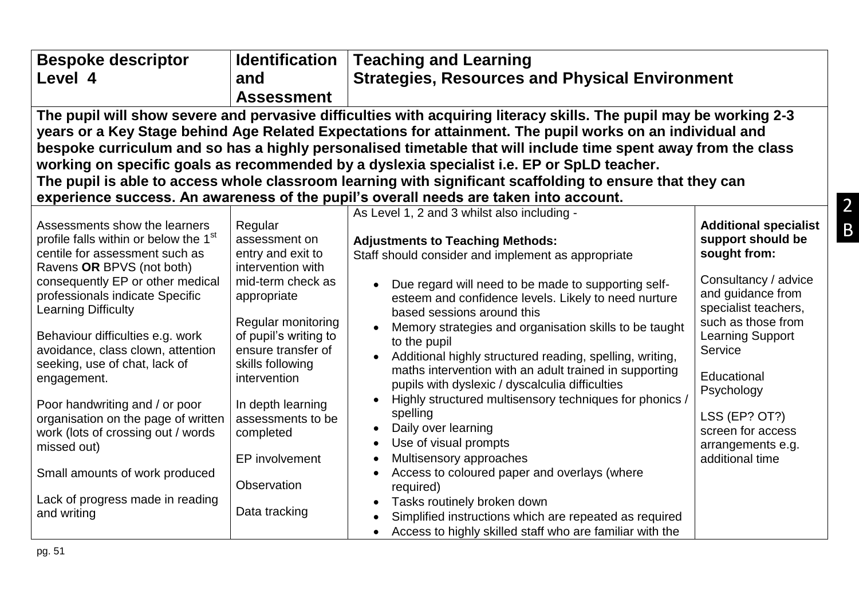| <b>Bespoke descriptor</b>                                                                                                                                                                                                                                                                                                                                                       | <b>Identification</b>                                                                                                                                                                                           | <b>Teaching and Learning</b>                                                                                                                                                                                                                                                                                                                                                                                                                                                                                                                 |                                                                                                                                                                                                                                 |
|---------------------------------------------------------------------------------------------------------------------------------------------------------------------------------------------------------------------------------------------------------------------------------------------------------------------------------------------------------------------------------|-----------------------------------------------------------------------------------------------------------------------------------------------------------------------------------------------------------------|----------------------------------------------------------------------------------------------------------------------------------------------------------------------------------------------------------------------------------------------------------------------------------------------------------------------------------------------------------------------------------------------------------------------------------------------------------------------------------------------------------------------------------------------|---------------------------------------------------------------------------------------------------------------------------------------------------------------------------------------------------------------------------------|
| Level 4                                                                                                                                                                                                                                                                                                                                                                         | and                                                                                                                                                                                                             | <b>Strategies, Resources and Physical Environment</b>                                                                                                                                                                                                                                                                                                                                                                                                                                                                                        |                                                                                                                                                                                                                                 |
|                                                                                                                                                                                                                                                                                                                                                                                 | <b>Assessment</b>                                                                                                                                                                                               |                                                                                                                                                                                                                                                                                                                                                                                                                                                                                                                                              |                                                                                                                                                                                                                                 |
|                                                                                                                                                                                                                                                                                                                                                                                 |                                                                                                                                                                                                                 | The pupil will show severe and pervasive difficulties with acquiring literacy skills. The pupil may be working 2-3                                                                                                                                                                                                                                                                                                                                                                                                                           |                                                                                                                                                                                                                                 |
|                                                                                                                                                                                                                                                                                                                                                                                 |                                                                                                                                                                                                                 | years or a Key Stage behind Age Related Expectations for attainment. The pupil works on an individual and                                                                                                                                                                                                                                                                                                                                                                                                                                    |                                                                                                                                                                                                                                 |
|                                                                                                                                                                                                                                                                                                                                                                                 |                                                                                                                                                                                                                 | bespoke curriculum and so has a highly personalised timetable that will include time spent away from the class                                                                                                                                                                                                                                                                                                                                                                                                                               |                                                                                                                                                                                                                                 |
|                                                                                                                                                                                                                                                                                                                                                                                 |                                                                                                                                                                                                                 | working on specific goals as recommended by a dyslexia specialist i.e. EP or SpLD teacher.                                                                                                                                                                                                                                                                                                                                                                                                                                                   |                                                                                                                                                                                                                                 |
|                                                                                                                                                                                                                                                                                                                                                                                 |                                                                                                                                                                                                                 | The pupil is able to access whole classroom learning with significant scaffolding to ensure that they can                                                                                                                                                                                                                                                                                                                                                                                                                                    |                                                                                                                                                                                                                                 |
|                                                                                                                                                                                                                                                                                                                                                                                 |                                                                                                                                                                                                                 | experience success. An awareness of the pupil's overall needs are taken into account.                                                                                                                                                                                                                                                                                                                                                                                                                                                        |                                                                                                                                                                                                                                 |
| Assessments show the learners<br>profile falls within or below the 1 <sup>st</sup><br>centile for assessment such as<br>Ravens OR BPVS (not both)<br>consequently EP or other medical<br>professionals indicate Specific<br><b>Learning Difficulty</b><br>Behaviour difficulties e.g. work<br>avoidance, class clown, attention<br>seeking, use of chat, lack of<br>engagement. | Regular<br>assessment on<br>entry and exit to<br>intervention with<br>mid-term check as<br>appropriate<br>Regular monitoring<br>of pupil's writing to<br>ensure transfer of<br>skills following<br>intervention | As Level 1, 2 and 3 whilst also including -<br><b>Adjustments to Teaching Methods:</b><br>Staff should consider and implement as appropriate<br>Due regard will need to be made to supporting self-<br>esteem and confidence levels. Likely to need nurture<br>based sessions around this<br>Memory strategies and organisation skills to be taught<br>to the pupil<br>Additional highly structured reading, spelling, writing,<br>maths intervention with an adult trained in supporting<br>pupils with dyslexic / dyscalculia difficulties | <b>Additional specialist</b><br>support should be<br>sought from:<br>Consultancy / advice<br>and guidance from<br>specialist teachers,<br>such as those from<br><b>Learning Support</b><br>Service<br>Educational<br>Psychology |
| Poor handwriting and / or poor<br>organisation on the page of written<br>work (lots of crossing out / words<br>missed out)<br>Small amounts of work produced<br>Lack of progress made in reading<br>and writing                                                                                                                                                                 | In depth learning<br>assessments to be<br>completed<br>EP involvement<br>Observation<br>Data tracking                                                                                                           | Highly structured multisensory techniques for phonics /<br>spelling<br>Daily over learning<br>Use of visual prompts<br>Multisensory approaches<br>Access to coloured paper and overlays (where<br>required)<br>Tasks routinely broken down<br>Simplified instructions which are repeated as required                                                                                                                                                                                                                                         | LSS (EP? OT?)<br>screen for access<br>arrangements e.g.<br>additional time                                                                                                                                                      |
|                                                                                                                                                                                                                                                                                                                                                                                 |                                                                                                                                                                                                                 | Access to highly skilled staff who are familiar with the                                                                                                                                                                                                                                                                                                                                                                                                                                                                                     |                                                                                                                                                                                                                                 |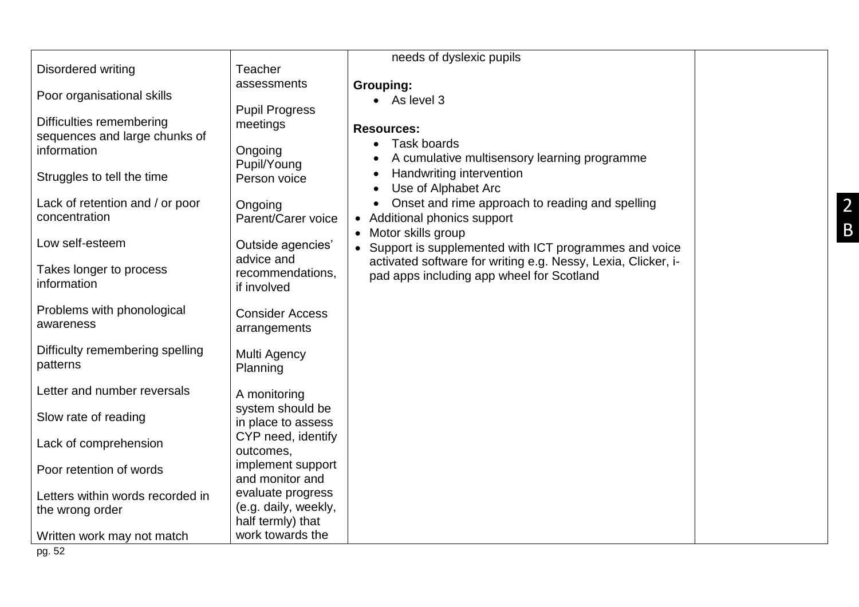|                                               |                        | needs of dyslexic pupils                                      |                |
|-----------------------------------------------|------------------------|---------------------------------------------------------------|----------------|
| Disordered writing                            | Teacher                |                                                               |                |
|                                               | assessments            | <b>Grouping:</b>                                              |                |
| Poor organisational skills                    |                        | $\bullet$ As level 3                                          |                |
|                                               | <b>Pupil Progress</b>  |                                                               |                |
| Difficulties remembering                      | meetings               | <b>Resources:</b>                                             |                |
| sequences and large chunks of                 |                        | Task boards                                                   |                |
| information                                   | Ongoing                | $\bullet$                                                     |                |
|                                               | Pupil/Young            | A cumulative multisensory learning programme                  |                |
| Struggles to tell the time                    | Person voice           | Handwriting intervention                                      |                |
|                                               |                        | Use of Alphabet Arc                                           |                |
| Lack of retention and / or poor               | Ongoing                | Onset and rime approach to reading and spelling               | $\overline{2}$ |
| concentration                                 | Parent/Carer voice     | Additional phonics support<br>$\bullet$                       |                |
|                                               |                        | • Motor skills group                                          | $\mathsf B$    |
| Low self-esteem                               | Outside agencies'      | Support is supplemented with ICT programmes and voice         |                |
|                                               | advice and             | activated software for writing e.g. Nessy, Lexia, Clicker, i- |                |
| Takes longer to process<br><i>information</i> | recommendations,       | pad apps including app wheel for Scotland                     |                |
|                                               | if involved            |                                                               |                |
| Problems with phonological                    |                        |                                                               |                |
| awareness                                     | <b>Consider Access</b> |                                                               |                |
|                                               | arrangements           |                                                               |                |
| Difficulty remembering spelling               | Multi Agency           |                                                               |                |
| patterns                                      | Planning               |                                                               |                |
|                                               |                        |                                                               |                |
| Letter and number reversals                   | A monitoring           |                                                               |                |
|                                               | system should be       |                                                               |                |
| Slow rate of reading                          | in place to assess     |                                                               |                |
|                                               | CYP need, identify     |                                                               |                |
| Lack of comprehension                         | outcomes,              |                                                               |                |
|                                               | implement support      |                                                               |                |
| Poor retention of words                       | and monitor and        |                                                               |                |
| Letters within words recorded in              | evaluate progress      |                                                               |                |
| the wrong order                               | (e.g. daily, weekly,   |                                                               |                |
|                                               | half termly) that      |                                                               |                |
| Written work may not match                    | work towards the       |                                                               |                |
|                                               |                        |                                                               |                |

pg. 52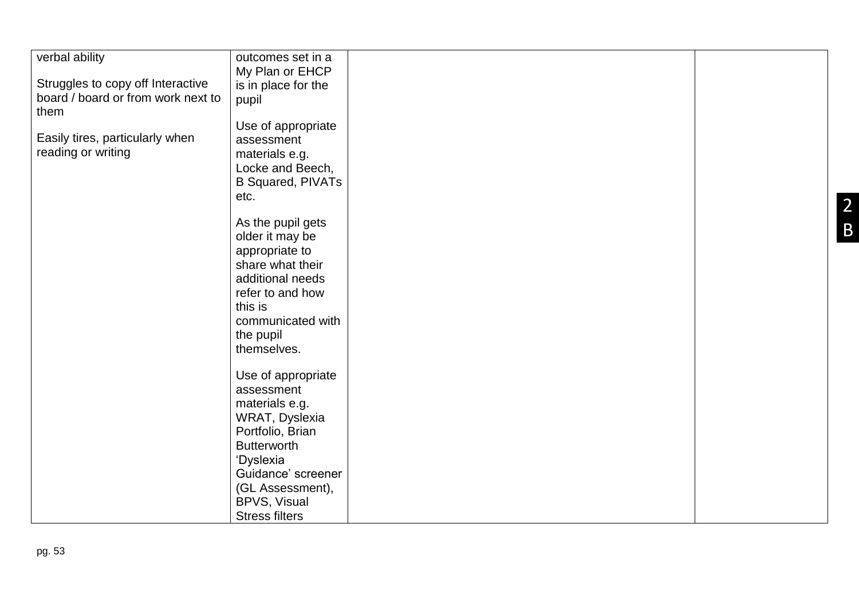| verbal ability                     | outcomes set in a        |  |                |
|------------------------------------|--------------------------|--|----------------|
|                                    | My Plan or EHCP          |  |                |
| Struggles to copy off Interactive  | is in place for the      |  |                |
| board / board or from work next to | pupil                    |  |                |
| them                               |                          |  |                |
|                                    | Use of appropriate       |  |                |
| Easily tires, particularly when    | assessment               |  |                |
| reading or writing                 | materials e.g.           |  |                |
|                                    | Locke and Beech,         |  |                |
|                                    | <b>B Squared, PIVATs</b> |  |                |
|                                    |                          |  |                |
|                                    | etc.                     |  | $\overline{2}$ |
|                                    | As the pupil gets        |  |                |
|                                    |                          |  | $\mathsf B$    |
|                                    | older it may be          |  |                |
|                                    | appropriate to           |  |                |
|                                    | share what their         |  |                |
|                                    | additional needs         |  |                |
|                                    | refer to and how         |  |                |
|                                    | this is                  |  |                |
|                                    | communicated with        |  |                |
|                                    | the pupil                |  |                |
|                                    | themselves.              |  |                |
|                                    |                          |  |                |
|                                    | Use of appropriate       |  |                |
|                                    | assessment               |  |                |
|                                    | materials e.g.           |  |                |
|                                    | WRAT, Dyslexia           |  |                |
|                                    | Portfolio, Brian         |  |                |
|                                    | <b>Butterworth</b>       |  |                |
|                                    | 'Dyslexia                |  |                |
|                                    | Guidance' screener       |  |                |
|                                    | (GL Assessment),         |  |                |
|                                    | <b>BPVS, Visual</b>      |  |                |
|                                    | <b>Stress filters</b>    |  |                |
|                                    |                          |  |                |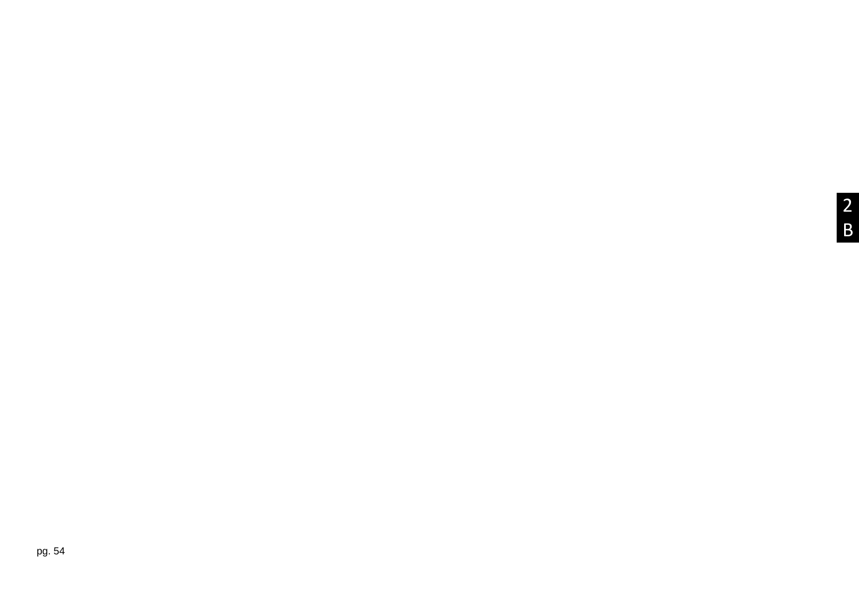$12B$  $\begin{array}{c} 2 \\ B \end{array}$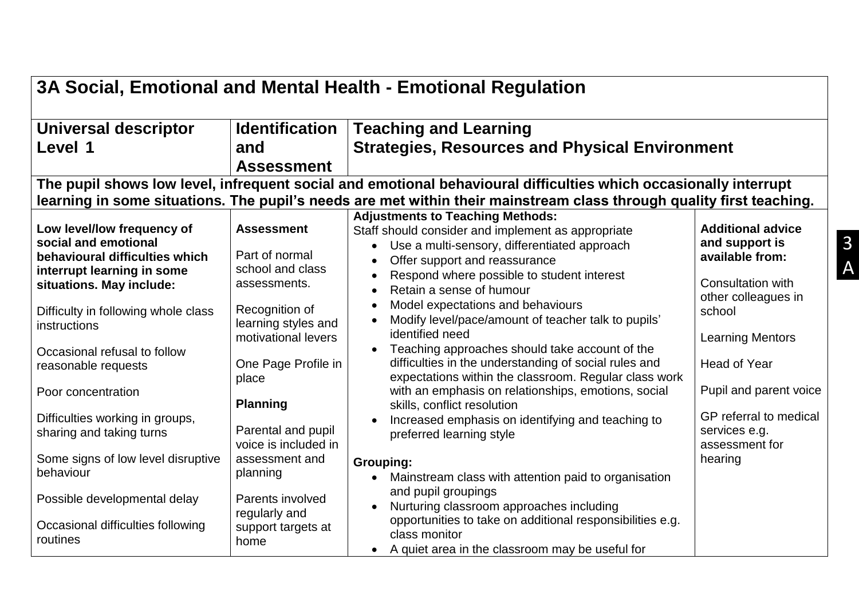| 3A Social, Emotional and Mental Health - Emotional Regulation                        |                                                                 |                                                                                                                                                                                                           |                                                               |
|--------------------------------------------------------------------------------------|-----------------------------------------------------------------|-----------------------------------------------------------------------------------------------------------------------------------------------------------------------------------------------------------|---------------------------------------------------------------|
| <b>Universal descriptor</b><br>Level 1                                               | <b>Identification</b><br>and<br><b>Assessment</b>               | <b>Teaching and Learning</b><br><b>Strategies, Resources and Physical Environment</b><br>The pupil shows low level, infrequent social and emotional behavioural difficulties which occasionally interrupt |                                                               |
|                                                                                      |                                                                 | learning in some situations. The pupil's needs are met within their mainstream class through quality first teaching.                                                                                      |                                                               |
| Low level/low frequency of<br>social and emotional<br>behavioural difficulties which | <b>Assessment</b><br>Part of normal                             | <b>Adjustments to Teaching Methods:</b><br>Staff should consider and implement as appropriate<br>Use a multi-sensory, differentiated approach<br>Offer support and reassurance                            | <b>Additional advice</b><br>and support is<br>available from: |
| interrupt learning in some<br>situations. May include:                               | school and class<br>assessments.                                | Respond where possible to student interest<br>Retain a sense of humour                                                                                                                                    | <b>Consultation with</b><br>other colleagues in               |
| Difficulty in following whole class<br>instructions                                  | Recognition of<br>learning styles and<br>motivational levers    | Model expectations and behaviours<br>Modify level/pace/amount of teacher talk to pupils'<br>identified need                                                                                               | school<br><b>Learning Mentors</b>                             |
| Occasional refusal to follow<br>reasonable requests                                  | One Page Profile in<br>place                                    | Teaching approaches should take account of the<br>difficulties in the understanding of social rules and<br>expectations within the classroom. Regular class work                                          | <b>Head of Year</b>                                           |
| Poor concentration                                                                   | <b>Planning</b>                                                 | with an emphasis on relationships, emotions, social<br>skills, conflict resolution                                                                                                                        | Pupil and parent voice                                        |
| Difficulties working in groups,<br>sharing and taking turns                          | Parental and pupil<br>voice is included in                      | Increased emphasis on identifying and teaching to<br>preferred learning style                                                                                                                             | GP referral to medical<br>services e.g.<br>assessment for     |
| Some signs of low level disruptive<br>behaviour                                      | assessment and<br>planning                                      | Grouping:<br>Mainstream class with attention paid to organisation<br>$\bullet$                                                                                                                            | hearing                                                       |
| Possible developmental delay<br>Occasional difficulties following<br>routines        | Parents involved<br>regularly and<br>support targets at<br>home | and pupil groupings<br>Nurturing classroom approaches including<br>opportunities to take on additional responsibilities e.g.<br>class monitor<br>A quiet area in the classroom may be useful for          |                                                               |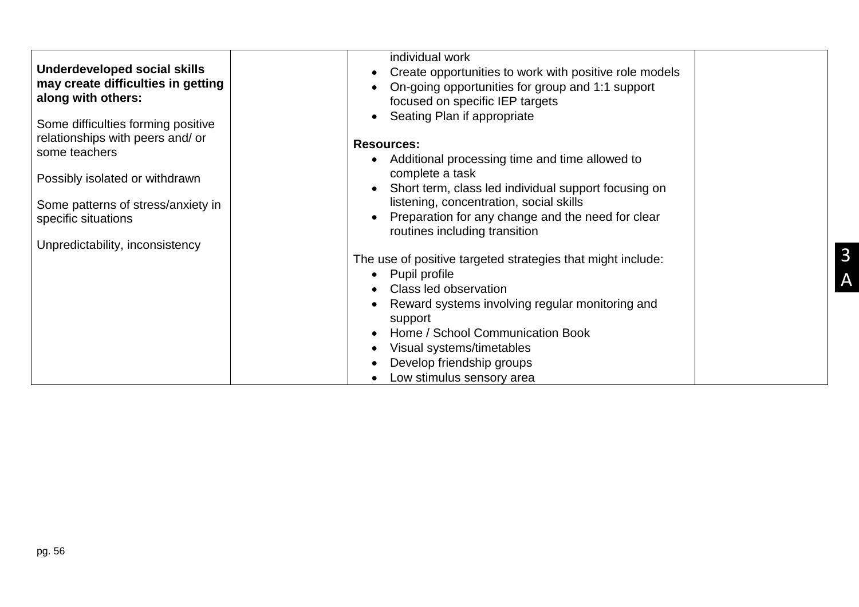| Underdeveloped social skills<br>may create difficulties in getting<br>along with others:<br>Some difficulties forming positive<br>relationships with peers and/ or<br>some teachers<br>Possibly isolated or withdrawn<br>Some patterns of stress/anxiety in<br>specific situations<br>Unpredictability, inconsistency | individual work<br>Create opportunities to work with positive role models<br>On-going opportunities for group and 1:1 support<br>focused on specific IEP targets<br>Seating Plan if appropriate<br><b>Resources:</b><br>Additional processing time and time allowed to<br>complete a task<br>Short term, class led individual support focusing on<br>listening, concentration, social skills<br>Preparation for any change and the need for clear<br>routines including transition<br>The use of positive targeted strategies that might include:<br>Pupil profile |
|-----------------------------------------------------------------------------------------------------------------------------------------------------------------------------------------------------------------------------------------------------------------------------------------------------------------------|--------------------------------------------------------------------------------------------------------------------------------------------------------------------------------------------------------------------------------------------------------------------------------------------------------------------------------------------------------------------------------------------------------------------------------------------------------------------------------------------------------------------------------------------------------------------|
|                                                                                                                                                                                                                                                                                                                       | Class led observation<br>Reward systems involving regular monitoring and<br>support<br>Home / School Communication Book<br>Visual systems/timetables<br>Develop friendship groups<br>Low stimulus sensory area                                                                                                                                                                                                                                                                                                                                                     |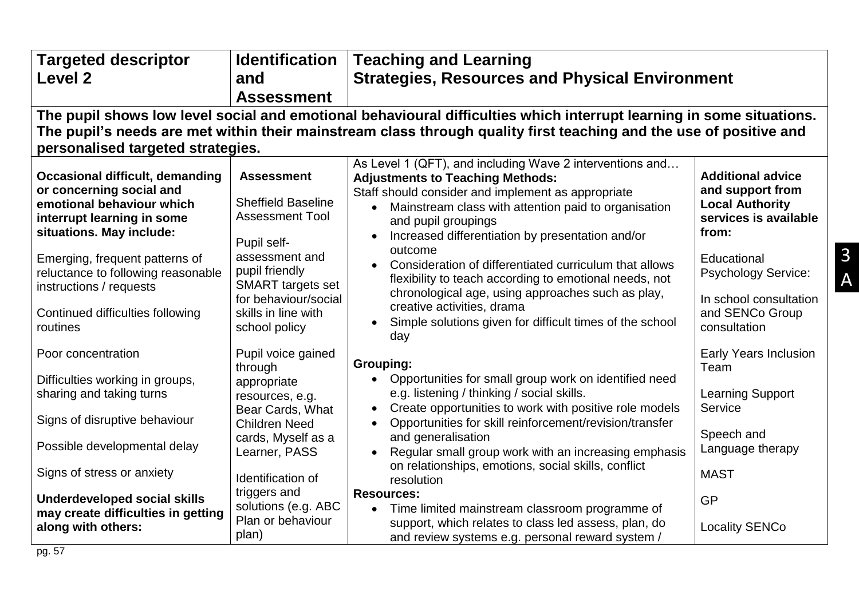| <b>Targeted descriptor</b>                                                                                                                                                                                                                                                                       | <b>Identification</b>                                                                                                                                                                                  | <b>Teaching and Learning</b>                                                                                                                                                                                                                                                                                                                                                                                                                                                                                                                                                            |                                                                                                                                                                                                                    |
|--------------------------------------------------------------------------------------------------------------------------------------------------------------------------------------------------------------------------------------------------------------------------------------------------|--------------------------------------------------------------------------------------------------------------------------------------------------------------------------------------------------------|-----------------------------------------------------------------------------------------------------------------------------------------------------------------------------------------------------------------------------------------------------------------------------------------------------------------------------------------------------------------------------------------------------------------------------------------------------------------------------------------------------------------------------------------------------------------------------------------|--------------------------------------------------------------------------------------------------------------------------------------------------------------------------------------------------------------------|
| Level <sub>2</sub>                                                                                                                                                                                                                                                                               | and                                                                                                                                                                                                    | <b>Strategies, Resources and Physical Environment</b>                                                                                                                                                                                                                                                                                                                                                                                                                                                                                                                                   |                                                                                                                                                                                                                    |
|                                                                                                                                                                                                                                                                                                  | <b>Assessment</b>                                                                                                                                                                                      |                                                                                                                                                                                                                                                                                                                                                                                                                                                                                                                                                                                         |                                                                                                                                                                                                                    |
|                                                                                                                                                                                                                                                                                                  |                                                                                                                                                                                                        | The pupil shows low level social and emotional behavioural difficulties which interrupt learning in some situations.                                                                                                                                                                                                                                                                                                                                                                                                                                                                    |                                                                                                                                                                                                                    |
|                                                                                                                                                                                                                                                                                                  |                                                                                                                                                                                                        | The pupil's needs are met within their mainstream class through quality first teaching and the use of positive and                                                                                                                                                                                                                                                                                                                                                                                                                                                                      |                                                                                                                                                                                                                    |
| personalised targeted strategies.                                                                                                                                                                                                                                                                |                                                                                                                                                                                                        |                                                                                                                                                                                                                                                                                                                                                                                                                                                                                                                                                                                         |                                                                                                                                                                                                                    |
| <b>Occasional difficult, demanding</b><br>or concerning social and<br>emotional behaviour which<br>interrupt learning in some<br>situations. May include:<br>Emerging, frequent patterns of<br>reluctance to following reasonable<br>instructions / requests<br>Continued difficulties following | <b>Assessment</b><br><b>Sheffield Baseline</b><br><b>Assessment Tool</b><br>Pupil self-<br>assessment and<br>pupil friendly<br><b>SMART</b> targets set<br>for behaviour/social<br>skills in line with | As Level 1 (QFT), and including Wave 2 interventions and<br><b>Adjustments to Teaching Methods:</b><br>Staff should consider and implement as appropriate<br>Mainstream class with attention paid to organisation<br>and pupil groupings<br>Increased differentiation by presentation and/or<br>outcome<br>Consideration of differentiated curriculum that allows<br>$\bullet$<br>flexibility to teach according to emotional needs, not<br>chronological age, using approaches such as play,<br>creative activities, drama<br>Simple solutions given for difficult times of the school | <b>Additional advice</b><br>and support from<br><b>Local Authority</b><br>services is available<br>from:<br>Educational<br><b>Psychology Service:</b><br>In school consultation<br>and SENCo Group<br>consultation |
| routines<br>Poor concentration                                                                                                                                                                                                                                                                   | school policy<br>Pupil voice gained<br>through                                                                                                                                                         | day<br><b>Grouping:</b>                                                                                                                                                                                                                                                                                                                                                                                                                                                                                                                                                                 | <b>Early Years Inclusion</b><br>Team                                                                                                                                                                               |
| Difficulties working in groups,<br>sharing and taking turns                                                                                                                                                                                                                                      | appropriate<br>resources, e.g.<br>Bear Cards, What                                                                                                                                                     | Opportunities for small group work on identified need<br>e.g. listening / thinking / social skills.<br>Create opportunities to work with positive role models<br>$\bullet$                                                                                                                                                                                                                                                                                                                                                                                                              | <b>Learning Support</b><br>Service                                                                                                                                                                                 |
| Signs of disruptive behaviour                                                                                                                                                                                                                                                                    | <b>Children Need</b>                                                                                                                                                                                   | Opportunities for skill reinforcement/revision/transfer                                                                                                                                                                                                                                                                                                                                                                                                                                                                                                                                 |                                                                                                                                                                                                                    |
| Possible developmental delay                                                                                                                                                                                                                                                                     | cards, Myself as a<br>Learner, PASS                                                                                                                                                                    | and generalisation<br>Regular small group work with an increasing emphasis                                                                                                                                                                                                                                                                                                                                                                                                                                                                                                              | Speech and<br>Language therapy                                                                                                                                                                                     |
| Signs of stress or anxiety                                                                                                                                                                                                                                                                       | Identification of                                                                                                                                                                                      | on relationships, emotions, social skills, conflict<br>resolution                                                                                                                                                                                                                                                                                                                                                                                                                                                                                                                       | <b>MAST</b>                                                                                                                                                                                                        |
| <b>Underdeveloped social skills</b><br>may create difficulties in getting<br>along with others:                                                                                                                                                                                                  | triggers and<br>solutions (e.g. ABC<br>Plan or behaviour<br>plan)                                                                                                                                      | <b>Resources:</b><br>Time limited mainstream classroom programme of<br>$\bullet$<br>support, which relates to class led assess, plan, do<br>and review systems e.g. personal reward system /                                                                                                                                                                                                                                                                                                                                                                                            | GP<br><b>Locality SENCo</b>                                                                                                                                                                                        |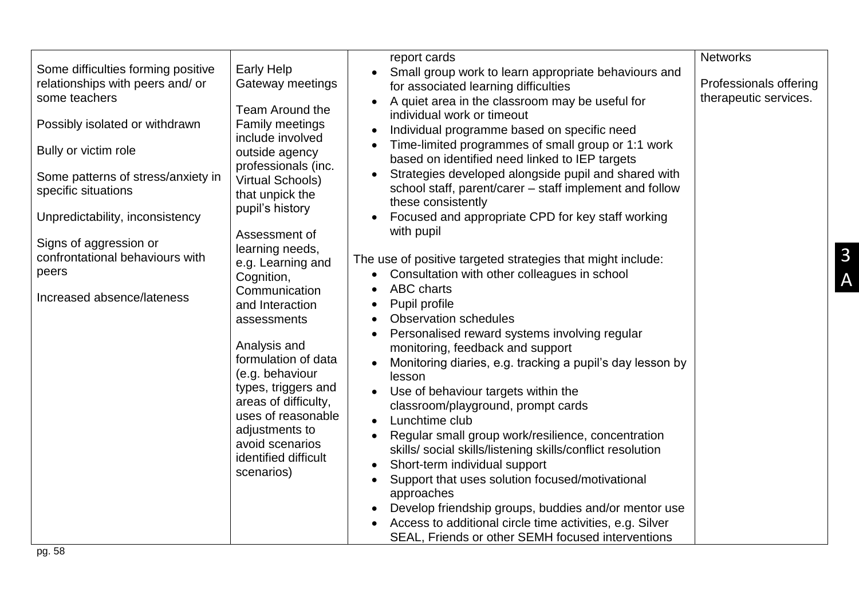|                                                                                                                                                                                                                                                                                                                                                                                                                                                                                                                                                                                                                                                                                                                                                                                                                                                                                                               | report cards                                                                                                                                                                                                                                                                                                                                                                                                                                                                                                                                                                                                                                                                                                                                                                                                                                                                                                                                                                                                                                                                                                                                                                                                                                                                                                                                                                             | <b>Networks</b>                                 |
|---------------------------------------------------------------------------------------------------------------------------------------------------------------------------------------------------------------------------------------------------------------------------------------------------------------------------------------------------------------------------------------------------------------------------------------------------------------------------------------------------------------------------------------------------------------------------------------------------------------------------------------------------------------------------------------------------------------------------------------------------------------------------------------------------------------------------------------------------------------------------------------------------------------|------------------------------------------------------------------------------------------------------------------------------------------------------------------------------------------------------------------------------------------------------------------------------------------------------------------------------------------------------------------------------------------------------------------------------------------------------------------------------------------------------------------------------------------------------------------------------------------------------------------------------------------------------------------------------------------------------------------------------------------------------------------------------------------------------------------------------------------------------------------------------------------------------------------------------------------------------------------------------------------------------------------------------------------------------------------------------------------------------------------------------------------------------------------------------------------------------------------------------------------------------------------------------------------------------------------------------------------------------------------------------------------|-------------------------------------------------|
| <b>Early Help</b><br>Some difficulties forming positive<br>relationships with peers and/ or<br>Gateway meetings<br>some teachers<br>Team Around the<br><b>Family meetings</b><br>Possibly isolated or withdrawn<br>include involved<br>Bully or victim role<br>outside agency<br>professionals (inc.<br>Some patterns of stress/anxiety in<br><b>Virtual Schools)</b><br>specific situations<br>that unpick the<br>pupil's history<br>Unpredictability, inconsistency<br>Assessment of<br>Signs of aggression or<br>learning needs,<br>confrontational behaviours with<br>e.g. Learning and<br>peers<br>Cognition,<br>Communication<br>Increased absence/lateness<br>and Interaction<br>assessments<br>Analysis and<br>formulation of data<br>(e.g. behaviour<br>types, triggers and<br>areas of difficulty,<br>uses of reasonable<br>adjustments to<br>avoid scenarios<br>identified difficult<br>scenarios) | Small group work to learn appropriate behaviours and<br>for associated learning difficulties<br>A quiet area in the classroom may be useful for<br>individual work or timeout<br>Individual programme based on specific need<br>Time-limited programmes of small group or 1:1 work<br>based on identified need linked to IEP targets<br>Strategies developed alongside pupil and shared with<br>school staff, parent/carer - staff implement and follow<br>these consistently<br>Focused and appropriate CPD for key staff working<br>with pupil<br>The use of positive targeted strategies that might include:<br>Consultation with other colleagues in school<br>ABC charts<br>Pupil profile<br><b>Observation schedules</b><br>Personalised reward systems involving regular<br>monitoring, feedback and support<br>Monitoring diaries, e.g. tracking a pupil's day lesson by<br>lesson<br>Use of behaviour targets within the<br>classroom/playground, prompt cards<br>Lunchtime club<br>Regular small group work/resilience, concentration<br>skills/ social skills/listening skills/conflict resolution<br>Short-term individual support<br>Support that uses solution focused/motivational<br>approaches<br>Develop friendship groups, buddies and/or mentor use<br>Access to additional circle time activities, e.g. Silver<br>SEAL, Friends or other SEMH focused interventions | Professionals offering<br>therapeutic services. |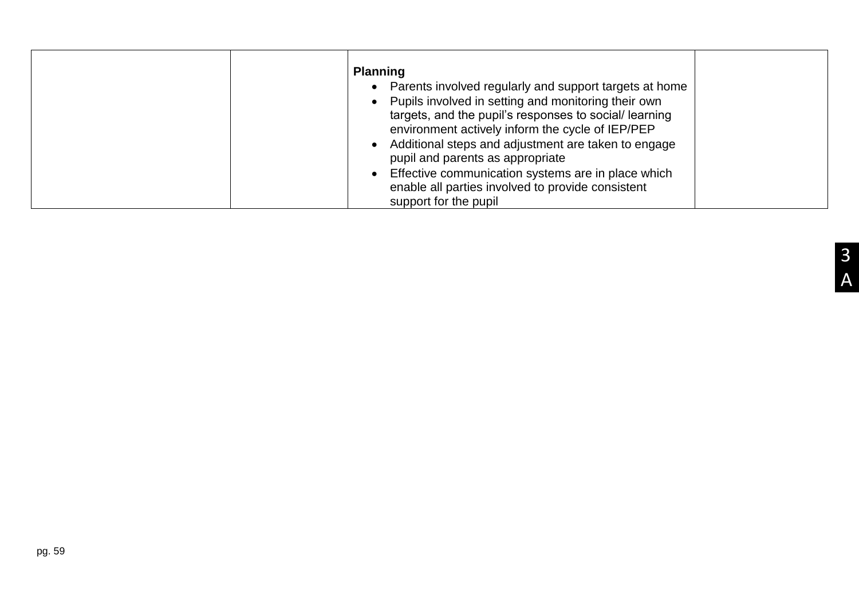| <b>Planning</b><br>Parents involved regularly and support targets at home<br>• Pupils involved in setting and monitoring their own<br>targets, and the pupil's responses to social/learning<br>environment actively inform the cycle of IEP/PEP<br>Additional steps and adjustment are taken to engage<br>pupil and parents as appropriate<br>Effective communication systems are in place which<br>enable all parties involved to provide consistent |  |
|-------------------------------------------------------------------------------------------------------------------------------------------------------------------------------------------------------------------------------------------------------------------------------------------------------------------------------------------------------------------------------------------------------------------------------------------------------|--|
| support for the pupil                                                                                                                                                                                                                                                                                                                                                                                                                                 |  |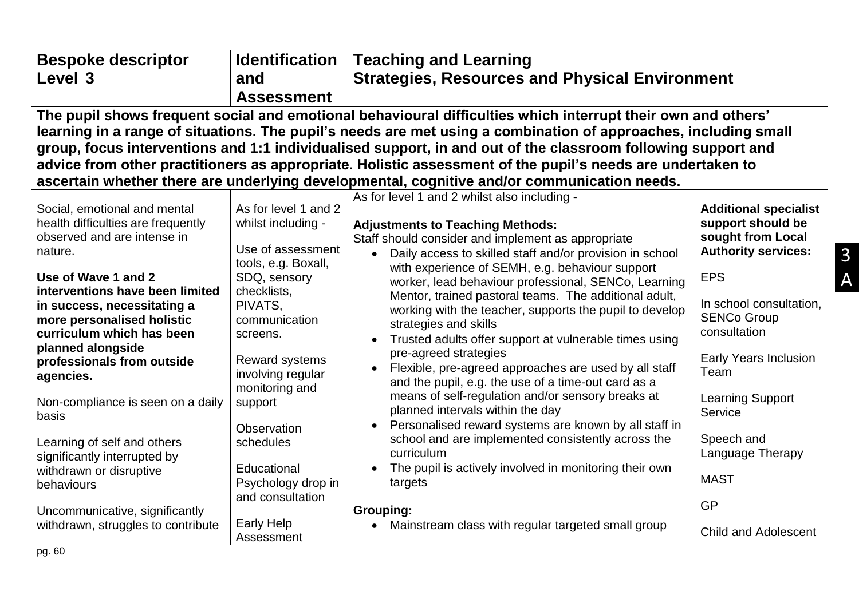| <b>Bespoke descriptor</b>                                                                                   | <b>Identification</b>                                 | <b>Teaching and Learning</b>                                                                                                                   |                                                                        |
|-------------------------------------------------------------------------------------------------------------|-------------------------------------------------------|------------------------------------------------------------------------------------------------------------------------------------------------|------------------------------------------------------------------------|
| Level 3                                                                                                     | and                                                   | <b>Strategies, Resources and Physical Environment</b>                                                                                          |                                                                        |
|                                                                                                             | <b>Assessment</b>                                     |                                                                                                                                                |                                                                        |
|                                                                                                             |                                                       | The pupil shows frequent social and emotional behavioural difficulties which interrupt their own and others'                                   |                                                                        |
|                                                                                                             |                                                       | learning in a range of situations. The pupil's needs are met using a combination of approaches, including small                                |                                                                        |
|                                                                                                             |                                                       | group, focus interventions and 1:1 individualised support, in and out of the classroom following support and                                   |                                                                        |
|                                                                                                             |                                                       | advice from other practitioners as appropriate. Holistic assessment of the pupil's needs are undertaken to                                     |                                                                        |
|                                                                                                             |                                                       | ascertain whether there are underlying developmental, cognitive and/or communication needs.                                                    |                                                                        |
| Social, emotional and mental<br>health difficulties are frequently<br>observed and are intense in           | As for level 1 and 2<br>whilst including -            | As for level 1 and 2 whilst also including -<br><b>Adjustments to Teaching Methods:</b><br>Staff should consider and implement as appropriate  | <b>Additional specialist</b><br>support should be<br>sought from Local |
| nature.                                                                                                     | Use of assessment<br>tools, e.g. Boxall,              | Daily access to skilled staff and/or provision in school<br>$\bullet$<br>with experience of SEMH, e.g. behaviour support                       | <b>Authority services:</b><br>$\mathbf{3}$                             |
| Use of Wave 1 and 2<br>interventions have been limited                                                      | SDQ, sensory<br>checklists,                           | worker, lead behaviour professional, SENCo, Learning<br>Mentor, trained pastoral teams. The additional adult,                                  | <b>EPS</b><br>A                                                        |
| in success, necessitating a<br>more personalised holistic<br>curriculum which has been<br>planned alongside | PIVATS.<br>communication<br>screens.                  | working with the teacher, supports the pupil to develop<br>strategies and skills<br>Trusted adults offer support at vulnerable times using     | In school consultation,<br><b>SENCo Group</b><br>consultation          |
| professionals from outside<br>agencies.                                                                     | Reward systems<br>involving regular<br>monitoring and | pre-agreed strategies<br>Flexible, pre-agreed approaches are used by all staff<br>and the pupil, e.g. the use of a time-out card as a          | <b>Early Years Inclusion</b><br>Team                                   |
| Non-compliance is seen on a daily<br>basis                                                                  | support<br>Observation                                | means of self-regulation and/or sensory breaks at<br>planned intervals within the day<br>Personalised reward systems are known by all staff in | <b>Learning Support</b><br>Service                                     |
| Learning of self and others<br>significantly interrupted by                                                 | schedules                                             | school and are implemented consistently across the<br>curriculum                                                                               | Speech and<br>Language Therapy                                         |
| withdrawn or disruptive<br>behaviours                                                                       | Educational<br>Psychology drop in<br>and consultation | The pupil is actively involved in monitoring their own<br>targets                                                                              | <b>MAST</b>                                                            |
| Uncommunicative, significantly                                                                              |                                                       | Grouping:                                                                                                                                      | <b>GP</b>                                                              |
| withdrawn, struggles to contribute                                                                          | Early Help<br>Assessment                              | Mainstream class with regular targeted small group<br>$\bullet$                                                                                | <b>Child and Adolescent</b>                                            |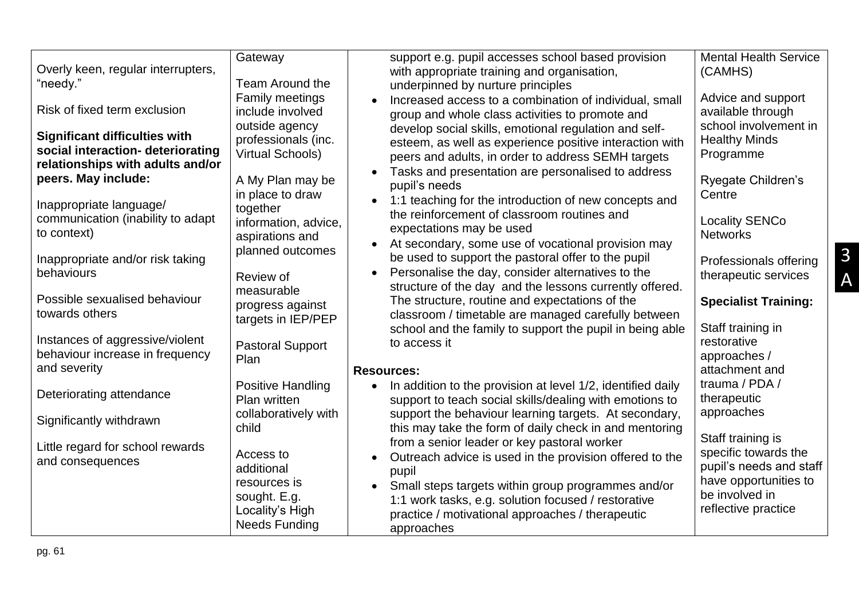| Overly keen, regular interrupters,<br>"needy."                                                            | Gateway<br>Team Around the                                                                                     | support e.g. pupil accesses school based provision<br>with appropriate training and organisation,<br>underpinned by nurture principles                                                                                                                                                         | <b>Mental Health Service</b><br>(CAMHS)                                                                           |
|-----------------------------------------------------------------------------------------------------------|----------------------------------------------------------------------------------------------------------------|------------------------------------------------------------------------------------------------------------------------------------------------------------------------------------------------------------------------------------------------------------------------------------------------|-------------------------------------------------------------------------------------------------------------------|
| Risk of fixed term exclusion<br><b>Significant difficulties with</b><br>social interaction- deteriorating | <b>Family meetings</b><br>include involved<br>outside agency<br>professionals (inc.<br><b>Virtual Schools)</b> | Increased access to a combination of individual, small<br>group and whole class activities to promote and<br>develop social skills, emotional regulation and self-<br>esteem, as well as experience positive interaction with<br>peers and adults, in order to address SEMH targets            | Advice and support<br>available through<br>school involvement in<br><b>Healthy Minds</b><br>Programme             |
| relationships with adults and/or<br>peers. May include:                                                   | A My Plan may be<br>in place to draw                                                                           | Tasks and presentation are personalised to address<br>pupil's needs<br>1:1 teaching for the introduction of new concepts and                                                                                                                                                                   | Ryegate Children's<br>Centre                                                                                      |
| Inappropriate language/<br>communication (inability to adapt<br>to context)                               | together<br>information, advice,<br>aspirations and                                                            | the reinforcement of classroom routines and<br>expectations may be used<br>At secondary, some use of vocational provision may                                                                                                                                                                  | <b>Locality SENCo</b><br><b>Networks</b>                                                                          |
| Inappropriate and/or risk taking<br>behaviours                                                            | planned outcomes<br>Review of                                                                                  | be used to support the pastoral offer to the pupil<br>Personalise the day, consider alternatives to the<br>structure of the day and the lessons currently offered.                                                                                                                             | Professionals offering<br>therapeutic services                                                                    |
| Possible sexualised behaviour<br>towards others                                                           | measurable<br>progress against<br>targets in IEP/PEP                                                           | The structure, routine and expectations of the<br>classroom / timetable are managed carefully between<br>school and the family to support the pupil in being able                                                                                                                              | <b>Specialist Training:</b><br>Staff training in                                                                  |
| Instances of aggressive/violent<br>behaviour increase in frequency<br>and severity                        | <b>Pastoral Support</b><br>Plan                                                                                | to access it<br><b>Resources:</b>                                                                                                                                                                                                                                                              | restorative<br>approaches /<br>attachment and                                                                     |
| Deteriorating attendance                                                                                  | <b>Positive Handling</b><br>Plan written<br>collaboratively with                                               | • In addition to the provision at level 1/2, identified daily<br>support to teach social skills/dealing with emotions to                                                                                                                                                                       | trauma / PDA /<br>therapeutic<br>approaches                                                                       |
| Significantly withdrawn                                                                                   | child                                                                                                          | support the behaviour learning targets. At secondary,<br>this may take the form of daily check in and mentoring                                                                                                                                                                                | Staff training is                                                                                                 |
| Little regard for school rewards<br>and consequences                                                      | Access to<br>additional<br>resources is<br>sought. E.g.<br>Locality's High<br><b>Needs Funding</b>             | from a senior leader or key pastoral worker<br>Outreach advice is used in the provision offered to the<br>pupil<br>Small steps targets within group programmes and/or<br>1:1 work tasks, e.g. solution focused / restorative<br>practice / motivational approaches / therapeutic<br>approaches | specific towards the<br>pupil's needs and staff<br>have opportunities to<br>be involved in<br>reflective practice |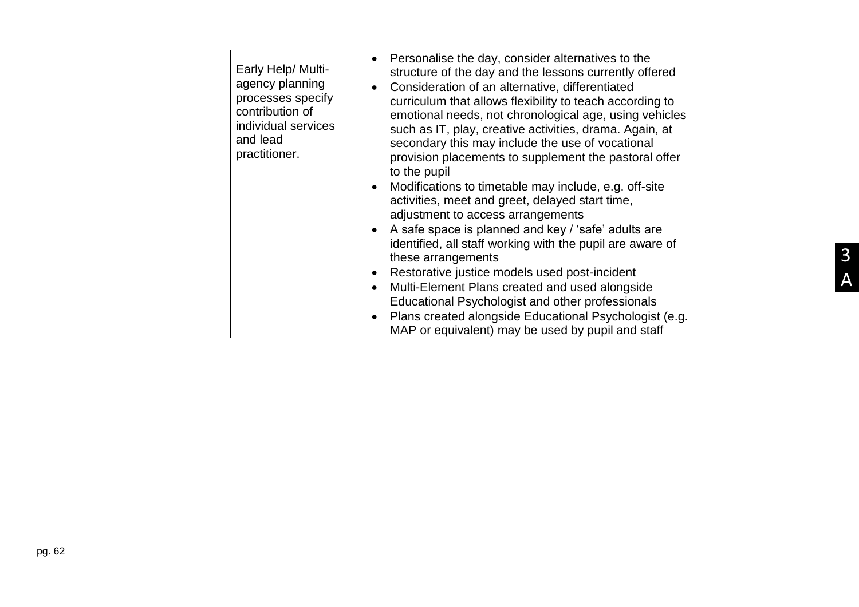| Early Help/ Multi-<br>agency planning<br>processes specify<br>contribution of<br>individual services<br>and lead<br>practitioner. | Personalise the day, consider alternatives to the<br>structure of the day and the lessons currently offered<br>Consideration of an alternative, differentiated<br>curriculum that allows flexibility to teach according to<br>emotional needs, not chronological age, using vehicles<br>such as IT, play, creative activities, drama. Again, at<br>secondary this may include the use of vocational<br>provision placements to supplement the pastoral offer<br>to the pupil<br>Modifications to timetable may include, e.g. off-site<br>activities, meet and greet, delayed start time,<br>adjustment to access arrangements<br>A safe space is planned and key / 'safe' adults are<br>identified, all staff working with the pupil are aware of<br>these arrangements<br>Restorative justice models used post-incident<br>Multi-Element Plans created and used alongside<br>Educational Psychologist and other professionals<br>Plans created alongside Educational Psychologist (e.g.<br>MAP or equivalent) may be used by pupil and staff | $\mathbf{3}$ |
|-----------------------------------------------------------------------------------------------------------------------------------|-----------------------------------------------------------------------------------------------------------------------------------------------------------------------------------------------------------------------------------------------------------------------------------------------------------------------------------------------------------------------------------------------------------------------------------------------------------------------------------------------------------------------------------------------------------------------------------------------------------------------------------------------------------------------------------------------------------------------------------------------------------------------------------------------------------------------------------------------------------------------------------------------------------------------------------------------------------------------------------------------------------------------------------------------|--------------|
|-----------------------------------------------------------------------------------------------------------------------------------|-----------------------------------------------------------------------------------------------------------------------------------------------------------------------------------------------------------------------------------------------------------------------------------------------------------------------------------------------------------------------------------------------------------------------------------------------------------------------------------------------------------------------------------------------------------------------------------------------------------------------------------------------------------------------------------------------------------------------------------------------------------------------------------------------------------------------------------------------------------------------------------------------------------------------------------------------------------------------------------------------------------------------------------------------|--------------|

1A1B2A2B3A3B4A4B4C4D

pg. 62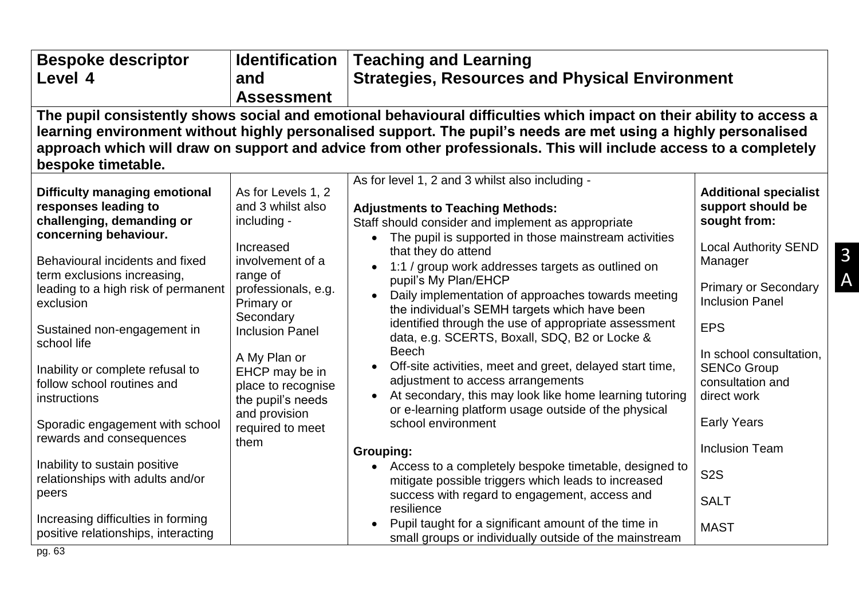| <b>Bespoke descriptor</b><br>Level 4                                                                                                                                                                                                                                                                                                                                                                        | <b>Identification</b><br>and                                                                                                                                                                                                                                                                      | <b>Teaching and Learning</b><br><b>Strategies, Resources and Physical Environment</b>                                                                                                                                                                                                                                                                                                                                                                                                                                                                                                                                                                                                                                                                                                                |                                                                                                                                                                                                                                                                                              |  |
|-------------------------------------------------------------------------------------------------------------------------------------------------------------------------------------------------------------------------------------------------------------------------------------------------------------------------------------------------------------------------------------------------------------|---------------------------------------------------------------------------------------------------------------------------------------------------------------------------------------------------------------------------------------------------------------------------------------------------|------------------------------------------------------------------------------------------------------------------------------------------------------------------------------------------------------------------------------------------------------------------------------------------------------------------------------------------------------------------------------------------------------------------------------------------------------------------------------------------------------------------------------------------------------------------------------------------------------------------------------------------------------------------------------------------------------------------------------------------------------------------------------------------------------|----------------------------------------------------------------------------------------------------------------------------------------------------------------------------------------------------------------------------------------------------------------------------------------------|--|
|                                                                                                                                                                                                                                                                                                                                                                                                             | <b>Assessment</b>                                                                                                                                                                                                                                                                                 |                                                                                                                                                                                                                                                                                                                                                                                                                                                                                                                                                                                                                                                                                                                                                                                                      |                                                                                                                                                                                                                                                                                              |  |
| The pupil consistently shows social and emotional behavioural difficulties which impact on their ability to access a<br>learning environment without highly personalised support. The pupil's needs are met using a highly personalised<br>approach which will draw on support and advice from other professionals. This will include access to a completely<br>bespoke timetable.                          |                                                                                                                                                                                                                                                                                                   |                                                                                                                                                                                                                                                                                                                                                                                                                                                                                                                                                                                                                                                                                                                                                                                                      |                                                                                                                                                                                                                                                                                              |  |
| <b>Difficulty managing emotional</b><br>responses leading to<br>challenging, demanding or<br>concerning behaviour.<br>Behavioural incidents and fixed<br>term exclusions increasing,<br>leading to a high risk of permanent<br>exclusion<br>Sustained non-engagement in<br>school life<br>Inability or complete refusal to<br>follow school routines and<br>instructions<br>Sporadic engagement with school | As for Levels 1, 2<br>and 3 whilst also<br>including -<br>Increased<br>involvement of a<br>range of<br>professionals, e.g.<br>Primary or<br>Secondary<br><b>Inclusion Panel</b><br>A My Plan or<br>EHCP may be in<br>place to recognise<br>the pupil's needs<br>and provision<br>required to meet | As for level 1, 2 and 3 whilst also including -<br><b>Adjustments to Teaching Methods:</b><br>Staff should consider and implement as appropriate<br>The pupil is supported in those mainstream activities<br>that they do attend<br>1:1 / group work addresses targets as outlined on<br>pupil's My Plan/EHCP<br>Daily implementation of approaches towards meeting<br>the individual's SEMH targets which have been<br>identified through the use of appropriate assessment<br>data, e.g. SCERTS, Boxall, SDQ, B2 or Locke &<br><b>Beech</b><br>Off-site activities, meet and greet, delayed start time,<br>adjustment to access arrangements<br>At secondary, this may look like home learning tutoring<br>$\bullet$<br>or e-learning platform usage outside of the physical<br>school environment | <b>Additional specialist</b><br>support should be<br>sought from:<br><b>Local Authority SEND</b><br>Manager<br><b>Primary or Secondary</b><br><b>Inclusion Panel</b><br><b>EPS</b><br>In school consultation,<br><b>SENCo Group</b><br>consultation and<br>direct work<br><b>Early Years</b> |  |
| rewards and consequences<br>Inability to sustain positive<br>relationships with adults and/or<br>peers                                                                                                                                                                                                                                                                                                      | them                                                                                                                                                                                                                                                                                              | <b>Grouping:</b><br>• Access to a completely bespoke timetable, designed to<br>mitigate possible triggers which leads to increased<br>success with regard to engagement, access and                                                                                                                                                                                                                                                                                                                                                                                                                                                                                                                                                                                                                  | <b>Inclusion Team</b><br><b>S2S</b><br><b>SALT</b>                                                                                                                                                                                                                                           |  |
| Increasing difficulties in forming<br>positive relationships, interacting                                                                                                                                                                                                                                                                                                                                   |                                                                                                                                                                                                                                                                                                   | resilience<br>Pupil taught for a significant amount of the time in<br>small groups or individually outside of the mainstream                                                                                                                                                                                                                                                                                                                                                                                                                                                                                                                                                                                                                                                                         | <b>MAST</b>                                                                                                                                                                                                                                                                                  |  |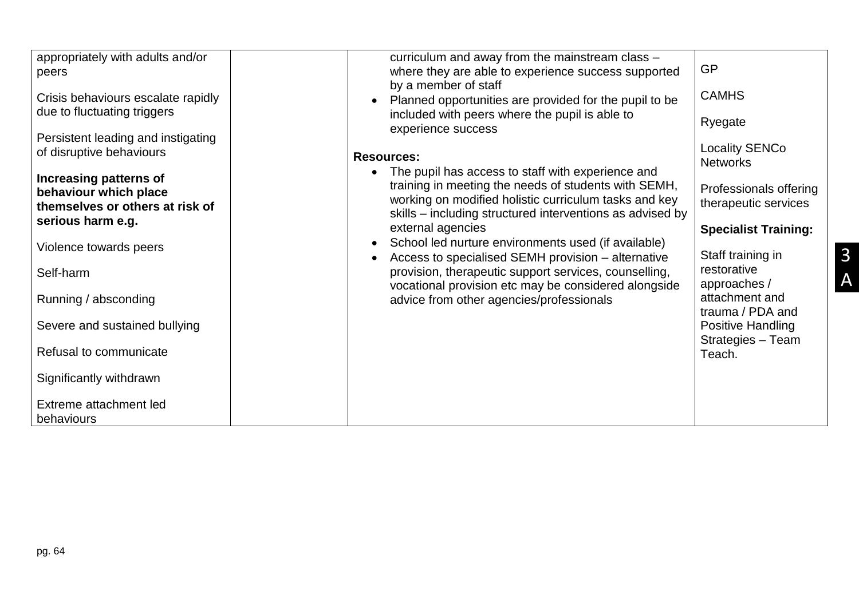| appropriately with adults and/or<br>peers                                          | curriculum and away from the mainstream class -<br>where they are able to experience success supported                                                                                                                                       | <b>GP</b>                                      |
|------------------------------------------------------------------------------------|----------------------------------------------------------------------------------------------------------------------------------------------------------------------------------------------------------------------------------------------|------------------------------------------------|
| Crisis behaviours escalate rapidly                                                 | by a member of staff<br>Planned opportunities are provided for the pupil to be                                                                                                                                                               | <b>CAMHS</b>                                   |
| due to fluctuating triggers                                                        | included with peers where the pupil is able to<br>experience success                                                                                                                                                                         | Ryegate                                        |
| Persistent leading and instigating<br>of disruptive behaviours                     | <b>Resources:</b>                                                                                                                                                                                                                            | <b>Locality SENCo</b><br><b>Networks</b>       |
| Increasing patterns of<br>behaviour which place<br>themselves or others at risk of | The pupil has access to staff with experience and<br>$\bullet$<br>training in meeting the needs of students with SEMH,<br>working on modified holistic curriculum tasks and key<br>skills – including structured interventions as advised by | Professionals offering<br>therapeutic services |
| serious harm e.g.                                                                  | external agencies<br>School led nurture environments used (if available)                                                                                                                                                                     | <b>Specialist Training:</b>                    |
| Violence towards peers                                                             | Access to specialised SEMH provision - alternative                                                                                                                                                                                           | Staff training in                              |
| Self-harm                                                                          | provision, therapeutic support services, counselling,<br>vocational provision etc may be considered alongside                                                                                                                                | restorative<br>approaches /                    |
| Running / absconding                                                               | advice from other agencies/professionals                                                                                                                                                                                                     | attachment and<br>trauma / PDA and             |
| Severe and sustained bullying                                                      |                                                                                                                                                                                                                                              | Positive Handling                              |
| Refusal to communicate                                                             |                                                                                                                                                                                                                                              | Strategies - Team<br>Teach.                    |
| Significantly withdrawn                                                            |                                                                                                                                                                                                                                              |                                                |
| Extreme attachment led<br>behaviours                                               |                                                                                                                                                                                                                                              |                                                |

1A1B2A2B3A3B4A4B4C4D

 $\frac{3}{4}$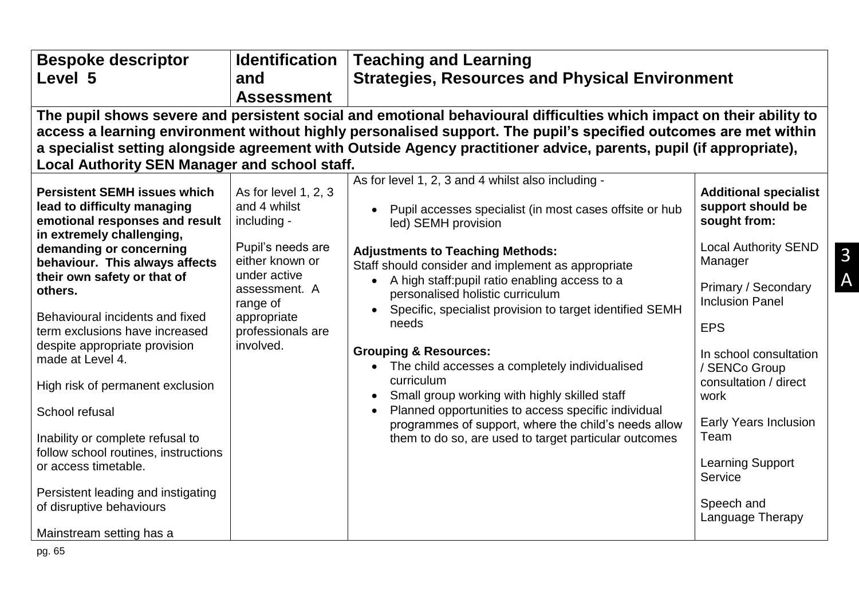| <b>Bespoke descriptor</b><br>Level 5                                                                                              | <b>Identification</b><br>and                                          | <b>Teaching and Learning</b><br><b>Strategies, Resources and Physical Environment</b>                                                                                                                                                  |                                                                                 |  |  |
|-----------------------------------------------------------------------------------------------------------------------------------|-----------------------------------------------------------------------|----------------------------------------------------------------------------------------------------------------------------------------------------------------------------------------------------------------------------------------|---------------------------------------------------------------------------------|--|--|
|                                                                                                                                   | <b>Assessment</b>                                                     |                                                                                                                                                                                                                                        |                                                                                 |  |  |
| The pupil shows severe and persistent social and emotional behavioural difficulties which impact on their ability to              |                                                                       |                                                                                                                                                                                                                                        |                                                                                 |  |  |
|                                                                                                                                   |                                                                       | access a learning environment without highly personalised support. The pupil's specified outcomes are met within<br>a specialist setting alongside agreement with Outside Agency practitioner advice, parents, pupil (if appropriate), |                                                                                 |  |  |
| <b>Local Authority SEN Manager and school staff.</b>                                                                              |                                                                       |                                                                                                                                                                                                                                        |                                                                                 |  |  |
| <b>Persistent SEMH issues which</b><br>lead to difficulty managing<br>emotional responses and result<br>in extremely challenging, | As for level 1, 2, 3<br>and 4 whilst<br>including -                   | As for level 1, 2, 3 and 4 whilst also including -<br>Pupil accesses specialist (in most cases offsite or hub<br>led) SEMH provision                                                                                                   | <b>Additional specialist</b><br>support should be<br>sought from:               |  |  |
| demanding or concerning<br>behaviour. This always affects<br>their own safety or that of                                          | Pupil's needs are<br>either known or<br>under active<br>assessment. A | <b>Adjustments to Teaching Methods:</b><br>Staff should consider and implement as appropriate<br>• A high staff: pupil ratio enabling access to a                                                                                      | <b>Local Authority SEND</b><br>Manager<br>Primary / Secondary                   |  |  |
| others.<br>Behavioural incidents and fixed<br>term exclusions have increased<br>despite appropriate provision<br>made at Level 4. | range of<br>appropriate<br>professionals are<br>involved.             | personalised holistic curriculum<br>Specific, specialist provision to target identified SEMH<br>needs<br><b>Grouping &amp; Resources:</b><br>The child accesses a completely individualised                                            | <b>Inclusion Panel</b><br><b>EPS</b><br>In school consultation<br>/ SENCo Group |  |  |
| High risk of permanent exclusion                                                                                                  |                                                                       | curriculum<br>Small group working with highly skilled staff                                                                                                                                                                            | consultation / direct<br>work                                                   |  |  |
| School refusal                                                                                                                    |                                                                       | Planned opportunities to access specific individual<br>programmes of support, where the child's needs allow                                                                                                                            | <b>Early Years Inclusion</b>                                                    |  |  |
| Inability or complete refusal to<br>follow school routines, instructions<br>or access timetable.                                  |                                                                       | them to do so, are used to target particular outcomes                                                                                                                                                                                  | Team<br><b>Learning Support</b><br>Service                                      |  |  |
| Persistent leading and instigating<br>of disruptive behaviours                                                                    |                                                                       |                                                                                                                                                                                                                                        | Speech and<br>Language Therapy                                                  |  |  |
| Mainstream setting has a                                                                                                          |                                                                       |                                                                                                                                                                                                                                        |                                                                                 |  |  |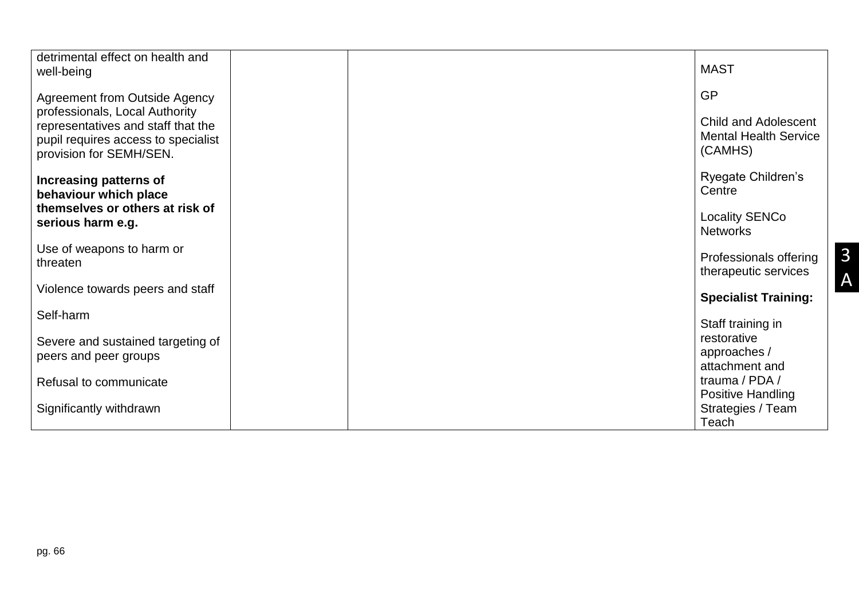| detrimental effect on health and<br>well-being                                                                                         |  | <b>MAST</b>                                                            |
|----------------------------------------------------------------------------------------------------------------------------------------|--|------------------------------------------------------------------------|
| <b>Agreement from Outside Agency</b>                                                                                                   |  | <b>GP</b>                                                              |
| professionals, Local Authority<br>representatives and staff that the<br>pupil requires access to specialist<br>provision for SEMH/SEN. |  | <b>Child and Adolescent</b><br><b>Mental Health Service</b><br>(CAMHS) |
| <b>Increasing patterns of</b><br>behaviour which place                                                                                 |  | Ryegate Children's<br>Centre                                           |
| themselves or others at risk of<br>serious harm e.g.                                                                                   |  | <b>Locality SENCo</b><br><b>Networks</b>                               |
| Use of weapons to harm or<br>threaten                                                                                                  |  | Professionals offering<br>therapeutic services                         |
| Violence towards peers and staff                                                                                                       |  | <b>Specialist Training:</b>                                            |
| Self-harm                                                                                                                              |  | Staff training in                                                      |
| Severe and sustained targeting of<br>peers and peer groups                                                                             |  | restorative<br>approaches /<br>attachment and                          |
| Refusal to communicate                                                                                                                 |  | trauma / PDA /                                                         |
| Significantly withdrawn                                                                                                                |  | <b>Positive Handling</b><br>Strategies / Team<br>Teach                 |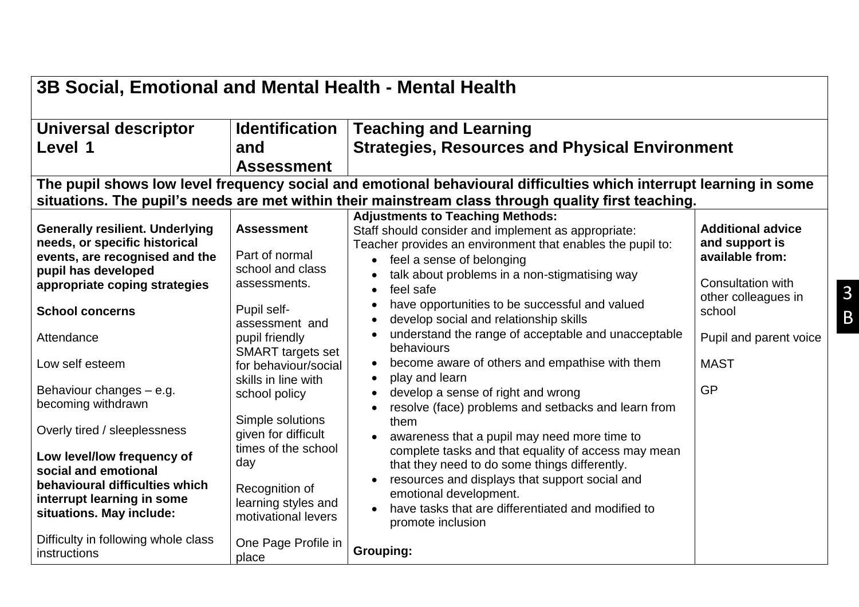| <b>3B Social, Emotional and Mental Health - Mental Health</b>                                                                                                                                        |                                                                                                                                                        |                                                                                                                                                                                                                                                                                                                                                                                                               |                                                                                           |
|------------------------------------------------------------------------------------------------------------------------------------------------------------------------------------------------------|--------------------------------------------------------------------------------------------------------------------------------------------------------|---------------------------------------------------------------------------------------------------------------------------------------------------------------------------------------------------------------------------------------------------------------------------------------------------------------------------------------------------------------------------------------------------------------|-------------------------------------------------------------------------------------------|
| <b>Universal descriptor</b><br>Level 1                                                                                                                                                               | <b>Identification</b><br>and<br><b>Assessment</b>                                                                                                      | <b>Teaching and Learning</b><br><b>Strategies, Resources and Physical Environment</b>                                                                                                                                                                                                                                                                                                                         |                                                                                           |
|                                                                                                                                                                                                      |                                                                                                                                                        | The pupil shows low level frequency social and emotional behavioural difficulties which interrupt learning in some<br>situations. The pupil's needs are met within their mainstream class through quality first teaching.                                                                                                                                                                                     |                                                                                           |
| <b>Generally resilient. Underlying</b><br>needs, or specific historical<br>events, are recognised and the<br>pupil has developed<br>appropriate coping strategies                                    | <b>Assessment</b><br>Part of normal<br>school and class<br>assessments.                                                                                | <b>Adjustments to Teaching Methods:</b><br>Staff should consider and implement as appropriate:<br>Teacher provides an environment that enables the pupil to:<br>feel a sense of belonging<br>talk about problems in a non-stigmatising way<br>feel safe                                                                                                                                                       | <b>Additional advice</b><br>and support is<br>available from:<br><b>Consultation with</b> |
| <b>School concerns</b><br>Attendance<br>Low self esteem                                                                                                                                              | Pupil self-<br>assessment and<br>pupil friendly<br><b>SMART</b> targets set<br>for behaviour/social                                                    | have opportunities to be successful and valued<br>develop social and relationship skills<br>understand the range of acceptable and unacceptable<br>behaviours<br>become aware of others and empathise with them                                                                                                                                                                                               | other colleagues in<br>school<br>Pupil and parent voice<br><b>MAST</b>                    |
| Behaviour changes - e.g.<br>becoming withdrawn<br>Overly tired / sleeplessness<br>Low level/low frequency of<br>social and emotional<br>behavioural difficulties which<br>interrupt learning in some | skills in line with<br>school policy<br>Simple solutions<br>given for difficult<br>times of the school<br>day<br>Recognition of<br>learning styles and | play and learn<br>develop a sense of right and wrong<br>resolve (face) problems and setbacks and learn from<br>them<br>awareness that a pupil may need more time to<br>complete tasks and that equality of access may mean<br>that they need to do some things differently.<br>resources and displays that support social and<br>emotional development.<br>have tasks that are differentiated and modified to | <b>GP</b>                                                                                 |
| situations. May include:<br>Difficulty in following whole class<br>instructions                                                                                                                      | motivational levers<br>One Page Profile in<br>place                                                                                                    | promote inclusion<br><b>Grouping:</b>                                                                                                                                                                                                                                                                                                                                                                         |                                                                                           |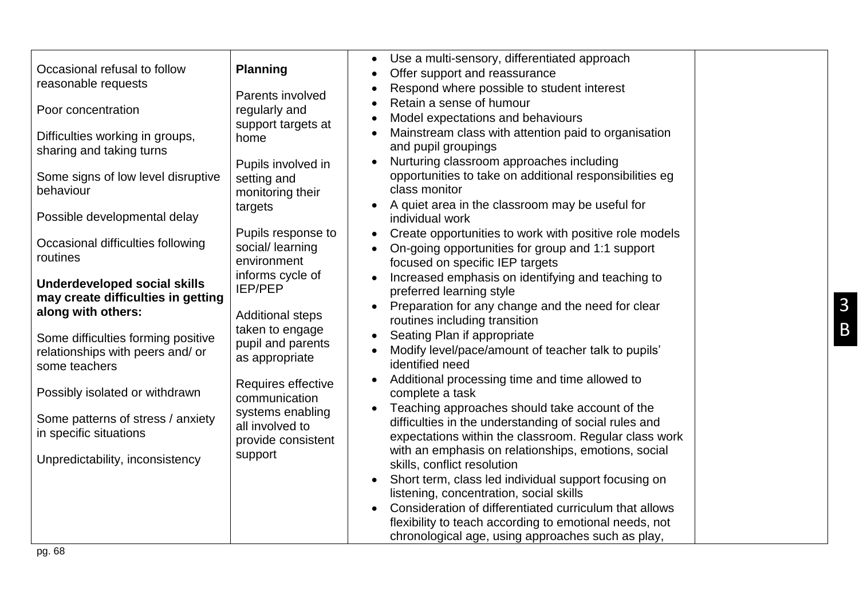| Occasional refusal to follow                                                            | <b>Planning</b>                                           | Use a multi-sensory, differentiated approach<br>$\bullet$<br>Offer support and reassurance                                                                                    |  |
|-----------------------------------------------------------------------------------------|-----------------------------------------------------------|-------------------------------------------------------------------------------------------------------------------------------------------------------------------------------|--|
| reasonable requests                                                                     | Parents involved                                          | Respond where possible to student interest<br>Retain a sense of humour                                                                                                        |  |
| Poor concentration                                                                      | regularly and<br>support targets at                       | Model expectations and behaviours<br>Mainstream class with attention paid to organisation                                                                                     |  |
| Difficulties working in groups,<br>sharing and taking turns                             | home                                                      | and pupil groupings                                                                                                                                                           |  |
| Some signs of low level disruptive<br>behaviour                                         | Pupils involved in<br>setting and<br>monitoring their     | Nurturing classroom approaches including<br>opportunities to take on additional responsibilities eg<br>class monitor                                                          |  |
| Possible developmental delay                                                            | targets                                                   | A quiet area in the classroom may be useful for<br>$\bullet$<br>individual work                                                                                               |  |
| Occasional difficulties following<br>routines                                           | Pupils response to<br>social/ learning<br>environment     | Create opportunities to work with positive role models<br>$\bullet$<br>On-going opportunities for group and 1:1 support<br>focused on specific IEP targets                    |  |
| Underdeveloped social skills<br>may create difficulties in getting                      | informs cycle of<br><b>IEP/PEP</b>                        | Increased emphasis on identifying and teaching to<br>preferred learning style                                                                                                 |  |
| along with others:                                                                      | <b>Additional steps</b>                                   | Preparation for any change and the need for clear<br>routines including transition                                                                                            |  |
| Some difficulties forming positive<br>relationships with peers and/ or<br>some teachers | taken to engage<br>pupil and parents<br>as appropriate    | Seating Plan if appropriate<br>Modify level/pace/amount of teacher talk to pupils'<br>identified need                                                                         |  |
| Possibly isolated or withdrawn                                                          | Requires effective<br>communication                       | Additional processing time and time allowed to<br>complete a task                                                                                                             |  |
| Some patterns of stress / anxiety<br>in specific situations                             | systems enabling<br>all involved to<br>provide consistent | Teaching approaches should take account of the<br>$\bullet$<br>difficulties in the understanding of social rules and<br>expectations within the classroom. Regular class work |  |
| Unpredictability, inconsistency                                                         | support                                                   | with an emphasis on relationships, emotions, social<br>skills, conflict resolution                                                                                            |  |
|                                                                                         |                                                           | Short term, class led individual support focusing on<br>listening, concentration, social skills                                                                               |  |
|                                                                                         |                                                           | Consideration of differentiated curriculum that allows<br>$\bullet$<br>flexibility to teach according to emotional needs, not                                                 |  |
|                                                                                         |                                                           | chronological age, using approaches such as play,                                                                                                                             |  |

 $\overline{A}$ 

 $\frac{3}{B}$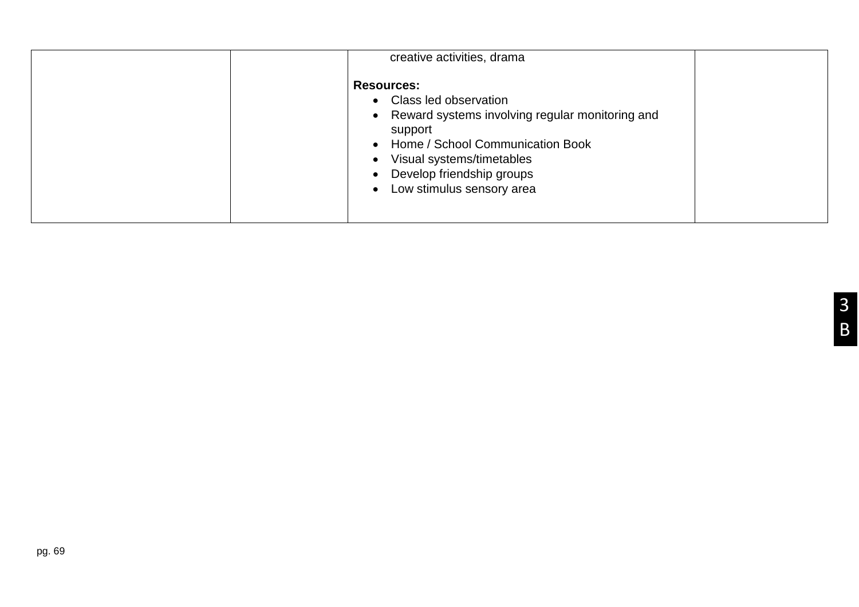| creative activities, drama                                                                                                                                                                                                                                          |  |
|---------------------------------------------------------------------------------------------------------------------------------------------------------------------------------------------------------------------------------------------------------------------|--|
| <b>Resources:</b><br>• Class led observation<br>• Reward systems involving regular monitoring and<br>support<br>• Home / School Communication Book<br>Visual systems/timetables<br>Develop friendship groups<br>$\bullet$<br>Low stimulus sensory area<br>$\bullet$ |  |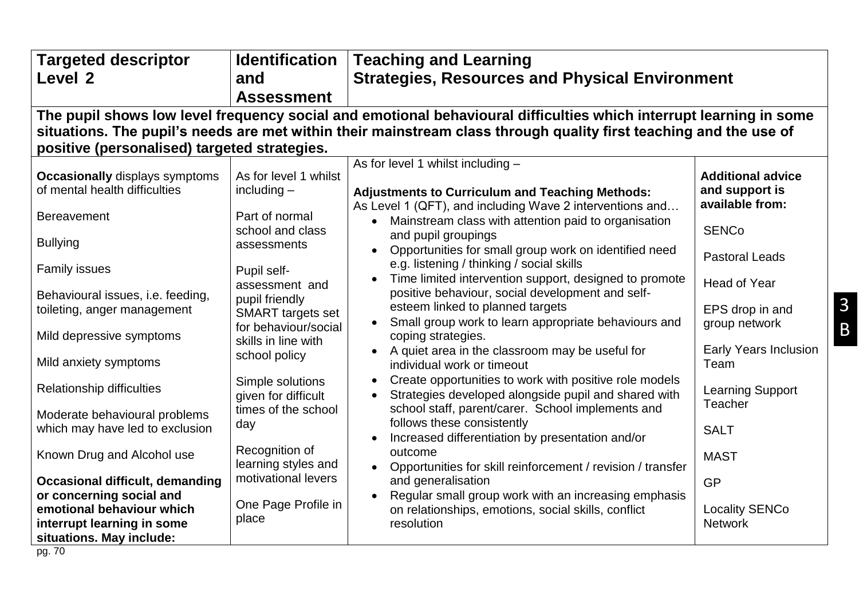| <b>Targeted descriptor</b><br>Level 2                                                                                                                                                   | <b>Identification</b><br>and                                                                                                                | <b>Teaching and Learning</b><br><b>Strategies, Resources and Physical Environment</b>                                                                                                                                                                                                                                                                      |                                                                                          |
|-----------------------------------------------------------------------------------------------------------------------------------------------------------------------------------------|---------------------------------------------------------------------------------------------------------------------------------------------|------------------------------------------------------------------------------------------------------------------------------------------------------------------------------------------------------------------------------------------------------------------------------------------------------------------------------------------------------------|------------------------------------------------------------------------------------------|
|                                                                                                                                                                                         | <b>Assessment</b>                                                                                                                           |                                                                                                                                                                                                                                                                                                                                                            |                                                                                          |
|                                                                                                                                                                                         |                                                                                                                                             | The pupil shows low level frequency social and emotional behavioural difficulties which interrupt learning in some                                                                                                                                                                                                                                         |                                                                                          |
|                                                                                                                                                                                         |                                                                                                                                             | situations. The pupil's needs are met within their mainstream class through quality first teaching and the use of                                                                                                                                                                                                                                          |                                                                                          |
| positive (personalised) targeted strategies.                                                                                                                                            |                                                                                                                                             |                                                                                                                                                                                                                                                                                                                                                            |                                                                                          |
| <b>Occasionally displays symptoms</b><br>of mental health difficulties<br><b>Bereavement</b>                                                                                            | As for level 1 whilst<br>$including -$<br>Part of normal                                                                                    | As for level 1 whilst including -<br><b>Adjustments to Curriculum and Teaching Methods:</b><br>As Level 1 (QFT), and including Wave 2 interventions and<br>Mainstream class with attention paid to organisation                                                                                                                                            | <b>Additional advice</b><br>and support is<br>available from:                            |
| <b>Bullying</b>                                                                                                                                                                         | school and class<br>assessments                                                                                                             | and pupil groupings<br>Opportunities for small group work on identified need                                                                                                                                                                                                                                                                               | <b>SENCo</b><br><b>Pastoral Leads</b>                                                    |
| <b>Family issues</b><br>Behavioural issues, i.e. feeding,<br>toileting, anger management<br>Mild depressive symptoms<br>Mild anxiety symptoms                                           | Pupil self-<br>assessment and<br>pupil friendly<br><b>SMART</b> targets set<br>for behaviour/social<br>skills in line with<br>school policy | e.g. listening / thinking / social skills<br>Time limited intervention support, designed to promote<br>positive behaviour, social development and self-<br>esteem linked to planned targets<br>Small group work to learn appropriate behaviours and<br>coping strategies.<br>A quiet area in the classroom may be useful for<br>individual work or timeout | Head of Year<br>EPS drop in and<br>group network<br><b>Early Years Inclusion</b><br>Team |
| Relationship difficulties<br>Moderate behavioural problems<br>which may have led to exclusion                                                                                           | Simple solutions<br>given for difficult<br>times of the school<br>day                                                                       | Create opportunities to work with positive role models<br>Strategies developed alongside pupil and shared with<br>school staff, parent/carer. School implements and<br>follows these consistently<br>Increased differentiation by presentation and/or                                                                                                      | <b>Learning Support</b><br>Teacher<br><b>SALT</b>                                        |
| Known Drug and Alcohol use<br><b>Occasional difficult, demanding</b><br>or concerning social and<br>emotional behaviour which<br>interrupt learning in some<br>situations. May include: | Recognition of<br>learning styles and<br>motivational levers<br>One Page Profile in<br>place                                                | outcome<br>Opportunities for skill reinforcement / revision / transfer<br>and generalisation<br>Regular small group work with an increasing emphasis<br>on relationships, emotions, social skills, conflict<br>resolution                                                                                                                                  | <b>MAST</b><br>GP<br><b>Locality SENCo</b><br><b>Network</b>                             |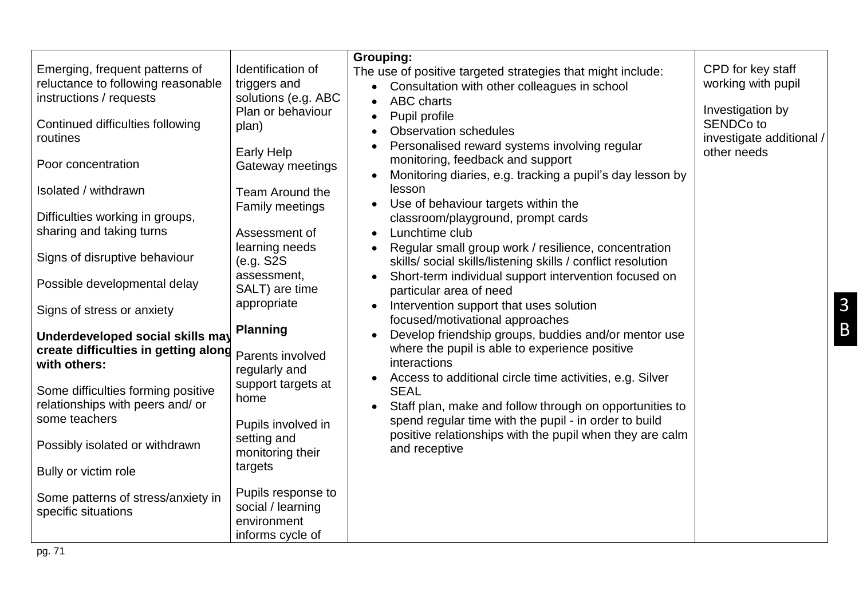|                                      |                        | <b>Grouping:</b>                                             |                          |
|--------------------------------------|------------------------|--------------------------------------------------------------|--------------------------|
| Emerging, frequent patterns of       | Identification of      | The use of positive targeted strategies that might include:  | CPD for key staff        |
| reluctance to following reasonable   | triggers and           | Consultation with other colleagues in school                 | working with pupil       |
| instructions / requests              | solutions (e.g. ABC    | <b>ABC</b> charts                                            |                          |
|                                      | Plan or behaviour      | Pupil profile                                                | Investigation by         |
| Continued difficulties following     | plan)                  | <b>Observation schedules</b>                                 | SENDC <sub>o</sub> to    |
| routines                             |                        | Personalised reward systems involving regular                | investigate additional / |
| Poor concentration                   | <b>Early Help</b>      | monitoring, feedback and support                             | other needs              |
|                                      | Gateway meetings       | Monitoring diaries, e.g. tracking a pupil's day lesson by    |                          |
| Isolated / withdrawn                 | <b>Team Around the</b> | lesson                                                       |                          |
|                                      | <b>Family meetings</b> | Use of behaviour targets within the                          |                          |
| Difficulties working in groups,      |                        | classroom/playground, prompt cards                           |                          |
| sharing and taking turns             | Assessment of          | Lunchtime club                                               |                          |
|                                      | learning needs         | Regular small group work / resilience, concentration         |                          |
| Signs of disruptive behaviour        | (e.g. S2S              | skills/ social skills/listening skills / conflict resolution |                          |
| Possible developmental delay         | assessment,            | Short-term individual support intervention focused on        |                          |
|                                      | SALT) are time         | particular area of need                                      |                          |
| Signs of stress or anxiety           | appropriate            | Intervention support that uses solution                      |                          |
|                                      |                        | focused/motivational approaches                              |                          |
| Underdeveloped social skills may     | <b>Planning</b>        | Develop friendship groups, buddies and/or mentor use         |                          |
| create difficulties in getting along | Parents involved       | where the pupil is able to experience positive               |                          |
| with others:                         | regularly and          | interactions                                                 |                          |
|                                      | support targets at     | Access to additional circle time activities, e.g. Silver     |                          |
| Some difficulties forming positive   | home                   | <b>SEAL</b>                                                  |                          |
| relationships with peers and/ or     |                        | Staff plan, make and follow through on opportunities to      |                          |
| some teachers                        | Pupils involved in     | spend regular time with the pupil - in order to build        |                          |
| Possibly isolated or withdrawn       | setting and            | positive relationships with the pupil when they are calm     |                          |
|                                      | monitoring their       | and receptive                                                |                          |
| Bully or victim role                 | targets                |                                                              |                          |
|                                      | Pupils response to     |                                                              |                          |
| Some patterns of stress/anxiety in   | social / learning      |                                                              |                          |
| specific situations                  | environment            |                                                              |                          |
|                                      | informs cycle of       |                                                              |                          |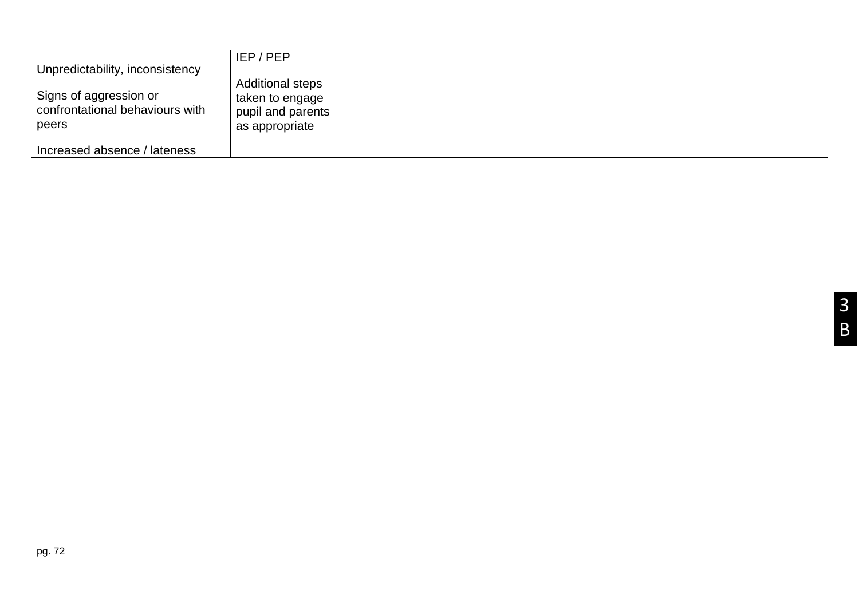| Unpredictability, inconsistency<br>Signs of aggression or<br>confrontational behaviours with<br>peers | IEP/PEP<br><b>Additional steps</b><br>taken to engage<br>pupil and parents<br>as appropriate |  |
|-------------------------------------------------------------------------------------------------------|----------------------------------------------------------------------------------------------|--|
| Increased absence / lateness                                                                          |                                                                                              |  |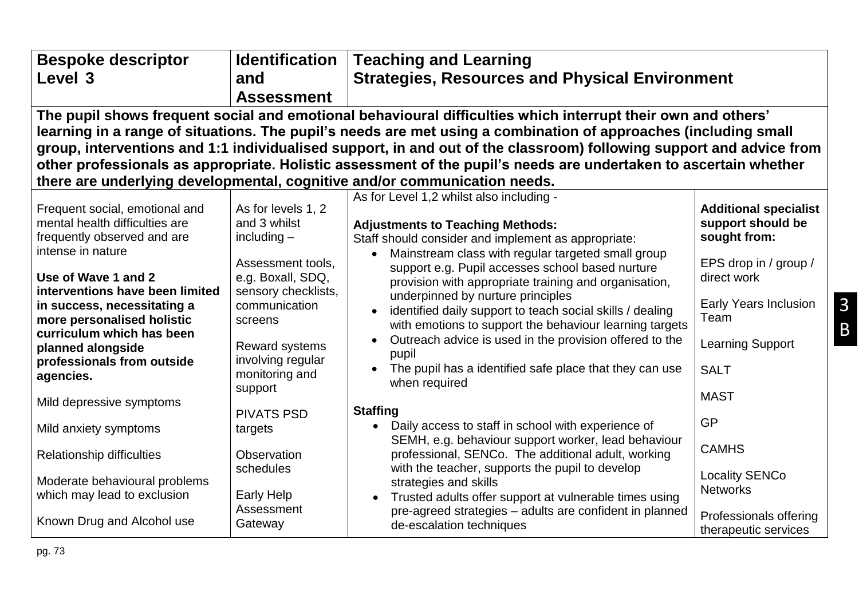| <b>Bespoke descriptor</b><br>Level 3                                                            | <b>Identification</b><br>and                                  | <b>Teaching and Learning</b><br><b>Strategies, Resources and Physical Environment</b>                                                                                        |                                                                   |
|-------------------------------------------------------------------------------------------------|---------------------------------------------------------------|------------------------------------------------------------------------------------------------------------------------------------------------------------------------------|-------------------------------------------------------------------|
|                                                                                                 | <b>Assessment</b>                                             |                                                                                                                                                                              |                                                                   |
|                                                                                                 |                                                               | The pupil shows frequent social and emotional behavioural difficulties which interrupt their own and others'                                                                 |                                                                   |
|                                                                                                 |                                                               | learning in a range of situations. The pupil's needs are met using a combination of approaches (including small                                                              |                                                                   |
|                                                                                                 |                                                               | group, interventions and 1:1 individualised support, in and out of the classroom) following support and advice from                                                          |                                                                   |
|                                                                                                 |                                                               | other professionals as appropriate. Holistic assessment of the pupil's needs are undertaken to ascertain whether                                                             |                                                                   |
|                                                                                                 |                                                               | there are underlying developmental, cognitive and/or communication needs.<br>As for Level 1,2 whilst also including -                                                        |                                                                   |
| Frequent social, emotional and<br>mental health difficulties are<br>frequently observed and are | As for levels 1, 2<br>and 3 whilst<br>$including -$           | <b>Adjustments to Teaching Methods:</b><br>Staff should consider and implement as appropriate:                                                                               | <b>Additional specialist</b><br>support should be<br>sought from: |
| intense in nature<br>Use of Wave 1 and 2<br>interventions have been limited                     | Assessment tools,<br>e.g. Boxall, SDQ,<br>sensory checklists, | Mainstream class with regular targeted small group<br>$\bullet$<br>support e.g. Pupil accesses school based nurture<br>provision with appropriate training and organisation, | EPS drop in / group /<br>direct work                              |
| in success, necessitating a<br>more personalised holistic<br>curriculum which has been          | communication<br>screens                                      | underpinned by nurture principles<br>identified daily support to teach social skills / dealing<br>with emotions to support the behaviour learning targets                    | <b>Early Years Inclusion</b><br>Team                              |
| planned alongside<br>professionals from outside                                                 | <b>Reward systems</b><br>involving regular                    | Outreach advice is used in the provision offered to the<br>pupil                                                                                                             | <b>Learning Support</b>                                           |
| agencies.                                                                                       | monitoring and<br>support                                     | The pupil has a identified safe place that they can use<br>when required                                                                                                     | <b>SALT</b>                                                       |
| Mild depressive symptoms                                                                        |                                                               |                                                                                                                                                                              | <b>MAST</b>                                                       |
| Mild anxiety symptoms                                                                           | <b>PIVATS PSD</b><br>targets                                  | <b>Staffing</b><br>• Daily access to staff in school with experience of                                                                                                      | <b>GP</b>                                                         |
| Relationship difficulties                                                                       | Observation                                                   | SEMH, e.g. behaviour support worker, lead behaviour<br>professional, SENCo. The additional adult, working                                                                    | <b>CAMHS</b>                                                      |
| Moderate behavioural problems<br>which may lead to exclusion                                    | schedules<br><b>Early Help</b>                                | with the teacher, supports the pupil to develop<br>strategies and skills                                                                                                     | <b>Locality SENCo</b><br><b>Networks</b>                          |
| Known Drug and Alcohol use                                                                      | Assessment<br>Gateway                                         | Trusted adults offer support at vulnerable times using<br>pre-agreed strategies - adults are confident in planned<br>de-escalation techniques                                | Professionals offering<br>therapeutic services                    |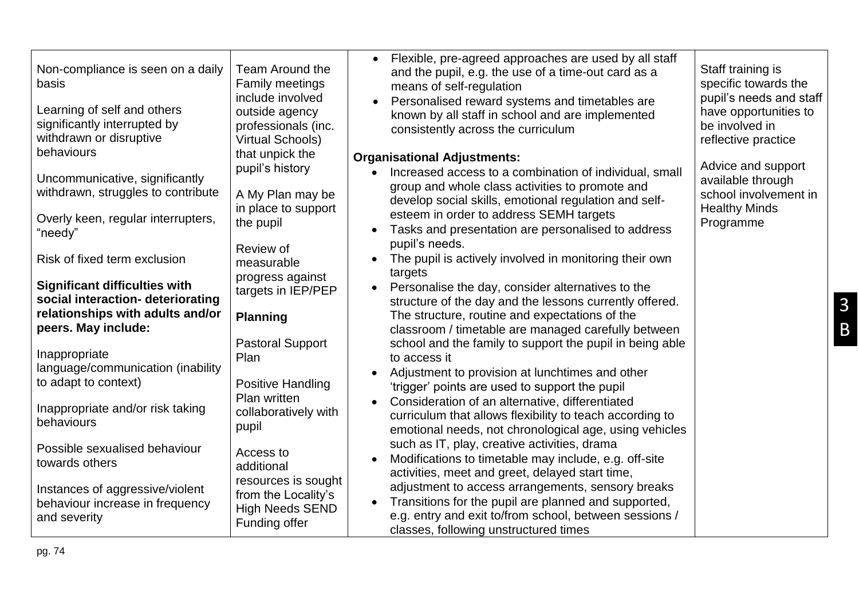| Non-compliance is seen on a daily<br>basis<br>Learning of self and others<br>significantly interrupted by<br>withdrawn or disruptive<br>behaviours                                                                                                                    | Team Around the<br><b>Family meetings</b><br>include involved<br>outside agency<br>professionals (inc.<br><b>Virtual Schools)</b>                                                                                                | Flexible, pre-agreed approaches are used by all staff<br>$\bullet$<br>and the pupil, e.g. the use of a time-out card as a<br>means of self-regulation<br>Personalised reward systems and timetables are<br>known by all staff in school and are implemented<br>consistently across the curriculum                                                                                                                                                                                                                                                                                                                                                                                                                                  | Staff training is<br>specific towards the<br>pupil's needs and staff<br>have opportunities to<br>be involved in<br>reflective practice |
|-----------------------------------------------------------------------------------------------------------------------------------------------------------------------------------------------------------------------------------------------------------------------|----------------------------------------------------------------------------------------------------------------------------------------------------------------------------------------------------------------------------------|------------------------------------------------------------------------------------------------------------------------------------------------------------------------------------------------------------------------------------------------------------------------------------------------------------------------------------------------------------------------------------------------------------------------------------------------------------------------------------------------------------------------------------------------------------------------------------------------------------------------------------------------------------------------------------------------------------------------------------|----------------------------------------------------------------------------------------------------------------------------------------|
| Uncommunicative, significantly<br>withdrawn, struggles to contribute<br>Overly keen, regular interrupters,<br>"needy"                                                                                                                                                 | that unpick the<br>pupil's history<br>A My Plan may be<br>in place to support<br>the pupil                                                                                                                                       | <b>Organisational Adjustments:</b><br>Increased access to a combination of individual, small<br>group and whole class activities to promote and<br>develop social skills, emotional regulation and self-<br>esteem in order to address SEMH targets<br>Tasks and presentation are personalised to address                                                                                                                                                                                                                                                                                                                                                                                                                          | Advice and support<br>available through<br>school involvement in<br><b>Healthy Minds</b><br>Programme                                  |
| Risk of fixed term exclusion<br><b>Significant difficulties with</b><br>social interaction- deteriorating<br>relationships with adults and/or<br>peers. May include:                                                                                                  | Review of<br>measurable<br>progress against<br>targets in IEP/PEP<br><b>Planning</b>                                                                                                                                             | pupil's needs.<br>The pupil is actively involved in monitoring their own<br>targets<br>Personalise the day, consider alternatives to the<br>structure of the day and the lessons currently offered.<br>The structure, routine and expectations of the<br>classroom / timetable are managed carefully between                                                                                                                                                                                                                                                                                                                                                                                                                       |                                                                                                                                        |
| Inappropriate<br>language/communication (inability<br>to adapt to context)<br>Inappropriate and/or risk taking<br>behaviours<br>Possible sexualised behaviour<br>towards others<br>Instances of aggressive/violent<br>behaviour increase in frequency<br>and severity | <b>Pastoral Support</b><br>Plan<br><b>Positive Handling</b><br>Plan written<br>collaboratively with<br>pupil<br>Access to<br>additional<br>resources is sought<br>from the Locality's<br><b>High Needs SEND</b><br>Funding offer | school and the family to support the pupil in being able<br>to access it<br>Adjustment to provision at lunchtimes and other<br>'trigger' points are used to support the pupil<br>Consideration of an alternative, differentiated<br>curriculum that allows flexibility to teach according to<br>emotional needs, not chronological age, using vehicles<br>such as IT, play, creative activities, drama<br>Modifications to timetable may include, e.g. off-site<br>activities, meet and greet, delayed start time,<br>adjustment to access arrangements, sensory breaks<br>Transitions for the pupil are planned and supported,<br>e.g. entry and exit to/from school, between sessions /<br>classes, following unstructured times |                                                                                                                                        |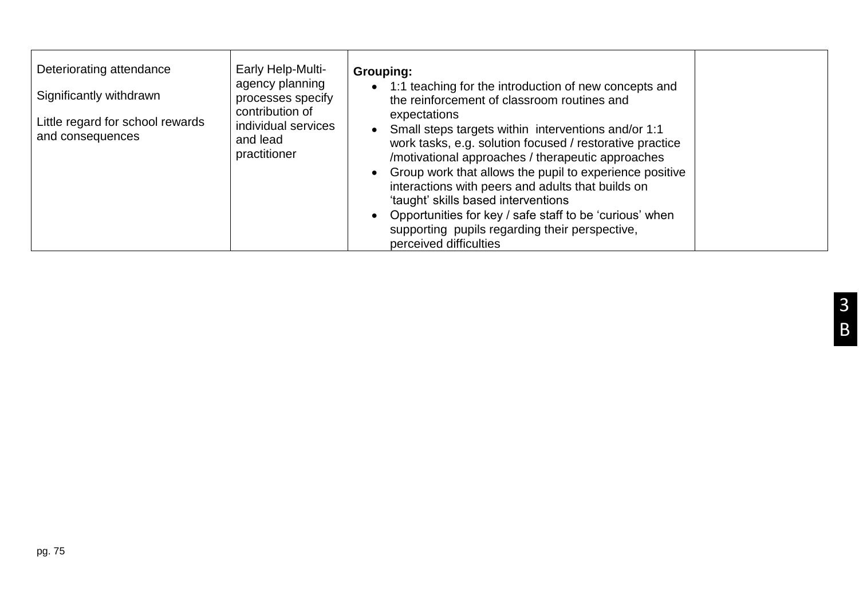| Deteriorating attendance<br>Significantly withdrawn<br>Little regard for school rewards<br>and consequences | <b>Early Help-Multi-</b><br>agency planning<br>processes specify<br>contribution of<br>individual services<br>and lead<br>practitioner | Grouping:<br>• 1:1 teaching for the introduction of new concepts and<br>the reinforcement of classroom routines and<br>expectations<br>Small steps targets within interventions and/or 1:1<br>$\bullet$<br>work tasks, e.g. solution focused / restorative practice<br>/motivational approaches / therapeutic approaches<br>• Group work that allows the pupil to experience positive<br>interactions with peers and adults that builds on<br>'taught' skills based interventions<br>Opportunities for key / safe staff to be 'curious' when<br>$\bullet$<br>supporting pupils regarding their perspective, |  |
|-------------------------------------------------------------------------------------------------------------|----------------------------------------------------------------------------------------------------------------------------------------|-------------------------------------------------------------------------------------------------------------------------------------------------------------------------------------------------------------------------------------------------------------------------------------------------------------------------------------------------------------------------------------------------------------------------------------------------------------------------------------------------------------------------------------------------------------------------------------------------------------|--|
|                                                                                                             |                                                                                                                                        | perceived difficulties                                                                                                                                                                                                                                                                                                                                                                                                                                                                                                                                                                                      |  |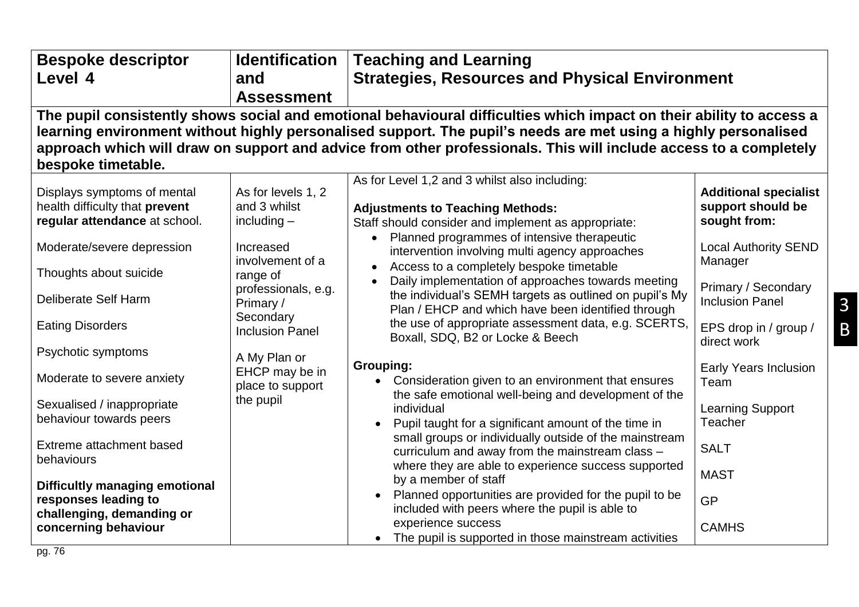| <b>Bespoke descriptor</b><br>Level 4                                                           | <b>Identification</b><br>and                        | <b>Teaching and Learning</b><br><b>Strategies, Resources and Physical Environment</b>                                                                                                                                                |                                                                   |
|------------------------------------------------------------------------------------------------|-----------------------------------------------------|--------------------------------------------------------------------------------------------------------------------------------------------------------------------------------------------------------------------------------------|-------------------------------------------------------------------|
|                                                                                                | <b>Assessment</b>                                   |                                                                                                                                                                                                                                      |                                                                   |
|                                                                                                |                                                     | The pupil consistently shows social and emotional behavioural difficulties which impact on their ability to access a                                                                                                                 |                                                                   |
| bespoke timetable.                                                                             |                                                     | learning environment without highly personalised support. The pupil's needs are met using a highly personalised<br>approach which will draw on support and advice from other professionals. This will include access to a completely |                                                                   |
|                                                                                                |                                                     | As for Level 1,2 and 3 whilst also including:                                                                                                                                                                                        |                                                                   |
| Displays symptoms of mental<br>health difficulty that prevent<br>regular attendance at school. | As for levels 1, 2<br>and 3 whilst<br>$including -$ | <b>Adjustments to Teaching Methods:</b><br>Staff should consider and implement as appropriate:                                                                                                                                       | <b>Additional specialist</b><br>support should be<br>sought from: |
| Moderate/severe depression                                                                     | Increased<br>involvement of a                       | Planned programmes of intensive therapeutic<br>intervention involving multi agency approaches<br>Access to a completely bespoke timetable                                                                                            | <b>Local Authority SEND</b><br>Manager                            |
| Thoughts about suicide                                                                         | range of                                            | Daily implementation of approaches towards meeting                                                                                                                                                                                   |                                                                   |
| <b>Deliberate Self Harm</b>                                                                    | professionals, e.g.<br>Primary /                    | the individual's SEMH targets as outlined on pupil's My<br>Plan / EHCP and which have been identified through                                                                                                                        | Primary / Secondary<br><b>Inclusion Panel</b>                     |
| <b>Eating Disorders</b>                                                                        | Secondary<br><b>Inclusion Panel</b>                 | the use of appropriate assessment data, e.g. SCERTS,<br>Boxall, SDQ, B2 or Locke & Beech                                                                                                                                             | EPS drop in / group /<br>direct work                              |
| Psychotic symptoms                                                                             | A My Plan or                                        |                                                                                                                                                                                                                                      |                                                                   |
| Moderate to severe anxiety                                                                     | EHCP may be in<br>place to support                  | <b>Grouping:</b><br>• Consideration given to an environment that ensures<br>the safe emotional well-being and development of the                                                                                                     | <b>Early Years Inclusion</b><br>Team                              |
| Sexualised / inappropriate<br>behaviour towards peers                                          | the pupil                                           | individual<br>Pupil taught for a significant amount of the time in<br>$\bullet$                                                                                                                                                      | Learning Support<br>Teacher                                       |
| Extreme attachment based                                                                       |                                                     | small groups or individually outside of the mainstream<br>curriculum and away from the mainstream class -                                                                                                                            | <b>SALT</b>                                                       |
| behaviours                                                                                     |                                                     | where they are able to experience success supported                                                                                                                                                                                  |                                                                   |
|                                                                                                |                                                     | by a member of staff                                                                                                                                                                                                                 | <b>MAST</b>                                                       |
| Difficultly managing emotional<br>responses leading to<br>challenging, demanding or            |                                                     | Planned opportunities are provided for the pupil to be<br>$\bullet$<br>included with peers where the pupil is able to                                                                                                                | <b>GP</b>                                                         |
| concerning behaviour                                                                           |                                                     | experience success<br>• The pupil is supported in those mainstream activities                                                                                                                                                        | <b>CAMHS</b>                                                      |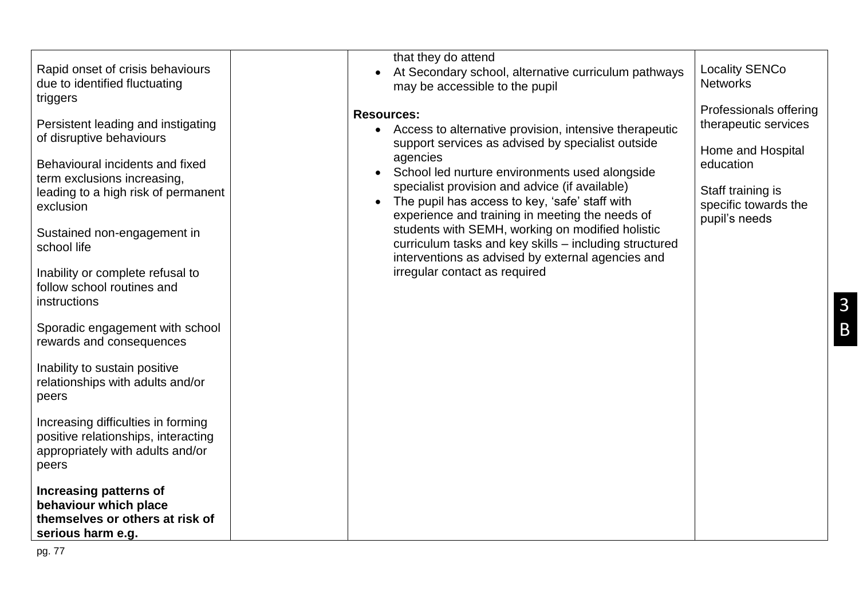| Rapid onset of crisis behaviours |
|----------------------------------|
| due to identified fluctuating    |
| triggers                         |

Persistent leading and instigating of disruptive behaviours

Behavioural incidents and fixed term exclusions increasing, leading to a high risk of permanent exclusion

Sustained non -engagement in school life

Inability or complete refusal to follow school routines and instructions

Sporadic engagement with school rewards and consequences

Inability to sustain positive relationships with adults and/or peers

Increasing difficulties in forming positive relationships, interacting appropriately with adults and/or peers

## **Increasing patterns of behaviour which place themselves or others at risk of serious harm e.g.**

that they do attend

 At Secondary school, alternative curriculum pathways may be accessible to the pupil

## **Resources:**

- Access to alternative provision, intensive therapeutic support services as advised by specialist outside agencies
- School led nurture environments used alongside specialist provision and advice (if available)
- The pupil has access to key, 'safe' staff with experience and training in meeting the needs of students with SEMH, working on modified holistic curriculum tasks and key skills – including structured interventions as advised by external agencies and irregular contact as required

Locality SENCo **Networks** 

Professionals offering therapeutic services

Home and Hospital education

Staff training is specific towards the pupil's needs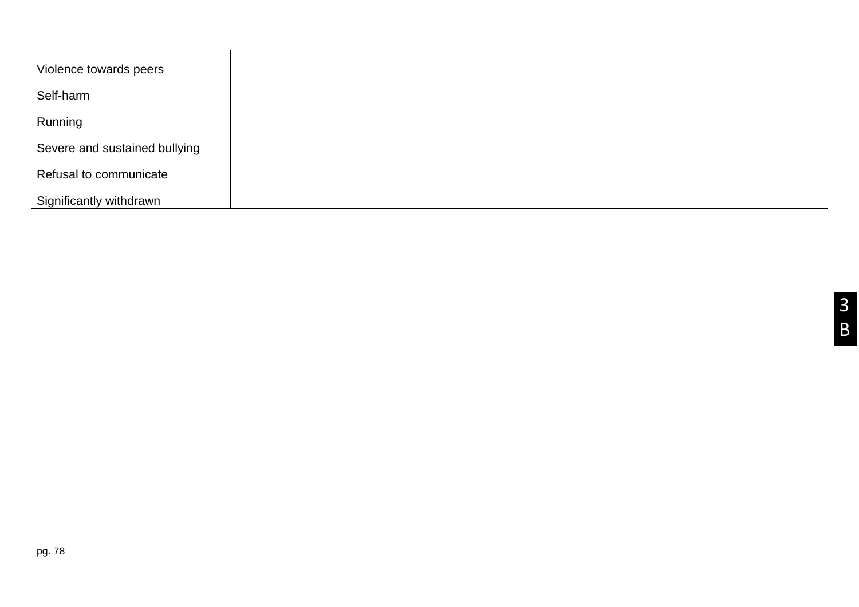| Violence towards peers        |  |  |
|-------------------------------|--|--|
| Self-harm                     |  |  |
| Running                       |  |  |
| Severe and sustained bullying |  |  |
| Refusal to communicate        |  |  |
| Significantly withdrawn       |  |  |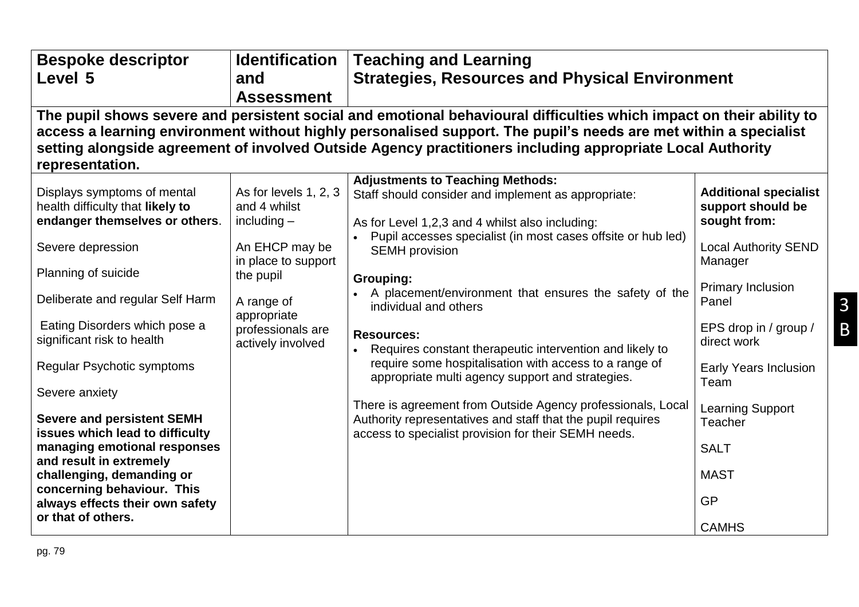| <b>Bespoke descriptor</b><br>Level 5                                                                                                                                                                                                                                                                                                                                                           | <b>Identification</b><br>and                                        | <b>Teaching and Learning</b><br><b>Strategies, Resources and Physical Environment</b>                                                                                                                                                                                                                                                                                                                                                                                |                                                                                                                                                                                       |  |
|------------------------------------------------------------------------------------------------------------------------------------------------------------------------------------------------------------------------------------------------------------------------------------------------------------------------------------------------------------------------------------------------|---------------------------------------------------------------------|----------------------------------------------------------------------------------------------------------------------------------------------------------------------------------------------------------------------------------------------------------------------------------------------------------------------------------------------------------------------------------------------------------------------------------------------------------------------|---------------------------------------------------------------------------------------------------------------------------------------------------------------------------------------|--|
| <b>Assessment</b><br>The pupil shows severe and persistent social and emotional behavioural difficulties which impact on their ability to<br>access a learning environment without highly personalised support. The pupil's needs are met within a specialist<br>setting alongside agreement of involved Outside Agency practitioners including appropriate Local Authority<br>representation. |                                                                     |                                                                                                                                                                                                                                                                                                                                                                                                                                                                      |                                                                                                                                                                                       |  |
| Displays symptoms of mental<br>health difficulty that likely to<br>endanger themselves or others.                                                                                                                                                                                                                                                                                              | As for levels 1, 2, 3<br>and 4 whilst<br>$including -$              | <b>Adjustments to Teaching Methods:</b><br>Staff should consider and implement as appropriate:<br>As for Level 1,2,3 and 4 whilst also including:<br>Pupil accesses specialist (in most cases offsite or hub led)                                                                                                                                                                                                                                                    | <b>Additional specialist</b><br>support should be<br>sought from:                                                                                                                     |  |
| Severe depression<br>Planning of suicide                                                                                                                                                                                                                                                                                                                                                       | An EHCP may be<br>in place to support<br>the pupil                  | <b>SEMH</b> provision<br><b>Grouping:</b>                                                                                                                                                                                                                                                                                                                                                                                                                            | <b>Local Authority SEND</b><br>Manager                                                                                                                                                |  |
| Deliberate and regular Self Harm<br>Eating Disorders which pose a<br>significant risk to health<br><b>Regular Psychotic symptoms</b><br>Severe anxiety<br><b>Severe and persistent SEMH</b><br>issues which lead to difficulty<br>managing emotional responses<br>and result in extremely<br>challenging, demanding or                                                                         | A range of<br>appropriate<br>professionals are<br>actively involved | A placement/environment that ensures the safety of the<br>individual and others<br><b>Resources:</b><br>Requires constant therapeutic intervention and likely to<br>require some hospitalisation with access to a range of<br>appropriate multi agency support and strategies.<br>There is agreement from Outside Agency professionals, Local<br>Authority representatives and staff that the pupil requires<br>access to specialist provision for their SEMH needs. | <b>Primary Inclusion</b><br>Panel<br>EPS drop in / group /<br>direct work<br><b>Early Years Inclusion</b><br>Team<br><b>Learning Support</b><br>Teacher<br><b>SALT</b><br><b>MAST</b> |  |
| concerning behaviour. This<br>always effects their own safety<br>or that of others.                                                                                                                                                                                                                                                                                                            |                                                                     |                                                                                                                                                                                                                                                                                                                                                                                                                                                                      | <b>GP</b><br><b>CAMHS</b>                                                                                                                                                             |  |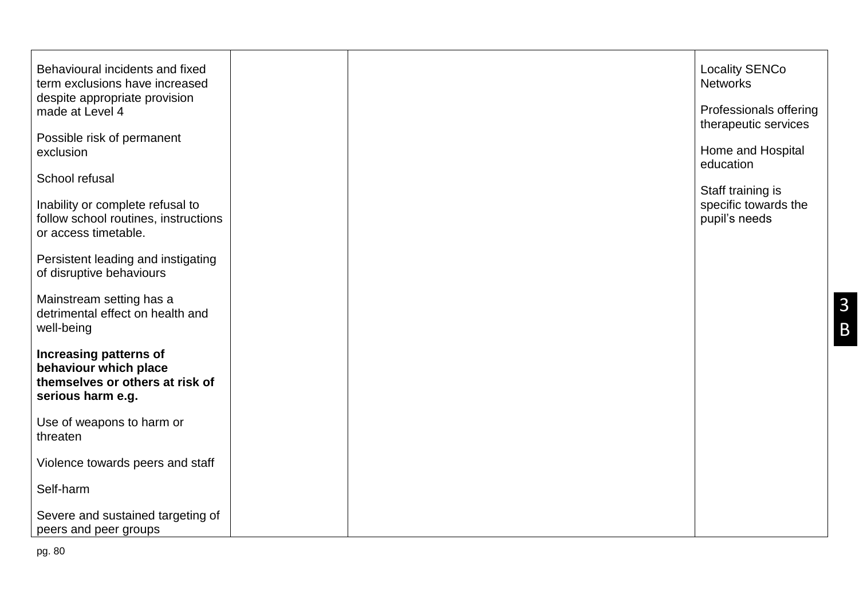| Behavioural incidents and fixed<br>term exclusions have increased                                              |  | <b>Locality SENCo</b><br><b>Networks</b>                   |
|----------------------------------------------------------------------------------------------------------------|--|------------------------------------------------------------|
| despite appropriate provision<br>made at Level 4                                                               |  | Professionals offering<br>therapeutic services             |
| Possible risk of permanent<br>exclusion                                                                        |  | Home and Hospital<br>education                             |
| School refusal                                                                                                 |  |                                                            |
| Inability or complete refusal to<br>follow school routines, instructions<br>or access timetable.               |  | Staff training is<br>specific towards the<br>pupil's needs |
| Persistent leading and instigating<br>of disruptive behaviours                                                 |  |                                                            |
| Mainstream setting has a<br>detrimental effect on health and<br>well-being                                     |  |                                                            |
| <b>Increasing patterns of</b><br>behaviour which place<br>themselves or others at risk of<br>serious harm e.g. |  |                                                            |
| Use of weapons to harm or<br>threaten                                                                          |  |                                                            |
| Violence towards peers and staff                                                                               |  |                                                            |
| Self-harm                                                                                                      |  |                                                            |
| Severe and sustained targeting of<br>peers and peer groups                                                     |  |                                                            |

 $\overline{A}$ 

 $\begin{array}{c} 3 \\ B \end{array}$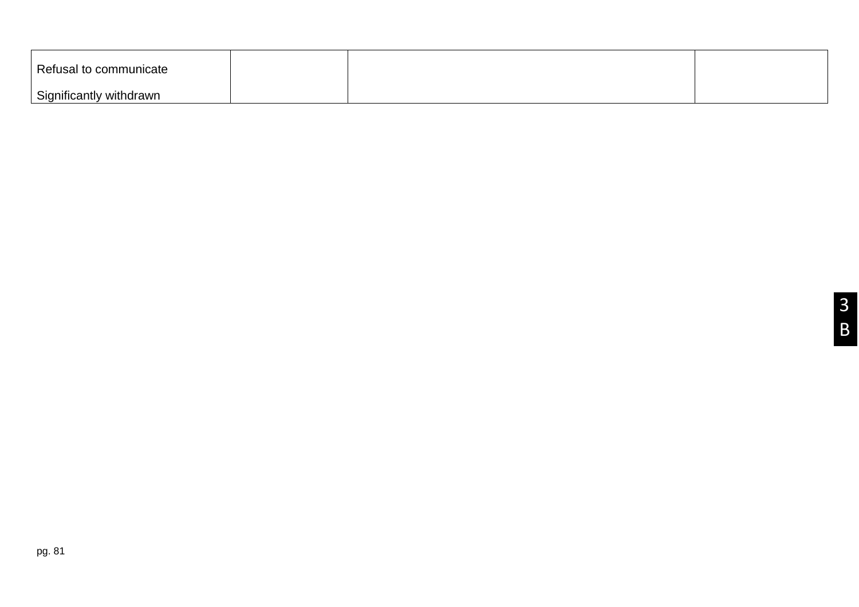| Refusal to communicate  |  |  |
|-------------------------|--|--|
| Significantly withdrawn |  |  |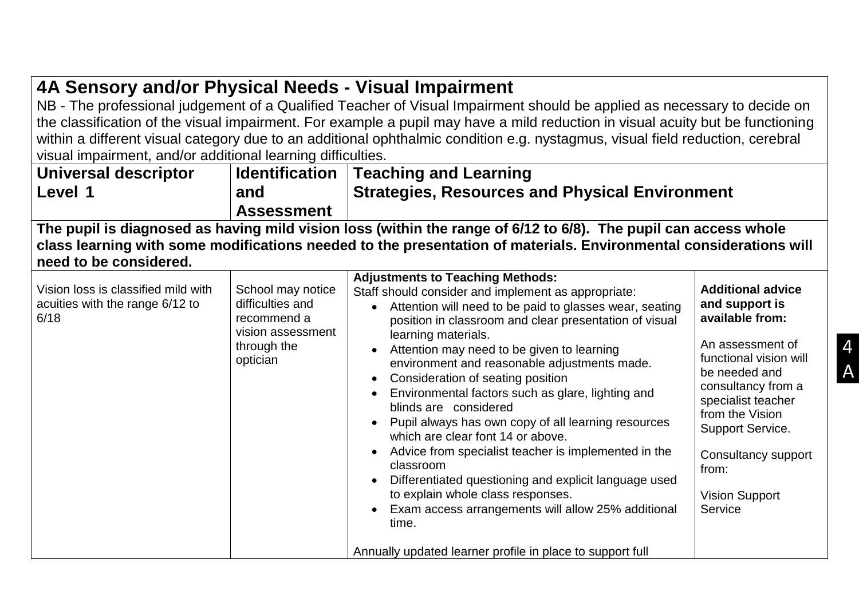| 4A Sensory and/or Physical Needs - Visual Impairment<br>NB - The professional judgement of a Qualified Teacher of Visual Impairment should be applied as necessary to decide on<br>the classification of the visual impairment. For example a pupil may have a mild reduction in visual acuity but be functioning<br>within a different visual category due to an additional ophthalmic condition e.g. nystagmus, visual field reduction, cerebral<br>visual impairment, and/or additional learning difficulties. |                                                                                                      |                                                                                                                                                                                                                                                                                                                                                                                                                                                                                                                                                                                                                                                                                                                                                                                                                                                          |                                                                                                                                                                                                                                                                                     |  |
|-------------------------------------------------------------------------------------------------------------------------------------------------------------------------------------------------------------------------------------------------------------------------------------------------------------------------------------------------------------------------------------------------------------------------------------------------------------------------------------------------------------------|------------------------------------------------------------------------------------------------------|----------------------------------------------------------------------------------------------------------------------------------------------------------------------------------------------------------------------------------------------------------------------------------------------------------------------------------------------------------------------------------------------------------------------------------------------------------------------------------------------------------------------------------------------------------------------------------------------------------------------------------------------------------------------------------------------------------------------------------------------------------------------------------------------------------------------------------------------------------|-------------------------------------------------------------------------------------------------------------------------------------------------------------------------------------------------------------------------------------------------------------------------------------|--|
| <b>Universal descriptor</b>                                                                                                                                                                                                                                                                                                                                                                                                                                                                                       | <b>Identification</b>                                                                                | Teaching and Learning                                                                                                                                                                                                                                                                                                                                                                                                                                                                                                                                                                                                                                                                                                                                                                                                                                    |                                                                                                                                                                                                                                                                                     |  |
| Level 1                                                                                                                                                                                                                                                                                                                                                                                                                                                                                                           | and                                                                                                  | <b>Strategies, Resources and Physical Environment</b>                                                                                                                                                                                                                                                                                                                                                                                                                                                                                                                                                                                                                                                                                                                                                                                                    |                                                                                                                                                                                                                                                                                     |  |
|                                                                                                                                                                                                                                                                                                                                                                                                                                                                                                                   | <b>Assessment</b>                                                                                    |                                                                                                                                                                                                                                                                                                                                                                                                                                                                                                                                                                                                                                                                                                                                                                                                                                                          |                                                                                                                                                                                                                                                                                     |  |
| need to be considered.                                                                                                                                                                                                                                                                                                                                                                                                                                                                                            |                                                                                                      | The pupil is diagnosed as having mild vision loss (within the range of 6/12 to 6/8). The pupil can access whole<br>class learning with some modifications needed to the presentation of materials. Environmental considerations will                                                                                                                                                                                                                                                                                                                                                                                                                                                                                                                                                                                                                     |                                                                                                                                                                                                                                                                                     |  |
| Vision loss is classified mild with<br>acuities with the range 6/12 to<br>6/18                                                                                                                                                                                                                                                                                                                                                                                                                                    | School may notice<br>difficulties and<br>recommend a<br>vision assessment<br>through the<br>optician | <b>Adjustments to Teaching Methods:</b><br>Staff should consider and implement as appropriate:<br>• Attention will need to be paid to glasses wear, seating<br>position in classroom and clear presentation of visual<br>learning materials.<br>Attention may need to be given to learning<br>environment and reasonable adjustments made.<br>Consideration of seating position<br>Environmental factors such as glare, lighting and<br>blinds are considered<br>Pupil always has own copy of all learning resources<br>which are clear font 14 or above.<br>Advice from specialist teacher is implemented in the<br>classroom<br>Differentiated questioning and explicit language used<br>to explain whole class responses.<br>Exam access arrangements will allow 25% additional<br>time.<br>Annually updated learner profile in place to support full | <b>Additional advice</b><br>and support is<br>available from:<br>An assessment of<br>functional vision will<br>be needed and<br>consultancy from a<br>specialist teacher<br>from the Vision<br>Support Service.<br>Consultancy support<br>from:<br><b>Vision Support</b><br>Service |  |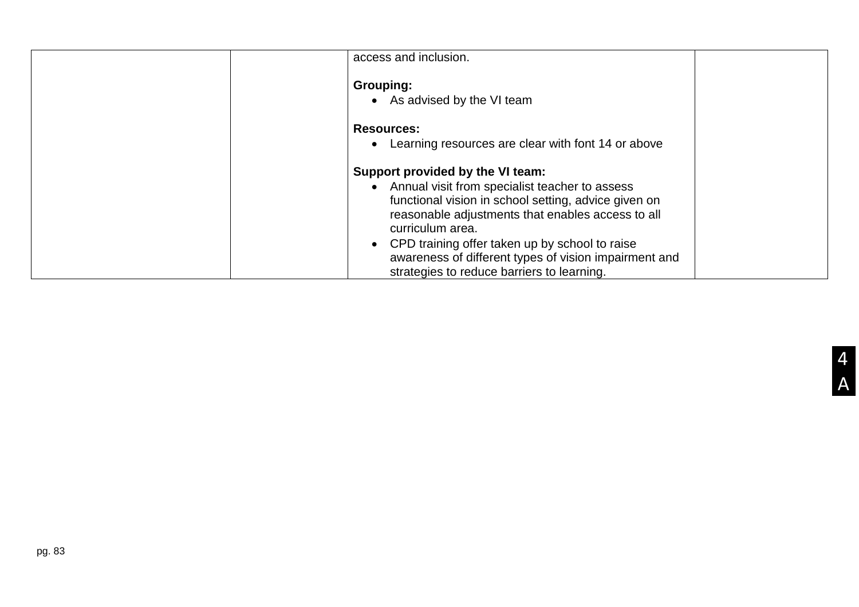| access and inclusion.                                                                                                                                                                                                                                                                                                                                                            |  |
|----------------------------------------------------------------------------------------------------------------------------------------------------------------------------------------------------------------------------------------------------------------------------------------------------------------------------------------------------------------------------------|--|
| <b>Grouping:</b><br>• As advised by the VI team                                                                                                                                                                                                                                                                                                                                  |  |
| <b>Resources:</b>                                                                                                                                                                                                                                                                                                                                                                |  |
| • Learning resources are clear with font 14 or above                                                                                                                                                                                                                                                                                                                             |  |
| Support provided by the VI team:<br>• Annual visit from specialist teacher to assess<br>functional vision in school setting, advice given on<br>reasonable adjustments that enables access to all<br>curriculum area.<br>• CPD training offer taken up by school to raise<br>awareness of different types of vision impairment and<br>strategies to reduce barriers to learning. |  |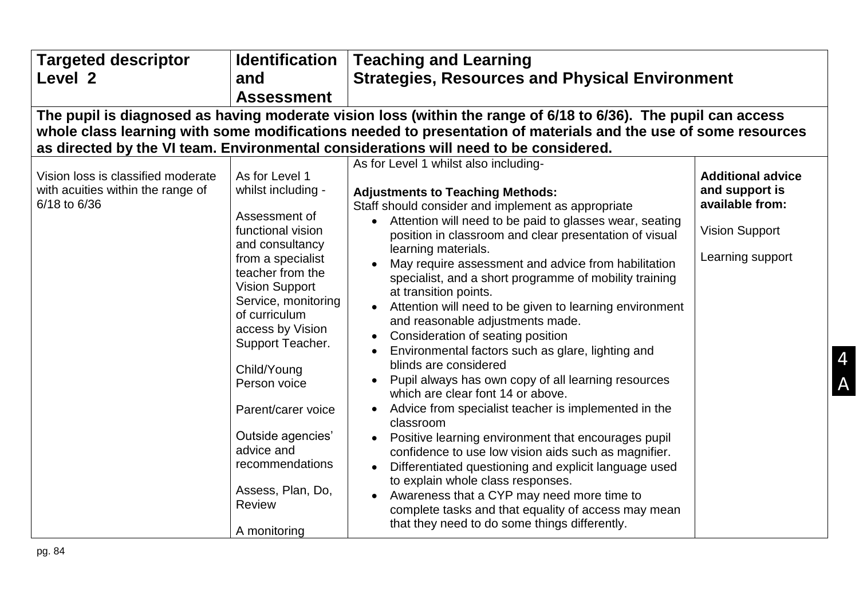| <b>Targeted descriptor</b><br>Level 2                                                                                                                                                                                                                                                                                    | <b>Identification</b><br>and                                                                                                                                                                                                                                                                                                                                                                                     | <b>Teaching and Learning</b><br><b>Strategies, Resources and Physical Environment</b>                                                                                                                                                                                                                                                                                                                                                                                                                                                                                                                                                                                                                                                                                                                                                                                                                                                                                                                                                                                                                                                                                              |                                                                                                            |  |
|--------------------------------------------------------------------------------------------------------------------------------------------------------------------------------------------------------------------------------------------------------------------------------------------------------------------------|------------------------------------------------------------------------------------------------------------------------------------------------------------------------------------------------------------------------------------------------------------------------------------------------------------------------------------------------------------------------------------------------------------------|------------------------------------------------------------------------------------------------------------------------------------------------------------------------------------------------------------------------------------------------------------------------------------------------------------------------------------------------------------------------------------------------------------------------------------------------------------------------------------------------------------------------------------------------------------------------------------------------------------------------------------------------------------------------------------------------------------------------------------------------------------------------------------------------------------------------------------------------------------------------------------------------------------------------------------------------------------------------------------------------------------------------------------------------------------------------------------------------------------------------------------------------------------------------------------|------------------------------------------------------------------------------------------------------------|--|
|                                                                                                                                                                                                                                                                                                                          | <b>Assessment</b>                                                                                                                                                                                                                                                                                                                                                                                                |                                                                                                                                                                                                                                                                                                                                                                                                                                                                                                                                                                                                                                                                                                                                                                                                                                                                                                                                                                                                                                                                                                                                                                                    |                                                                                                            |  |
| The pupil is diagnosed as having moderate vision loss (within the range of 6/18 to 6/36). The pupil can access<br>whole class learning with some modifications needed to presentation of materials and the use of some resources<br>as directed by the VI team. Environmental considerations will need to be considered. |                                                                                                                                                                                                                                                                                                                                                                                                                  |                                                                                                                                                                                                                                                                                                                                                                                                                                                                                                                                                                                                                                                                                                                                                                                                                                                                                                                                                                                                                                                                                                                                                                                    |                                                                                                            |  |
| Vision loss is classified moderate<br>with acuities within the range of<br>6/18 to 6/36                                                                                                                                                                                                                                  | As for Level 1<br>whilst including -<br>Assessment of<br>functional vision<br>and consultancy<br>from a specialist<br>teacher from the<br><b>Vision Support</b><br>Service, monitoring<br>of curriculum<br>access by Vision<br>Support Teacher.<br>Child/Young<br>Person voice<br>Parent/carer voice<br>Outside agencies'<br>advice and<br>recommendations<br>Assess, Plan, Do,<br><b>Review</b><br>A monitoring | As for Level 1 whilst also including-<br><b>Adjustments to Teaching Methods:</b><br>Staff should consider and implement as appropriate<br>Attention will need to be paid to glasses wear, seating<br>position in classroom and clear presentation of visual<br>learning materials.<br>May require assessment and advice from habilitation<br>specialist, and a short programme of mobility training<br>at transition points.<br>Attention will need to be given to learning environment<br>and reasonable adjustments made.<br>Consideration of seating position<br>Environmental factors such as glare, lighting and<br>blinds are considered<br>Pupil always has own copy of all learning resources<br>which are clear font 14 or above.<br>Advice from specialist teacher is implemented in the<br>classroom<br>Positive learning environment that encourages pupil<br>confidence to use low vision aids such as magnifier.<br>Differentiated questioning and explicit language used<br>to explain whole class responses.<br>Awareness that a CYP may need more time to<br>complete tasks and that equality of access may mean<br>that they need to do some things differently. | <b>Additional advice</b><br>and support is<br>available from:<br><b>Vision Support</b><br>Learning support |  |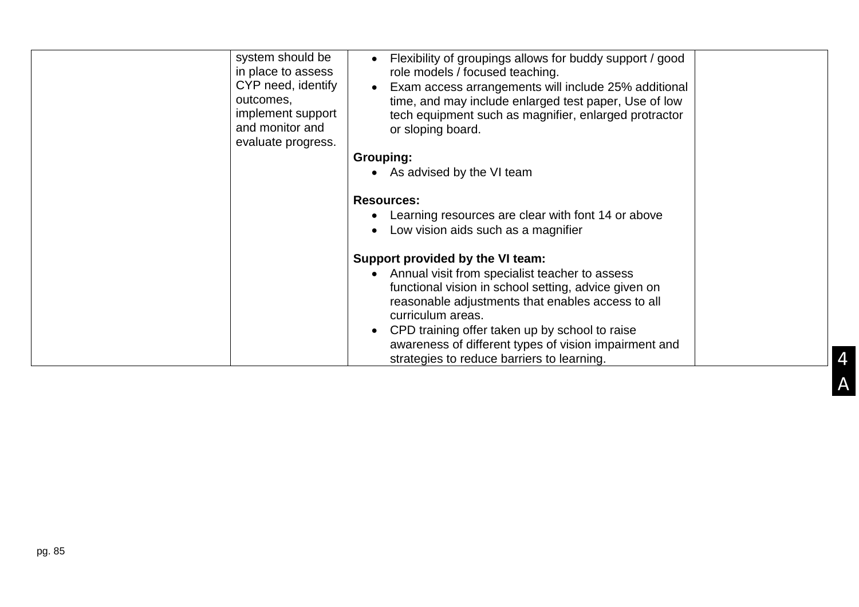| system should be<br>in place to assess<br>CYP need, identify<br>outcomes,<br>implement support<br>and monitor and | Flexibility of groupings allows for buddy support / good<br>role models / focused teaching.<br>Exam access arrangements will include 25% additional<br>time, and may include enlarged test paper, Use of low<br>tech equipment such as magnifier, enlarged protractor<br>or sloping board. |
|-------------------------------------------------------------------------------------------------------------------|--------------------------------------------------------------------------------------------------------------------------------------------------------------------------------------------------------------------------------------------------------------------------------------------|
| evaluate progress.                                                                                                |                                                                                                                                                                                                                                                                                            |
|                                                                                                                   | <b>Grouping:</b>                                                                                                                                                                                                                                                                           |
|                                                                                                                   | As advised by the VI team                                                                                                                                                                                                                                                                  |
|                                                                                                                   |                                                                                                                                                                                                                                                                                            |
|                                                                                                                   | <b>Resources:</b>                                                                                                                                                                                                                                                                          |
|                                                                                                                   | Learning resources are clear with font 14 or above                                                                                                                                                                                                                                         |
|                                                                                                                   | Low vision aids such as a magnifier                                                                                                                                                                                                                                                        |
|                                                                                                                   | Support provided by the VI team:                                                                                                                                                                                                                                                           |
|                                                                                                                   | Annual visit from specialist teacher to assess                                                                                                                                                                                                                                             |
|                                                                                                                   | functional vision in school setting, advice given on                                                                                                                                                                                                                                       |
|                                                                                                                   | reasonable adjustments that enables access to all                                                                                                                                                                                                                                          |
|                                                                                                                   | curriculum areas.                                                                                                                                                                                                                                                                          |
|                                                                                                                   | CPD training offer taken up by school to raise                                                                                                                                                                                                                                             |
|                                                                                                                   | awareness of different types of vision impairment and                                                                                                                                                                                                                                      |
|                                                                                                                   |                                                                                                                                                                                                                                                                                            |
|                                                                                                                   | strategies to reduce barriers to learning.                                                                                                                                                                                                                                                 |

 $\overline{4}$ 

 $\overline{A}$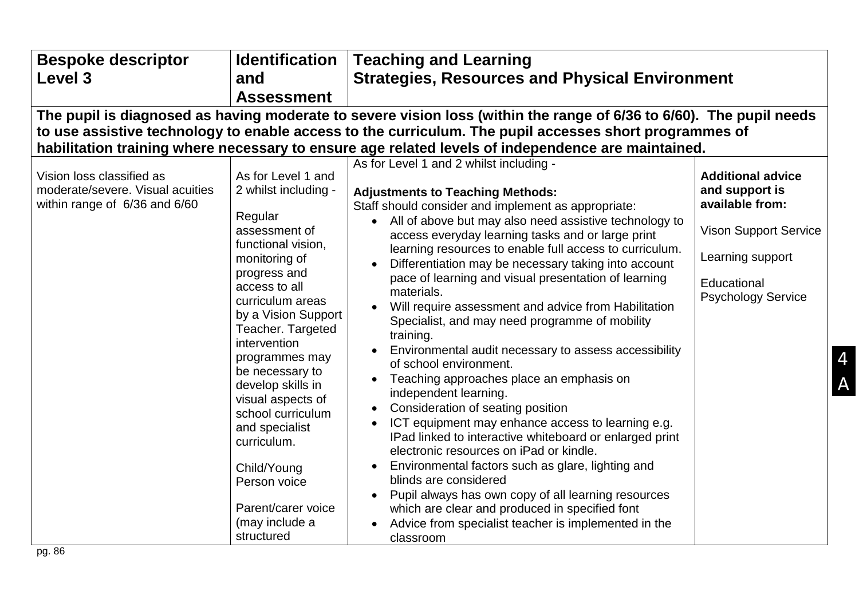| <b>Bespoke descriptor</b><br>Level <sub>3</sub>                                                | <b>Identification</b><br>and                                                                                                                                                                                                                                                                                                                                                                                                                             | <b>Teaching and Learning</b><br><b>Strategies, Resources and Physical Environment</b>                                                                                                                                                                                                                                                                                                                                                                                                                                                                                                                                                                                                                                                                                                                                                                                                                                                                                                                                                                                                                                                                                                          |                                                                                                                                                               |  |  |  |
|------------------------------------------------------------------------------------------------|----------------------------------------------------------------------------------------------------------------------------------------------------------------------------------------------------------------------------------------------------------------------------------------------------------------------------------------------------------------------------------------------------------------------------------------------------------|------------------------------------------------------------------------------------------------------------------------------------------------------------------------------------------------------------------------------------------------------------------------------------------------------------------------------------------------------------------------------------------------------------------------------------------------------------------------------------------------------------------------------------------------------------------------------------------------------------------------------------------------------------------------------------------------------------------------------------------------------------------------------------------------------------------------------------------------------------------------------------------------------------------------------------------------------------------------------------------------------------------------------------------------------------------------------------------------------------------------------------------------------------------------------------------------|---------------------------------------------------------------------------------------------------------------------------------------------------------------|--|--|--|
|                                                                                                | <b>Assessment</b>                                                                                                                                                                                                                                                                                                                                                                                                                                        |                                                                                                                                                                                                                                                                                                                                                                                                                                                                                                                                                                                                                                                                                                                                                                                                                                                                                                                                                                                                                                                                                                                                                                                                |                                                                                                                                                               |  |  |  |
|                                                                                                | The pupil is diagnosed as having moderate to severe vision loss (within the range of 6/36 to 6/60). The pupil needs                                                                                                                                                                                                                                                                                                                                      |                                                                                                                                                                                                                                                                                                                                                                                                                                                                                                                                                                                                                                                                                                                                                                                                                                                                                                                                                                                                                                                                                                                                                                                                |                                                                                                                                                               |  |  |  |
|                                                                                                |                                                                                                                                                                                                                                                                                                                                                                                                                                                          | to use assistive technology to enable access to the curriculum. The pupil accesses short programmes of                                                                                                                                                                                                                                                                                                                                                                                                                                                                                                                                                                                                                                                                                                                                                                                                                                                                                                                                                                                                                                                                                         |                                                                                                                                                               |  |  |  |
|                                                                                                |                                                                                                                                                                                                                                                                                                                                                                                                                                                          | habilitation training where necessary to ensure age related levels of independence are maintained.                                                                                                                                                                                                                                                                                                                                                                                                                                                                                                                                                                                                                                                                                                                                                                                                                                                                                                                                                                                                                                                                                             |                                                                                                                                                               |  |  |  |
| Vision loss classified as<br>moderate/severe. Visual acuities<br>within range of 6/36 and 6/60 | As for Level 1 and<br>2 whilst including -<br>Regular<br>assessment of<br>functional vision,<br>monitoring of<br>progress and<br>access to all<br>curriculum areas<br>by a Vision Support<br>Teacher. Targeted<br>intervention<br>programmes may<br>be necessary to<br>develop skills in<br>visual aspects of<br>school curriculum<br>and specialist<br>curriculum.<br>Child/Young<br>Person voice<br>Parent/carer voice<br>(may include a<br>structured | As for Level 1 and 2 whilst including -<br><b>Adjustments to Teaching Methods:</b><br>Staff should consider and implement as appropriate:<br>• All of above but may also need assistive technology to<br>access everyday learning tasks and or large print<br>learning resources to enable full access to curriculum.<br>Differentiation may be necessary taking into account<br>pace of learning and visual presentation of learning<br>materials.<br>Will require assessment and advice from Habilitation<br>Specialist, and may need programme of mobility<br>training.<br>Environmental audit necessary to assess accessibility<br>of school environment.<br>Teaching approaches place an emphasis on<br>independent learning.<br>Consideration of seating position<br>ICT equipment may enhance access to learning e.g.<br>IPad linked to interactive whiteboard or enlarged print<br>electronic resources on iPad or kindle.<br>Environmental factors such as glare, lighting and<br>blinds are considered<br>Pupil always has own copy of all learning resources<br>which are clear and produced in specified font<br>Advice from specialist teacher is implemented in the<br>classroom | <b>Additional advice</b><br>and support is<br>available from:<br><b>Vison Support Service</b><br>Learning support<br>Educational<br><b>Psychology Service</b> |  |  |  |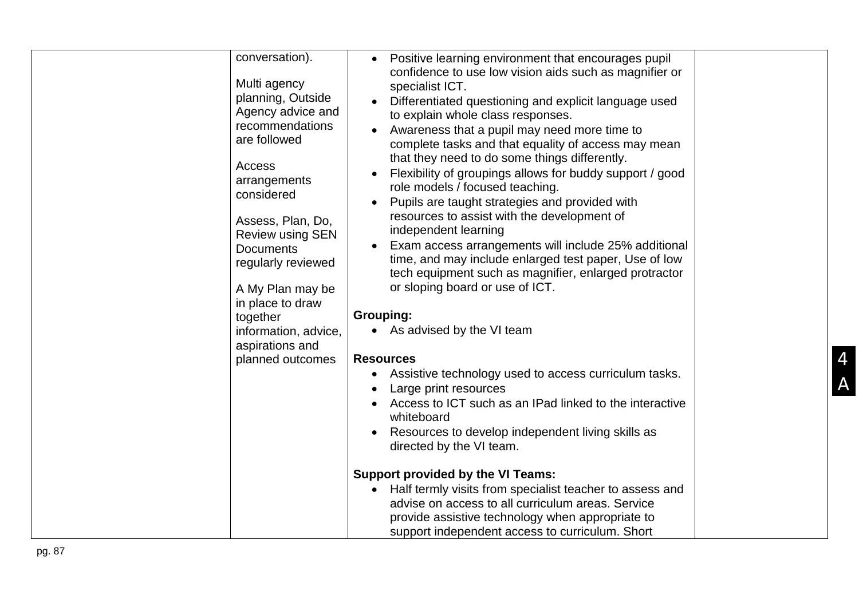| conversation).<br>Multi agency<br>planning, Outside<br>Agency advice and<br>recommendations<br>are followed<br>Access<br>arrangements<br>considered<br>Assess, Plan, Do,<br><b>Review using SEN</b><br><b>Documents</b><br>regularly reviewed<br>A My Plan may be<br>in place to draw<br>together<br>information, advice,<br>aspirations and<br>planned outcomes | Positive learning environment that encourages pupil<br>confidence to use low vision aids such as magnifier or<br>specialist ICT.<br>Differentiated questioning and explicit language used<br>to explain whole class responses.<br>Awareness that a pupil may need more time to<br>complete tasks and that equality of access may mean<br>that they need to do some things differently.<br>Flexibility of groupings allows for buddy support / good<br>role models / focused teaching.<br>Pupils are taught strategies and provided with<br>resources to assist with the development of<br>independent learning<br>Exam access arrangements will include 25% additional<br>time, and may include enlarged test paper, Use of low<br>tech equipment such as magnifier, enlarged protractor<br>or sloping board or use of ICT.<br>Grouping:<br>• As advised by the VI team<br><b>Resources</b><br>Assistive technology used to access curriculum tasks.<br>Large print resources<br>Access to ICT such as an IPad linked to the interactive<br>whiteboard<br>Resources to develop independent living skills as<br>directed by the VI team.<br><b>Support provided by the VI Teams:</b><br>Half termly visits from specialist teacher to assess and<br>advise on access to all curriculum areas. Service<br>provide assistive technology when appropriate to<br>support independent access to curriculum. Short |  |
|------------------------------------------------------------------------------------------------------------------------------------------------------------------------------------------------------------------------------------------------------------------------------------------------------------------------------------------------------------------|-------------------------------------------------------------------------------------------------------------------------------------------------------------------------------------------------------------------------------------------------------------------------------------------------------------------------------------------------------------------------------------------------------------------------------------------------------------------------------------------------------------------------------------------------------------------------------------------------------------------------------------------------------------------------------------------------------------------------------------------------------------------------------------------------------------------------------------------------------------------------------------------------------------------------------------------------------------------------------------------------------------------------------------------------------------------------------------------------------------------------------------------------------------------------------------------------------------------------------------------------------------------------------------------------------------------------------------------------------------------------------------------------------------|--|

 $\overline{4}$ 

 $\mathsf{A}$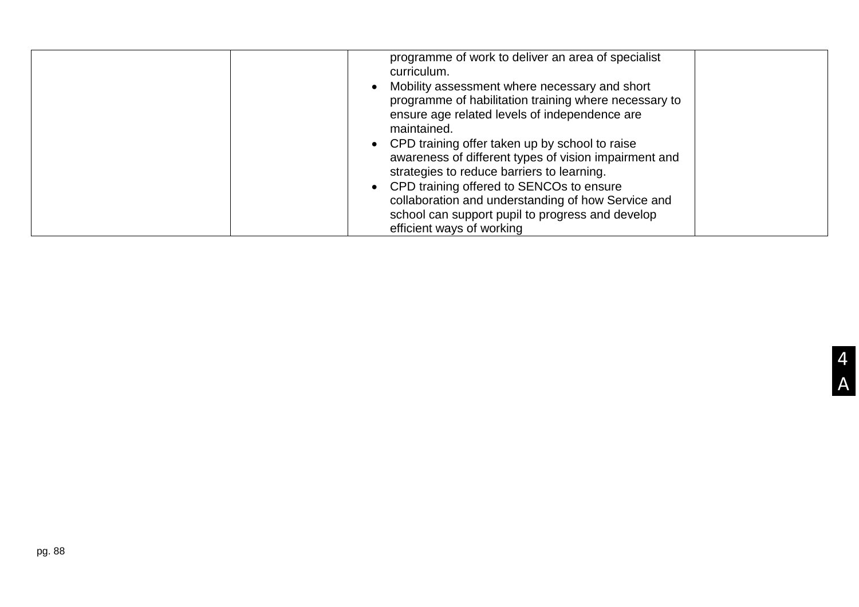| programme of work to deliver an area of specialist<br>curriculum.<br>Mobility assessment where necessary and short<br>programme of habilitation training where necessary to<br>ensure age related levels of independence are<br>maintained.<br>• CPD training offer taken up by school to raise<br>awareness of different types of vision impairment and<br>strategies to reduce barriers to learning.<br>• CPD training offered to SENCOs to ensure<br>collaboration and understanding of how Service and<br>school can support pupil to progress and develop |  |
|----------------------------------------------------------------------------------------------------------------------------------------------------------------------------------------------------------------------------------------------------------------------------------------------------------------------------------------------------------------------------------------------------------------------------------------------------------------------------------------------------------------------------------------------------------------|--|
| efficient ways of working                                                                                                                                                                                                                                                                                                                                                                                                                                                                                                                                      |  |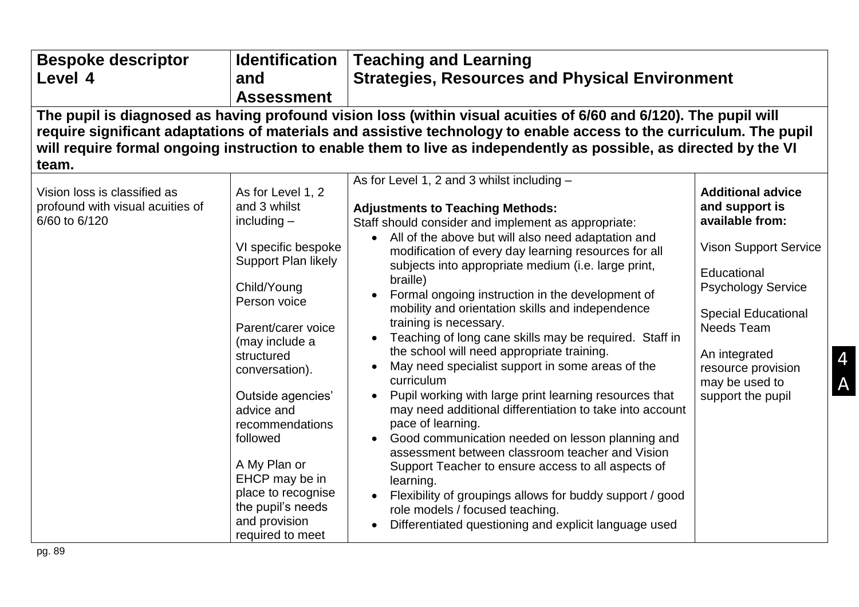| <b>Bespoke descriptor</b><br>Level 4                                                                                                                                                                                                                                                                                                                                   | <b>Identification</b><br>and<br><b>Assessment</b>                                                                                                                                                                                                                                                                                                                                                  | <b>Teaching and Learning</b><br><b>Strategies, Resources and Physical Environment</b>                                                                                                                                                                                                                                                                                                                                                                                                                                                                                                                                                                                                                                                                                                                                                                                                                                                                                                                                                                                                                                    |                                                                                                                                                                                                                                                                            |  |  |
|------------------------------------------------------------------------------------------------------------------------------------------------------------------------------------------------------------------------------------------------------------------------------------------------------------------------------------------------------------------------|----------------------------------------------------------------------------------------------------------------------------------------------------------------------------------------------------------------------------------------------------------------------------------------------------------------------------------------------------------------------------------------------------|--------------------------------------------------------------------------------------------------------------------------------------------------------------------------------------------------------------------------------------------------------------------------------------------------------------------------------------------------------------------------------------------------------------------------------------------------------------------------------------------------------------------------------------------------------------------------------------------------------------------------------------------------------------------------------------------------------------------------------------------------------------------------------------------------------------------------------------------------------------------------------------------------------------------------------------------------------------------------------------------------------------------------------------------------------------------------------------------------------------------------|----------------------------------------------------------------------------------------------------------------------------------------------------------------------------------------------------------------------------------------------------------------------------|--|--|
| The pupil is diagnosed as having profound vision loss (within visual acuities of 6/60 and 6/120). The pupil will<br>require significant adaptations of materials and assistive technology to enable access to the curriculum. The pupil<br>will require formal ongoing instruction to enable them to live as independently as possible, as directed by the VI<br>team. |                                                                                                                                                                                                                                                                                                                                                                                                    |                                                                                                                                                                                                                                                                                                                                                                                                                                                                                                                                                                                                                                                                                                                                                                                                                                                                                                                                                                                                                                                                                                                          |                                                                                                                                                                                                                                                                            |  |  |
| Vision loss is classified as<br>profound with visual acuities of<br>6/60 to 6/120                                                                                                                                                                                                                                                                                      | As for Level 1, 2<br>and 3 whilst<br>including $-$<br>VI specific bespoke<br><b>Support Plan likely</b><br>Child/Young<br>Person voice<br>Parent/carer voice<br>(may include a<br>structured<br>conversation).<br>Outside agencies'<br>advice and<br>recommendations<br>followed<br>A My Plan or<br>EHCP may be in<br>place to recognise<br>the pupil's needs<br>and provision<br>required to meet | As for Level 1, 2 and 3 whilst including -<br><b>Adjustments to Teaching Methods:</b><br>Staff should consider and implement as appropriate:<br>• All of the above but will also need adaptation and<br>modification of every day learning resources for all<br>subjects into appropriate medium (i.e. large print,<br>braille)<br>Formal ongoing instruction in the development of<br>mobility and orientation skills and independence<br>training is necessary.<br>Teaching of long cane skills may be required. Staff in<br>the school will need appropriate training.<br>May need specialist support in some areas of the<br>curriculum<br>Pupil working with large print learning resources that<br>may need additional differentiation to take into account<br>pace of learning.<br>Good communication needed on lesson planning and<br>assessment between classroom teacher and Vision<br>Support Teacher to ensure access to all aspects of<br>learning.<br>Flexibility of groupings allows for buddy support / good<br>role models / focused teaching.<br>Differentiated questioning and explicit language used | <b>Additional advice</b><br>and support is<br>available from:<br><b>Vison Support Service</b><br>Educational<br><b>Psychology Service</b><br><b>Special Educational</b><br><b>Needs Team</b><br>An integrated<br>resource provision<br>may be used to<br>support the pupil |  |  |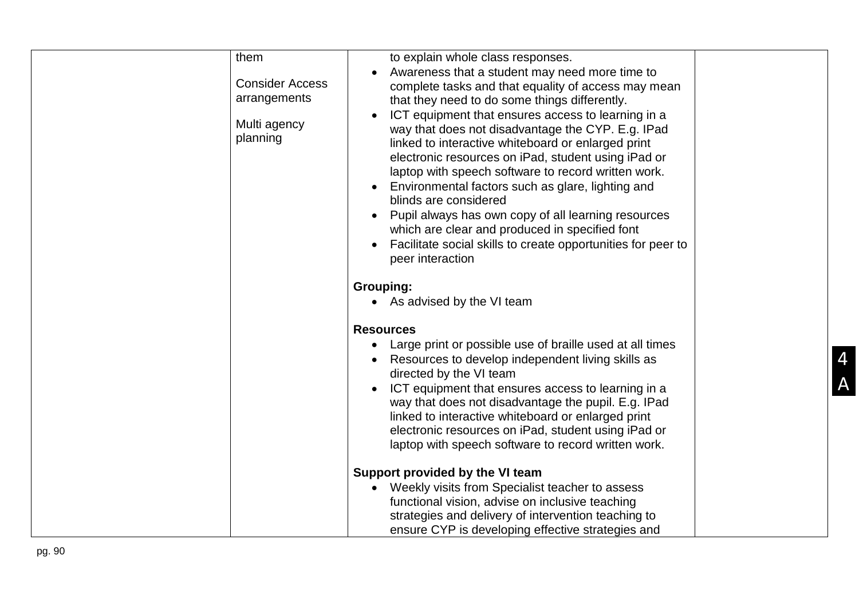| them<br><b>Consider Access</b><br>arrangements<br>Multi agency<br>planning | to explain whole class responses.<br>Awareness that a student may need more time to<br>complete tasks and that equality of access may mean<br>that they need to do some things differently.<br>ICT equipment that ensures access to learning in a<br>way that does not disadvantage the CYP. E.g. IPad<br>linked to interactive whiteboard or enlarged print<br>electronic resources on iPad, student using iPad or<br>laptop with speech software to record written work.<br>Environmental factors such as glare, lighting and<br>blinds are considered<br>Pupil always has own copy of all learning resources<br>which are clear and produced in specified font<br>Facilitate social skills to create opportunities for peer to<br>peer interaction<br><b>Grouping:</b><br>• As advised by the VI team |  |
|----------------------------------------------------------------------------|----------------------------------------------------------------------------------------------------------------------------------------------------------------------------------------------------------------------------------------------------------------------------------------------------------------------------------------------------------------------------------------------------------------------------------------------------------------------------------------------------------------------------------------------------------------------------------------------------------------------------------------------------------------------------------------------------------------------------------------------------------------------------------------------------------|--|
|                                                                            | <b>Resources</b><br>Large print or possible use of braille used at all times<br>Resources to develop independent living skills as<br>$\bullet$<br>directed by the VI team<br>ICT equipment that ensures access to learning in a<br>way that does not disadvantage the pupil. E.g. IPad<br>linked to interactive whiteboard or enlarged print<br>electronic resources on iPad, student using iPad or<br>laptop with speech software to record written work.<br>Support provided by the VI team<br>Weekly visits from Specialist teacher to assess<br>functional vision, advise on inclusive teaching<br>strategies and delivery of intervention teaching to                                                                                                                                               |  |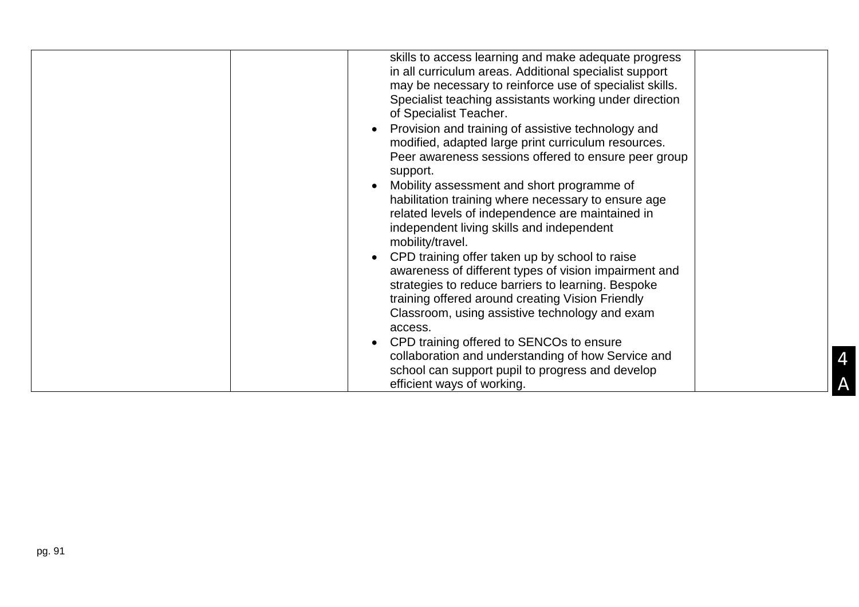| skills to access learning and make adequate progress<br>in all curriculum areas. Additional specialist support<br>may be necessary to reinforce use of specialist skills.<br>Specialist teaching assistants working under direction<br>of Specialist Teacher.<br>Provision and training of assistive technology and<br>modified, adapted large print curriculum resources.<br>Peer awareness sessions offered to ensure peer group<br>support.<br>Mobility assessment and short programme of<br>habilitation training where necessary to ensure age<br>related levels of independence are maintained in<br>independent living skills and independent<br>mobility/travel.<br>CPD training offer taken up by school to raise<br>awareness of different types of vision impairment and<br>strategies to reduce barriers to learning. Bespoke<br>training offered around creating Vision Friendly<br>Classroom, using assistive technology and exam<br>access.<br>CPD training offered to SENCOs to ensure<br>collaboration and understanding of how Service and<br>school can support pupil to progress and develop<br>efficient ways of working. |  |
|------------------------------------------------------------------------------------------------------------------------------------------------------------------------------------------------------------------------------------------------------------------------------------------------------------------------------------------------------------------------------------------------------------------------------------------------------------------------------------------------------------------------------------------------------------------------------------------------------------------------------------------------------------------------------------------------------------------------------------------------------------------------------------------------------------------------------------------------------------------------------------------------------------------------------------------------------------------------------------------------------------------------------------------------------------------------------------------------------------------------------------------------|--|
|------------------------------------------------------------------------------------------------------------------------------------------------------------------------------------------------------------------------------------------------------------------------------------------------------------------------------------------------------------------------------------------------------------------------------------------------------------------------------------------------------------------------------------------------------------------------------------------------------------------------------------------------------------------------------------------------------------------------------------------------------------------------------------------------------------------------------------------------------------------------------------------------------------------------------------------------------------------------------------------------------------------------------------------------------------------------------------------------------------------------------------------------|--|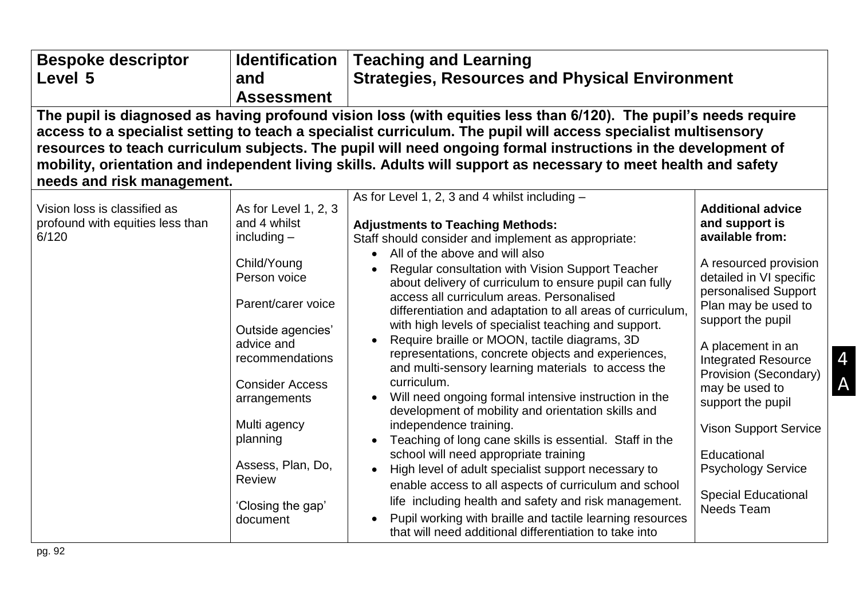| <b>Bespoke descriptor</b><br>Level 5                                                                                                                                                                                                                                                                                                                                                                                                                                                                 | <b>Identification</b><br>and<br><b>Assessment</b>                                                                                                                                                                                                                                                             | <b>Teaching and Learning</b><br><b>Strategies, Resources and Physical Environment</b>                                                                                                                                                                                                                                                                                                                                                                                                                                                                                                                                                                                                                                                                                                                                                                                                                                                                                                                                                                                                                                                                                                       |                                                                                                                                                                                                                                                                                                                                                                                                                                  |  |
|------------------------------------------------------------------------------------------------------------------------------------------------------------------------------------------------------------------------------------------------------------------------------------------------------------------------------------------------------------------------------------------------------------------------------------------------------------------------------------------------------|---------------------------------------------------------------------------------------------------------------------------------------------------------------------------------------------------------------------------------------------------------------------------------------------------------------|---------------------------------------------------------------------------------------------------------------------------------------------------------------------------------------------------------------------------------------------------------------------------------------------------------------------------------------------------------------------------------------------------------------------------------------------------------------------------------------------------------------------------------------------------------------------------------------------------------------------------------------------------------------------------------------------------------------------------------------------------------------------------------------------------------------------------------------------------------------------------------------------------------------------------------------------------------------------------------------------------------------------------------------------------------------------------------------------------------------------------------------------------------------------------------------------|----------------------------------------------------------------------------------------------------------------------------------------------------------------------------------------------------------------------------------------------------------------------------------------------------------------------------------------------------------------------------------------------------------------------------------|--|
| The pupil is diagnosed as having profound vision loss (with equities less than 6/120). The pupil's needs require<br>access to a specialist setting to teach a specialist curriculum. The pupil will access specialist multisensory<br>resources to teach curriculum subjects. The pupil will need ongoing formal instructions in the development of<br>mobility, orientation and independent living skills. Adults will support as necessary to meet health and safety<br>needs and risk management. |                                                                                                                                                                                                                                                                                                               |                                                                                                                                                                                                                                                                                                                                                                                                                                                                                                                                                                                                                                                                                                                                                                                                                                                                                                                                                                                                                                                                                                                                                                                             |                                                                                                                                                                                                                                                                                                                                                                                                                                  |  |
| Vision loss is classified as<br>profound with equities less than<br>6/120                                                                                                                                                                                                                                                                                                                                                                                                                            | As for Level 1, 2, 3<br>and 4 whilst<br>$including -$<br>Child/Young<br>Person voice<br>Parent/carer voice<br>Outside agencies'<br>advice and<br>recommendations<br><b>Consider Access</b><br>arrangements<br>Multi agency<br>planning<br>Assess, Plan, Do,<br><b>Review</b><br>'Closing the gap'<br>document | As for Level 1, 2, 3 and 4 whilst including -<br><b>Adjustments to Teaching Methods:</b><br>Staff should consider and implement as appropriate:<br>All of the above and will also<br>Regular consultation with Vision Support Teacher<br>about delivery of curriculum to ensure pupil can fully<br>access all curriculum areas. Personalised<br>differentiation and adaptation to all areas of curriculum,<br>with high levels of specialist teaching and support.<br>Require braille or MOON, tactile diagrams, 3D<br>representations, concrete objects and experiences,<br>and multi-sensory learning materials to access the<br>curriculum.<br>Will need ongoing formal intensive instruction in the<br>development of mobility and orientation skills and<br>independence training.<br>Teaching of long cane skills is essential. Staff in the<br>school will need appropriate training<br>High level of adult specialist support necessary to<br>enable access to all aspects of curriculum and school<br>life including health and safety and risk management.<br>Pupil working with braille and tactile learning resources<br>that will need additional differentiation to take into | <b>Additional advice</b><br>and support is<br>available from:<br>A resourced provision<br>detailed in VI specific<br>personalised Support<br>Plan may be used to<br>support the pupil<br>A placement in an<br><b>Integrated Resource</b><br>Provision (Secondary)<br>may be used to<br>support the pupil<br><b>Vison Support Service</b><br>Educational<br><b>Psychology Service</b><br><b>Special Educational</b><br>Needs Team |  |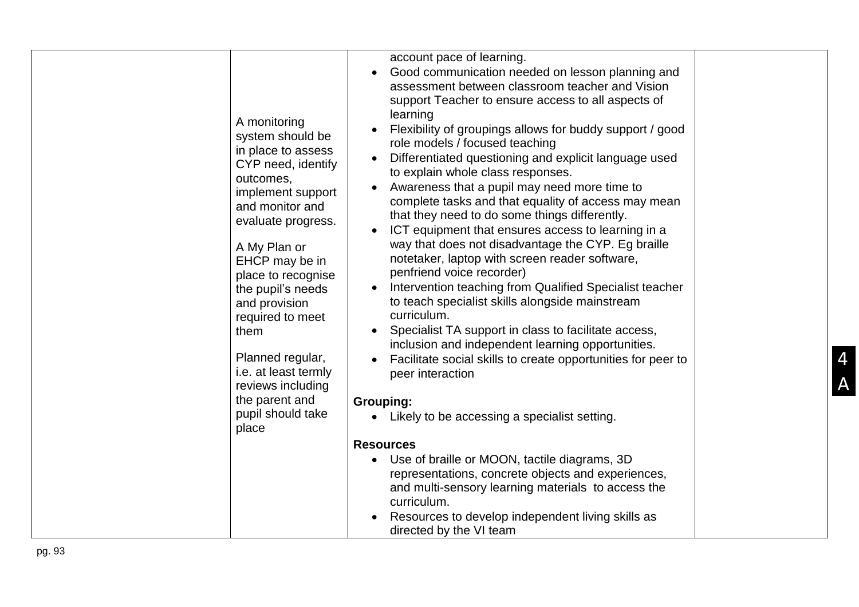| A monitoring<br>system should be<br>in place to assess<br>CYP need, identify<br>outcomes,<br>implement support<br>and monitor and<br>evaluate progress.<br>A My Plan or<br>EHCP may be in<br>place to recognise<br>the pupil's needs<br>and provision<br>required to meet<br>them<br>Planned regular,<br>i.e. at least termly<br>reviews including<br>the parent and<br>pupil should take<br>place | account pace of learning.<br>Good communication needed on lesson planning and<br>assessment between classroom teacher and Vision<br>support Teacher to ensure access to all aspects of<br>learning<br>Flexibility of groupings allows for buddy support / good<br>role models / focused teaching<br>Differentiated questioning and explicit language used<br>to explain whole class responses.<br>Awareness that a pupil may need more time to<br>complete tasks and that equality of access may mean<br>that they need to do some things differently.<br>ICT equipment that ensures access to learning in a<br>way that does not disadvantage the CYP. Eg braille<br>notetaker, laptop with screen reader software,<br>penfriend voice recorder)<br>Intervention teaching from Qualified Specialist teacher<br>to teach specialist skills alongside mainstream<br>curriculum.<br>Specialist TA support in class to facilitate access,<br>inclusion and independent learning opportunities.<br>Facilitate social skills to create opportunities for peer to<br>peer interaction<br><b>Grouping:</b><br>Likely to be accessing a specialist setting.<br><b>Resources</b><br>Use of braille or MOON, tactile diagrams, 3D<br>$\bullet$<br>representations, concrete objects and experiences,<br>and multi-sensory learning materials to access the<br>curriculum.<br>Resources to develop independent living skills as<br>directed by the VI team |  |
|----------------------------------------------------------------------------------------------------------------------------------------------------------------------------------------------------------------------------------------------------------------------------------------------------------------------------------------------------------------------------------------------------|-------------------------------------------------------------------------------------------------------------------------------------------------------------------------------------------------------------------------------------------------------------------------------------------------------------------------------------------------------------------------------------------------------------------------------------------------------------------------------------------------------------------------------------------------------------------------------------------------------------------------------------------------------------------------------------------------------------------------------------------------------------------------------------------------------------------------------------------------------------------------------------------------------------------------------------------------------------------------------------------------------------------------------------------------------------------------------------------------------------------------------------------------------------------------------------------------------------------------------------------------------------------------------------------------------------------------------------------------------------------------------------------------------------------------------------------------|--|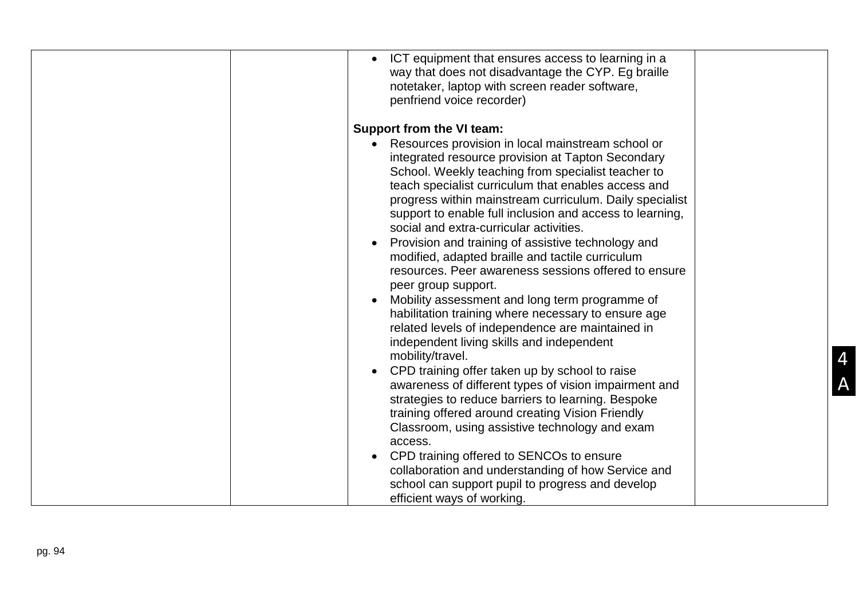| ICT equipment that ensures access to learning in a<br>way that does not disadvantage the CYP. Eg braille<br>notetaker, laptop with screen reader software,<br>penfriend voice recorder)                                                                                                                                                                                                                                                                                                                                                                                                                                                                                                                                                                                                                                                                                                                                                              |  |
|------------------------------------------------------------------------------------------------------------------------------------------------------------------------------------------------------------------------------------------------------------------------------------------------------------------------------------------------------------------------------------------------------------------------------------------------------------------------------------------------------------------------------------------------------------------------------------------------------------------------------------------------------------------------------------------------------------------------------------------------------------------------------------------------------------------------------------------------------------------------------------------------------------------------------------------------------|--|
|                                                                                                                                                                                                                                                                                                                                                                                                                                                                                                                                                                                                                                                                                                                                                                                                                                                                                                                                                      |  |
| Support from the VI team:<br>Resources provision in local mainstream school or<br>integrated resource provision at Tapton Secondary<br>School. Weekly teaching from specialist teacher to<br>teach specialist curriculum that enables access and<br>progress within mainstream curriculum. Daily specialist<br>support to enable full inclusion and access to learning,<br>social and extra-curricular activities.<br>Provision and training of assistive technology and<br>modified, adapted braille and tactile curriculum<br>resources. Peer awareness sessions offered to ensure<br>peer group support.<br>Mobility assessment and long term programme of<br>habilitation training where necessary to ensure age<br>related levels of independence are maintained in<br>independent living skills and independent<br>mobility/travel.<br>CPD training offer taken up by school to raise<br>awareness of different types of vision impairment and |  |
| strategies to reduce barriers to learning. Bespoke<br>training offered around creating Vision Friendly                                                                                                                                                                                                                                                                                                                                                                                                                                                                                                                                                                                                                                                                                                                                                                                                                                               |  |
| Classroom, using assistive technology and exam                                                                                                                                                                                                                                                                                                                                                                                                                                                                                                                                                                                                                                                                                                                                                                                                                                                                                                       |  |
| access.                                                                                                                                                                                                                                                                                                                                                                                                                                                                                                                                                                                                                                                                                                                                                                                                                                                                                                                                              |  |
| CPD training offered to SENCOs to ensure                                                                                                                                                                                                                                                                                                                                                                                                                                                                                                                                                                                                                                                                                                                                                                                                                                                                                                             |  |
| collaboration and understanding of how Service and                                                                                                                                                                                                                                                                                                                                                                                                                                                                                                                                                                                                                                                                                                                                                                                                                                                                                                   |  |
| school can support pupil to progress and develop                                                                                                                                                                                                                                                                                                                                                                                                                                                                                                                                                                                                                                                                                                                                                                                                                                                                                                     |  |
| efficient ways of working.                                                                                                                                                                                                                                                                                                                                                                                                                                                                                                                                                                                                                                                                                                                                                                                                                                                                                                                           |  |

 $\overline{4}$ 

 $\mathsf{A}$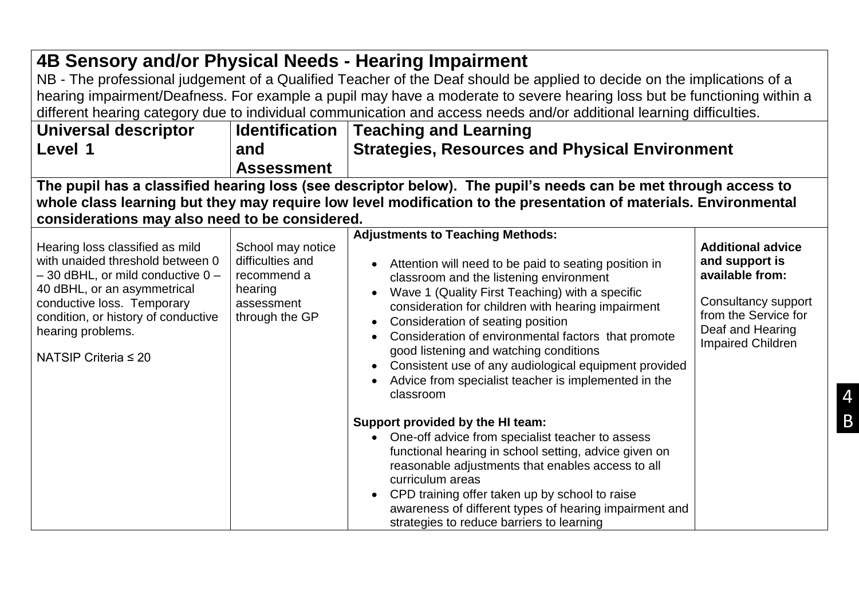| 4B Sensory and/or Physical Needs - Hearing Impairment                                                                                                                                                                                                        |                                                                                                 |                                                                                                                                                                                                                                                                                                                                                                                                                                                                                                                          |                                                                                                                                                       |  |
|--------------------------------------------------------------------------------------------------------------------------------------------------------------------------------------------------------------------------------------------------------------|-------------------------------------------------------------------------------------------------|--------------------------------------------------------------------------------------------------------------------------------------------------------------------------------------------------------------------------------------------------------------------------------------------------------------------------------------------------------------------------------------------------------------------------------------------------------------------------------------------------------------------------|-------------------------------------------------------------------------------------------------------------------------------------------------------|--|
| NB - The professional judgement of a Qualified Teacher of the Deaf should be applied to decide on the implications of a                                                                                                                                      |                                                                                                 |                                                                                                                                                                                                                                                                                                                                                                                                                                                                                                                          |                                                                                                                                                       |  |
|                                                                                                                                                                                                                                                              |                                                                                                 | hearing impairment/Deafness. For example a pupil may have a moderate to severe hearing loss but be functioning within a                                                                                                                                                                                                                                                                                                                                                                                                  |                                                                                                                                                       |  |
|                                                                                                                                                                                                                                                              |                                                                                                 | different hearing category due to individual communication and access needs and/or additional learning difficulties.                                                                                                                                                                                                                                                                                                                                                                                                     |                                                                                                                                                       |  |
| <b>Universal descriptor</b>                                                                                                                                                                                                                                  | <b>Identification</b>                                                                           | <b>Teaching and Learning</b>                                                                                                                                                                                                                                                                                                                                                                                                                                                                                             |                                                                                                                                                       |  |
| Level 1                                                                                                                                                                                                                                                      | and                                                                                             | <b>Strategies, Resources and Physical Environment</b>                                                                                                                                                                                                                                                                                                                                                                                                                                                                    |                                                                                                                                                       |  |
|                                                                                                                                                                                                                                                              | <b>Assessment</b>                                                                               |                                                                                                                                                                                                                                                                                                                                                                                                                                                                                                                          |                                                                                                                                                       |  |
|                                                                                                                                                                                                                                                              |                                                                                                 | The pupil has a classified hearing loss (see descriptor below). The pupil's needs can be met through access to                                                                                                                                                                                                                                                                                                                                                                                                           |                                                                                                                                                       |  |
|                                                                                                                                                                                                                                                              |                                                                                                 | whole class learning but they may require low level modification to the presentation of materials. Environmental                                                                                                                                                                                                                                                                                                                                                                                                         |                                                                                                                                                       |  |
| considerations may also need to be considered.                                                                                                                                                                                                               |                                                                                                 |                                                                                                                                                                                                                                                                                                                                                                                                                                                                                                                          |                                                                                                                                                       |  |
| Hearing loss classified as mild<br>with unaided threshold between 0<br>$-30$ dBHL, or mild conductive $0 -$<br>40 dBHL, or an asymmetrical<br>conductive loss. Temporary<br>condition, or history of conductive<br>hearing problems.<br>NATSIP Criteria ≤ 20 | School may notice<br>difficulties and<br>recommend a<br>hearing<br>assessment<br>through the GP | <b>Adjustments to Teaching Methods:</b><br>Attention will need to be paid to seating position in<br>classroom and the listening environment<br>Wave 1 (Quality First Teaching) with a specific<br>consideration for children with hearing impairment<br>Consideration of seating position<br>Consideration of environmental factors that promote<br>good listening and watching conditions<br>Consistent use of any audiological equipment provided<br>Advice from specialist teacher is implemented in the<br>classroom | <b>Additional advice</b><br>and support is<br>available from:<br>Consultancy support<br>from the Service for<br>Deaf and Hearing<br>Impaired Children |  |
|                                                                                                                                                                                                                                                              |                                                                                                 | Support provided by the HI team:<br>One-off advice from specialist teacher to assess<br>functional hearing in school setting, advice given on<br>reasonable adjustments that enables access to all<br>curriculum areas<br>CPD training offer taken up by school to raise<br>awareness of different types of hearing impairment and<br>strategies to reduce barriers to learning                                                                                                                                          |                                                                                                                                                       |  |

4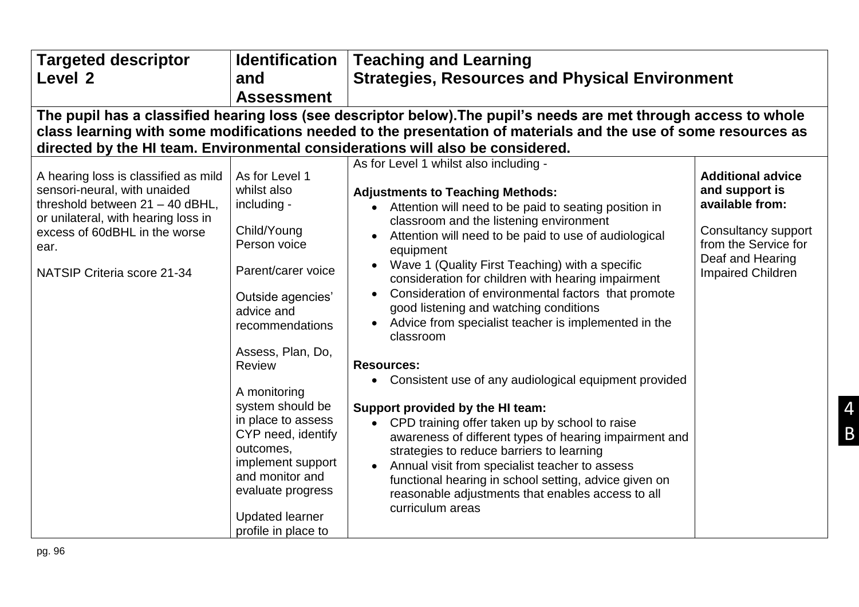| <b>Targeted descriptor</b>                                                                                                                                                                                             | <b>Identification</b>                                                                                                                                                                                                    | <b>Teaching and Learning</b>                                                                                                                                                                                                                                                                                                                                                                                                                                                                                                                            |                                                                                                                                                              |
|------------------------------------------------------------------------------------------------------------------------------------------------------------------------------------------------------------------------|--------------------------------------------------------------------------------------------------------------------------------------------------------------------------------------------------------------------------|---------------------------------------------------------------------------------------------------------------------------------------------------------------------------------------------------------------------------------------------------------------------------------------------------------------------------------------------------------------------------------------------------------------------------------------------------------------------------------------------------------------------------------------------------------|--------------------------------------------------------------------------------------------------------------------------------------------------------------|
| Level 2                                                                                                                                                                                                                | and                                                                                                                                                                                                                      | <b>Strategies, Resources and Physical Environment</b>                                                                                                                                                                                                                                                                                                                                                                                                                                                                                                   |                                                                                                                                                              |
|                                                                                                                                                                                                                        | <b>Assessment</b>                                                                                                                                                                                                        |                                                                                                                                                                                                                                                                                                                                                                                                                                                                                                                                                         |                                                                                                                                                              |
|                                                                                                                                                                                                                        |                                                                                                                                                                                                                          | The pupil has a classified hearing loss (see descriptor below). The pupil's needs are met through access to whole                                                                                                                                                                                                                                                                                                                                                                                                                                       |                                                                                                                                                              |
|                                                                                                                                                                                                                        |                                                                                                                                                                                                                          | class learning with some modifications needed to the presentation of materials and the use of some resources as                                                                                                                                                                                                                                                                                                                                                                                                                                         |                                                                                                                                                              |
|                                                                                                                                                                                                                        |                                                                                                                                                                                                                          | directed by the HI team. Environmental considerations will also be considered.                                                                                                                                                                                                                                                                                                                                                                                                                                                                          |                                                                                                                                                              |
| A hearing loss is classified as mild<br>sensori-neural, with unaided<br>threshold between 21 - 40 dBHL,<br>or unilateral, with hearing loss in<br>excess of 60dBHL in the worse<br>ear.<br>NATSIP Criteria score 21-34 | As for Level 1<br>whilst also<br>including -<br>Child/Young<br>Person voice<br>Parent/carer voice<br>Outside agencies'<br>advice and<br>recommendations<br>Assess, Plan, Do,                                             | As for Level 1 whilst also including -<br><b>Adjustments to Teaching Methods:</b><br>Attention will need to be paid to seating position in<br>$\bullet$<br>classroom and the listening environment<br>Attention will need to be paid to use of audiological<br>equipment<br>Wave 1 (Quality First Teaching) with a specific<br>consideration for children with hearing impairment<br>Consideration of environmental factors that promote<br>good listening and watching conditions<br>Advice from specialist teacher is implemented in the<br>classroom | <b>Additional advice</b><br>and support is<br>available from:<br>Consultancy support<br>from the Service for<br>Deaf and Hearing<br><b>Impaired Children</b> |
|                                                                                                                                                                                                                        | <b>Review</b><br>A monitoring<br>system should be<br>in place to assess<br>CYP need, identify<br>outcomes,<br>implement support<br>and monitor and<br>evaluate progress<br><b>Updated learner</b><br>profile in place to | <b>Resources:</b><br>Consistent use of any audiological equipment provided<br>Support provided by the HI team:<br>CPD training offer taken up by school to raise<br>awareness of different types of hearing impairment and<br>strategies to reduce barriers to learning<br>Annual visit from specialist teacher to assess<br>functional hearing in school setting, advice given on<br>reasonable adjustments that enables access to all<br>curriculum areas                                                                                             |                                                                                                                                                              |

4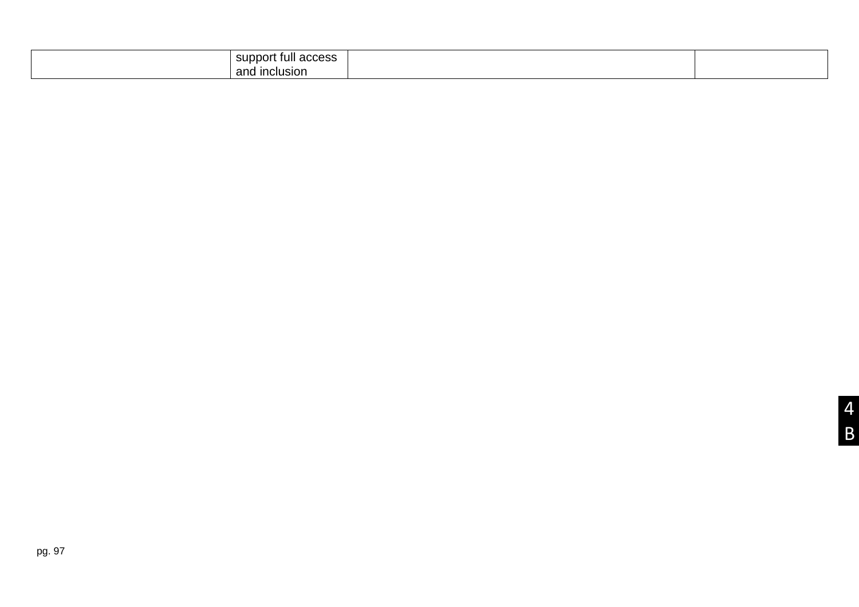| tull<br>support :<br><b>CODCC</b><br>auudaa |  |
|---------------------------------------------|--|
| and inclusion                               |  |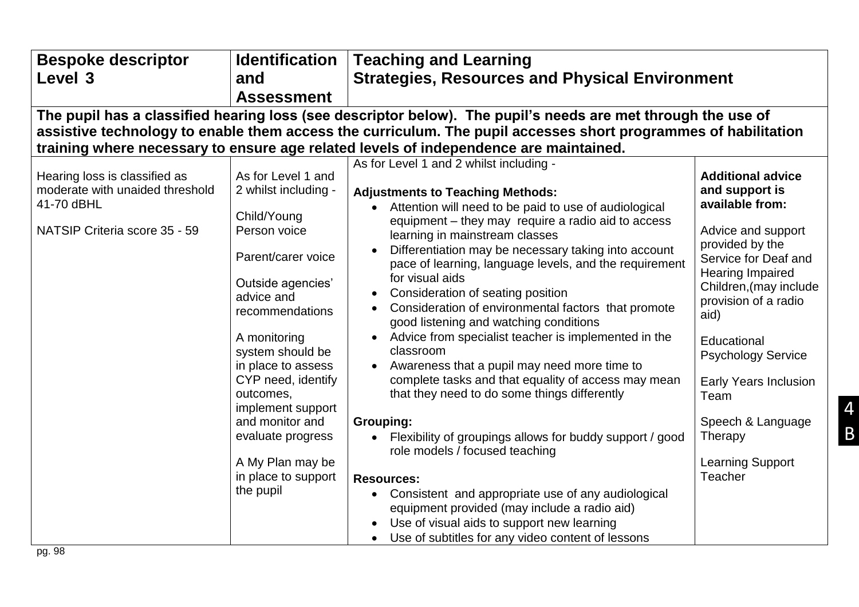| <b>Bespoke descriptor</b><br>Level 3                                                                                                                                                                                                                                                                                    | <b>Identification</b><br>and                                                                                                                                                                                                                                                                                                                                            | <b>Teaching and Learning</b><br><b>Strategies, Resources and Physical Environment</b>                                                                                                                                                                                                                                                                                                                                                                                                                                                                                                                                                                                                                                                                                                                                                                                                                                                                                                                                                                                                                                             |                                                                                                                                                                                                                                                                                                                                                                        |  |  |
|-------------------------------------------------------------------------------------------------------------------------------------------------------------------------------------------------------------------------------------------------------------------------------------------------------------------------|-------------------------------------------------------------------------------------------------------------------------------------------------------------------------------------------------------------------------------------------------------------------------------------------------------------------------------------------------------------------------|-----------------------------------------------------------------------------------------------------------------------------------------------------------------------------------------------------------------------------------------------------------------------------------------------------------------------------------------------------------------------------------------------------------------------------------------------------------------------------------------------------------------------------------------------------------------------------------------------------------------------------------------------------------------------------------------------------------------------------------------------------------------------------------------------------------------------------------------------------------------------------------------------------------------------------------------------------------------------------------------------------------------------------------------------------------------------------------------------------------------------------------|------------------------------------------------------------------------------------------------------------------------------------------------------------------------------------------------------------------------------------------------------------------------------------------------------------------------------------------------------------------------|--|--|
|                                                                                                                                                                                                                                                                                                                         | <b>Assessment</b>                                                                                                                                                                                                                                                                                                                                                       |                                                                                                                                                                                                                                                                                                                                                                                                                                                                                                                                                                                                                                                                                                                                                                                                                                                                                                                                                                                                                                                                                                                                   |                                                                                                                                                                                                                                                                                                                                                                        |  |  |
| The pupil has a classified hearing loss (see descriptor below). The pupil's needs are met through the use of<br>assistive technology to enable them access the curriculum. The pupil accesses short programmes of habilitation<br>training where necessary to ensure age related levels of independence are maintained. |                                                                                                                                                                                                                                                                                                                                                                         |                                                                                                                                                                                                                                                                                                                                                                                                                                                                                                                                                                                                                                                                                                                                                                                                                                                                                                                                                                                                                                                                                                                                   |                                                                                                                                                                                                                                                                                                                                                                        |  |  |
| Hearing loss is classified as<br>moderate with unaided threshold<br>41-70 dBHL<br>NATSIP Criteria score 35 - 59<br>pg. 98                                                                                                                                                                                               | As for Level 1 and<br>2 whilst including -<br>Child/Young<br>Person voice<br>Parent/carer voice<br>Outside agencies'<br>advice and<br>recommendations<br>A monitoring<br>system should be<br>in place to assess<br>CYP need, identify<br>outcomes,<br>implement support<br>and monitor and<br>evaluate progress<br>A My Plan may be<br>in place to support<br>the pupil | As for Level 1 and 2 whilst including -<br><b>Adjustments to Teaching Methods:</b><br>Attention will need to be paid to use of audiological<br>$\bullet$<br>equipment - they may require a radio aid to access<br>learning in mainstream classes<br>Differentiation may be necessary taking into account<br>pace of learning, language levels, and the requirement<br>for visual aids<br>Consideration of seating position<br>Consideration of environmental factors that promote<br>good listening and watching conditions<br>Advice from specialist teacher is implemented in the<br>classroom<br>Awareness that a pupil may need more time to<br>$\bullet$<br>complete tasks and that equality of access may mean<br>that they need to do some things differently<br><b>Grouping:</b><br>Flexibility of groupings allows for buddy support / good<br>role models / focused teaching<br><b>Resources:</b><br>Consistent and appropriate use of any audiological<br>$\bullet$<br>equipment provided (may include a radio aid)<br>Use of visual aids to support new learning<br>Use of subtitles for any video content of lessons | <b>Additional advice</b><br>and support is<br>available from:<br>Advice and support<br>provided by the<br>Service for Deaf and<br>Hearing Impaired<br>Children, (may include<br>provision of a radio<br>aid)<br>Educational<br><b>Psychology Service</b><br><b>Early Years Inclusion</b><br>Team<br>Speech & Language<br>Therapy<br><b>Learning Support</b><br>Teacher |  |  |

4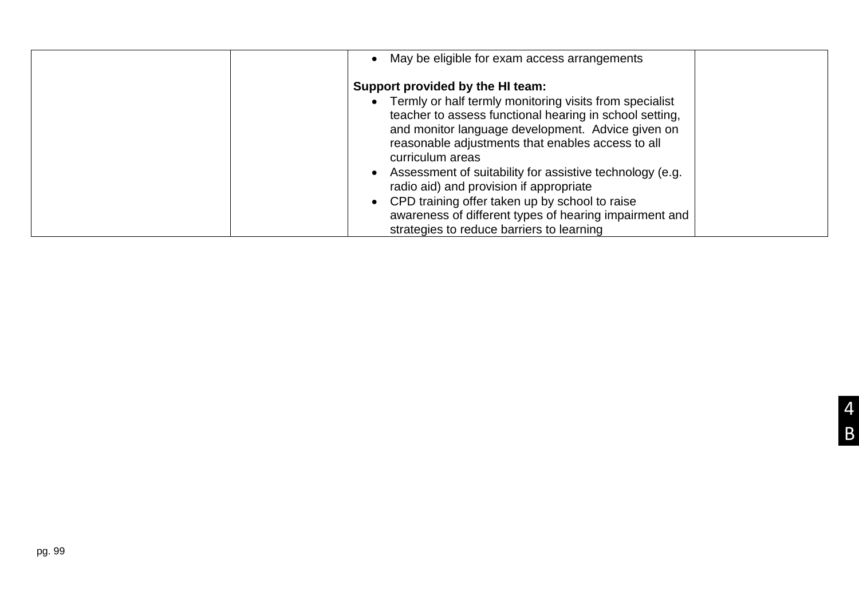| May be eligible for exam access arrangements                                                                                                                                                                                                     |
|--------------------------------------------------------------------------------------------------------------------------------------------------------------------------------------------------------------------------------------------------|
| Support provided by the HI team:                                                                                                                                                                                                                 |
| Termly or half termly monitoring visits from specialist<br>teacher to assess functional hearing in school setting,<br>and monitor language development. Advice given on<br>reasonable adjustments that enables access to all<br>curriculum areas |
| Assessment of suitability for assistive technology (e.g.<br>radio aid) and provision if appropriate                                                                                                                                              |
| • CPD training offer taken up by school to raise                                                                                                                                                                                                 |
| awareness of different types of hearing impairment and                                                                                                                                                                                           |
| strategies to reduce barriers to learning                                                                                                                                                                                                        |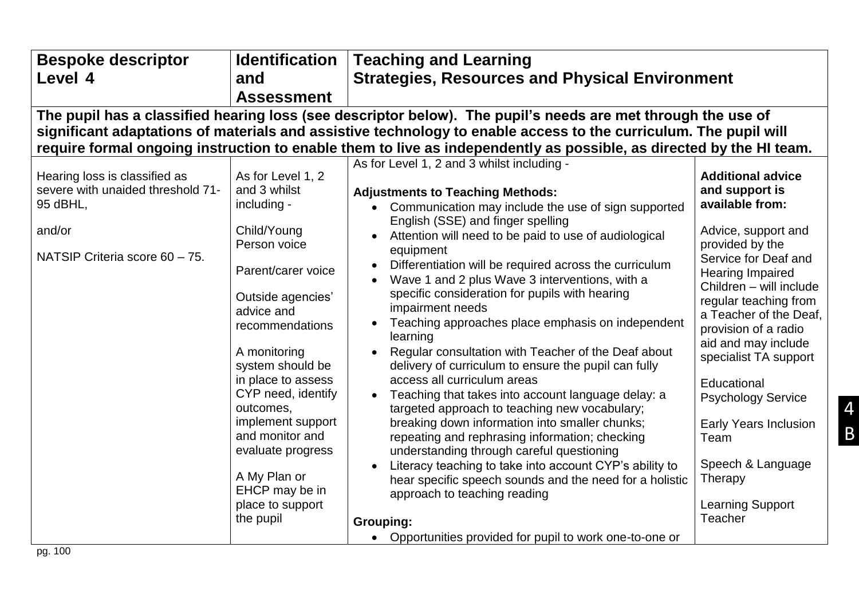| <b>Bespoke descriptor</b><br>Level 4                                                                                       | <b>Identification</b><br>and                                                                                                                                                                                                                                                                                                                                                             | <b>Teaching and Learning</b><br><b>Strategies, Resources and Physical Environment</b>                                                                                                                                                                                                                                                                                                                                                                                                                                                                                                                                                                                                                                                                                                                                                                                                                                                                                                                                                                                    |                                                                                                                                                                                                                                                                                                                                                                                                                                                                     |  |  |  |
|----------------------------------------------------------------------------------------------------------------------------|------------------------------------------------------------------------------------------------------------------------------------------------------------------------------------------------------------------------------------------------------------------------------------------------------------------------------------------------------------------------------------------|--------------------------------------------------------------------------------------------------------------------------------------------------------------------------------------------------------------------------------------------------------------------------------------------------------------------------------------------------------------------------------------------------------------------------------------------------------------------------------------------------------------------------------------------------------------------------------------------------------------------------------------------------------------------------------------------------------------------------------------------------------------------------------------------------------------------------------------------------------------------------------------------------------------------------------------------------------------------------------------------------------------------------------------------------------------------------|---------------------------------------------------------------------------------------------------------------------------------------------------------------------------------------------------------------------------------------------------------------------------------------------------------------------------------------------------------------------------------------------------------------------------------------------------------------------|--|--|--|
|                                                                                                                            | <b>Assessment</b>                                                                                                                                                                                                                                                                                                                                                                        |                                                                                                                                                                                                                                                                                                                                                                                                                                                                                                                                                                                                                                                                                                                                                                                                                                                                                                                                                                                                                                                                          |                                                                                                                                                                                                                                                                                                                                                                                                                                                                     |  |  |  |
|                                                                                                                            | The pupil has a classified hearing loss (see descriptor below). The pupil's needs are met through the use of                                                                                                                                                                                                                                                                             |                                                                                                                                                                                                                                                                                                                                                                                                                                                                                                                                                                                                                                                                                                                                                                                                                                                                                                                                                                                                                                                                          |                                                                                                                                                                                                                                                                                                                                                                                                                                                                     |  |  |  |
|                                                                                                                            |                                                                                                                                                                                                                                                                                                                                                                                          | significant adaptations of materials and assistive technology to enable access to the curriculum. The pupil will                                                                                                                                                                                                                                                                                                                                                                                                                                                                                                                                                                                                                                                                                                                                                                                                                                                                                                                                                         |                                                                                                                                                                                                                                                                                                                                                                                                                                                                     |  |  |  |
|                                                                                                                            |                                                                                                                                                                                                                                                                                                                                                                                          | require formal ongoing instruction to enable them to live as independently as possible, as directed by the HI team.                                                                                                                                                                                                                                                                                                                                                                                                                                                                                                                                                                                                                                                                                                                                                                                                                                                                                                                                                      |                                                                                                                                                                                                                                                                                                                                                                                                                                                                     |  |  |  |
| Hearing loss is classified as<br>severe with unaided threshold 71-<br>95 dBHL,<br>and/or<br>NATSIP Criteria score 60 - 75. | As for Level 1, 2<br>and 3 whilst<br>including -<br>Child/Young<br>Person voice<br>Parent/carer voice<br>Outside agencies'<br>advice and<br>recommendations<br>A monitoring<br>system should be<br>in place to assess<br>CYP need, identify<br>outcomes,<br>implement support<br>and monitor and<br>evaluate progress<br>A My Plan or<br>EHCP may be in<br>place to support<br>the pupil | As for Level 1, 2 and 3 whilst including -<br><b>Adjustments to Teaching Methods:</b><br>• Communication may include the use of sign supported<br>English (SSE) and finger spelling<br>Attention will need to be paid to use of audiological<br>equipment<br>Differentiation will be required across the curriculum<br>Wave 1 and 2 plus Wave 3 interventions, with a<br>specific consideration for pupils with hearing<br>impairment needs<br>Teaching approaches place emphasis on independent<br>learning<br>Regular consultation with Teacher of the Deaf about<br>delivery of curriculum to ensure the pupil can fully<br>access all curriculum areas<br>Teaching that takes into account language delay: a<br>targeted approach to teaching new vocabulary;<br>breaking down information into smaller chunks;<br>repeating and rephrasing information; checking<br>understanding through careful questioning<br>Literacy teaching to take into account CYP's ability to<br>hear specific speech sounds and the need for a holistic<br>approach to teaching reading | <b>Additional advice</b><br>and support is<br>available from:<br>Advice, support and<br>provided by the<br>Service for Deaf and<br><b>Hearing Impaired</b><br>Children - will include<br>regular teaching from<br>a Teacher of the Deaf,<br>provision of a radio<br>aid and may include<br>specialist TA support<br>Educational<br><b>Psychology Service</b><br>Early Years Inclusion<br>Team<br>Speech & Language<br>Therapy<br><b>Learning Support</b><br>Teacher |  |  |  |
|                                                                                                                            |                                                                                                                                                                                                                                                                                                                                                                                          | Grouping:<br>• Opportunities provided for pupil to work one-to-one or                                                                                                                                                                                                                                                                                                                                                                                                                                                                                                                                                                                                                                                                                                                                                                                                                                                                                                                                                                                                    |                                                                                                                                                                                                                                                                                                                                                                                                                                                                     |  |  |  |
|                                                                                                                            |                                                                                                                                                                                                                                                                                                                                                                                          |                                                                                                                                                                                                                                                                                                                                                                                                                                                                                                                                                                                                                                                                                                                                                                                                                                                                                                                                                                                                                                                                          |                                                                                                                                                                                                                                                                                                                                                                                                                                                                     |  |  |  |

4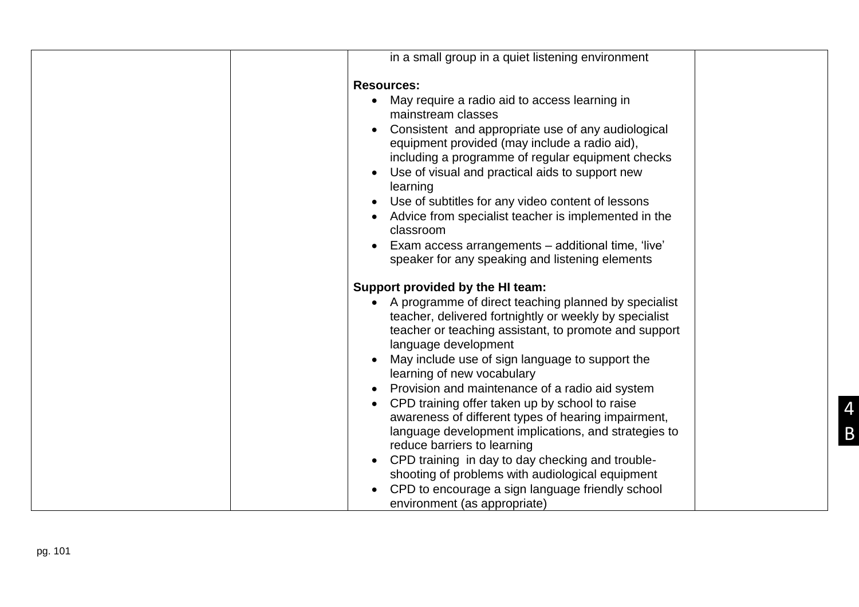| in a small group in a quiet listening environment                                                                                                                                                                                                                                                                                                                                                                                                                                                                                              |  |
|------------------------------------------------------------------------------------------------------------------------------------------------------------------------------------------------------------------------------------------------------------------------------------------------------------------------------------------------------------------------------------------------------------------------------------------------------------------------------------------------------------------------------------------------|--|
| <b>Resources:</b>                                                                                                                                                                                                                                                                                                                                                                                                                                                                                                                              |  |
| May require a radio aid to access learning in<br>$\bullet$<br>mainstream classes<br>Consistent and appropriate use of any audiological<br>equipment provided (may include a radio aid),<br>including a programme of regular equipment checks<br>Use of visual and practical aids to support new<br>learning<br>Use of subtitles for any video content of lessons<br>Advice from specialist teacher is implemented in the<br>classroom<br>Exam access arrangements - additional time, 'live'<br>speaker for any speaking and listening elements |  |
| Support provided by the HI team:                                                                                                                                                                                                                                                                                                                                                                                                                                                                                                               |  |
| • A programme of direct teaching planned by specialist<br>teacher, delivered fortnightly or weekly by specialist<br>teacher or teaching assistant, to promote and support<br>language development                                                                                                                                                                                                                                                                                                                                              |  |
| May include use of sign language to support the<br>learning of new vocabulary                                                                                                                                                                                                                                                                                                                                                                                                                                                                  |  |
| Provision and maintenance of a radio aid system<br>$\bullet$<br>CPD training offer taken up by school to raise<br>$\bullet$<br>awareness of different types of hearing impairment,<br>language development implications, and strategies to<br>reduce barriers to learning                                                                                                                                                                                                                                                                      |  |
| CPD training in day to day checking and trouble-<br>$\bullet$<br>shooting of problems with audiological equipment<br>CPD to encourage a sign language friendly school<br>environment (as appropriate)                                                                                                                                                                                                                                                                                                                                          |  |

 $\frac{4}{\text{B}}$ 

 $\overline{4}$ 

 $\overline{B}$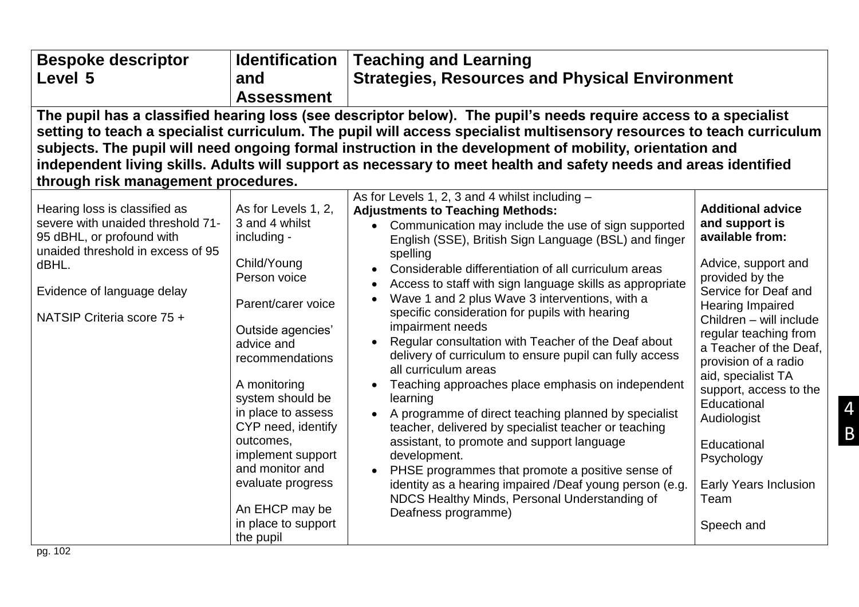| <b>Bespoke descriptor</b><br>Level 5                                                                                                                                                                                                                                                                                                                                                                                                                                                                                                                                                                                                                                        | <b>Identification</b><br>and                                                                                                                                                                                                                                                                                                                             | <b>Teaching and Learning</b><br><b>Strategies, Resources and Physical Environment</b>                                                                                                                                                                                                                                                                                                                                                                                                                                                                                                                                                                                                                                                                                                                                                                                                                                                                                                                                     |                                                                                                                                                                                                                                                                                                                                                                                                       |  |  |
|-----------------------------------------------------------------------------------------------------------------------------------------------------------------------------------------------------------------------------------------------------------------------------------------------------------------------------------------------------------------------------------------------------------------------------------------------------------------------------------------------------------------------------------------------------------------------------------------------------------------------------------------------------------------------------|----------------------------------------------------------------------------------------------------------------------------------------------------------------------------------------------------------------------------------------------------------------------------------------------------------------------------------------------------------|---------------------------------------------------------------------------------------------------------------------------------------------------------------------------------------------------------------------------------------------------------------------------------------------------------------------------------------------------------------------------------------------------------------------------------------------------------------------------------------------------------------------------------------------------------------------------------------------------------------------------------------------------------------------------------------------------------------------------------------------------------------------------------------------------------------------------------------------------------------------------------------------------------------------------------------------------------------------------------------------------------------------------|-------------------------------------------------------------------------------------------------------------------------------------------------------------------------------------------------------------------------------------------------------------------------------------------------------------------------------------------------------------------------------------------------------|--|--|
| <b>Assessment</b><br>The pupil has a classified hearing loss (see descriptor below). The pupil's needs require access to a specialist<br>setting to teach a specialist curriculum. The pupil will access specialist multisensory resources to teach curriculum<br>subjects. The pupil will need ongoing formal instruction in the development of mobility, orientation and<br>independent living skills. Adults will support as necessary to meet health and safety needs and areas identified<br>through risk management procedures.<br>As for Levels 1, 2, 3 and 4 whilst including -<br>Hearing loss is classified as<br>As for Levels 1, 2,<br><b>Additional advice</b> |                                                                                                                                                                                                                                                                                                                                                          |                                                                                                                                                                                                                                                                                                                                                                                                                                                                                                                                                                                                                                                                                                                                                                                                                                                                                                                                                                                                                           |                                                                                                                                                                                                                                                                                                                                                                                                       |  |  |
| severe with unaided threshold 71-<br>95 dBHL, or profound with<br>unaided threshold in excess of 95<br>dBHL.<br>Evidence of language delay<br>NATSIP Criteria score 75 +<br>pg. 102                                                                                                                                                                                                                                                                                                                                                                                                                                                                                         | 3 and 4 whilst<br>including -<br>Child/Young<br>Person voice<br>Parent/carer voice<br>Outside agencies'<br>advice and<br>recommendations<br>A monitoring<br>system should be<br>in place to assess<br>CYP need, identify<br>outcomes,<br>implement support<br>and monitor and<br>evaluate progress<br>An EHCP may be<br>in place to support<br>the pupil | <b>Adjustments to Teaching Methods:</b><br>Communication may include the use of sign supported<br>$\bullet$<br>English (SSE), British Sign Language (BSL) and finger<br>spelling<br>Considerable differentiation of all curriculum areas<br>Access to staff with sign language skills as appropriate<br>Wave 1 and 2 plus Wave 3 interventions, with a<br>specific consideration for pupils with hearing<br>impairment needs<br>Regular consultation with Teacher of the Deaf about<br>delivery of curriculum to ensure pupil can fully access<br>all curriculum areas<br>Teaching approaches place emphasis on independent<br>learning<br>A programme of direct teaching planned by specialist<br>$\bullet$<br>teacher, delivered by specialist teacher or teaching<br>assistant, to promote and support language<br>development.<br>PHSE programmes that promote a positive sense of<br>identity as a hearing impaired /Deaf young person (e.g.<br>NDCS Healthy Minds, Personal Understanding of<br>Deafness programme) | and support is<br>available from:<br>Advice, support and<br>provided by the<br>Service for Deaf and<br><b>Hearing Impaired</b><br>Children - will include<br>regular teaching from<br>a Teacher of the Deaf,<br>provision of a radio<br>aid, specialist TA<br>support, access to the<br>Educational<br>Audiologist<br>Educational<br>Psychology<br><b>Early Years Inclusion</b><br>Team<br>Speech and |  |  |

4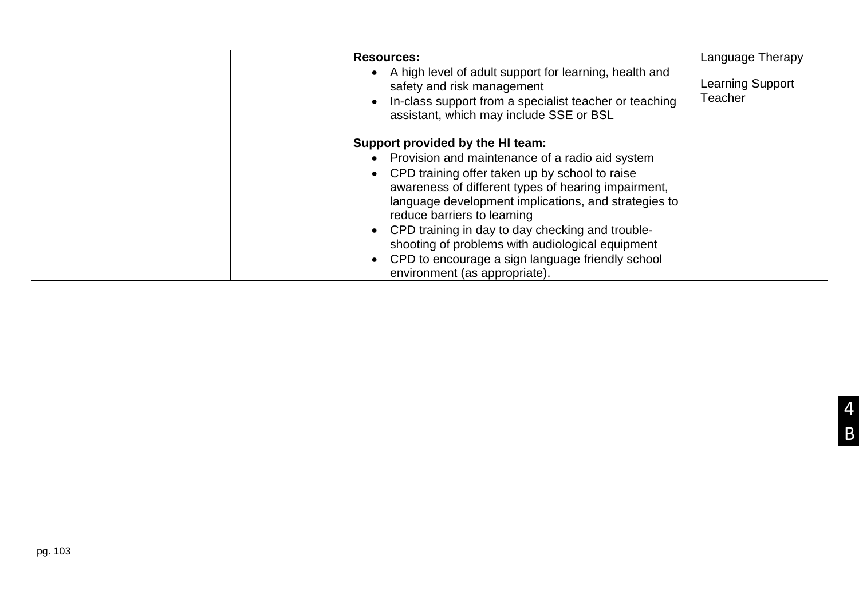| <b>Resources:</b>                                                                                                                                                                                                   | Language Therapy                   |
|---------------------------------------------------------------------------------------------------------------------------------------------------------------------------------------------------------------------|------------------------------------|
| A high level of adult support for learning, health and<br>$\bullet$<br>safety and risk management<br>In-class support from a specialist teacher or teaching<br>$\bullet$<br>assistant, which may include SSE or BSL | <b>Learning Support</b><br>Teacher |
| Support provided by the HI team:                                                                                                                                                                                    |                                    |
| Provision and maintenance of a radio aid system<br>$\bullet$                                                                                                                                                        |                                    |
| CPD training offer taken up by school to raise<br>$\bullet$                                                                                                                                                         |                                    |
| awareness of different types of hearing impairment,                                                                                                                                                                 |                                    |
| language development implications, and strategies to<br>reduce barriers to learning                                                                                                                                 |                                    |
| • CPD training in day to day checking and trouble-<br>shooting of problems with audiological equipment                                                                                                              |                                    |
| CPD to encourage a sign language friendly school<br>$\bullet$<br>environment (as appropriate).                                                                                                                      |                                    |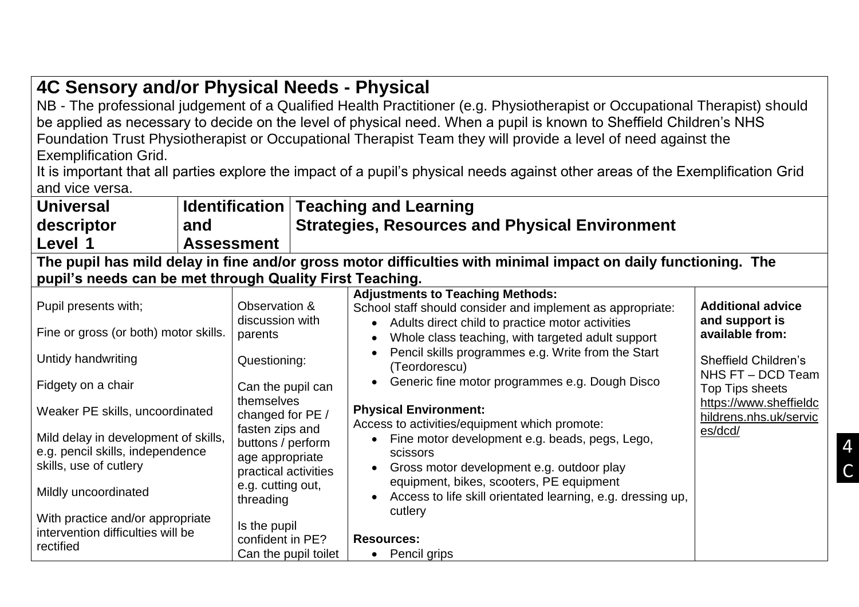## **4C Sensory and/or Physical Needs - Physical**

NB - The professional judgement of a Qualified Health Practitioner (e.g. Physiotherapist or Occupational Therapist) should be applied as necessary to decide on the level of physical need. When a pupil is known to Sheffield Children's NHS Foundation Trust Physiotherapist or Occupational Therapist Team they will provide a level of need against the Exemplification Grid.

It is important that all parties explore the impact of a pupil's physical needs against other areas of the Exemplification Grid and vice versa.

| <b>Universal</b>                                                                                   |     | <b>Identification</b>                                                           | Teaching and Learning                                                                                          |                                                  |  |
|----------------------------------------------------------------------------------------------------|-----|---------------------------------------------------------------------------------|----------------------------------------------------------------------------------------------------------------|--------------------------------------------------|--|
| descriptor                                                                                         | and |                                                                                 | <b>Strategies, Resources and Physical Environment</b>                                                          |                                                  |  |
| Level 1                                                                                            |     | <b>Assessment</b>                                                               |                                                                                                                |                                                  |  |
|                                                                                                    |     |                                                                                 | The pupil has mild delay in fine and/or gross motor difficulties with minimal impact on daily functioning. The |                                                  |  |
| pupil's needs can be met through Quality First Teaching.                                           |     |                                                                                 |                                                                                                                |                                                  |  |
| Pupil presents with;                                                                               |     | Observation &<br>discussion with                                                | <b>Adjustments to Teaching Methods:</b><br>School staff should consider and implement as appropriate:          | <b>Additional advice</b><br>and support is       |  |
| Fine or gross (or both) motor skills.                                                              |     | parents                                                                         | Adults direct child to practice motor activities<br>Whole class teaching, with targeted adult support          | available from:                                  |  |
| Untidy handwriting                                                                                 |     | Questioning:                                                                    | Pencil skills programmes e.g. Write from the Start<br>(Teordorescu)                                            | Sheffield Children's<br>NHS FT - DCD Team        |  |
| Fidgety on a chair                                                                                 |     | Can the pupil can<br>themselves                                                 | Generic fine motor programmes e.g. Dough Disco                                                                 | Top Tips sheets                                  |  |
| Weaker PE skills, uncoordinated                                                                    |     | changed for PE /                                                                | <b>Physical Environment:</b><br>Access to activities/equipment which promote:                                  | https://www.sheffieldc<br>hildrens.nhs.uk/servic |  |
| Mild delay in development of skills,<br>e.g. pencil skills, independence<br>skills, use of cutlery |     | fasten zips and<br>buttons / perform<br>age appropriate<br>practical activities | Fine motor development e.g. beads, pegs, Lego,<br>scissors<br>Gross motor development e.g. outdoor play        | es/dcd/                                          |  |
| Mildly uncoordinated                                                                               |     | e.g. cutting out,<br>threading                                                  | equipment, bikes, scooters, PE equipment<br>Access to life skill orientated learning, e.g. dressing up,        |                                                  |  |
| With practice and/or appropriate<br>intervention difficulties will be<br>rectified                 |     | Is the pupil<br>confident in PE?<br>Can the pupil toilet                        | cutlery<br><b>Resources:</b><br>Pencil grips<br>$\bullet$                                                      |                                                  |  |

4

C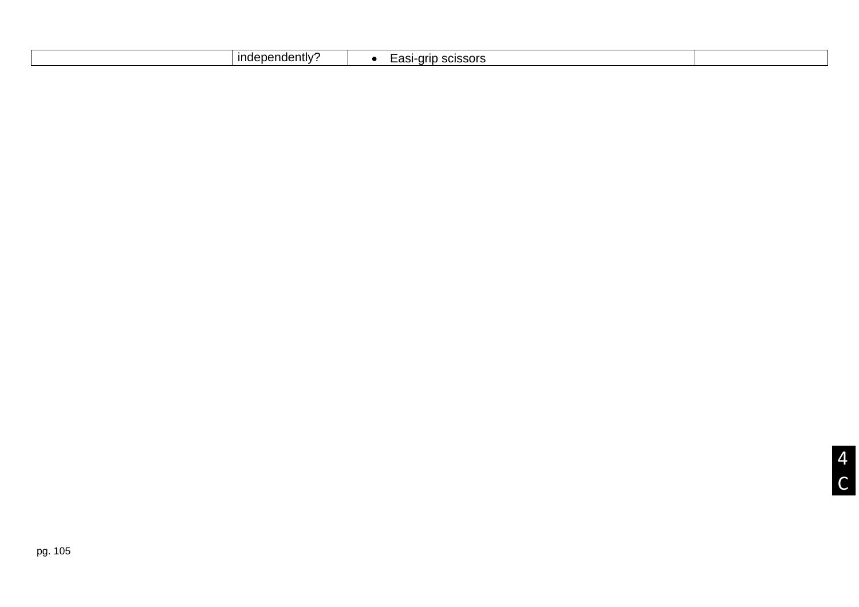| inae | ∍ י טוזח≏י<br>. .<br>יו אי<br>. <b>.</b><br>`` | <b>COICCOTC</b> |
|------|------------------------------------------------|-----------------|
|      | --<br>. .                                      | ,,,,,,,,,,,     |
|      |                                                |                 |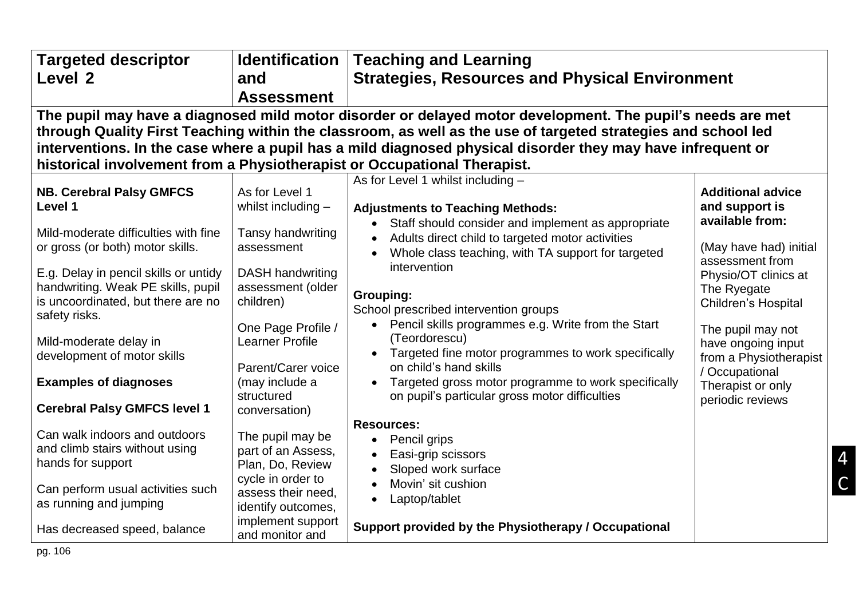| <b>Targeted descriptor</b><br>Level 2                                                                                                                                                                                                                                                                                                                                                                                                       | <b>Identification</b><br>and                                                                                                                                                         | <b>Teaching and Learning</b><br><b>Strategies, Resources and Physical Environment</b>                                                                                                                                                                                                                               |                                                                                                                                                                           |  |  |
|---------------------------------------------------------------------------------------------------------------------------------------------------------------------------------------------------------------------------------------------------------------------------------------------------------------------------------------------------------------------------------------------------------------------------------------------|--------------------------------------------------------------------------------------------------------------------------------------------------------------------------------------|---------------------------------------------------------------------------------------------------------------------------------------------------------------------------------------------------------------------------------------------------------------------------------------------------------------------|---------------------------------------------------------------------------------------------------------------------------------------------------------------------------|--|--|
| <b>Assessment</b><br>The pupil may have a diagnosed mild motor disorder or delayed motor development. The pupil's needs are met<br>through Quality First Teaching within the classroom, as well as the use of targeted strategies and school led<br>interventions. In the case where a pupil has a mild diagnosed physical disorder they may have infrequent or<br>historical involvement from a Physiotherapist or Occupational Therapist. |                                                                                                                                                                                      |                                                                                                                                                                                                                                                                                                                     |                                                                                                                                                                           |  |  |
| <b>NB. Cerebral Palsy GMFCS</b><br>Level 1<br>Mild-moderate difficulties with fine<br>or gross (or both) motor skills.<br>E.g. Delay in pencil skills or untidy                                                                                                                                                                                                                                                                             | As for Level 1<br>whilst including $-$<br>Tansy handwriting<br>assessment<br><b>DASH handwriting</b>                                                                                 | As for Level 1 whilst including -<br><b>Adjustments to Teaching Methods:</b><br>Staff should consider and implement as appropriate<br>Adults direct child to targeted motor activities<br>Whole class teaching, with TA support for targeted<br>intervention                                                        | <b>Additional advice</b><br>and support is<br>available from:<br>(May have had) initial<br>assessment from<br>Physio/OT clinics at                                        |  |  |
| handwriting. Weak PE skills, pupil<br>is uncoordinated, but there are no<br>safety risks.<br>Mild-moderate delay in<br>development of motor skills<br><b>Examples of diagnoses</b>                                                                                                                                                                                                                                                          | assessment (older<br>children)<br>One Page Profile /<br><b>Learner Profile</b><br>Parent/Carer voice<br>(may include a<br>structured                                                 | Grouping:<br>School prescribed intervention groups<br>Pencil skills programmes e.g. Write from the Start<br>(Teordorescu)<br>Targeted fine motor programmes to work specifically<br>on child's hand skills<br>Targeted gross motor programme to work specifically<br>on pupil's particular gross motor difficulties | The Ryegate<br><b>Children's Hospital</b><br>The pupil may not<br>have ongoing input<br>from a Physiotherapist<br>/ Occupational<br>Therapist or only<br>periodic reviews |  |  |
| <b>Cerebral Palsy GMFCS level 1</b><br>Can walk indoors and outdoors<br>and climb stairs without using<br>hands for support<br>Can perform usual activities such<br>as running and jumping<br>Has decreased speed, balance                                                                                                                                                                                                                  | conversation)<br>The pupil may be<br>part of an Assess,<br>Plan, Do, Review<br>cycle in order to<br>assess their need.<br>identify outcomes,<br>implement support<br>and monitor and | <b>Resources:</b><br>Pencil grips<br>Easi-grip scissors<br>Sloped work surface<br>Movin' sit cushion<br>Laptop/tablet<br>Support provided by the Physiotherapy / Occupational                                                                                                                                       |                                                                                                                                                                           |  |  |

C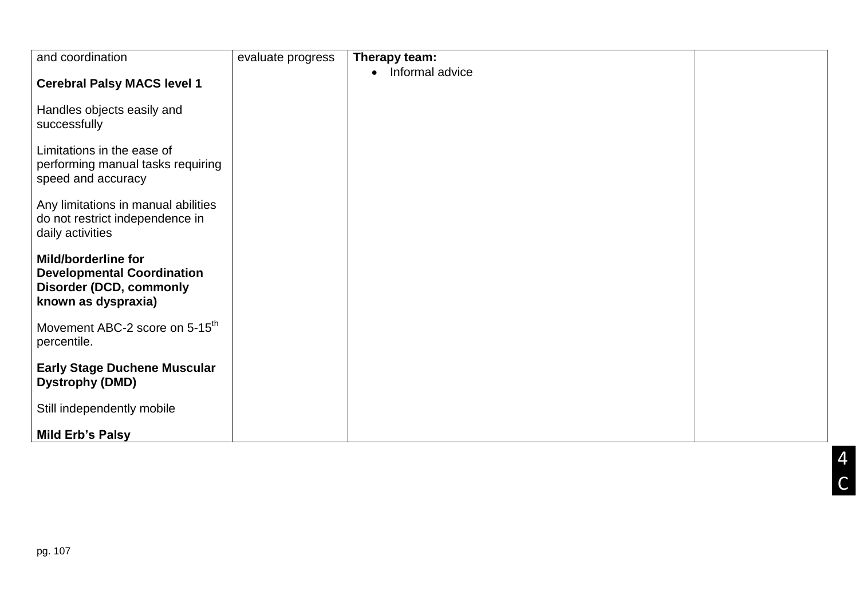| and coordination                                                                                                         | evaluate progress | Therapy team:   |  |
|--------------------------------------------------------------------------------------------------------------------------|-------------------|-----------------|--|
|                                                                                                                          |                   | Informal advice |  |
| <b>Cerebral Palsy MACS level 1</b>                                                                                       |                   |                 |  |
| Handles objects easily and<br>successfully                                                                               |                   |                 |  |
| Limitations in the ease of<br>performing manual tasks requiring<br>speed and accuracy                                    |                   |                 |  |
| Any limitations in manual abilities<br>do not restrict independence in<br>daily activities                               |                   |                 |  |
| <b>Mild/borderline for</b><br><b>Developmental Coordination</b><br><b>Disorder (DCD, commonly</b><br>known as dyspraxia) |                   |                 |  |
| Movement ABC-2 score on 5-15 <sup>th</sup><br>percentile.                                                                |                   |                 |  |
| <b>Early Stage Duchene Muscular</b><br><b>Dystrophy (DMD)</b>                                                            |                   |                 |  |
| Still independently mobile                                                                                               |                   |                 |  |
| Mild Erb's Palsy                                                                                                         |                   |                 |  |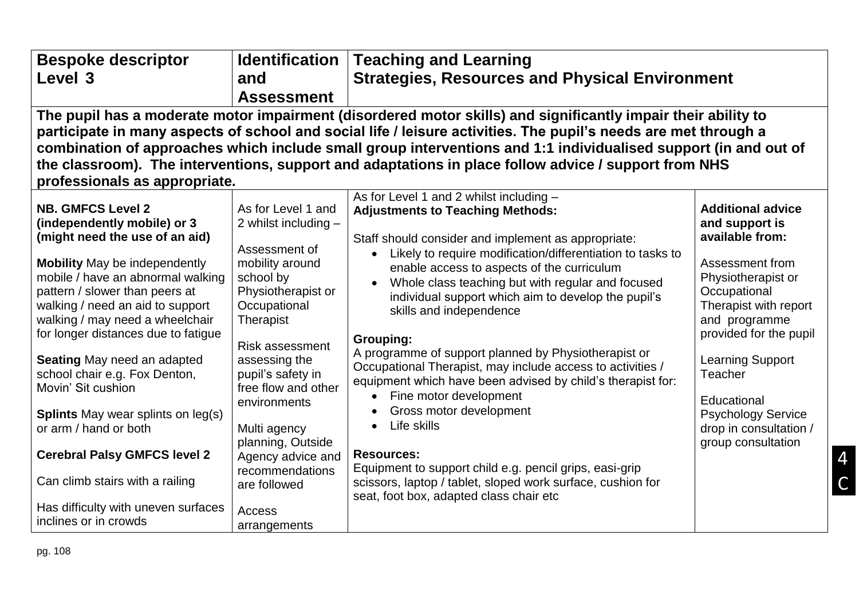| <b>Bespoke descriptor</b>                                                                                                                                                                                                                                                                                                                                                                                                                                                                                                                                                                                  | <b>Identification</b>                                                                                                                                                                                                                                                                                                                                          | <b>Teaching and Learning</b>                                                                                                                                                                                                                                                                                                                                                                                                                                                                                                                                                                                                                                                                                                                                                                                                                                 |                                                                                                                                                                                                                                                                                                                              |  |  |
|------------------------------------------------------------------------------------------------------------------------------------------------------------------------------------------------------------------------------------------------------------------------------------------------------------------------------------------------------------------------------------------------------------------------------------------------------------------------------------------------------------------------------------------------------------------------------------------------------------|----------------------------------------------------------------------------------------------------------------------------------------------------------------------------------------------------------------------------------------------------------------------------------------------------------------------------------------------------------------|--------------------------------------------------------------------------------------------------------------------------------------------------------------------------------------------------------------------------------------------------------------------------------------------------------------------------------------------------------------------------------------------------------------------------------------------------------------------------------------------------------------------------------------------------------------------------------------------------------------------------------------------------------------------------------------------------------------------------------------------------------------------------------------------------------------------------------------------------------------|------------------------------------------------------------------------------------------------------------------------------------------------------------------------------------------------------------------------------------------------------------------------------------------------------------------------------|--|--|
| Level 3                                                                                                                                                                                                                                                                                                                                                                                                                                                                                                                                                                                                    | and                                                                                                                                                                                                                                                                                                                                                            | <b>Strategies, Resources and Physical Environment</b>                                                                                                                                                                                                                                                                                                                                                                                                                                                                                                                                                                                                                                                                                                                                                                                                        |                                                                                                                                                                                                                                                                                                                              |  |  |
|                                                                                                                                                                                                                                                                                                                                                                                                                                                                                                                                                                                                            | <b>Assessment</b>                                                                                                                                                                                                                                                                                                                                              |                                                                                                                                                                                                                                                                                                                                                                                                                                                                                                                                                                                                                                                                                                                                                                                                                                                              |                                                                                                                                                                                                                                                                                                                              |  |  |
| The pupil has a moderate motor impairment (disordered motor skills) and significantly impair their ability to<br>participate in many aspects of school and social life / leisure activities. The pupil's needs are met through a<br>combination of approaches which include small group interventions and 1:1 individualised support (in and out of<br>the classroom). The interventions, support and adaptations in place follow advice / support from NHS<br>professionals as appropriate.                                                                                                               |                                                                                                                                                                                                                                                                                                                                                                |                                                                                                                                                                                                                                                                                                                                                                                                                                                                                                                                                                                                                                                                                                                                                                                                                                                              |                                                                                                                                                                                                                                                                                                                              |  |  |
| <b>NB. GMFCS Level 2</b><br>(independently mobile) or 3<br>(might need the use of an aid)<br><b>Mobility</b> May be independently<br>mobile / have an abnormal walking<br>pattern / slower than peers at<br>walking / need an aid to support<br>walking / may need a wheelchair<br>for longer distances due to fatigue<br><b>Seating May need an adapted</b><br>school chair e.g. Fox Denton,<br>Movin' Sit cushion<br><b>Splints</b> May wear splints on leg(s)<br>or arm / hand or both<br><b>Cerebral Palsy GMFCS level 2</b><br>Can climb stairs with a railing<br>Has difficulty with uneven surfaces | As for Level 1 and<br>2 whilst including $-$<br>Assessment of<br>mobility around<br>school by<br>Physiotherapist or<br>Occupational<br>Therapist<br><b>Risk assessment</b><br>assessing the<br>pupil's safety in<br>free flow and other<br>environments<br>Multi agency<br>planning, Outside<br>Agency advice and<br>recommendations<br>are followed<br>Access | As for Level 1 and 2 whilst including -<br><b>Adjustments to Teaching Methods:</b><br>Staff should consider and implement as appropriate:<br>Likely to require modification/differentiation to tasks to<br>enable access to aspects of the curriculum<br>Whole class teaching but with regular and focused<br>individual support which aim to develop the pupil's<br>skills and independence<br>Grouping:<br>A programme of support planned by Physiotherapist or<br>Occupational Therapist, may include access to activities /<br>equipment which have been advised by child's therapist for:<br>Fine motor development<br>Gross motor development<br>Life skills<br><b>Resources:</b><br>Equipment to support child e.g. pencil grips, easi-grip<br>scissors, laptop / tablet, sloped work surface, cushion for<br>seat, foot box, adapted class chair etc | <b>Additional advice</b><br>and support is<br>available from:<br>Assessment from<br>Physiotherapist or<br>Occupational<br>Therapist with report<br>and programme<br>provided for the pupil<br><b>Learning Support</b><br>Teacher<br>Educational<br><b>Psychology Service</b><br>drop in consultation /<br>group consultation |  |  |
| inclines or in crowds                                                                                                                                                                                                                                                                                                                                                                                                                                                                                                                                                                                      | arrangements                                                                                                                                                                                                                                                                                                                                                   |                                                                                                                                                                                                                                                                                                                                                                                                                                                                                                                                                                                                                                                                                                                                                                                                                                                              |                                                                                                                                                                                                                                                                                                                              |  |  |

C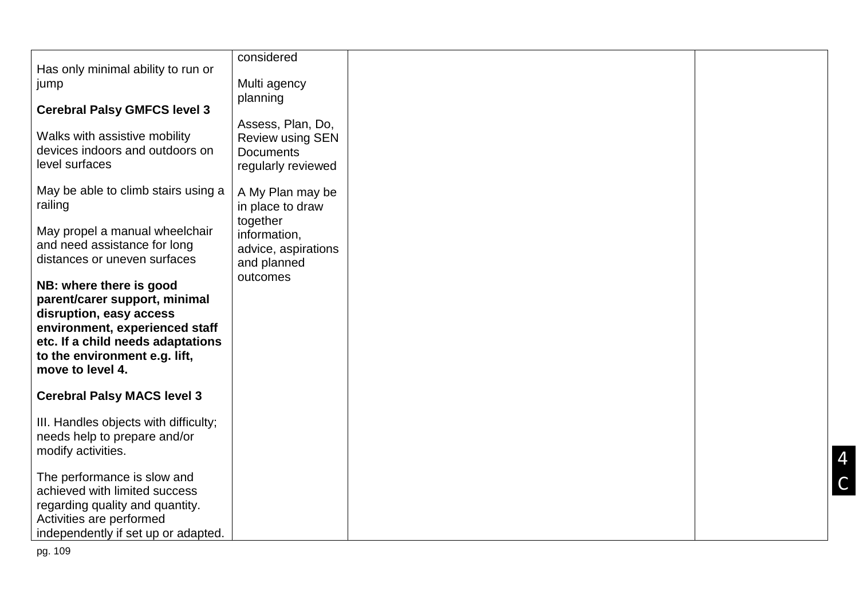|                                                                     | considered              |  |  |
|---------------------------------------------------------------------|-------------------------|--|--|
| Has only minimal ability to run or<br>jump                          | Multi agency            |  |  |
|                                                                     | planning                |  |  |
| <b>Cerebral Palsy GMFCS level 3</b>                                 |                         |  |  |
|                                                                     | Assess, Plan, Do,       |  |  |
| Walks with assistive mobility                                       | <b>Review using SEN</b> |  |  |
| devices indoors and outdoors on                                     | <b>Documents</b>        |  |  |
| level surfaces                                                      | regularly reviewed      |  |  |
| May be able to climb stairs using a                                 | A My Plan may be        |  |  |
| railing                                                             | in place to draw        |  |  |
|                                                                     | together                |  |  |
| May propel a manual wheelchair                                      | information,            |  |  |
| and need assistance for long<br>distances or uneven surfaces        | advice, aspirations     |  |  |
|                                                                     | and planned<br>outcomes |  |  |
| NB: where there is good                                             |                         |  |  |
| parent/carer support, minimal                                       |                         |  |  |
| disruption, easy access                                             |                         |  |  |
| environment, experienced staff<br>etc. If a child needs adaptations |                         |  |  |
| to the environment e.g. lift,                                       |                         |  |  |
| move to level 4.                                                    |                         |  |  |
|                                                                     |                         |  |  |
| <b>Cerebral Palsy MACS level 3</b>                                  |                         |  |  |
| III. Handles objects with difficulty;                               |                         |  |  |
| needs help to prepare and/or                                        |                         |  |  |
| modify activities.                                                  |                         |  |  |
|                                                                     |                         |  |  |
| The performance is slow and                                         |                         |  |  |
| achieved with limited success<br>regarding quality and quantity.    |                         |  |  |
| Activities are performed                                            |                         |  |  |
| independently if set up or adapted.                                 |                         |  |  |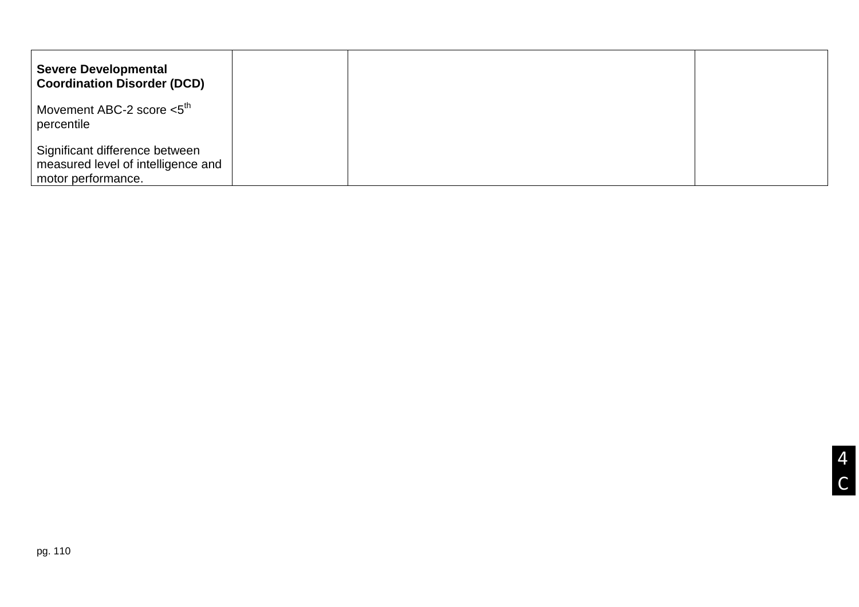| <b>Severe Developmental</b><br><b>Coordination Disorder (DCD)</b>                          |  |  |
|--------------------------------------------------------------------------------------------|--|--|
| Movement ABC-2 score $<5^{\text{th}}$<br>percentile                                        |  |  |
| Significant difference between<br>measured level of intelligence and<br>motor performance. |  |  |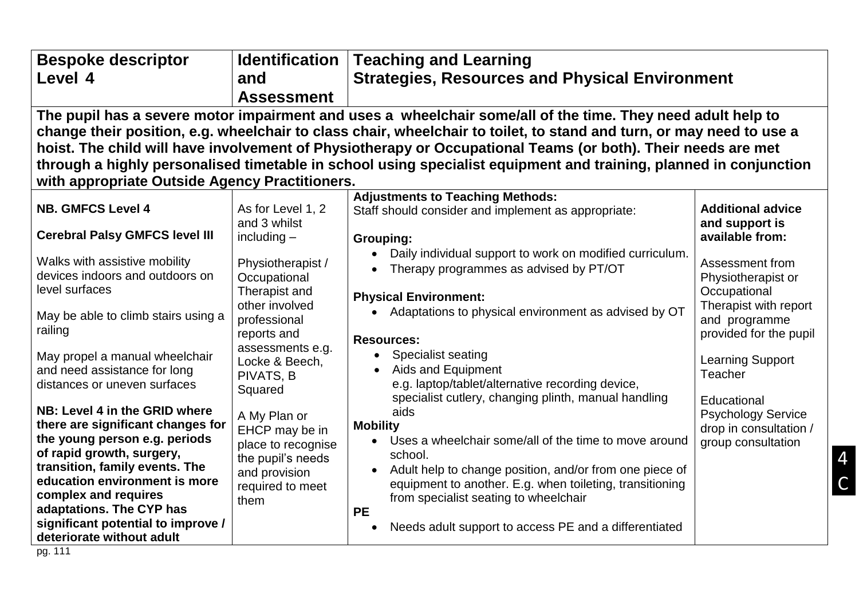| <b>Bespoke descriptor</b><br>Level 4                                                                                                                                                                                                                                                                                                                                                                                                                                                                                       | <b>Identification</b><br>and                                                                                                                                                                        | <b>Teaching and Learning</b><br><b>Strategies, Resources and Physical Environment</b>                                                                                                                                                                                                                                                                                                                     |                                                                                                                                                                                                                                       |  |  |  |
|----------------------------------------------------------------------------------------------------------------------------------------------------------------------------------------------------------------------------------------------------------------------------------------------------------------------------------------------------------------------------------------------------------------------------------------------------------------------------------------------------------------------------|-----------------------------------------------------------------------------------------------------------------------------------------------------------------------------------------------------|-----------------------------------------------------------------------------------------------------------------------------------------------------------------------------------------------------------------------------------------------------------------------------------------------------------------------------------------------------------------------------------------------------------|---------------------------------------------------------------------------------------------------------------------------------------------------------------------------------------------------------------------------------------|--|--|--|
|                                                                                                                                                                                                                                                                                                                                                                                                                                                                                                                            | <b>Assessment</b>                                                                                                                                                                                   |                                                                                                                                                                                                                                                                                                                                                                                                           |                                                                                                                                                                                                                                       |  |  |  |
| The pupil has a severe motor impairment and uses a wheelchair some/all of the time. They need adult help to<br>change their position, e.g. wheelchair to class chair, wheelchair to toilet, to stand and turn, or may need to use a<br>hoist. The child will have involvement of Physiotherapy or Occupational Teams (or both). Their needs are met<br>through a highly personalised timetable in school using specialist equipment and training, planned in conjunction<br>with appropriate Outside Agency Practitioners. |                                                                                                                                                                                                     |                                                                                                                                                                                                                                                                                                                                                                                                           |                                                                                                                                                                                                                                       |  |  |  |
|                                                                                                                                                                                                                                                                                                                                                                                                                                                                                                                            |                                                                                                                                                                                                     | <b>Adjustments to Teaching Methods:</b>                                                                                                                                                                                                                                                                                                                                                                   |                                                                                                                                                                                                                                       |  |  |  |
| <b>NB. GMFCS Level 4</b><br><b>Cerebral Palsy GMFCS level III</b>                                                                                                                                                                                                                                                                                                                                                                                                                                                          | As for Level 1, 2<br>and 3 whilst<br>$including -$                                                                                                                                                  | Staff should consider and implement as appropriate:<br>Grouping:                                                                                                                                                                                                                                                                                                                                          | <b>Additional advice</b><br>and support is<br>available from:                                                                                                                                                                         |  |  |  |
| Walks with assistive mobility<br>devices indoors and outdoors on<br>level surfaces<br>May be able to climb stairs using a<br>railing<br>May propel a manual wheelchair<br>and need assistance for long<br>distances or uneven surfaces<br>NB: Level 4 in the GRID where<br>there are significant changes for                                                                                                                                                                                                               | Physiotherapist /<br>Occupational<br>Therapist and<br>other involved<br>professional<br>reports and<br>assessments e.g.<br>Locke & Beech,<br>PIVATS, B<br>Squared<br>A My Plan or<br>EHCP may be in | Daily individual support to work on modified curriculum.<br>Therapy programmes as advised by PT/OT<br><b>Physical Environment:</b><br>Adaptations to physical environment as advised by OT<br><b>Resources:</b><br><b>Specialist seating</b><br>Aids and Equipment<br>e.g. laptop/tablet/alternative recording device,<br>specialist cutlery, changing plinth, manual handling<br>aids<br><b>Mobility</b> | Assessment from<br>Physiotherapist or<br>Occupational<br>Therapist with report<br>and programme<br>provided for the pupil<br><b>Learning Support</b><br>Teacher<br>Educational<br><b>Psychology Service</b><br>drop in consultation / |  |  |  |
| the young person e.g. periods<br>of rapid growth, surgery,<br>transition, family events. The<br>education environment is more<br>complex and requires<br>adaptations. The CYP has<br>significant potential to improve /<br>deteriorate without adult                                                                                                                                                                                                                                                                       | place to recognise<br>the pupil's needs<br>and provision<br>required to meet<br>them                                                                                                                | Uses a wheelchair some/all of the time to move around<br>school.<br>Adult help to change position, and/or from one piece of<br>equipment to another. E.g. when toileting, transitioning<br>from specialist seating to wheelchair<br><b>PE</b><br>Needs adult support to access PE and a differentiated                                                                                                    | group consultation                                                                                                                                                                                                                    |  |  |  |

4

C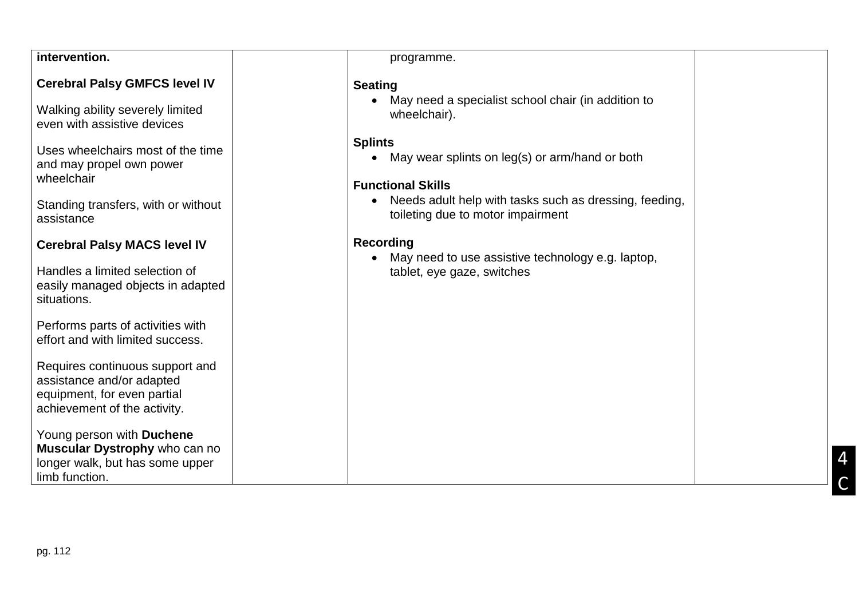### **intervention.**

# **Cerebral Palsy GMFCS level IV**

Walking ability severely limited even with assistive devices

Uses wheelchairs most of the time and may propel own power wheelchair

Standing transfers, with or without assistance

### **Cerebral Palsy MACS level IV**

Handles a limited selection of easily managed objects in adapted situations.

Performs parts of activities with effort and with limited success.

Requires continuous support and assistance and/or adapted equipment, for even partial achievement of the activity.

Young person with **Duchene Muscular Dystrophy** who can no longer walk, but has some upper limb function.

programme.

#### **Seating**

 May need a specialist school chair (in addition to wheelchair).

### **Splints**

• May wear splints on leg(s) or arm/hand or both

# **Functional Skills**

• Needs adult help with tasks such as dressing, feeding, toileting due to motor impairment

 $\frac{4}{5}$ 

 $\overline{4}$ 

## **Recording**

 May need to use assistive technology e.g. laptop, tablet, eye gaze, switches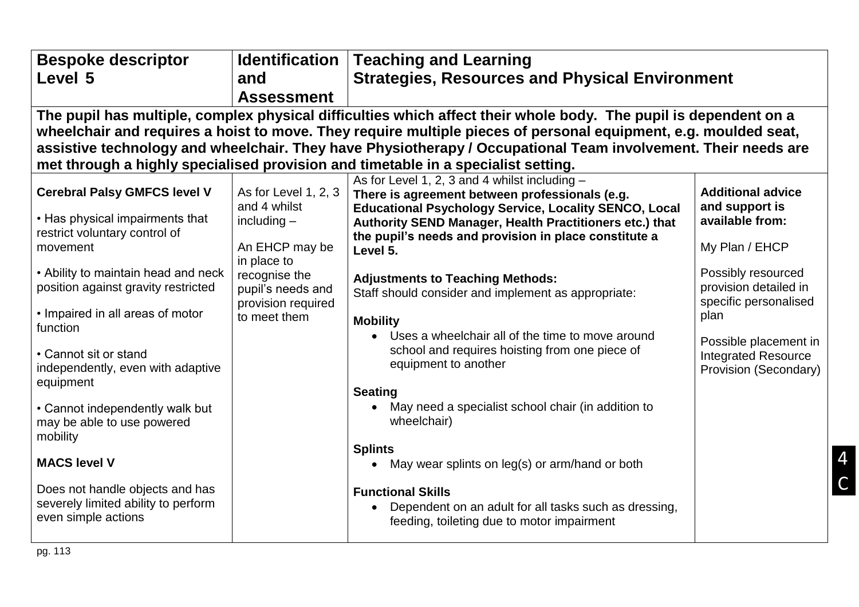| <b>Bespoke descriptor</b><br>Level 5                                       | and                                                                                                              | <b>Identification   Teaching and Learning</b>                                                                    |                                                     |  |  |  |  |  |
|----------------------------------------------------------------------------|------------------------------------------------------------------------------------------------------------------|------------------------------------------------------------------------------------------------------------------|-----------------------------------------------------|--|--|--|--|--|
|                                                                            | <b>Assessment</b>                                                                                                | <b>Strategies, Resources and Physical Environment</b>                                                            |                                                     |  |  |  |  |  |
|                                                                            | The pupil has multiple, complex physical difficulties which affect their whole body. The pupil is dependent on a |                                                                                                                  |                                                     |  |  |  |  |  |
|                                                                            |                                                                                                                  | wheelchair and requires a hoist to move. They require multiple pieces of personal equipment, e.g. moulded seat,  |                                                     |  |  |  |  |  |
|                                                                            |                                                                                                                  | assistive technology and wheelchair. They have Physiotherapy / Occupational Team involvement. Their needs are    |                                                     |  |  |  |  |  |
|                                                                            |                                                                                                                  | met through a highly specialised provision and timetable in a specialist setting.                                |                                                     |  |  |  |  |  |
|                                                                            |                                                                                                                  | As for Level 1, 2, 3 and 4 whilst including -                                                                    |                                                     |  |  |  |  |  |
| <b>Cerebral Palsy GMFCS level V</b>                                        | As for Level 1, 2, 3                                                                                             | There is agreement between professionals (e.g.                                                                   | <b>Additional advice</b>                            |  |  |  |  |  |
| • Has physical impairments that                                            | and 4 whilst                                                                                                     | <b>Educational Psychology Service, Locality SENCO, Local</b>                                                     | and support is<br>available from:                   |  |  |  |  |  |
| restrict voluntary control of                                              | $including -$                                                                                                    | Authority SEND Manager, Health Practitioners etc.) that<br>the pupil's needs and provision in place constitute a |                                                     |  |  |  |  |  |
| movement                                                                   | An EHCP may be                                                                                                   | Level 5.                                                                                                         | My Plan / EHCP                                      |  |  |  |  |  |
|                                                                            | in place to                                                                                                      |                                                                                                                  |                                                     |  |  |  |  |  |
| • Ability to maintain head and neck<br>position against gravity restricted | recognise the                                                                                                    | <b>Adjustments to Teaching Methods:</b>                                                                          | Possibly resourced<br>provision detailed in         |  |  |  |  |  |
|                                                                            | pupil's needs and<br>provision required                                                                          | Staff should consider and implement as appropriate:                                                              | specific personalised                               |  |  |  |  |  |
| • Impaired in all areas of motor                                           | to meet them                                                                                                     | <b>Mobility</b>                                                                                                  | plan                                                |  |  |  |  |  |
| function                                                                   |                                                                                                                  | Uses a wheelchair all of the time to move around<br>$\bullet$                                                    |                                                     |  |  |  |  |  |
| • Cannot sit or stand                                                      |                                                                                                                  | school and requires hoisting from one piece of                                                                   | Possible placement in<br><b>Integrated Resource</b> |  |  |  |  |  |
| independently, even with adaptive                                          |                                                                                                                  | equipment to another                                                                                             | Provision (Secondary)                               |  |  |  |  |  |
| equipment                                                                  |                                                                                                                  |                                                                                                                  |                                                     |  |  |  |  |  |
|                                                                            |                                                                                                                  | <b>Seating</b>                                                                                                   |                                                     |  |  |  |  |  |
| • Cannot independently walk but<br>may be able to use powered              |                                                                                                                  | May need a specialist school chair (in addition to<br>wheelchair)                                                |                                                     |  |  |  |  |  |
| mobility                                                                   |                                                                                                                  |                                                                                                                  |                                                     |  |  |  |  |  |
|                                                                            |                                                                                                                  | <b>Splints</b>                                                                                                   |                                                     |  |  |  |  |  |
| <b>MACS level V</b>                                                        |                                                                                                                  | May wear splints on leg(s) or arm/hand or both<br>$\bullet$                                                      |                                                     |  |  |  |  |  |
| Does not handle objects and has                                            |                                                                                                                  | <b>Functional Skills</b>                                                                                         |                                                     |  |  |  |  |  |
| severely limited ability to perform                                        |                                                                                                                  | Dependent on an adult for all tasks such as dressing,                                                            |                                                     |  |  |  |  |  |
| even simple actions                                                        |                                                                                                                  | feeding, toileting due to motor impairment                                                                       |                                                     |  |  |  |  |  |
|                                                                            |                                                                                                                  |                                                                                                                  |                                                     |  |  |  |  |  |

4

C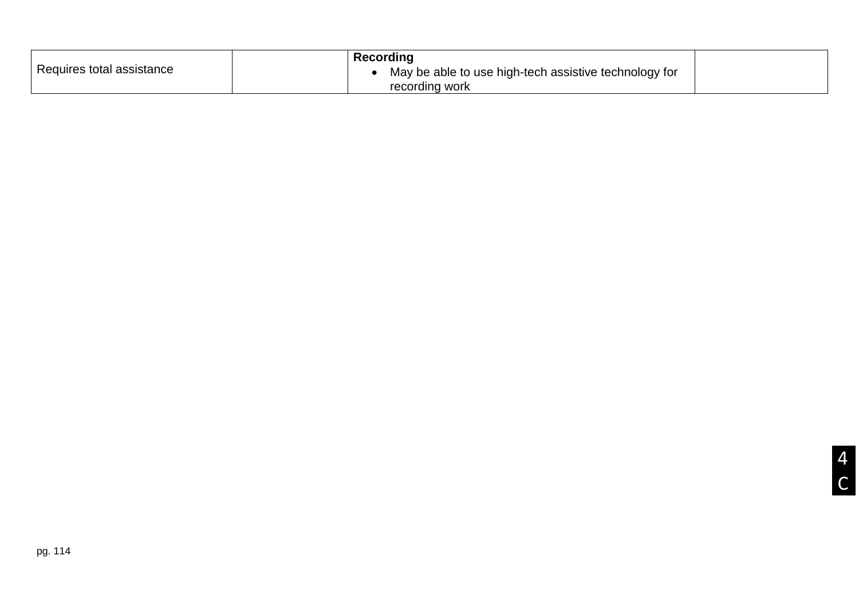|                           |                | Recording                                             |  |
|---------------------------|----------------|-------------------------------------------------------|--|
| Requires total assistance |                | May be able to use high-tech assistive technology for |  |
|                           | recording work |                                                       |  |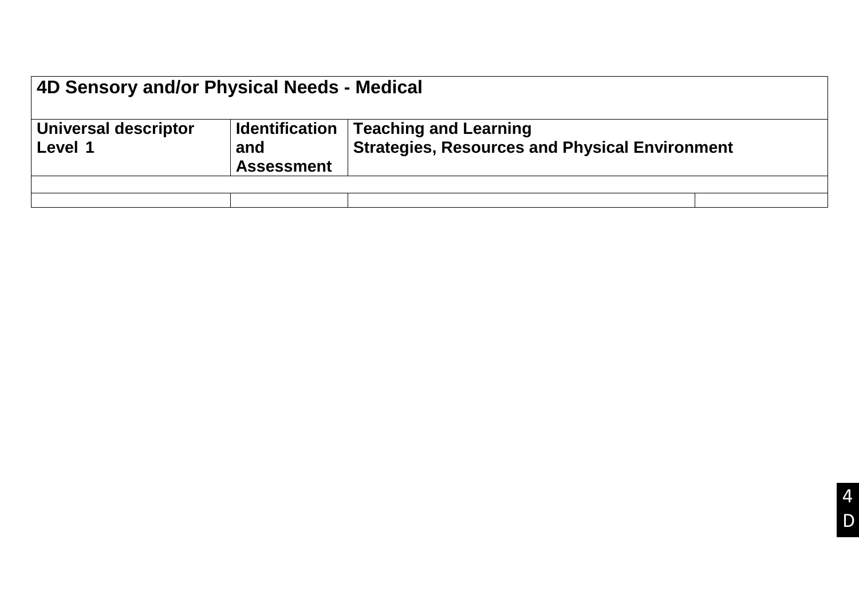| 4D Sensory and/or Physical Needs - Medical |                                                   |                                                                                       |  |  |  |  |
|--------------------------------------------|---------------------------------------------------|---------------------------------------------------------------------------------------|--|--|--|--|
| <b>Universal descriptor</b><br>Level 1     | <b>Identification</b><br>and<br><b>Assessment</b> | <b>Teaching and Learning</b><br><b>Strategies, Resources and Physical Environment</b> |  |  |  |  |
|                                            |                                                   |                                                                                       |  |  |  |  |
|                                            |                                                   |                                                                                       |  |  |  |  |

4

D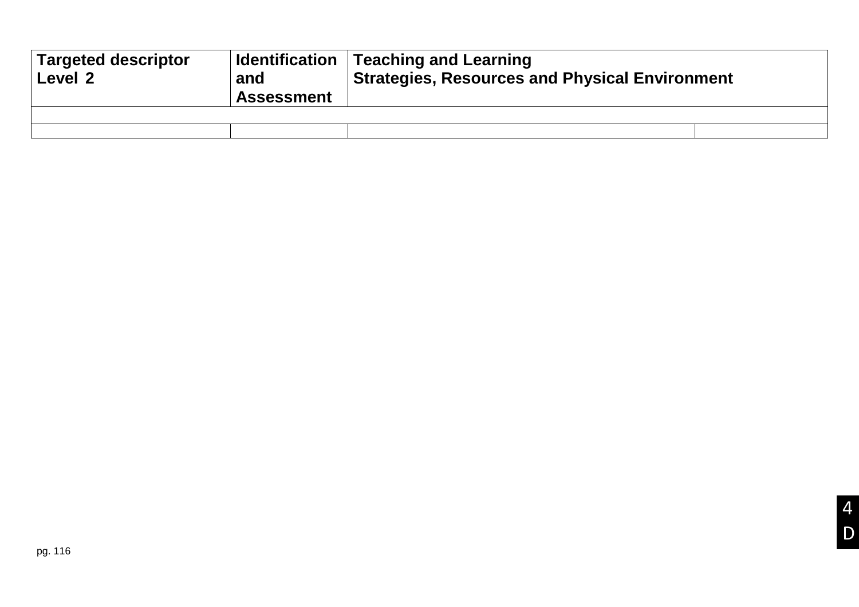| Targeted descriptor<br>Level 2 | and<br><b>Assessment</b> | Identification   Teaching and Learning<br><b>Strategies, Resources and Physical Environment</b> |  |
|--------------------------------|--------------------------|-------------------------------------------------------------------------------------------------|--|
|                                |                          |                                                                                                 |  |
|                                |                          |                                                                                                 |  |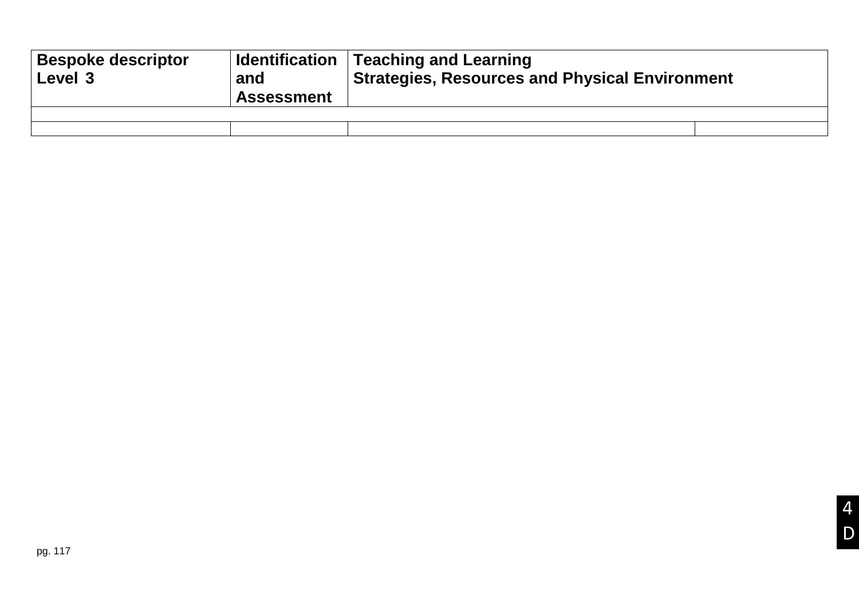| <b>Bespoke descriptor</b><br>Level 3 | <b>Identification</b><br>and<br><b>Assessment</b> | Teaching and Learning<br><b>Strategies, Resources and Physical Environment</b> |  |
|--------------------------------------|---------------------------------------------------|--------------------------------------------------------------------------------|--|
|                                      |                                                   |                                                                                |  |
|                                      |                                                   |                                                                                |  |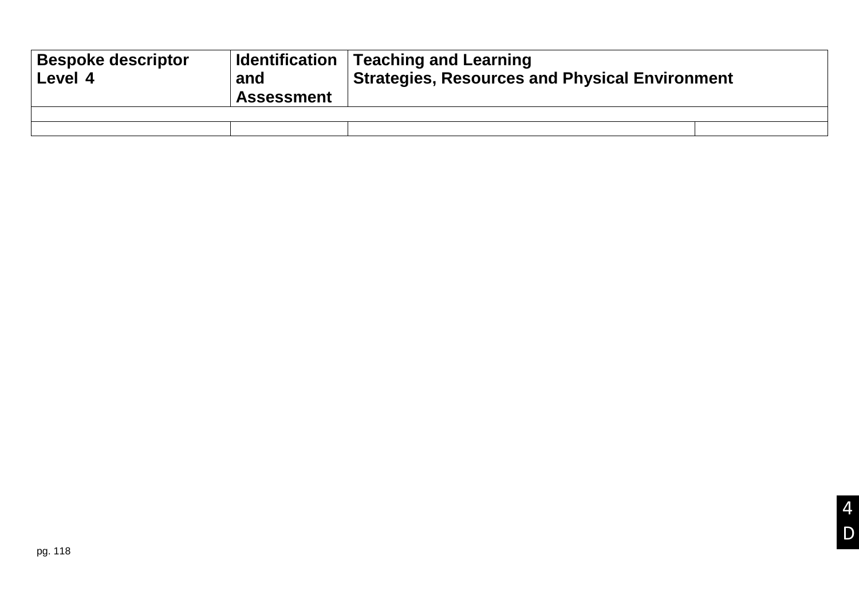| <b>Bespoke descriptor</b><br>Level 4 | and<br><b>Assessment</b> | <b>Identification   Teaching and Learning</b><br><b>Strategies, Resources and Physical Environment</b> |  |
|--------------------------------------|--------------------------|--------------------------------------------------------------------------------------------------------|--|
|                                      |                          |                                                                                                        |  |
|                                      |                          |                                                                                                        |  |